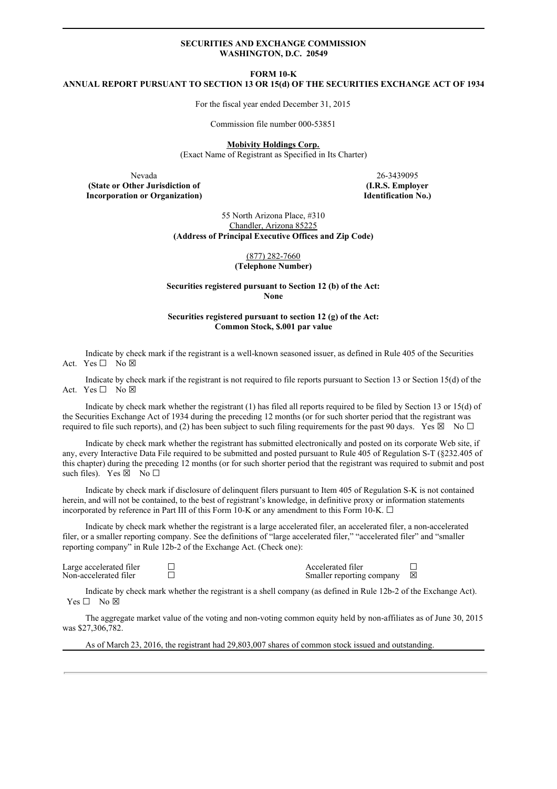#### **SECURITIES AND EXCHANGE COMMISSION WASHINGTON, D.C. 20549**

**FORM 10-K**

### <span id="page-0-0"></span>**ANNUAL REPORT PURSUANT TO SECTION 13 OR 15(d) OF THE SECURITIES EXCHANGE ACT OF 1934**

For the fiscal year ended December 31, 2015

Commission file number 000-53851

**Mobivity Holdings Corp.**

(Exact Name of Registrant as Specified in Its Charter)

Nevada 26-3439095 **(State or Other Jurisdiction of (I.R.S. Employer Incorporation or Organization) Identification No.)**

55 North Arizona Place, #310 Chandler, Arizona 85225 **(Address of Principal Executive Offices and Zip Code)**

> (877) 282-7660 **(Telephone Number)**

### **Securities registered pursuant to Section 12 (b) of the Act: None**

#### **Securities registered pursuant to section 12 (g) of the Act: Common Stock, \$.001 par value**

Indicate by check mark if the registrant is a well-known seasoned issuer, as defined in Rule 405 of the Securities Act. Yes  $\square$  No  $\square$ 

Indicate by check mark if the registrant is not required to file reports pursuant to Section 13 or Section 15(d) of the Act. Yes □ No ⊠

Indicate by check mark whether the registrant (1) has filed all reports required to be filed by Section 13 or 15(d) of the Securities Exchange Act of 1934 during the preceding 12 months (or for such shorter period that the registrant was required to file such reports), and (2) has been subject to such filing requirements for the past 90 days. Yes  $\boxtimes$  No  $\Box$ 

Indicate by check mark whether the registrant has submitted electronically and posted on its corporate Web site, if any, every Interactive Data File required to be submitted and posted pursuant to Rule 405 of Regulation S-T (§232.405 of this chapter) during the preceding 12 months (or for such shorter period that the registrant was required to submit and post such files). Yes  $\boxtimes$  No  $\Box$ 

Indicate by check mark if disclosure of delinquent filers pursuant to Item 405 of Regulation S-K is not contained herein, and will not be contained, to the best of registrant's knowledge, in definitive proxy or information statements incorporated by reference in Part III of this Form 10-K or any amendment to this Form 10-K.  $\Box$ 

Indicate by check mark whether the registrant is a large accelerated filer, an accelerated filer, a non-accelerated filer, or a smaller reporting company. See the definitions of "large accelerated filer," "accelerated filer" and "smaller reporting company" in Rule 12b-2 of the Exchange Act. (Check one):

Large accelerated filer ☐ Accelerated filer ☐ Smaller reporting company

Indicate by check mark whether the registrant is a shell company (as defined in Rule 12b-2 of the Exchange Act).  $Yes \Box No \boxtimes$ 

The aggregate market value of the voting and non-voting common equity held by non-affiliates as of June 30, 2015 was \$27,306,782.

As of March 23, 2016, the registrant had 29,803,007 shares of common stock issued and outstanding.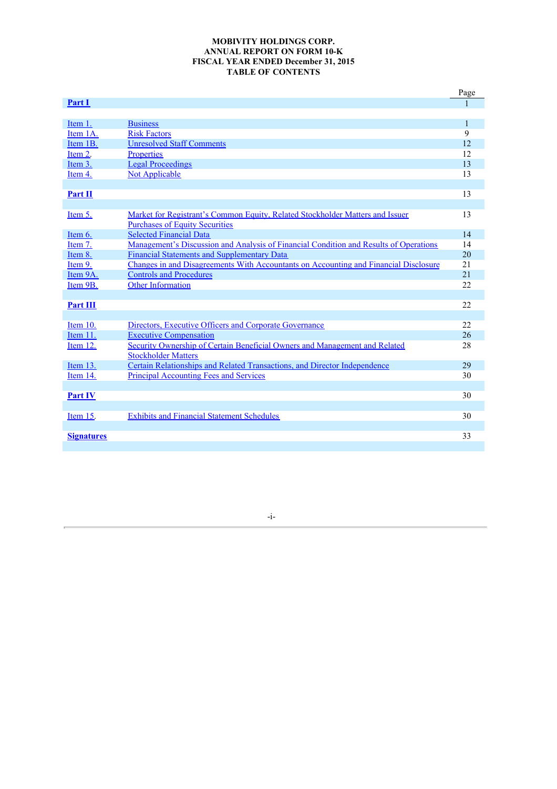# <span id="page-1-0"></span>**MOBIVITY HOLDINGS CORP. ANNUAL REPORT ON FORM 10-K FISCAL YEAR ENDED December 31, 2015 TABLE OF CONTENTS**

|                   |                                                                                             | Page |
|-------------------|---------------------------------------------------------------------------------------------|------|
| Part I            |                                                                                             |      |
|                   |                                                                                             |      |
| Item 1.           | <b>Business</b>                                                                             |      |
| Item 1A.          | <b>Risk Factors</b>                                                                         | 9    |
| Item 1B.          | <b>Unresolved Staff Comments</b>                                                            | 12   |
| Item 2.           | <b>Properties</b>                                                                           | 12   |
| Item 3.           | <b>Legal Proceedings</b>                                                                    | 13   |
| Item 4.           | <b>Not Applicable</b>                                                                       | 13   |
|                   |                                                                                             |      |
| Part II           |                                                                                             | 13   |
|                   |                                                                                             |      |
| Item 5.           | Market for Registrant's Common Equity, Related Stockholder Matters and Issuer               | 13   |
|                   | <b>Purchases of Equity Securities</b>                                                       |      |
| Item 6.           | <b>Selected Financial Data</b>                                                              | 14   |
| Item 7.           | Management's Discussion and Analysis of Financial Condition and Results of Operations       | 14   |
| Item 8.           | <b>Financial Statements and Supplementary Data</b>                                          | 20   |
| Item 9.           | <u>Changes in and Disagreements With Accountants on Accounting and Financial Disclosure</u> | 21   |
| Item 9A.          | <b>Controls and Procedures</b>                                                              | 21   |
| Item 9B.          | <b>Other Information</b>                                                                    | 22   |
|                   |                                                                                             |      |
| <b>Part III</b>   |                                                                                             | 22   |
|                   |                                                                                             |      |
| Item 10.          | Directors, Executive Officers and Corporate Governance                                      | 22   |
| Item 11.          | <b>Executive Compensation</b>                                                               | 26   |
| Item 12.          | Security Ownership of Certain Beneficial Owners and Management and Related                  | 28   |
|                   | <b>Stockholder Matters</b>                                                                  |      |
| <u>Item 13.</u>   | Certain Relationships and Related Transactions, and Director Independence                   | 29   |
| Item 14.          | <b>Principal Accounting Fees and Services</b>                                               | 30   |
|                   |                                                                                             |      |
| <b>Part IV</b>    |                                                                                             | 30   |
|                   |                                                                                             |      |
| Item $15$ .       | <b>Exhibits and Financial Statement Schedules</b>                                           | 30   |
|                   |                                                                                             |      |
| <b>Signatures</b> |                                                                                             | 33   |
|                   |                                                                                             |      |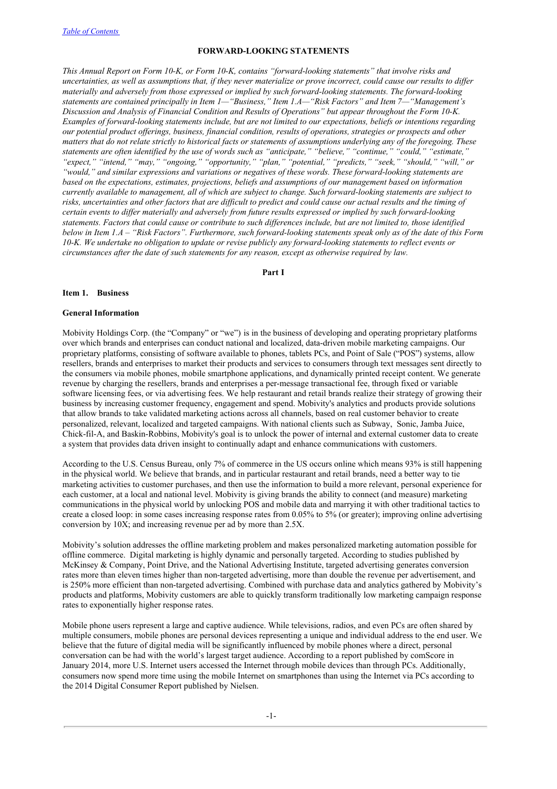### **FORWARD-LOOKING STATEMENTS**

*This Annual Report on Form 10-K, or Form 10-K, contains "forward-looking statements" that involve risks and* uncertainties, as well as assumptions that, if they never materialize or prove incorrect, could cause our results to differ *materially and adversely from those expressed or implied by such forward-looking statements. The forward-looking statements are contained principally in Item 1—"Business," Item 1.A—"Risk Factors" and Item 7—"Management's Discussion and Analysis of Financial Condition and Results of Operations" but appear throughout the Form 10-K.* Examples of forward-looking statements include, but are not limited to our expectations, beliefs or intentions regarding our potential product offerings, business, financial condition, results of operations, strategies or prospects and other matters that do not relate strictly to historical facts or statements of assumptions underlying any of the foregoing. These statements are often identified by the use of words such as "anticipate," "believe," "continue," "could," "estimate," *"expect," "intend," "may," "ongoing," "opportunity," "plan," "potential," "predicts," "seek," "should," "will," or "would," and similar expressions and variations or negatives of these words. These forward-looking statements are based on the expectations, estimates, projections, beliefs and assumptions of our management based on information* currently available to management, all of which are subject to change. Such forward-looking statements are subject to risks, uncertainties and other factors that are difficult to predict and could cause our actual results and the timing of certain events to differ materially and adversely from future results expressed or implied by such forward-looking statements. Factors that could cause or contribute to such differences include, but are not limited to, those identified below in Item 1.A - "Risk Factors". Furthermore, such forward-looking statements speak only as of the date of this Form 10-K. We undertake no obligation to update or revise publicly any forward-looking statements to reflect events or *circumstances after the date of such statements for any reason, except as otherwise required by law.*

#### <span id="page-2-0"></span>**Part I**

# <span id="page-2-1"></span>**Item 1. Business**

### **General Information**

Mobivity Holdings Corp. (the "Company" or "we") is in the business of developing and operating proprietary platforms over which brands and enterprises can conduct national and localized, data-driven mobile marketing campaigns. Our proprietary platforms, consisting of software available to phones, tablets PCs, and Point of Sale ("POS") systems, allow resellers, brands and enterprises to market their products and services to consumers through text messages sent directly to the consumers via mobile phones, mobile smartphone applications, and dynamically printed receipt content. We generate revenue by charging the resellers, brands and enterprises a per-message transactional fee, through fixed or variable software licensing fees, or via advertising fees. We help restaurant and retail brands realize their strategy of growing their business by increasing customer frequency, engagement and spend. Mobivity's analytics and products provide solutions that allow brands to take validated marketing actions across all channels, based on real customer behavior to create personalized, relevant, localized and targeted campaigns. With national clients such as Subway, Sonic, Jamba Juice, Chick-fil-A, and Baskin-Robbins, Mobivity's goal is to unlock the power of internal and external customer data to create a system that provides data driven insight to continually adapt and enhance communications with customers.

According to the U.S. Census Bureau, only 7% of commerce in the US occurs online which means 93% is still happening in the physical world. We believe that brands, and in particular restaurant and retail brands, need a better way to tie marketing activities to customer purchases, and then use the information to build a more relevant, personal experience for each customer, at a local and national level. Mobivity is giving brands the ability to connect (and measure) marketing communications in the physical world by unlocking POS and mobile data and marrying it with other traditional tactics to create a closed loop: in some cases increasing response rates from 0.05% to 5% (or greater); improving online advertising conversion by 10X; and increasing revenue per ad by more than 2.5X.

Mobivity's solution addresses the offline marketing problem and makes personalized marketing automation possible for offline commerce. Digital marketing is highly dynamic and personally targeted. According to studies published by McKinsey & Company, Point Drive, and the National Advertising Institute, targeted advertising generates conversion rates more than eleven times higher than non-targeted advertising, more than double the revenue per advertisement, and is 250% more efficient than non-targeted advertising. Combined with purchase data and analytics gathered by Mobivity's products and platforms, Mobivity customers are able to quickly transform traditionally low marketing campaign response rates to exponentially higher response rates.

Mobile phone users represent a large and captive audience. While televisions, radios, and even PCs are often shared by multiple consumers, mobile phones are personal devices representing a unique and individual address to the end user. We believe that the future of digital media will be significantly influenced by mobile phones where a direct, personal conversation can be had with the world's largest target audience. According to a report published by comScore in January 2014, more U.S. Internet users accessed the Internet through mobile devices than through PCs. Additionally, consumers now spend more time using the mobile Internet on smartphones than using the Internet via PCs according to the 2014 Digital Consumer Report published by Nielsen.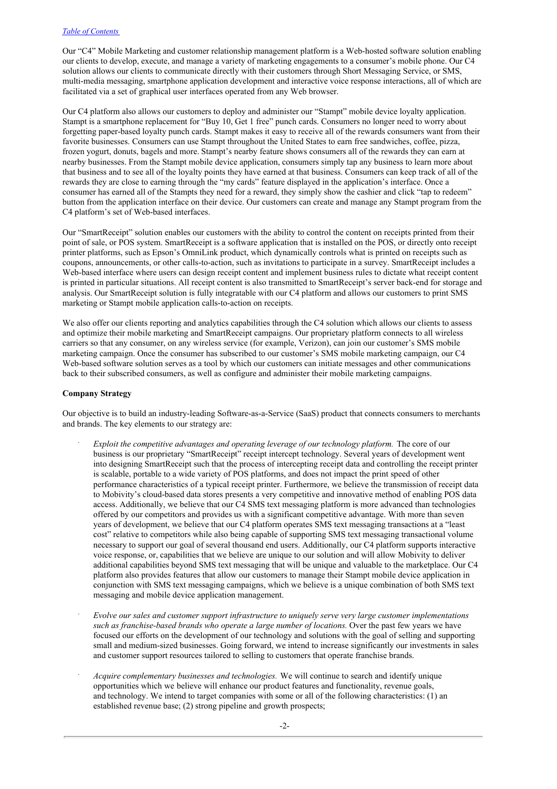Our "C4" Mobile Marketing and customer relationship management platform is a Web-hosted software solution enabling our clients to develop, execute, and manage a variety of marketing engagements to a consumer's mobile phone. Our C4 solution allows our clients to communicate directly with their customers through Short Messaging Service, or SMS, multi-media messaging, smartphone application development and interactive voice response interactions, all of which are facilitated via a set of graphical user interfaces operated from any Web browser.

Our C4 platform also allows our customers to deploy and administer our "Stampt" mobile device loyalty application. Stampt is a smartphone replacement for "Buy 10, Get 1 free" punch cards. Consumers no longer need to worry about forgetting paper-based loyalty punch cards. Stampt makes it easy to receive all of the rewards consumers want from their favorite businesses. Consumers can use Stampt throughout the United States to earn free sandwiches, coffee, pizza, frozen yogurt, donuts, bagels and more. Stampt's nearby feature shows consumers all of the rewards they can earn at nearby businesses. From the Stampt mobile device application, consumers simply tap any business to learn more about that business and to see all of the loyalty points they have earned at that business. Consumers can keep track of all of the rewards they are close to earning through the "my cards" feature displayed in the application's interface. Once a consumer has earned all of the Stampts they need for a reward, they simply show the cashier and click "tap to redeem" button from the application interface on their device. Our customers can create and manage any Stampt program from the C4 platform's set of Web-based interfaces.

Our "SmartReceipt" solution enables our customers with the ability to control the content on receipts printed from their point of sale, or POS system. SmartReceipt is a software application that is installed on the POS, or directly onto receipt printer platforms, such as Epson's OmniLink product, which dynamically controls what is printed on receipts such as coupons, announcements, or other calls-to-action, such as invitations to participate in a survey. SmartReceipt includes a Web-based interface where users can design receipt content and implement business rules to dictate what receipt content is printed in particular situations. All receipt content is also transmitted to SmartReceipt's server back-end for storage and analysis. Our SmartReceipt solution is fully integratable with our C4 platform and allows our customers to print SMS marketing or Stampt mobile application calls-to-action on receipts.

We also offer our clients reporting and analytics capabilities through the C4 solution which allows our clients to assess and optimize their mobile marketing and SmartReceipt campaigns. Our proprietary platform connects to all wireless carriers so that any consumer, on any wireless service (for example, Verizon), can join our customer's SMS mobile marketing campaign. Once the consumer has subscribed to our customer's SMS mobile marketing campaign, our C4 Web-based software solution serves as a tool by which our customers can initiate messages and other communications back to their subscribed consumers, as well as configure and administer their mobile marketing campaigns.

### **Company Strategy**

Our objective is to build an industry-leading Software-as-a-Service (SaaS) product that connects consumers to merchants and brands. The key elements to our strategy are:

- · *Exploit the competitive advantages and operating leverage of our technology platform.* The core of our business is our proprietary "SmartReceipt" receipt intercept technology. Several years of development went into designing SmartReceipt such that the process of intercepting receipt data and controlling the receipt printer is scalable, portable to a wide variety of POS platforms, and does not impact the print speed of other performance characteristics of a typical receipt printer. Furthermore, we believe the transmission of receipt data to Mobivity's cloud-based data stores presents a very competitive and innovative method of enabling POS data access. Additionally, we believe that our C4 SMS text messaging platform is more advanced than technologies offered by our competitors and provides us with a significant competitive advantage. With more than seven years of development, we believe that our C4 platform operates SMS text messaging transactions at a "least cost" relative to competitors while also being capable of supporting SMS text messaging transactional volume necessary to support our goal of several thousand end users. Additionally, our C4 platform supports interactive voice response, or, capabilities that we believe are unique to our solution and will allow Mobivity to deliver additional capabilities beyond SMS text messaging that will be unique and valuable to the marketplace. Our C4 platform also provides features that allow our customers to manage their Stampt mobile device application in conjunction with SMS text messaging campaigns, which we believe is a unique combination of both SMS text messaging and mobile device application management.
- · *Evolve our sales and customer support infrastructure to uniquely serve very large customer implementations such as franchise-based brands who operate a large number of locations.* Over the past few years we have focused our efforts on the development of our technology and solutions with the goal of selling and supporting small and medium-sized businesses. Going forward, we intend to increase significantly our investments in sales and customer support resources tailored to selling to customers that operate franchise brands.
- · *Acquire complementary businesses and technologies.* We will continue to search and identify unique opportunities which we believe will enhance our product features and functionality, revenue goals, and technology. We intend to target companies with some or all of the following characteristics: (1) an established revenue base; (2) strong pipeline and growth prospects;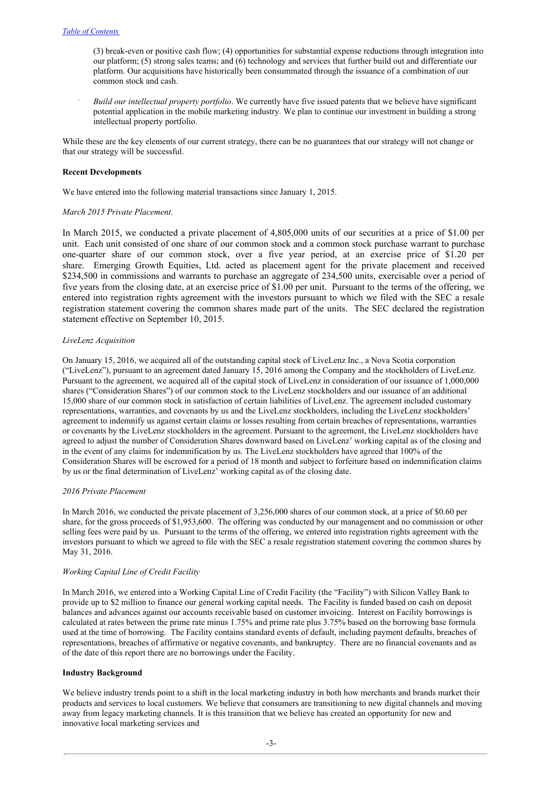(3) break-even or positive cash flow; (4) opportunities for substantial expense reductions through integration into our platform; (5) strong sales teams; and (6) technology and services that further build out and differentiate our platform. Our acquisitions have historically been consummated through the issuance of a combination of our common stock and cash.

· *Build our intellectual property portfolio*. We currently have five issued patents that we believe have significant potential application in the mobile marketing industry. We plan to continue our investment in building a strong intellectual property portfolio.

While these are the key elements of our current strategy, there can be no guarantees that our strategy will not change or that our strategy will be successful.

### **Recent Developments**

We have entered into the following material transactions since January 1, 2015.

#### *March 2015 Private Placement*.

In March 2015, we conducted a private placement of 4,805,000 units of our securities at a price of \$1.00 per unit. Each unit consisted of one share of our common stock and a common stock purchase warrant to purchase one-quarter share of our common stock, over a five year period, at an exercise price of \$1.20 per share. Emerging Growth Equities, Ltd. acted as placement agent for the private placement and received \$234,500 in commissions and warrants to purchase an aggregate of 234,500 units, exercisable over a period of five years from the closing date, at an exercise price of \$1.00 per unit. Pursuant to the terms of the offering, we entered into registration rights agreement with the investors pursuant to which we filed with the SEC a resale registration statement covering the common shares made part of the units. The SEC declared the registration statement effective on September 10, 2015.

# *LiveLenz Acquisition*

On January 15, 2016, we acquired all of the outstanding capital stock of LiveLenz Inc., a Nova Scotia corporation ("LiveLenz"), pursuant to an agreement dated January 15, 2016 among the Company and the stockholders of LiveLenz. Pursuant to the agreement, we acquired all of the capital stock of LiveLenz in consideration of our issuance of 1,000,000 shares ("Consideration Shares") of our common stock to the LiveLenz stockholders and our issuance of an additional 15,000 share of our common stock in satisfaction of certain liabilities of LiveLenz. The agreement included customary representations, warranties, and covenants by us and the LiveLenz stockholders, including the LiveLenz stockholders' agreement to indemnify us against certain claims or losses resulting from certain breaches of representations, warranties or covenants by the LiveLenz stockholders in the agreement. Pursuant to the agreement, the LiveLenz stockholders have agreed to adjust the number of Consideration Shares downward based on LiveLenz' working capital as of the closing and in the event of any claims for indemnification by us. The LiveLenz stockholders have agreed that 100% of the Consideration Shares will be escrowed for a period of 18 month and subject to forfeiture based on indemnification claims by us or the final determination of LiveLenz' working capital as of the closing date.

#### *2016 Private Placement*

In March 2016, we conducted the private placement of 3,256,000 shares of our common stock, at a price of \$0.60 per share, for the gross proceeds of \$1,953,600. The offering was conducted by our management and no commission or other selling fees were paid by us. Pursuant to the terms of the offering, we entered into registration rights agreement with the investors pursuant to which we agreed to file with the SEC a resale registration statement covering the common shares by May 31, 2016.

# *Working Capital Line of Credit Facility*

In March 2016, we entered into a Working Capital Line of Credit Facility (the "Facility") with Silicon Valley Bank to provide up to \$2 million to finance our general working capital needs. The Facility is funded based on cash on deposit balances and advances against our accounts receivable based on customer invoicing. Interest on Facility borrowings is calculated at rates between the prime rate minus 1.75% and prime rate plus 3.75% based on the borrowing base formula used at the time of borrowing. The Facility contains standard events of default, including payment defaults, breaches of representations, breaches of affirmative or negative covenants, and bankruptcy. There are no financial covenants and as of the date of this report there are no borrowings under the Facility.

# **Industry Background**

We believe industry trends point to a shift in the local marketing industry in both how merchants and brands market their products and services to local customers. We believe that consumers are transitioning to new digital channels and moving away from legacy marketing channels. It is this transition that we believe has created an opportunity for new and innovative local marketing services and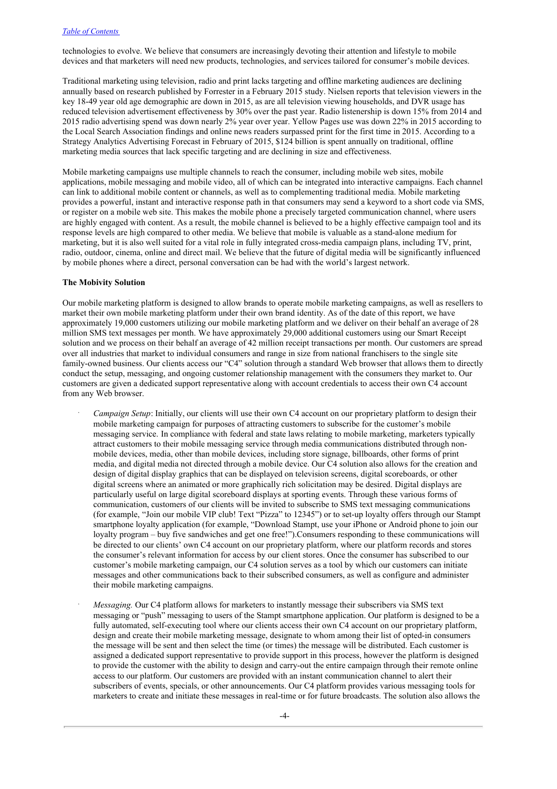technologies to evolve. We believe that consumers are increasingly devoting their attention and lifestyle to mobile devices and that marketers will need new products, technologies, and services tailored for consumer's mobile devices.

Traditional marketing using television, radio and print lacks targeting and offline marketing audiences are declining annually based on research published by Forrester in a February 2015 study. Nielsen reports that television viewers in the key 18-49 year old age demographic are down in 2015, as are all television viewing households, and DVR usage has reduced television advertisement effectiveness by 30% over the past year. Radio listenership is down 15% from 2014 and 2015 radio advertising spend was down nearly 2% year over year. Yellow Pages use was down 22% in 2015 according to the Local Search Association findings and online news readers surpassed print for the first time in 2015. According to a Strategy Analytics Advertising Forecast in February of 2015, \$124 billion is spent annually on traditional, offline marketing media sources that lack specific targeting and are declining in size and effectiveness.

Mobile marketing campaigns use multiple channels to reach the consumer, including mobile web sites, mobile applications, mobile messaging and mobile video, all of which can be integrated into interactive campaigns. Each channel can link to additional mobile content or channels, as well as to complementing traditional media. Mobile marketing provides a powerful, instant and interactive response path in that consumers may send a keyword to a short code via SMS, or register on a mobile web site. This makes the mobile phone a precisely targeted communication channel, where users are highly engaged with content. As a result, the mobile channel is believed to be a highly effective campaign tool and its response levels are high compared to other media. We believe that mobile is valuable as a stand-alone medium for marketing, but it is also well suited for a vital role in fully integrated cross-media campaign plans, including TV, print, radio, outdoor, cinema, online and direct mail. We believe that the future of digital media will be significantly influenced by mobile phones where a direct, personal conversation can be had with the world's largest network.

# **The Mobivity Solution**

Our mobile marketing platform is designed to allow brands to operate mobile marketing campaigns, as well as resellers to market their own mobile marketing platform under their own brand identity. As of the date of this report, we have approximately 19,000 customers utilizing our mobile marketing platform and we deliver on their behalf an average of 28 million SMS text messages per month. We have approximately 29,000 additional customers using our Smart Receipt solution and we process on their behalf an average of 42 million receipt transactions per month. Our customers are spread over all industries that market to individual consumers and range in size from national franchisers to the single site family-owned business. Our clients access our "C4" solution through a standard Web browser that allows them to directly conduct the setup, messaging, and ongoing customer relationship management with the consumers they market to. Our customers are given a dedicated support representative along with account credentials to access their own C4 account from any Web browser.

- · *Campaign Setup*: Initially, our clients will use their own C4 account on our proprietary platform to design their mobile marketing campaign for purposes of attracting customers to subscribe for the customer's mobile messaging service. In compliance with federal and state laws relating to mobile marketing, marketers typically attract customers to their mobile messaging service through media communications distributed through nonmobile devices, media, other than mobile devices, including store signage, billboards, other forms of print media, and digital media not directed through a mobile device. Our C4 solution also allows for the creation and design of digital display graphics that can be displayed on television screens, digital scoreboards, or other digital screens where an animated or more graphically rich solicitation may be desired. Digital displays are particularly useful on large digital scoreboard displays at sporting events. Through these various forms of communication, customers of our clients will be invited to subscribe to SMS text messaging communications (for example, "Join our mobile VIP club! Text "Pizza" to 12345") or to set-up loyalty offers through our Stampt smartphone loyalty application (for example, "Download Stampt, use your iPhone or Android phone to join our loyalty program – buy five sandwiches and get one free!").Consumers responding to these communications will be directed to our clients' own C4 account on our proprietary platform, where our platform records and stores the consumer's relevant information for access by our client stores. Once the consumer has subscribed to our customer's mobile marketing campaign, our C4 solution serves as a tool by which our customers can initiate messages and other communications back to their subscribed consumers, as well as configure and administer their mobile marketing campaigns.
- · *Messaging.* Our C4 platform allows for marketers to instantly message their subscribers via SMS text messaging or "push" messaging to users of the Stampt smartphone application. Our platform is designed to be a fully automated, self-executing tool where our clients access their own C4 account on our proprietary platform, design and create their mobile marketing message, designate to whom among their list of opted-in consumers the message will be sent and then select the time (or times) the message will be distributed. Each customer is assigned a dedicated support representative to provide support in this process, however the platform is designed to provide the customer with the ability to design and carry-out the entire campaign through their remote online access to our platform. Our customers are provided with an instant communication channel to alert their subscribers of events, specials, or other announcements. Our C4 platform provides various messaging tools for marketers to create and initiate these messages in real-time or for future broadcasts. The solution also allows the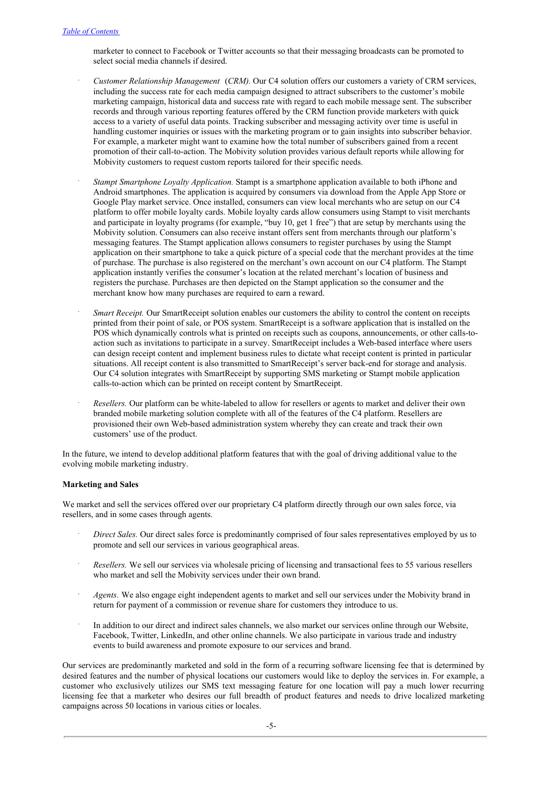marketer to connect to Facebook or Twitter accounts so that their messaging broadcasts can be promoted to select social media channels if desired.

- · *Customer Relationship Management* (*CRM).* Our C4 solution offers our customers a variety of CRM services, including the success rate for each media campaign designed to attract subscribers to the customer's mobile marketing campaign, historical data and success rate with regard to each mobile message sent. The subscriber records and through various reporting features offered by the CRM function provide marketers with quick access to a variety of useful data points. Tracking subscriber and messaging activity over time is useful in handling customer inquiries or issues with the marketing program or to gain insights into subscriber behavior. For example, a marketer might want to examine how the total number of subscribers gained from a recent promotion of their call-to-action. The Mobivity solution provides various default reports while allowing for Mobivity customers to request custom reports tailored for their specific needs.
- · *Stampt Smartphone Loyalty Application.* Stampt is a smartphone application available to both iPhone and Android smartphones. The application is acquired by consumers via download from the Apple App Store or Google Play market service. Once installed, consumers can view local merchants who are setup on our C4 platform to offer mobile loyalty cards. Mobile loyalty cards allow consumers using Stampt to visit merchants and participate in loyalty programs (for example, "buy 10, get 1 free") that are setup by merchants using the Mobivity solution. Consumers can also receive instant offers sent from merchants through our platform's messaging features. The Stampt application allows consumers to register purchases by using the Stampt application on their smartphone to take a quick picture of a special code that the merchant provides at the time of purchase. The purchase is also registered on the merchant's own account on our C4 platform. The Stampt application instantly verifies the consumer's location at the related merchant's location of business and registers the purchase. Purchases are then depicted on the Stampt application so the consumer and the merchant know how many purchases are required to earn a reward.
- · *Smart Receipt.* Our SmartReceipt solution enables our customers the ability to control the content on receipts printed from their point of sale, or POS system. SmartReceipt is a software application that is installed on the POS which dynamically controls what is printed on receipts such as coupons, announcements, or other calls-toaction such as invitations to participate in a survey. SmartReceipt includes a Web-based interface where users can design receipt content and implement business rules to dictate what receipt content is printed in particular situations. All receipt content is also transmitted to SmartReceipt's server back-end for storage and analysis. Our C4 solution integrates with SmartReceipt by supporting SMS marketing or Stampt mobile application calls-to-action which can be printed on receipt content by SmartReceipt.
- · *Resellers.* Our platform can be white-labeled to allow for resellers or agents to market and deliver their own branded mobile marketing solution complete with all of the features of the C4 platform. Resellers are provisioned their own Web-based administration system whereby they can create and track their own customers' use of the product.

In the future, we intend to develop additional platform features that with the goal of driving additional value to the evolving mobile marketing industry.

# **Marketing and Sales**

We market and sell the services offered over our proprietary C4 platform directly through our own sales force, via resellers, and in some cases through agents.

- · *Direct Sales.* Our direct sales force is predominantly comprised of four sales representatives employed by us to promote and sell our services in various geographical areas.
- · *Resellers.* We sell our services via wholesale pricing of licensing and transactional fees to 55 various resellers who market and sell the Mobivity services under their own brand.
- Agents. We also engage eight independent agents to market and sell our services under the Mobivity brand in return for payment of a commission or revenue share for customers they introduce to us.
- In addition to our direct and indirect sales channels, we also market our services online through our Website, Facebook, Twitter, LinkedIn, and other online channels. We also participate in various trade and industry events to build awareness and promote exposure to our services and brand.

Our services are predominantly marketed and sold in the form of a recurring software licensing fee that is determined by desired features and the number of physical locations our customers would like to deploy the services in. For example, a customer who exclusively utilizes our SMS text messaging feature for one location will pay a much lower recurring licensing fee that a marketer who desires our full breadth of product features and needs to drive localized marketing campaigns across 50 locations in various cities or locales.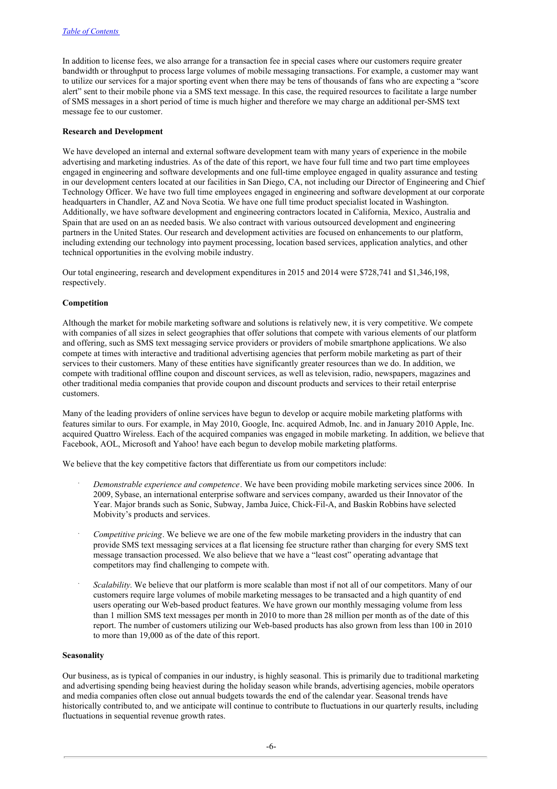In addition to license fees, we also arrange for a transaction fee in special cases where our customers require greater bandwidth or throughput to process large volumes of mobile messaging transactions. For example, a customer may want to utilize our services for a major sporting event when there may be tens of thousands of fans who are expecting a "score alert" sent to their mobile phone via a SMS text message. In this case, the required resources to facilitate a large number of SMS messages in a short period of time is much higher and therefore we may charge an additional per-SMS text message fee to our customer.

### **Research and Development**

We have developed an internal and external software development team with many years of experience in the mobile advertising and marketing industries. As of the date of this report, we have four full time and two part time employees engaged in engineering and software developments and one full-time employee engaged in quality assurance and testing in our development centers located at our facilities in San Diego, CA, not including our Director of Engineering and Chief Technology Officer. We have two full time employees engaged in engineering and software development at our corporate headquarters in Chandler, AZ and Nova Scotia. We have one full time product specialist located in Washington. Additionally, we have software development and engineering contractors located in California, Mexico, Australia and Spain that are used on an as needed basis. We also contract with various outsourced development and engineering partners in the United States. Our research and development activities are focused on enhancements to our platform, including extending our technology into payment processing, location based services, application analytics, and other technical opportunities in the evolving mobile industry.

Our total engineering, research and development expenditures in 2015 and 2014 were \$728,741 and \$1,346,198, respectively.

# **Competition**

Although the market for mobile marketing software and solutions is relatively new, it is very competitive. We compete with companies of all sizes in select geographies that offer solutions that compete with various elements of our platform and offering, such as SMS text messaging service providers or providers of mobile smartphone applications. We also compete at times with interactive and traditional advertising agencies that perform mobile marketing as part of their services to their customers. Many of these entities have significantly greater resources than we do. In addition, we compete with traditional offline coupon and discount services, as well as television, radio, newspapers, magazines and other traditional media companies that provide coupon and discount products and services to their retail enterprise customers.

Many of the leading providers of online services have begun to develop or acquire mobile marketing platforms with features similar to ours. For example, in May 2010, Google, Inc. acquired Admob, Inc. and in January 2010 Apple, Inc. acquired Quattro Wireless. Each of the acquired companies was engaged in mobile marketing. In addition, we believe that Facebook, AOL, Microsoft and Yahoo! have each begun to develop mobile marketing platforms.

We believe that the key competitive factors that differentiate us from our competitors include:

- · *Demonstrable experience and competence*. We have been providing mobile marketing services since 2006. In 2009, Sybase, an international enterprise software and services company, awarded us their Innovator of the Year. Major brands such as Sonic, Subway, Jamba Juice, Chick-Fil-A, and Baskin Robbins have selected Mobivity's products and services.
- · *Competitive pricing*. We believe we are one of the few mobile marketing providers in the industry that can provide SMS text messaging services at a flat licensing fee structure rather than charging for every SMS text message transaction processed. We also believe that we have a "least cost" operating advantage that competitors may find challenging to compete with.
- · *Scalability*. We believe that our platform is more scalable than most if not all of our competitors. Many of our customers require large volumes of mobile marketing messages to be transacted and a high quantity of end users operating our Web-based product features. We have grown our monthly messaging volume from less than 1 million SMS text messages per month in 2010 to more than 28 million per month as of the date of this report. The number of customers utilizing our Web-based products has also grown from less than 100 in 2010 to more than 19,000 as of the date of this report.

### **Seasonality**

Our business, as is typical of companies in our industry, is highly seasonal. This is primarily due to traditional marketing and advertising spending being heaviest during the holiday season while brands, advertising agencies, mobile operators and media companies often close out annual budgets towards the end of the calendar year. Seasonal trends have historically contributed to, and we anticipate will continue to contribute to fluctuations in our quarterly results, including fluctuations in sequential revenue growth rates.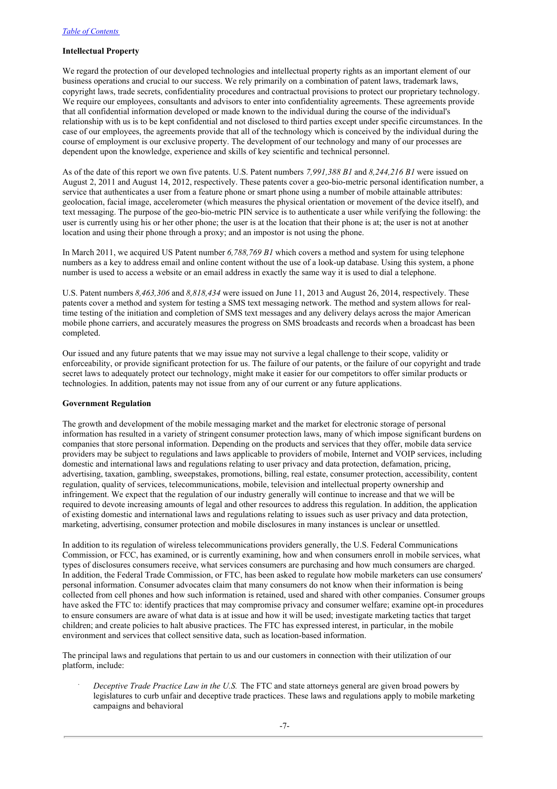# **Intellectual Property**

We regard the protection of our developed technologies and intellectual property rights as an important element of our business operations and crucial to our success. We rely primarily on a combination of patent laws, trademark laws, copyright laws, trade secrets, confidentiality procedures and contractual provisions to protect our proprietary technology. We require our employees, consultants and advisors to enter into confidentiality agreements. These agreements provide that all confidential information developed or made known to the individual during the course of the individual's relationship with us is to be kept confidential and not disclosed to third parties except under specific circumstances. In the case of our employees, the agreements provide that all of the technology which is conceived by the individual during the course of employment is our exclusive property. The development of our technology and many of our processes are dependent upon the knowledge, experience and skills of key scientific and technical personnel.

As of the date of this report we own five patents. U.S. Patent numbers *7,991,388 B1* and *8,244,216 B1* were issued on August 2, 2011 and August 14, 2012, respectively. These patents cover a geo-bio-metric personal identification number, a service that authenticates a user from a feature phone or smart phone using a number of mobile attainable attributes: geolocation, facial image, accelerometer (which measures the physical orientation or movement of the device itself), and text messaging. The purpose of the geo-bio-metric PIN service is to authenticate a user while verifying the following: the user is currently using his or her other phone; the user is at the location that their phone is at; the user is not at another location and using their phone through a proxy; and an impostor is not using the phone.

In March 2011, we acquired US Patent number *6,788,769 B1* which covers a method and system for using telephone numbers as a key to address email and online content without the use of a look-up database. Using this system, a phone number is used to access a website or an email address in exactly the same way it is used to dial a telephone.

U.S. Patent numbers *8,463,306* and *8,818,434* were issued on June 11, 2013 and August 26, 2014, respectively. These patents cover a method and system for testing a SMS text messaging network. The method and system allows for realtime testing of the initiation and completion of SMS text messages and any delivery delays across the major American mobile phone carriers, and accurately measures the progress on SMS broadcasts and records when a broadcast has been completed.

Our issued and any future patents that we may issue may not survive a legal challenge to their scope, validity or enforceability, or provide significant protection for us. The failure of our patents, or the failure of our copyright and trade secret laws to adequately protect our technology, might make it easier for our competitors to offer similar products or technologies. In addition, patents may not issue from any of our current or any future applications.

# **Government Regulation**

The growth and development of the mobile messaging market and the market for electronic storage of personal information has resulted in a variety of stringent consumer protection laws, many of which impose significant burdens on companies that store personal information. Depending on the products and services that they offer, mobile data service providers may be subject to regulations and laws applicable to providers of mobile, Internet and VOIP services, including domestic and international laws and regulations relating to user privacy and data protection, defamation, pricing, advertising, taxation, gambling, sweepstakes, promotions, billing, real estate, consumer protection, accessibility, content regulation, quality of services, telecommunications, mobile, television and intellectual property ownership and infringement. We expect that the regulation of our industry generally will continue to increase and that we will be required to devote increasing amounts of legal and other resources to address this regulation. In addition, the application of existing domestic and international laws and regulations relating to issues such as user privacy and data protection, marketing, advertising, consumer protection and mobile disclosures in many instances is unclear or unsettled.

In addition to its regulation of wireless telecommunications providers generally, the U.S. Federal Communications Commission, or FCC, has examined, or is currently examining, how and when consumers enroll in mobile services, what types of disclosures consumers receive, what services consumers are purchasing and how much consumers are charged. In addition, the Federal Trade Commission, or FTC, has been asked to regulate how mobile marketers can use consumers' personal information. Consumer advocates claim that many consumers do not know when their information is being collected from cell phones and how such information is retained, used and shared with other companies. Consumer groups have asked the FTC to: identify practices that may compromise privacy and consumer welfare; examine opt-in procedures to ensure consumers are aware of what data is at issue and how it will be used; investigate marketing tactics that target children; and create policies to halt abusive practices. The FTC has expressed interest, in particular, in the mobile environment and services that collect sensitive data, such as location-based information.

The principal laws and regulations that pertain to us and our customers in connection with their utilization of our platform, include:

· *Deceptive Trade Practice Law in the U.S.* The FTC and state attorneys general are given broad powers by legislatures to curb unfair and deceptive trade practices. These laws and regulations apply to mobile marketing campaigns and behavioral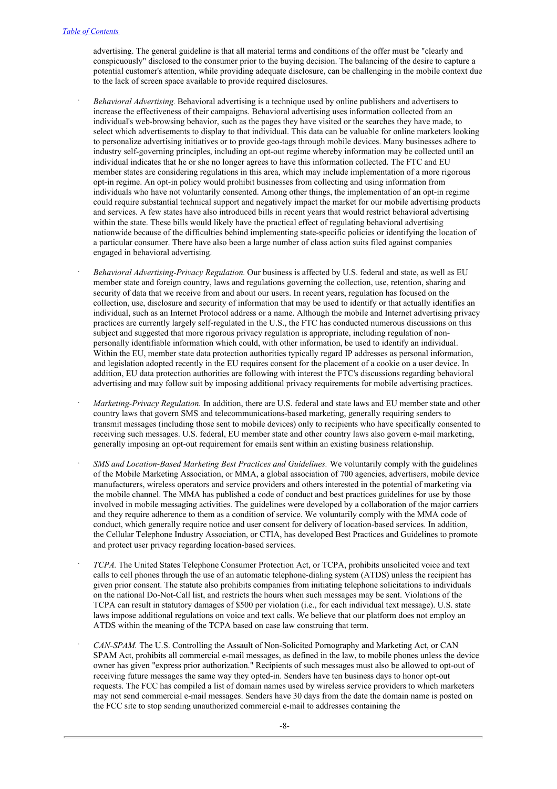advertising. The general guideline is that all material terms and conditions of the offer must be "clearly and conspicuously" disclosed to the consumer prior to the buying decision. The balancing of the desire to capture a potential customer's attention, while providing adequate disclosure, can be challenging in the mobile context due to the lack of screen space available to provide required disclosures.

- · *Behavioral Advertising.* Behavioral advertising is a technique used by online publishers and advertisers to increase the effectiveness of their campaigns. Behavioral advertising uses information collected from an individual's web-browsing behavior, such as the pages they have visited or the searches they have made, to select which advertisements to display to that individual. This data can be valuable for online marketers looking to personalize advertising initiatives or to provide geo-tags through mobile devices. Many businesses adhere to industry self-governing principles, including an opt-out regime whereby information may be collected until an individual indicates that he or she no longer agrees to have this information collected. The FTC and EU member states are considering regulations in this area, which may include implementation of a more rigorous opt-in regime. An opt-in policy would prohibit businesses from collecting and using information from individuals who have not voluntarily consented. Among other things, the implementation of an opt-in regime could require substantial technical support and negatively impact the market for our mobile advertising products and services. A few states have also introduced bills in recent years that would restrict behavioral advertising within the state. These bills would likely have the practical effect of regulating behavioral advertising nationwide because of the difficulties behind implementing state-specific policies or identifying the location of a particular consumer. There have also been a large number of class action suits filed against companies engaged in behavioral advertising.
- · *Behavioral Advertising-Privacy Regulation.* Our business is affected by U.S. federal and state, as well as EU member state and foreign country, laws and regulations governing the collection, use, retention, sharing and security of data that we receive from and about our users. In recent years, regulation has focused on the collection, use, disclosure and security of information that may be used to identify or that actually identifies an individual, such as an Internet Protocol address or a name. Although the mobile and Internet advertising privacy practices are currently largely self-regulated in the U.S., the FTC has conducted numerous discussions on this subject and suggested that more rigorous privacy regulation is appropriate, including regulation of nonpersonally identifiable information which could, with other information, be used to identify an individual. Within the EU, member state data protection authorities typically regard IP addresses as personal information, and legislation adopted recently in the EU requires consent for the placement of a cookie on a user device. In addition, EU data protection authorities are following with interest the FTC's discussions regarding behavioral advertising and may follow suit by imposing additional privacy requirements for mobile advertising practices.
- · *Marketing-Privacy Regulation.* In addition, there are U.S. federal and state laws and EU member state and other country laws that govern SMS and telecommunications-based marketing, generally requiring senders to transmit messages (including those sent to mobile devices) only to recipients who have specifically consented to receiving such messages. U.S. federal, EU member state and other country laws also govern e-mail marketing, generally imposing an opt-out requirement for emails sent within an existing business relationship.
- · *SMS and Location-Based Marketing Best Practices and Guidelines.* We voluntarily comply with the guidelines of the Mobile Marketing Association, or MMA, a global association of 700 agencies, advertisers, mobile device manufacturers, wireless operators and service providers and others interested in the potential of marketing via the mobile channel. The MMA has published a code of conduct and best practices guidelines for use by those involved in mobile messaging activities. The guidelines were developed by a collaboration of the major carriers and they require adherence to them as a condition of service. We voluntarily comply with the MMA code of conduct, which generally require notice and user consent for delivery of location-based services. In addition, the Cellular Telephone Industry Association, or CTIA, has developed Best Practices and Guidelines to promote and protect user privacy regarding location-based services.
- · *TCPA.* The United States Telephone Consumer Protection Act, or TCPA, prohibits unsolicited voice and text calls to cell phones through the use of an automatic telephone-dialing system (ATDS) unless the recipient has given prior consent. The statute also prohibits companies from initiating telephone solicitations to individuals on the national Do-Not-Call list, and restricts the hours when such messages may be sent. Violations of the TCPA can result in statutory damages of \$500 per violation (i.e., for each individual text message). U.S. state laws impose additional regulations on voice and text calls. We believe that our platform does not employ an ATDS within the meaning of the TCPA based on case law construing that term.
- · *CAN-SPAM.* The U.S. Controlling the Assault of Non-Solicited Pornography and Marketing Act, or CAN SPAM Act, prohibits all commercial e-mail messages, as defined in the law, to mobile phones unless the device owner has given "express prior authorization." Recipients of such messages must also be allowed to opt-out of receiving future messages the same way they opted-in. Senders have ten business days to honor opt-out requests. The FCC has compiled a list of domain names used by wireless service providers to which marketers may not send commercial e-mail messages. Senders have 30 days from the date the domain name is posted on the FCC site to stop sending unauthorized commercial e-mail to addresses containing the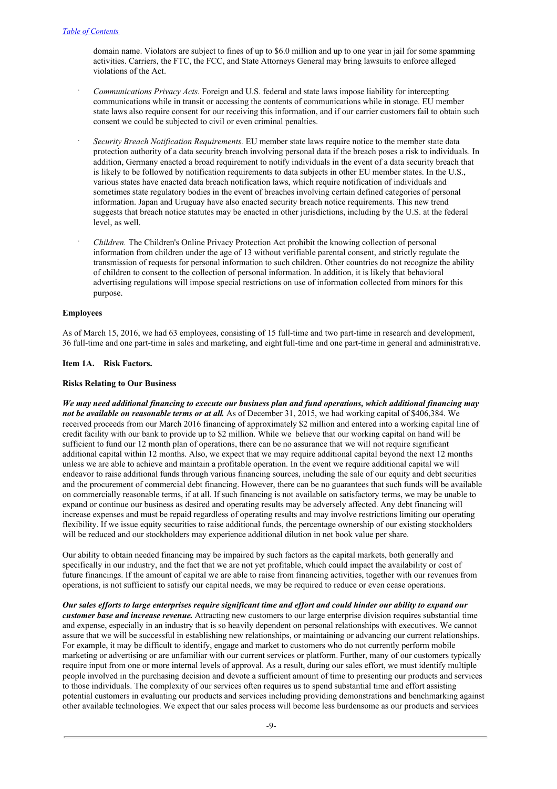domain name. Violators are subject to fines of up to \$6.0 million and up to one year in jail for some spamming activities. Carriers, the FTC, the FCC, and State Attorneys General may bring lawsuits to enforce alleged violations of the Act.

- · *Communications Privacy Acts.* Foreign and U.S. federal and state laws impose liability for intercepting communications while in transit or accessing the contents of communications while in storage. EU member state laws also require consent for our receiving this information, and if our carrier customers fail to obtain such consent we could be subjected to civil or even criminal penalties.
- · *Security Breach Notification Requirements.* EU member state laws require notice to the member state data protection authority of a data security breach involving personal data if the breach poses a risk to individuals. In addition, Germany enacted a broad requirement to notify individuals in the event of a data security breach that is likely to be followed by notification requirements to data subjects in other EU member states. In the U.S., various states have enacted data breach notification laws, which require notification of individuals and sometimes state regulatory bodies in the event of breaches involving certain defined categories of personal information. Japan and Uruguay have also enacted security breach notice requirements. This new trend suggests that breach notice statutes may be enacted in other jurisdictions, including by the U.S. at the federal level, as well.
- · *Children.* The Children's Online Privacy Protection Act prohibit the knowing collection of personal information from children under the age of 13 without verifiable parental consent, and strictly regulate the transmission of requests for personal information to such children. Other countries do not recognize the ability of children to consent to the collection of personal information. In addition, it is likely that behavioral advertising regulations will impose special restrictions on use of information collected from minors for this purpose.

# **Employees**

As of March 15, 2016, we had 63 employees, consisting of 15 full-time and two part-time in research and development, 36 full-time and one part-time in sales and marketing, and eightfull-time and one part-time in general and administrative.

### **Item 1A. Risk Factors.**

#### **Risks Relating to Our Business**

We may need additional financing to execute our business plan and fund operations, which additional financing may *not be available on reasonable terms or at all.* As of December 31, 2015, we had working capital of \$406,384. We received proceeds from our March 2016 financing of approximately \$2 million and entered into a working capital line of credit facility with our bank to provide up to \$2 million. While we believe that our working capital on hand will be sufficient to fund our 12 month plan of operations, there can be no assurance that we will not require significant additional capital within 12 months. Also, we expect that we may require additional capital beyond the next 12 months unless we are able to achieve and maintain a profitable operation. In the event we require additional capital we will endeavor to raise additional funds through various financing sources, including the sale of our equity and debt securities and the procurement of commercial debt financing. However, there can be no guarantees that such funds will be available on commercially reasonable terms, if at all. If such financing is not available on satisfactory terms, we may be unable to expand or continue our business as desired and operating results may be adversely affected. Any debt financing will increase expenses and must be repaid regardless of operating results and may involve restrictions limiting our operating flexibility. If we issue equity securities to raise additional funds, the percentage ownership of our existing stockholders will be reduced and our stockholders may experience additional dilution in net book value per share.

Our ability to obtain needed financing may be impaired by such factors as the capital markets, both generally and specifically in our industry, and the fact that we are not yet profitable, which could impact the availability or cost of future financings. If the amount of capital we are able to raise from financing activities, together with our revenues from operations, is not sufficient to satisfy our capital needs, we may be required to reduce or even cease operations.

Our sales efforts to large enterprises require significant time and effort and could hinder our ability to expand our *customer base and increase revenue.* Attracting new customers to our large enterprise division requires substantial time and expense, especially in an industry that is so heavily dependent on personal relationships with executives. We cannot assure that we will be successful in establishing new relationships, or maintaining or advancing our current relationships. For example, it may be difficult to identify, engage and market to customers who do not currently perform mobile marketing or advertising or are unfamiliar with our current services or platform. Further, many of our customers typically require input from one or more internal levels of approval. As a result, during our sales effort, we must identify multiple people involved in the purchasing decision and devote a sufficient amount of time to presenting our products and services to those individuals. The complexity of our services often requires us to spend substantial time and effort assisting potential customers in evaluating our products and services including providing demonstrations and benchmarking against other available technologies. We expect that our sales process will become less burdensome as our products and services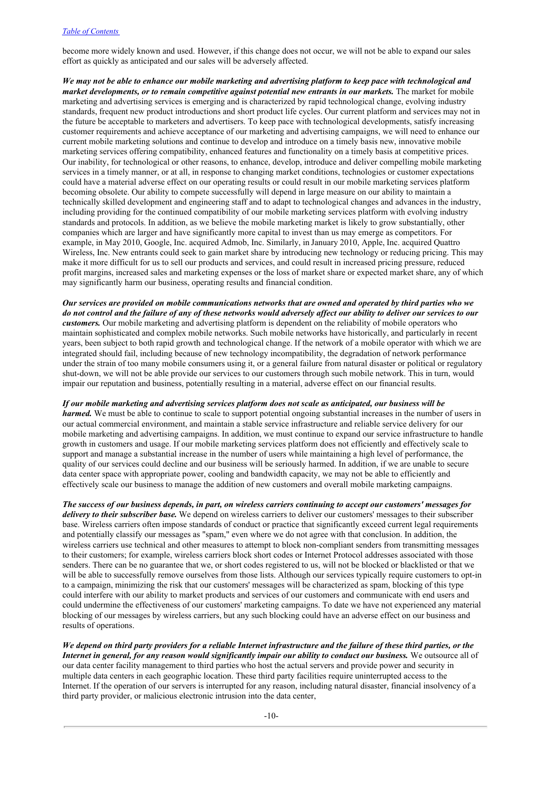become more widely known and used. However, if this change does not occur, we will not be able to expand our sales effort as quickly as anticipated and our sales will be adversely affected.

We may not be able to enhance our mobile marketing and advertising platform to keep pace with technological and *market developments, or to remain competitive against potential new entrants in our markets.* The market for mobile marketing and advertising services is emerging and is characterized by rapid technological change, evolving industry standards, frequent new product introductions and short product life cycles. Our current platform and services may not in the future be acceptable to marketers and advertisers. To keep pace with technological developments, satisfy increasing customer requirements and achieve acceptance of our marketing and advertising campaigns, we will need to enhance our current mobile marketing solutions and continue to develop and introduce on a timely basis new, innovative mobile marketing services offering compatibility, enhanced features and functionality on a timely basis at competitive prices. Our inability, for technological or other reasons, to enhance, develop, introduce and deliver compelling mobile marketing services in a timely manner, or at all, in response to changing market conditions, technologies or customer expectations could have a material adverse effect on our operating results or could result in our mobile marketing services platform becoming obsolete. Our ability to compete successfully will depend in large measure on our ability to maintain a technically skilled development and engineering staff and to adapt to technological changes and advances in the industry, including providing for the continued compatibility of our mobile marketing services platform with evolving industry standards and protocols. In addition, as we believe the mobile marketing market is likely to grow substantially, other companies which are larger and have significantly more capital to invest than us may emerge as competitors. For example, in May 2010, Google, Inc. acquired Admob, Inc. Similarly, in January 2010, Apple, Inc. acquired Quattro Wireless, Inc. New entrants could seek to gain market share by introducing new technology or reducing pricing. This may make it more difficult for us to sell our products and services, and could result in increased pricing pressure, reduced profit margins, increased sales and marketing expenses or the loss of market share or expected market share, any of which may significantly harm our business, operating results and financial condition.

Our services are provided on mobile communications networks that are owned and operated by third parties who we do not control and the failure of any of these networks would adversely affect our ability to deliver our services to our *customers.* Our mobile marketing and advertising platform is dependent on the reliability of mobile operators who maintain sophisticated and complex mobile networks. Such mobile networks have historically, and particularly in recent years, been subject to both rapid growth and technological change. If the network of a mobile operator with which we are integrated should fail, including because of new technology incompatibility, the degradation of network performance under the strain of too many mobile consumers using it, or a general failure from natural disaster or political or regulatory shut-down, we will not be able provide our services to our customers through such mobile network. This in turn, would impair our reputation and business, potentially resulting in a material, adverse effect on our financial results.

# If our mobile marketing and advertising services platform does not scale as anticipated, our business will be

*harmed.* We must be able to continue to scale to support potential ongoing substantial increases in the number of users in our actual commercial environment, and maintain a stable service infrastructure and reliable service delivery for our mobile marketing and advertising campaigns. In addition, we must continue to expand our service infrastructure to handle growth in customers and usage. If our mobile marketing services platform does not efficiently and effectively scale to support and manage a substantial increase in the number of users while maintaining a high level of performance, the quality of our services could decline and our business will be seriously harmed. In addition, if we are unable to secure data center space with appropriate power, cooling and bandwidth capacity, we may not be able to efficiently and effectively scale our business to manage the addition of new customers and overall mobile marketing campaigns.

The success of our business depends, in part, on wireless carriers continuing to accept our customers' messages for *delivery to their subscriber base.* We depend on wireless carriers to deliver our customers' messages to their subscriber base. Wireless carriers often impose standards of conduct or practice that significantly exceed current legal requirements and potentially classify our messages as "spam," even where we do not agree with that conclusion. In addition, the wireless carriers use technical and other measures to attempt to block non-compliant senders from transmitting messages to their customers; for example, wireless carriers block short codes or Internet Protocol addresses associated with those senders. There can be no guarantee that we, or short codes registered to us, will not be blocked or blacklisted or that we will be able to successfully remove ourselves from those lists. Although our services typically require customers to opt-in to a campaign, minimizing the risk that our customers' messages will be characterized as spam, blocking of this type could interfere with our ability to market products and services of our customers and communicate with end users and could undermine the effectiveness of our customers' marketing campaigns. To date we have not experienced any material blocking of our messages by wireless carriers, but any such blocking could have an adverse effect on our business and results of operations.

We depend on third party providers for a reliable Internet infrastructure and the failure of these third parties, or the *Internet in general, for any reason would significantly impair our ability to conduct our business.* We outsource all of our data center facility management to third parties who host the actual servers and provide power and security in multiple data centers in each geographic location. These third party facilities require uninterrupted access to the Internet. If the operation of our servers is interrupted for any reason, including natural disaster, financial insolvency of a third party provider, or malicious electronic intrusion into the data center,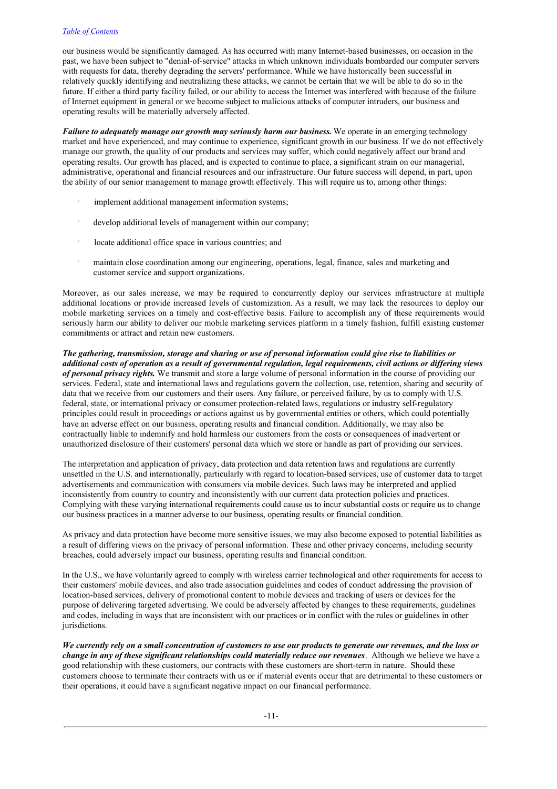our business would be significantly damaged. As has occurred with many Internet-based businesses, on occasion in the past, we have been subject to "denial-of-service" attacks in which unknown individuals bombarded our computer servers with requests for data, thereby degrading the servers' performance. While we have historically been successful in relatively quickly identifying and neutralizing these attacks, we cannot be certain that we will be able to do so in the future. If either a third party facility failed, or our ability to access the Internet was interfered with because of the failure of Internet equipment in general or we become subject to malicious attacks of computer intruders, our business and operating results will be materially adversely affected.

*Failure to adequately manage our growth may seriously harm our business.* We operate in an emerging technology market and have experienced, and may continue to experience, significant growth in our business. If we do not effectively manage our growth, the quality of our products and services may suffer, which could negatively affect our brand and operating results. Our growth has placed, and is expected to continue to place, a significant strain on our managerial, administrative, operational and financial resources and our infrastructure. Our future success will depend, in part, upon the ability of our senior management to manage growth effectively. This will require us to, among other things:

- implement additional management information systems;
- develop additional levels of management within our company;
- locate additional office space in various countries; and
- maintain close coordination among our engineering, operations, legal, finance, sales and marketing and customer service and support organizations.

Moreover, as our sales increase, we may be required to concurrently deploy our services infrastructure at multiple additional locations or provide increased levels of customization. As a result, we may lack the resources to deploy our mobile marketing services on a timely and cost-effective basis. Failure to accomplish any of these requirements would seriously harm our ability to deliver our mobile marketing services platform in a timely fashion, fulfill existing customer commitments or attract and retain new customers.

The gathering, transmission, storage and sharing or use of personal information could give rise to liabilities or additional costs of operation as a result of governmental regulation, legal requirements, civil actions or differing views *of personal privacy rights.* We transmit and store a large volume of personal information in the course of providing our services. Federal, state and international laws and regulations govern the collection, use, retention, sharing and security of data that we receive from our customers and their users. Any failure, or perceived failure, by us to comply with U.S. federal, state, or international privacy or consumer protection-related laws, regulations or industry self-regulatory principles could result in proceedings or actions against us by governmental entities or others, which could potentially have an adverse effect on our business, operating results and financial condition. Additionally, we may also be contractually liable to indemnify and hold harmless our customers from the costs or consequences of inadvertent or unauthorized disclosure of their customers' personal data which we store or handle as part of providing our services.

The interpretation and application of privacy, data protection and data retention laws and regulations are currently unsettled in the U.S. and internationally, particularly with regard to location-based services, use of customer data to target advertisements and communication with consumers via mobile devices. Such laws may be interpreted and applied inconsistently from country to country and inconsistently with our current data protection policies and practices. Complying with these varying international requirements could cause us to incur substantial costs or require us to change our business practices in a manner adverse to our business, operating results or financial condition.

As privacy and data protection have become more sensitive issues, we may also become exposed to potential liabilities as a result of differing views on the privacy of personal information. These and other privacy concerns, including security breaches, could adversely impact our business, operating results and financial condition.

In the U.S., we have voluntarily agreed to comply with wireless carrier technological and other requirements for access to their customers' mobile devices, and also trade association guidelines and codes of conduct addressing the provision of location-based services, delivery of promotional content to mobile devices and tracking of users or devices for the purpose of delivering targeted advertising. We could be adversely affected by changes to these requirements, guidelines and codes, including in ways that are inconsistent with our practices or in conflict with the rules or guidelines in other jurisdictions.

We currently rely on a small concentration of customers to use our products to generate our revenues, and the loss or *change in any of these significant relationships could materially reduce our revenues*. Although we believe we have a good relationship with these customers, our contracts with these customers are short-term in nature. Should these customers choose to terminate their contracts with us or if material events occur that are detrimental to these customers or their operations, it could have a significant negative impact on our financial performance.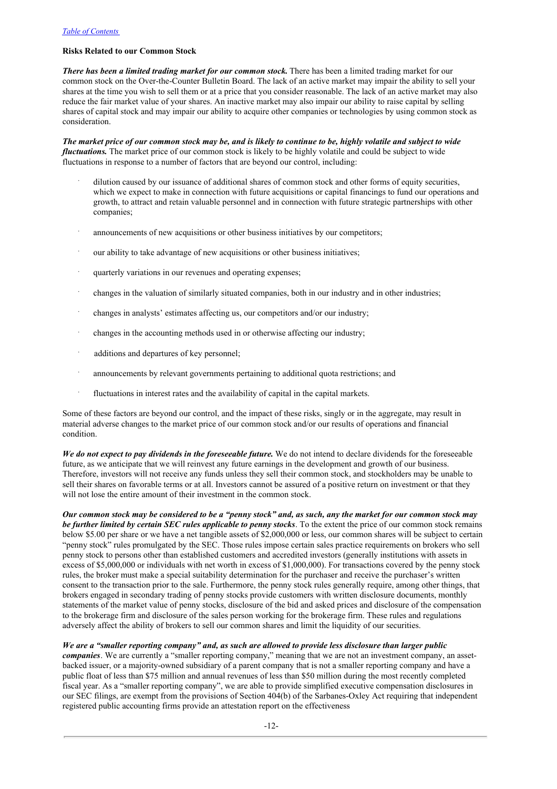# **Risks Related to our Common Stock**

*There has been a limited trading market for our common stock.* There has been a limited trading market for our common stock on the Over-the-Counter Bulletin Board. The lack of an active market may impair the ability to sell your shares at the time you wish to sell them or at a price that you consider reasonable. The lack of an active market may also reduce the fair market value of your shares. An inactive market may also impair our ability to raise capital by selling shares of capital stock and may impair our ability to acquire other companies or technologies by using common stock as consideration.

The market price of our common stock may be, and is likely to continue to be, highly volatile and subject to wide *fluctuations*. The market price of our common stock is likely to be highly volatile and could be subject to wide fluctuations in response to a number of factors that are beyond our control, including:

- dilution caused by our issuance of additional shares of common stock and other forms of equity securities, which we expect to make in connection with future acquisitions or capital financings to fund our operations and growth, to attract and retain valuable personnel and in connection with future strategic partnerships with other companies;
- announcements of new acquisitions or other business initiatives by our competitors;
- our ability to take advantage of new acquisitions or other business initiatives;
- quarterly variations in our revenues and operating expenses;
- · changes in the valuation of similarly situated companies, both in our industry and in other industries;
- · changes in analysts' estimates affecting us, our competitors and/or our industry;
- changes in the accounting methods used in or otherwise affecting our industry;
- additions and departures of key personnel;
- · announcements by relevant governments pertaining to additional quota restrictions; and
- fluctuations in interest rates and the availability of capital in the capital markets.

Some of these factors are beyond our control, and the impact of these risks, singly or in the aggregate, may result in material adverse changes to the market price of our common stock and/or our results of operations and financial condition.

*We do not expect to pay dividends in the foreseeable future.* We do not intend to declare dividends for the foreseeable future, as we anticipate that we will reinvest any future earnings in the development and growth of our business. Therefore, investors will not receive any funds unless they sell their common stock, and stockholders may be unable to sell their shares on favorable terms or at all. Investors cannot be assured of a positive return on investment or that they will not lose the entire amount of their investment in the common stock.

Our common stock may be considered to be a "penny stock" and, as such, any the market for our common stock may *be further limited by certain SEC rules applicable to penny stocks*. To the extent the price of our common stock remains below \$5.00 per share or we have a net tangible assets of \$2,000,000 or less, our common shares will be subject to certain "penny stock" rules promulgated by the SEC. Those rules impose certain sales practice requirements on brokers who sell penny stock to persons other than established customers and accredited investors (generally institutions with assets in excess of \$5,000,000 or individuals with net worth in excess of \$1,000,000). For transactions covered by the penny stock rules, the broker must make a special suitability determination for the purchaser and receive the purchaser's written consent to the transaction prior to the sale. Furthermore, the penny stock rules generally require, among other things, that brokers engaged in secondary trading of penny stocks provide customers with written disclosure documents, monthly statements of the market value of penny stocks, disclosure of the bid and asked prices and disclosure of the compensation to the brokerage firm and disclosure of the sales person working for the brokerage firm. These rules and regulations adversely affect the ability of brokers to sell our common shares and limit the liquidity of our securities.

# We are a "smaller reporting company" and, as such are allowed to provide less disclosure than larger public

*companies*. We are currently a "smaller reporting company," meaning that we are not an investment company, an assetbacked issuer, or a majority-owned subsidiary of a parent company that is not a smaller reporting company and have a public float of less than \$75 million and annual revenues of less than \$50 million during the most recently completed fiscal year. As a "smaller reporting company", we are able to provide simplified executive compensation disclosures in our SEC filings, are exempt from the provisions of Section 404(b) of the Sarbanes-Oxley Act requiring that independent registered public accounting firms provide an attestation report on the effectiveness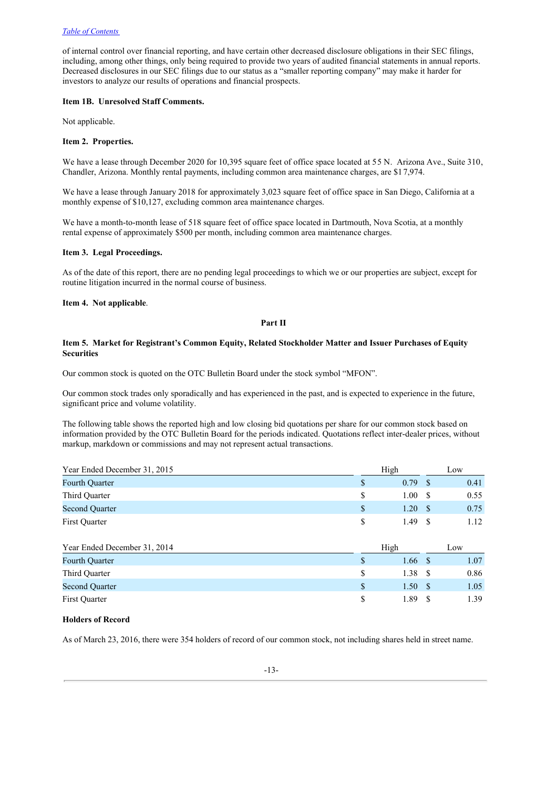of internal control over financial reporting, and have certain other decreased disclosure obligations in their SEC filings, including, among other things, only being required to provide two years of audited financial statements in annual reports. Decreased disclosures in our SEC filings due to our status as a "smaller reporting company" may make it harder for investors to analyze our results of operations and financial prospects.

### <span id="page-16-0"></span>**Item 1B. Unresolved Staff Comments.**

Not applicable.

### <span id="page-16-1"></span>**Item 2. Properties.**

We have a lease through December 2020 for 10,395 square feet of office space located at 55 N. Arizona Ave., Suite 310, Chandler, Arizona. Monthly rental payments, including common area maintenance charges, are \$17,974.

We have a lease through January 2018 for approximately 3,023 square feet of office space in San Diego, California at a monthly expense of \$10,127, excluding common area maintenance charges.

We have a month-to-month lease of 518 square feet of office space located in Dartmouth, Nova Scotia, at a monthly rental expense of approximately \$500 per month, including common area maintenance charges.

### <span id="page-16-2"></span>**Item 3. Legal Proceedings.**

As of the date of this report, there are no pending legal proceedings to which we or our properties are subject, except for routine litigation incurred in the normal course of business.

# <span id="page-16-3"></span>**Item 4. Not applicable**.

### <span id="page-16-4"></span>**Part II**

# <span id="page-16-5"></span>**Item 5. Market for Registrant's Common Equity, Related Stockholder Matter and Issuer Purchases of Equity Securities**

Our common stock is quoted on the OTC Bulletin Board under the stock symbol "MFON".

Our common stock trades only sporadically and has experienced in the past, and is expected to experience in the future, significant price and volume volatility.

The following table shows the reported high and low closing bid quotations per share for our common stock based on information provided by the OTC Bulletin Board for the periods indicated. Quotations reflect inter-dealer prices, without markup, markdown or commissions and may not represent actual transactions.

|    | High | Low  |      |  |
|----|------|------|------|--|
| S  | 0.79 | -S   | 0.41 |  |
| \$ | 1.00 | -S   | 0.55 |  |
| \$ | 1.20 | - \$ | 0.75 |  |
| \$ | 1.49 | - S  | 1.12 |  |
|    |      |      |      |  |
|    |      |      |      |  |
|    | High |      | Low  |  |
| S  | 1.66 | - \$ | 1.07 |  |
| \$ | 1.38 | - \$ | 0.86 |  |
| \$ | 1.50 | - \$ | 1.05 |  |
|    |      |      |      |  |

# **Holders of Record**

As of March 23, 2016, there were 354 holders of record of our common stock, not including shares held in street name.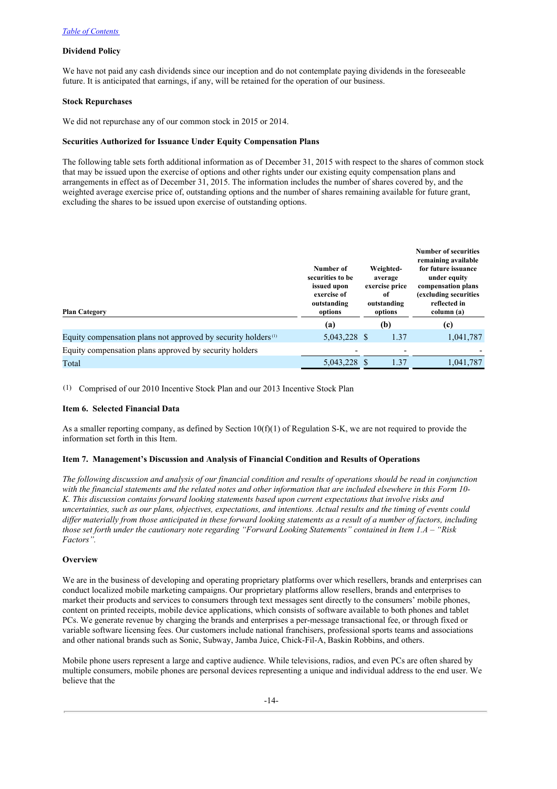### **Dividend Policy**

We have not paid any cash dividends since our inception and do not contemplate paying dividends in the foreseeable future. It is anticipated that earnings, if any, will be retained for the operation of our business.

#### **Stock Repurchases**

We did not repurchase any of our common stock in 2015 or 2014.

#### **Securities Authorized for Issuance Under Equity Compensation Plans**

The following table sets forth additional information as of December 31, 2015 with respect to the shares of common stock that may be issued upon the exercise of options and other rights under our existing equity compensation plans and arrangements in effect as of December 31, 2015. The information includes the number of shares covered by, and the weighted average exercise price of, outstanding options and the number of shares remaining available for future grant, excluding the shares to be issued upon exercise of outstanding options.

| <b>Plan Category</b>                                                      | Number of<br>securities to be<br>issued upon<br>exercise of<br>outstanding<br>options | Weighted-<br>average<br>exercise price<br>0f<br>outstanding<br>options | Number of securities<br>remaining available<br>for future issuance<br>under equity<br>compensation plans<br>(excluding securities<br>reflected in<br>column (a) |
|---------------------------------------------------------------------------|---------------------------------------------------------------------------------------|------------------------------------------------------------------------|-----------------------------------------------------------------------------------------------------------------------------------------------------------------|
|                                                                           | (a)                                                                                   | (b)                                                                    | (c)                                                                                                                                                             |
| Equity compensation plans not approved by security holders <sup>(1)</sup> | 5,043,228 \$                                                                          | 1.37                                                                   | 1,041,787                                                                                                                                                       |
| Equity compensation plans approved by security holders                    |                                                                                       |                                                                        |                                                                                                                                                                 |
| Total                                                                     | 5,043,228                                                                             | 1.37                                                                   | 1,041,787                                                                                                                                                       |
|                                                                           |                                                                                       |                                                                        |                                                                                                                                                                 |

(1) Comprised of our 2010 Incentive Stock Plan and our 2013 Incentive Stock Plan

# <span id="page-17-0"></span>**Item 6. Selected Financial Data**

As a smaller reporting company, as defined by Section  $10(f)(1)$  of Regulation S-K, we are not required to provide the information set forth in this Item.

## <span id="page-17-1"></span>**Item 7. Management's Discussion and Analysis of Financial Condition and Results of Operations**

The following discussion and analysis of our financial condition and results of operations should be read in conjunction with the financial statements and the related notes and other information that are included elsewhere in this Form 10-*K. This discussion contains forward looking statements based upon current expectations that involve risks and* uncertainties, such as our plans, objectives, expectations, and intentions. Actual results and the timing of events could differ materially from those anticipated in these forward looking statements as a result of a number of factors, including those set forth under the cautionary note regarding "Forward Looking Statements" contained in Item  $1.A - "Risk$ *Factors".*

# **Overview**

We are in the business of developing and operating proprietary platforms over which resellers, brands and enterprises can conduct localized mobile marketing campaigns. Our proprietary platforms allow resellers, brands and enterprises to market their products and services to consumers through text messages sent directly to the consumers' mobile phones, content on printed receipts, mobile device applications, which consists of software available to both phones and tablet PCs. We generate revenue by charging the brands and enterprises a per-message transactional fee, or through fixed or variable software licensing fees. Our customers include national franchisers, professional sports teams and associations and other national brands such as Sonic, Subway, Jamba Juice, Chick-Fil-A, Baskin Robbins, and others.

Mobile phone users represent a large and captive audience. While televisions, radios, and even PCs are often shared by multiple consumers, mobile phones are personal devices representing a unique and individual address to the end user. We believe that the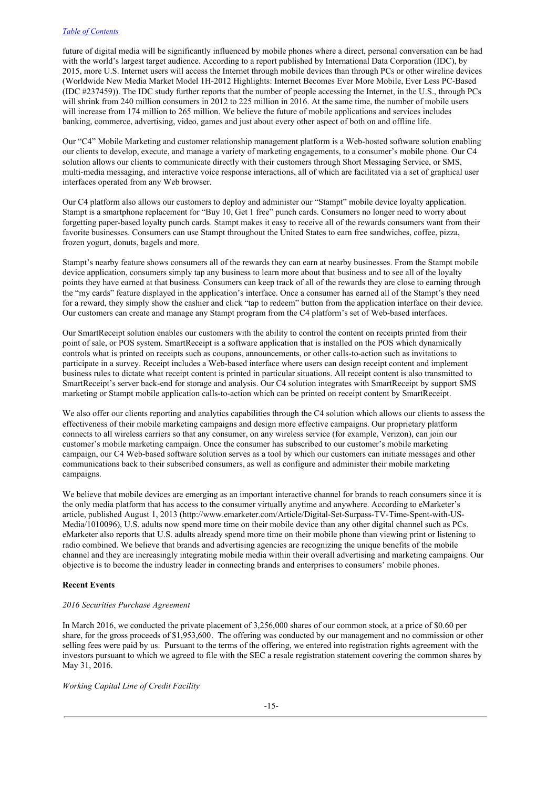future of digital media will be significantly influenced by mobile phones where a direct, personal conversation can be had with the world's largest target audience. According to a report published by International Data Corporation (IDC), by 2015, more U.S. Internet users will access the Internet through mobile devices than through PCs or other wireline devices (Worldwide New Media Market Model 1H-2012 Highlights: Internet Becomes Ever More Mobile, Ever Less PC-Based (IDC #237459)). The IDC study further reports that the number of people accessing the Internet, in the U.S., through PCs will shrink from 240 million consumers in 2012 to 225 million in 2016. At the same time, the number of mobile users will increase from 174 million to 265 million. We believe the future of mobile applications and services includes banking, commerce, advertising, video, games and just about every other aspect of both on and offline life.

Our "C4" Mobile Marketing and customer relationship management platform is a Web-hosted software solution enabling our clients to develop, execute, and manage a variety of marketing engagements, to a consumer's mobile phone. Our C4 solution allows our clients to communicate directly with their customers through Short Messaging Service, or SMS, multi-media messaging, and interactive voice response interactions, all of which are facilitated via a set of graphical user interfaces operated from any Web browser.

Our C4 platform also allows our customers to deploy and administer our "Stampt" mobile device loyalty application. Stampt is a smartphone replacement for "Buy 10, Get 1 free" punch cards. Consumers no longer need to worry about forgetting paper-based loyalty punch cards. Stampt makes it easy to receive all of the rewards consumers want from their favorite businesses. Consumers can use Stampt throughout the United States to earn free sandwiches, coffee, pizza, frozen yogurt, donuts, bagels and more.

Stampt's nearby feature shows consumers all of the rewards they can earn at nearby businesses. From the Stampt mobile device application, consumers simply tap any business to learn more about that business and to see all of the loyalty points they have earned at that business. Consumers can keep track of all of the rewards they are close to earning through the "my cards" feature displayed in the application's interface. Once a consumer has earned all of the Stampt's they need for a reward, they simply show the cashier and click "tap to redeem" button from the application interface on their device. Our customers can create and manage any Stampt program from the C4 platform's set of Web-based interfaces.

Our SmartReceipt solution enables our customers with the ability to control the content on receipts printed from their point of sale, or POS system. SmartReceipt is a software application that is installed on the POS which dynamically controls what is printed on receipts such as coupons, announcements, or other calls-to-action such as invitations to participate in a survey. Receipt includes a Web-based interface where users can design receipt content and implement business rules to dictate what receipt content is printed in particular situations. All receipt content is also transmitted to SmartReceipt's server back-end for storage and analysis. Our C4 solution integrates with SmartReceipt by support SMS marketing or Stampt mobile application calls-to-action which can be printed on receipt content by SmartReceipt.

We also offer our clients reporting and analytics capabilities through the C4 solution which allows our clients to assess the effectiveness of their mobile marketing campaigns and design more effective campaigns. Our proprietary platform connects to all wireless carriers so that any consumer, on any wireless service (for example, Verizon), can join our customer's mobile marketing campaign. Once the consumer has subscribed to our customer's mobile marketing campaign, our C4 Web-based software solution serves as a tool by which our customers can initiate messages and other communications back to their subscribed consumers, as well as configure and administer their mobile marketing campaigns.

We believe that mobile devices are emerging as an important interactive channel for brands to reach consumers since it is the only media platform that has access to the consumer virtually anytime and anywhere. According to eMarketer's article, published August 1, 2013 (http://www.emarketer.com/Article/Digital-Set-Surpass-TV-Time-Spent-with-US-Media/1010096), U.S. adults now spend more time on their mobile device than any other digital channel such as PCs. eMarketer also reports that U.S. adults already spend more time on their mobile phone than viewing print or listening to radio combined. We believe that brands and advertising agencies are recognizing the unique benefits of the mobile channel and they are increasingly integrating mobile media within their overall advertising and marketing campaigns. Our objective is to become the industry leader in connecting brands and enterprises to consumers' mobile phones.

# **Recent Events**

# *2016 Securities Purchase Agreement*

In March 2016, we conducted the private placement of 3,256,000 shares of our common stock, at a price of \$0.60 per share, for the gross proceeds of \$1,953,600. The offering was conducted by our management and no commission or other selling fees were paid by us. Pursuant to the terms of the offering, we entered into registration rights agreement with the investors pursuant to which we agreed to file with the SEC a resale registration statement covering the common shares by May 31, 2016.

*Working Capital Line of Credit Facility*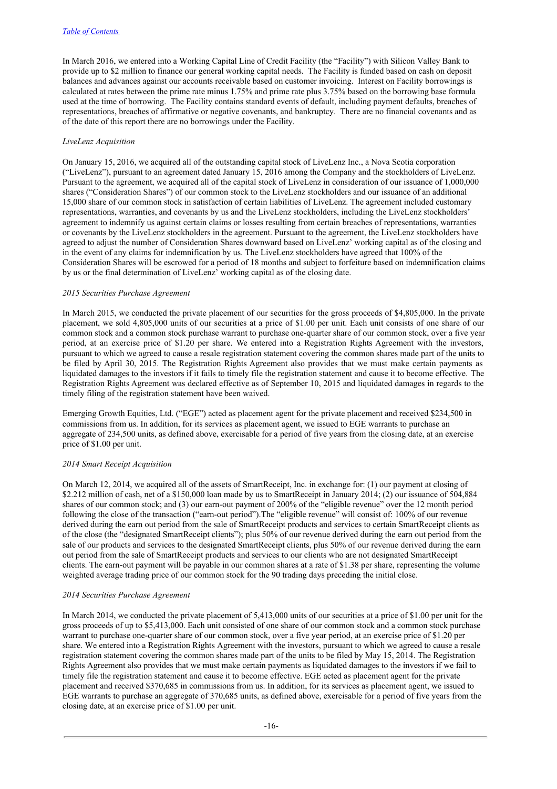In March 2016, we entered into a Working Capital Line of Credit Facility (the "Facility") with Silicon Valley Bank to provide up to \$2 million to finance our general working capital needs. The Facility is funded based on cash on deposit balances and advances against our accounts receivable based on customer invoicing. Interest on Facility borrowings is calculated at rates between the prime rate minus 1.75% and prime rate plus 3.75% based on the borrowing base formula used at the time of borrowing. The Facility contains standard events of default, including payment defaults, breaches of representations, breaches of affirmative or negative covenants, and bankruptcy. There are no financial covenants and as of the date of this report there are no borrowings under the Facility.

### *LiveLenz Acquisition*

On January 15, 2016, we acquired all of the outstanding capital stock of LiveLenz Inc., a Nova Scotia corporation ("LiveLenz"), pursuant to an agreement dated January 15, 2016 among the Company and the stockholders of LiveLenz. Pursuant to the agreement, we acquired all of the capital stock of LiveLenz in consideration of our issuance of 1,000,000 shares ("Consideration Shares") of our common stock to the LiveLenz stockholders and our issuance of an additional 15,000 share of our common stock in satisfaction of certain liabilities of LiveLenz. The agreement included customary representations, warranties, and covenants by us and the LiveLenz stockholders, including the LiveLenz stockholders' agreement to indemnify us against certain claims or losses resulting from certain breaches of representations, warranties or covenants by the LiveLenz stockholders in the agreement. Pursuant to the agreement, the LiveLenz stockholders have agreed to adjust the number of Consideration Shares downward based on LiveLenz' working capital as of the closing and in the event of any claims for indemnification by us. The LiveLenz stockholders have agreed that 100% of the Consideration Shares will be escrowed for a period of 18 months and subject to forfeiture based on indemnification claims by us or the final determination of LiveLenz' working capital as of the closing date.

### *2015 Securities Purchase Agreement*

In March 2015, we conducted the private placement of our securities for the gross proceeds of \$4,805,000. In the private placement, we sold 4,805,000 units of our securities at a price of \$1.00 per unit. Each unit consists of one share of our common stock and a common stock purchase warrant to purchase one-quarter share of our common stock, over a five year period, at an exercise price of \$1.20 per share. We entered into a Registration Rights Agreement with the investors, pursuant to which we agreed to cause a resale registration statement covering the common shares made part of the units to be filed by April 30, 2015. The Registration Rights Agreement also provides that we must make certain payments as liquidated damages to the investors if it fails to timely file the registration statement and cause it to become effective. The Registration Rights Agreement was declared effective as of September 10, 2015 and liquidated damages in regards to the timely filing of the registration statement have been waived.

Emerging Growth Equities, Ltd. ("EGE") acted as placement agent for the private placement and received \$234,500 in commissions from us. In addition, for its services as placement agent, we issued to EGE warrants to purchase an aggregate of 234,500 units, as defined above, exercisable for a period of five years from the closing date, at an exercise price of \$1.00 per unit.

# *2014 Smart Receipt Acquisition*

On March 12, 2014, we acquired all of the assets of SmartReceipt, Inc. in exchange for: (1) our payment at closing of \$2.212 million of cash, net of a \$150,000 loan made by us to SmartReceipt in January 2014; (2) our issuance of 504,884 shares of our common stock; and (3) our earn-out payment of 200% of the "eligible revenue" over the 12 month period following the close of the transaction ("earn-out period").The "eligible revenue" will consist of: 100% of our revenue derived during the earn out period from the sale of SmartReceipt products and services to certain SmartReceipt clients as of the close (the "designated SmartReceipt clients"); plus 50% of our revenue derived during the earn out period from the sale of our products and services to the designated SmartReceipt clients, plus 50% of our revenue derived during the earn out period from the sale of SmartReceipt products and services to our clients who are not designated SmartReceipt clients. The earn-out payment will be payable in our common shares at a rate of \$1.38 per share, representing the volume weighted average trading price of our common stock for the 90 trading days preceding the initial close.

#### *2014 Securities Purchase Agreement*

In March 2014, we conducted the private placement of 5,413,000 units of our securities at a price of \$1.00 per unit for the gross proceeds of up to \$5,413,000. Each unit consisted of one share of our common stock and a common stock purchase warrant to purchase one-quarter share of our common stock, over a five year period, at an exercise price of \$1.20 per share. We entered into a Registration Rights Agreement with the investors, pursuant to which we agreed to cause a resale registration statement covering the common shares made part of the units to be filed by May 15, 2014. The Registration Rights Agreement also provides that we must make certain payments as liquidated damages to the investors if we fail to timely file the registration statement and cause it to become effective. EGE acted as placement agent for the private placement and received \$370,685 in commissions from us. In addition, for its services as placement agent, we issued to EGE warrants to purchase an aggregate of 370,685 units, as defined above, exercisable for a period of five years from the closing date, at an exercise price of \$1.00 per unit.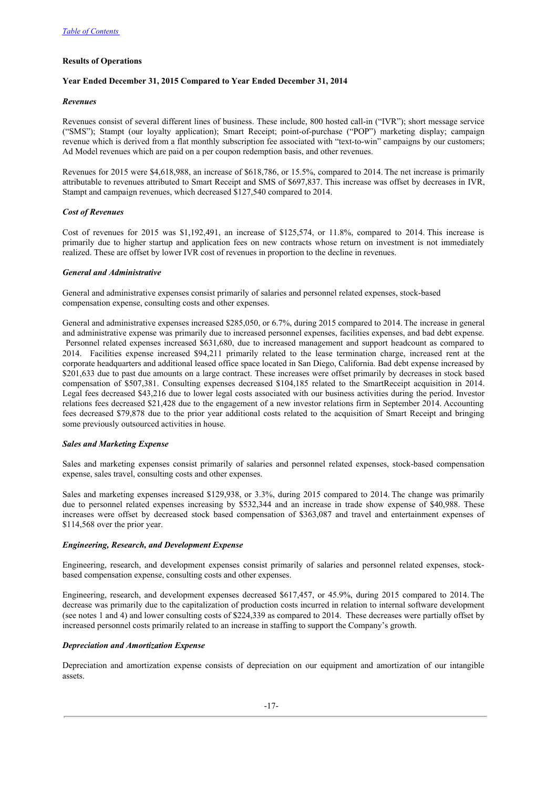# **Results of Operations**

# **Year Ended December 31, 2015 Compared to Year Ended December 31, 2014**

### *Revenues*

Revenues consist of several different lines of business. These include, 800 hosted call-in ("IVR"); short message service ("SMS"); Stampt (our loyalty application); Smart Receipt; point-of-purchase ("POP") marketing display; campaign revenue which is derived from a flat monthly subscription fee associated with "text-to-win" campaigns by our customers; Ad Model revenues which are paid on a per coupon redemption basis, and other revenues.

Revenues for 2015 were \$4,618,988, an increase of \$618,786, or 15.5%, compared to 2014. The net increase is primarily attributable to revenues attributed to Smart Receipt and SMS of \$697,837. This increase was offset by decreases in IVR, Stampt and campaign revenues, which decreased \$127,540 compared to 2014.

# *Cost of Revenues*

Cost of revenues for 2015 was \$1,192,491, an increase of \$125,574, or 11.8%, compared to 2014. This increase is primarily due to higher startup and application fees on new contracts whose return on investment is not immediately realized. These are offset by lower IVR cost of revenues in proportion to the decline in revenues.

# *General and Administrative*

General and administrative expenses consist primarily of salaries and personnel related expenses, stock-based compensation expense, consulting costs and other expenses.

General and administrative expenses increased \$285,050, or 6.7%, during 2015 compared to 2014. The increase in general and administrative expense was primarily due to increased personnel expenses, facilities expenses, and bad debt expense. Personnel related expenses increased \$631,680, due to increased management and support headcount as compared to 2014. Facilities expense increased \$94,211 primarily related to the lease termination charge, increased rent at the corporate headquarters and additional leased office space located in San Diego, California. Bad debt expense increased by \$201,633 due to past due amounts on a large contract. These increases were offset primarily by decreases in stock based compensation of \$507,381. Consulting expenses decreased \$104,185 related to the SmartReceipt acquisition in 2014. Legal fees decreased \$43,216 due to lower legal costs associated with our business activities during the period. Investor relations fees decreased \$21,428 due to the engagement of a new investor relations firm in September 2014. Accounting fees decreased \$79,878 due to the prior year additional costs related to the acquisition of Smart Receipt and bringing some previously outsourced activities in house.

# *Sales and Marketing Expense*

Sales and marketing expenses consist primarily of salaries and personnel related expenses, stock-based compensation expense, sales travel, consulting costs and other expenses.

Sales and marketing expenses increased \$129,938, or 3.3%, during 2015 compared to 2014. The change was primarily due to personnel related expenses increasing by \$532,344 and an increase in trade show expense of \$40,988. These increases were offset by decreased stock based compensation of \$363,087 and travel and entertainment expenses of \$114,568 over the prior year.

# *Engineering, Research, and Development Expense*

Engineering, research, and development expenses consist primarily of salaries and personnel related expenses, stockbased compensation expense, consulting costs and other expenses.

Engineering, research, and development expenses decreased \$617,457, or 45.9%, during 2015 compared to 2014. The decrease was primarily due to the capitalization of production costs incurred in relation to internal software development (see notes 1 and 4) and lower consulting costs of \$224,339 as compared to 2014. These decreases were partially offset by increased personnel costs primarily related to an increase in staffing to support the Company's growth.

# *Depreciation and Amortization Expense*

Depreciation and amortization expense consists of depreciation on our equipment and amortization of our intangible assets.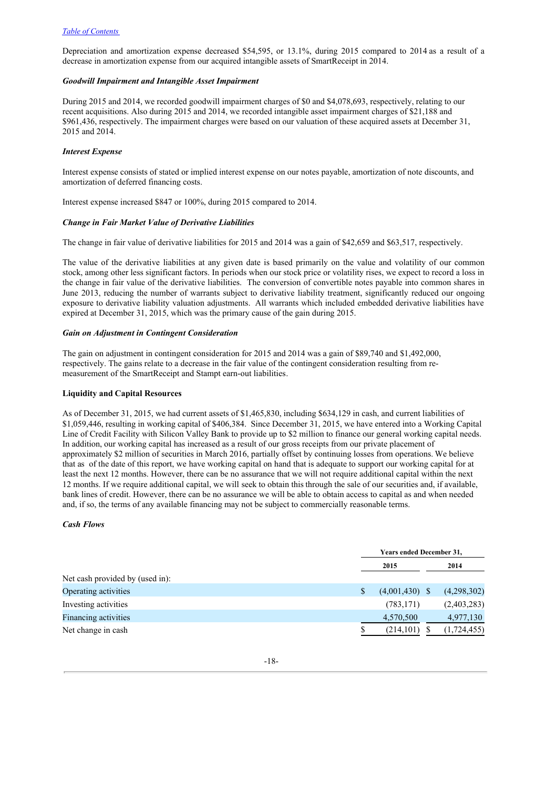Depreciation and amortization expense decreased \$54,595, or 13.1%, during 2015 compared to 2014 as a result of a decrease in amortization expense from our acquired intangible assets of SmartReceipt in 2014.

#### *Goodwill Impairment and Intangible Asset Impairment*

During 2015 and 2014, we recorded goodwill impairment charges of \$0 and \$4,078,693, respectively, relating to our recent acquisitions. Also during 2015 and 2014, we recorded intangible asset impairment charges of \$21,188 and \$961,436, respectively. The impairment charges were based on our valuation of these acquired assets at December 31, 2015 and 2014.

#### *Interest Expense*

Interest expense consists of stated or implied interest expense on our notes payable, amortization of note discounts, and amortization of deferred financing costs.

Interest expense increased \$847 or 100%, during 2015 compared to 2014.

#### *Change in Fair Market Value of Derivative Liabilities*

The change in fair value of derivative liabilities for 2015 and 2014 was a gain of \$42,659 and \$63,517, respectively.

The value of the derivative liabilities at any given date is based primarily on the value and volatility of our common stock, among other less significant factors. In periods when our stock price or volatility rises, we expect to record a loss in the change in fair value of the derivative liabilities. The conversion of convertible notes payable into common shares in June 2013, reducing the number of warrants subject to derivative liability treatment, significantly reduced our ongoing exposure to derivative liability valuation adjustments. All warrants which included embedded derivative liabilities have expired at December 31, 2015, which was the primary cause of the gain during 2015.

### *Gain on Adjustment in Contingent Consideration*

The gain on adjustment in contingent consideration for 2015 and 2014 was a gain of \$89,740 and \$1,492,000, respectively. The gains relate to a decrease in the fair value of the contingent consideration resulting from remeasurement of the SmartReceipt and Stampt earn-out liabilities.

#### **Liquidity and Capital Resources**

As of December 31, 2015, we had current assets of \$1,465,830, including \$634,129 in cash, and current liabilities of \$1,059,446, resulting in working capital of \$406,384. Since December 31, 2015, we have entered into a Working Capital Line of Credit Facility with Silicon Valley Bank to provide up to \$2 million to finance our general working capital needs. In addition, our working capital has increased as a result of our gross receipts from our private placement of approximately \$2 million of securities in March 2016, partially offset by continuing losses from operations. We believe that as of the date of this report, we have working capital on hand that is adequate to support our working capital for at least the next 12 months. However, there can be no assurance that we will not require additional capital within the next 12 months. If we require additional capital, we will seek to obtain this through the sale of our securities and, if available, bank lines of credit. However, there can be no assurance we will be able to obtain access to capital as and when needed and, if so, the terms of any available financing may not be subject to commercially reasonable terms.

# *Cash Flows*

|                                 |                  | Years ended December 31, |             |  |  |
|---------------------------------|------------------|--------------------------|-------------|--|--|
|                                 | 2015             |                          | 2014        |  |  |
| Net cash provided by (used in): |                  |                          |             |  |  |
| Operating activities            | $(4,001,430)$ \$ |                          | (4,298,302) |  |  |
| Investing activities            | (783, 171)       |                          | (2,403,283) |  |  |
| Financing activities            | 4,570,500        |                          | 4,977,130   |  |  |
| Net change in cash              | (214, 101)       |                          | (1,724,455) |  |  |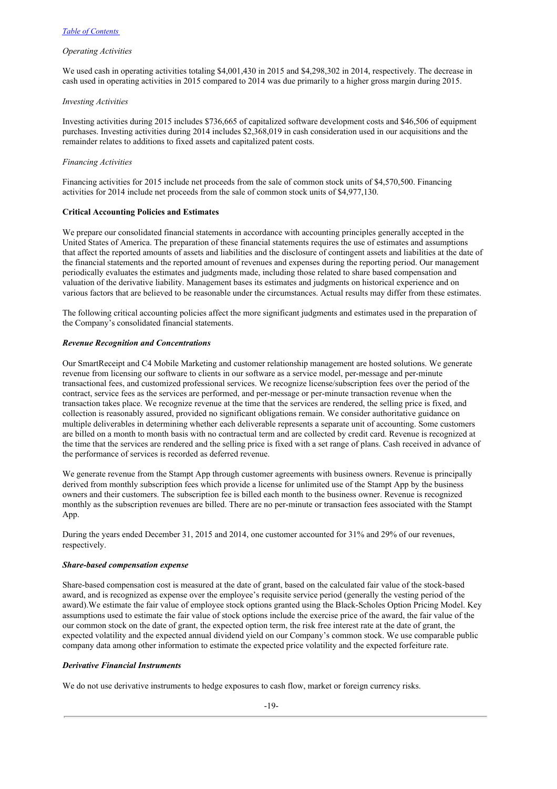# *Operating Activities*

We used cash in operating activities totaling \$4,001,430 in 2015 and \$4,298,302 in 2014, respectively. The decrease in cash used in operating activities in 2015 compared to 2014 was due primarily to a higher gross margin during 2015.

# *Investing Activities*

Investing activities during 2015 includes \$736,665 of capitalized software development costs and \$46,506 of equipment purchases. Investing activities during 2014 includes \$2,368,019 in cash consideration used in our acquisitions and the remainder relates to additions to fixed assets and capitalized patent costs.

# *Financing Activities*

Financing activities for 2015 include net proceeds from the sale of common stock units of \$4,570,500. Financing activities for 2014 include net proceeds from the sale of common stock units of \$4,977,130.

# **Critical Accounting Policies and Estimates**

We prepare our consolidated financial statements in accordance with accounting principles generally accepted in the United States of America. The preparation of these financial statements requires the use of estimates and assumptions that affect the reported amounts of assets and liabilities and the disclosure of contingent assets and liabilities at the date of the financial statements and the reported amount of revenues and expenses during the reporting period. Our management periodically evaluates the estimates and judgments made, including those related to share based compensation and valuation of the derivative liability. Management bases its estimates and judgments on historical experience and on various factors that are believed to be reasonable under the circumstances. Actual results may differ from these estimates.

The following critical accounting policies affect the more significant judgments and estimates used in the preparation of the Company's consolidated financial statements.

# *Revenue Recognition and Concentrations*

Our SmartReceipt and C4 Mobile Marketing and customer relationship management are hosted solutions. We generate revenue from licensing our software to clients in our software as a service model, per-message and per-minute transactional fees, and customized professional services. We recognize license/subscription fees over the period of the contract, service fees as the services are performed, and per-message or per-minute transaction revenue when the transaction takes place. We recognize revenue at the time that the services are rendered, the selling price is fixed, and collection is reasonably assured, provided no significant obligations remain. We consider authoritative guidance on multiple deliverables in determining whether each deliverable represents a separate unit of accounting. Some customers are billed on a month to month basis with no contractual term and are collected by credit card. Revenue is recognized at the time that the services are rendered and the selling price is fixed with a set range of plans. Cash received in advance of the performance of services is recorded as deferred revenue.

We generate revenue from the Stampt App through customer agreements with business owners. Revenue is principally derived from monthly subscription fees which provide a license for unlimited use of the Stampt App by the business owners and their customers. The subscription fee is billed each month to the business owner. Revenue is recognized monthly as the subscription revenues are billed. There are no per-minute or transaction fees associated with the Stampt App.

During the years ended December 31, 2015 and 2014, one customer accounted for 31% and 29% of our revenues, respectively.

# *Share-based compensation expense*

Share-based compensation cost is measured at the date of grant, based on the calculated fair value of the stock-based award, and is recognized as expense over the employee's requisite service period (generally the vesting period of the award).We estimate the fair value of employee stock options granted using the Black-Scholes Option Pricing Model. Key assumptions used to estimate the fair value of stock options include the exercise price of the award, the fair value of the our common stock on the date of grant, the expected option term, the risk free interest rate at the date of grant, the expected volatility and the expected annual dividend yield on our Company's common stock. We use comparable public company data among other information to estimate the expected price volatility and the expected forfeiture rate.

# *Derivative Financial Instruments*

We do not use derivative instruments to hedge exposures to cash flow, market or foreign currency risks.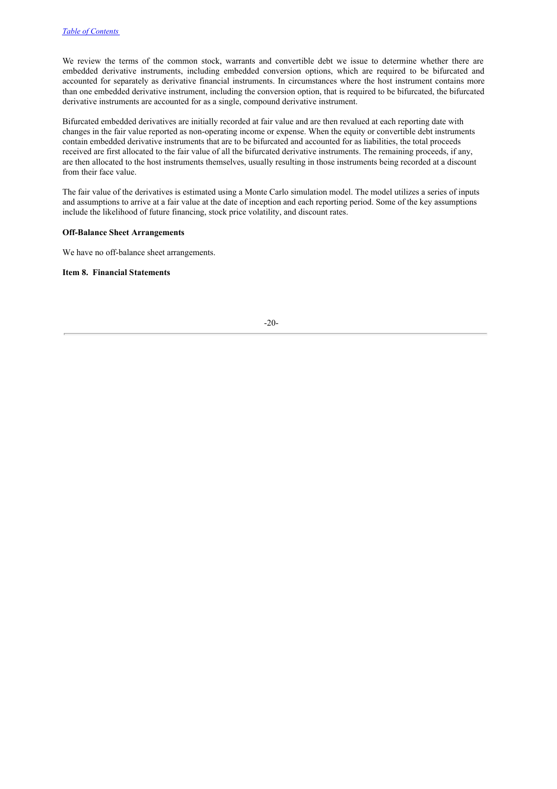We review the terms of the common stock, warrants and convertible debt we issue to determine whether there are embedded derivative instruments, including embedded conversion options, which are required to be bifurcated and accounted for separately as derivative financial instruments. In circumstances where the host instrument contains more than one embedded derivative instrument, including the conversion option, that is required to be bifurcated, the bifurcated derivative instruments are accounted for as a single, compound derivative instrument.

Bifurcated embedded derivatives are initially recorded at fair value and are then revalued at each reporting date with changes in the fair value reported as non-operating income or expense. When the equity or convertible debt instruments contain embedded derivative instruments that are to be bifurcated and accounted for as liabilities, the total proceeds received are first allocated to the fair value of all the bifurcated derivative instruments. The remaining proceeds, if any, are then allocated to the host instruments themselves, usually resulting in those instruments being recorded at a discount from their face value.

The fair value of the derivatives is estimated using a Monte Carlo simulation model. The model utilizes a series of inputs and assumptions to arrive at a fair value at the date of inception and each reporting period. Some of the key assumptions include the likelihood of future financing, stock price volatility, and discount rates.

#### **Off-Balance Sheet Arrangements**

We have no off-balance sheet arrangements.

#### <span id="page-23-0"></span>**Item 8. Financial Statements**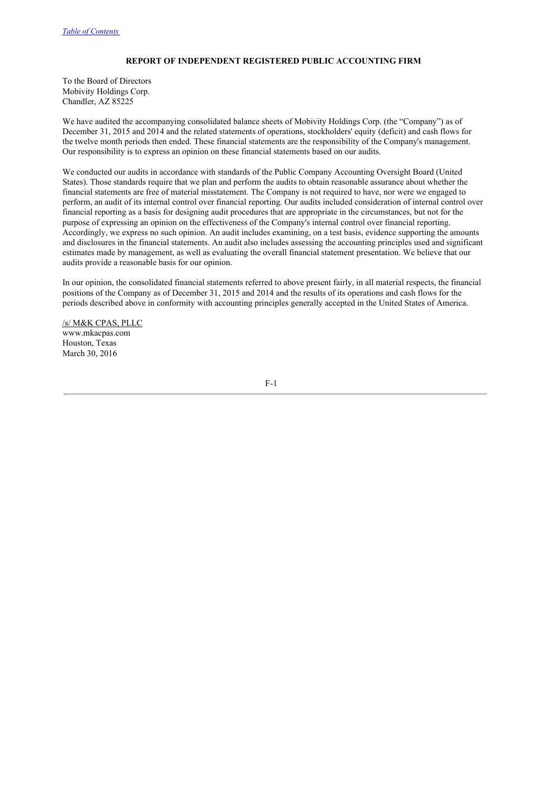#### **REPORT OF INDEPENDENT REGISTERED PUBLIC ACCOUNTING FIRM**

To the Board of Directors Mobivity Holdings Corp. Chandler, AZ 85225

We have audited the accompanying consolidated balance sheets of Mobivity Holdings Corp. (the "Company") as of December 31, 2015 and 2014 and the related statements of operations, stockholders' equity (deficit) and cash flows for the twelve month periods then ended. These financial statements are the responsibility of the Company's management. Our responsibility is to express an opinion on these financial statements based on our audits.

We conducted our audits in accordance with standards of the Public Company Accounting Oversight Board (United States). Those standards require that we plan and perform the audits to obtain reasonable assurance about whether the financial statements are free of material misstatement. The Company is not required to have, nor were we engaged to perform, an audit of its internal control over financial reporting. Our audits included consideration of internal control over financial reporting as a basis for designing audit procedures that are appropriate in the circumstances, but not for the purpose of expressing an opinion on the effectiveness of the Company's internal control over financial reporting. Accordingly, we express no such opinion. An audit includes examining, on a test basis, evidence supporting the amounts and disclosures in the financial statements. An audit also includes assessing the accounting principles used and significant estimates made by management, as well as evaluating the overall financial statement presentation. We believe that our audits provide a reasonable basis for our opinion.

In our opinion, the consolidated financial statements referred to above present fairly, in all material respects, the financial positions of the Company as of December 31, 2015 and 2014 and the results of its operations and cash flows for the periods described above in conformity with accounting principles generally accepted in the United States of America.

/s/ M&K CPAS, PLLC www.mkacpas.com Houston, Texas March 30, 2016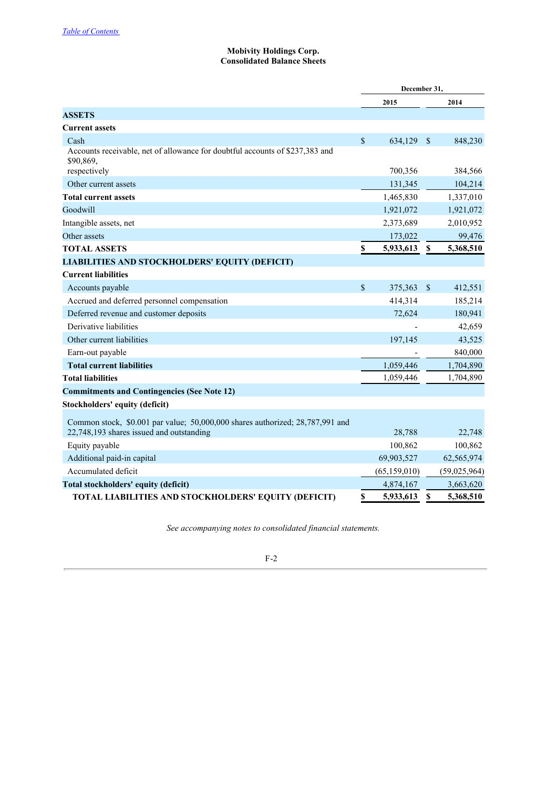#### **Mobivity Holdings Corp. Consolidated Balance Sheets**

|                                                                                                                           | December 31, |                |               |              |
|---------------------------------------------------------------------------------------------------------------------------|--------------|----------------|---------------|--------------|
|                                                                                                                           |              | 2015           |               | 2014         |
| <b>ASSETS</b>                                                                                                             |              |                |               |              |
| <b>Current assets</b>                                                                                                     |              |                |               |              |
| Cash<br>Accounts receivable, net of allowance for doubtful accounts of \$237,383 and<br>\$90,869,                         | $\mathbb{S}$ | 634,129        | <sup>\$</sup> | 848,230      |
| respectively                                                                                                              |              | 700,356        |               | 384,566      |
| Other current assets                                                                                                      |              | 131,345        |               | 104,214      |
| <b>Total current assets</b>                                                                                               |              | 1,465,830      |               | 1,337,010    |
| Goodwill                                                                                                                  |              | 1,921,072      |               | 1,921,072    |
| Intangible assets, net                                                                                                    |              | 2,373,689      |               | 2,010,952    |
| Other assets                                                                                                              |              | 173,022        |               | 99,476       |
| <b>TOTAL ASSETS</b>                                                                                                       | \$           | 5,933,613      | \$            | 5,368,510    |
| LIABILITIES AND STOCKHOLDERS' EQUITY (DEFICIT)                                                                            |              |                |               |              |
| <b>Current liabilities</b>                                                                                                |              |                |               |              |
| Accounts payable                                                                                                          | $\mathbb{S}$ | 375,363        | <sup>\$</sup> | 412,551      |
| Accrued and deferred personnel compensation                                                                               |              | 414,314        |               | 185,214      |
| Deferred revenue and customer deposits                                                                                    |              | 72,624         |               | 180,941      |
| Derivative liabilities                                                                                                    |              |                |               | 42,659       |
| Other current liabilities                                                                                                 |              | 197,145        |               | 43,525       |
| Earn-out payable                                                                                                          |              |                |               | 840,000      |
| <b>Total current liabilities</b>                                                                                          |              | 1,059,446      |               | 1,704,890    |
| <b>Total liabilities</b>                                                                                                  |              | 1,059,446      |               | 1,704,890    |
| <b>Commitments and Contingencies (See Note 12)</b>                                                                        |              |                |               |              |
| <b>Stockholders' equity (deficit)</b>                                                                                     |              |                |               |              |
| Common stock, \$0.001 par value; 50,000,000 shares authorized; 28,787,991 and<br>22,748,193 shares issued and outstanding |              | 28,788         |               | 22,748       |
| Equity payable                                                                                                            |              | 100,862        |               | 100,862      |
| Additional paid-in capital                                                                                                |              | 69,903,527     |               | 62,565,974   |
| Accumulated deficit                                                                                                       |              | (65, 159, 010) |               | (59,025,964) |
| Total stockholders' equity (deficit)                                                                                      |              | 4,874,167      |               | 3,663,620    |
| TOTAL LIABILITIES AND STOCKHOLDERS' EQUITY (DEFICIT)                                                                      | \$           | 5,933,613      | $\mathbb S$   | 5,368,510    |

*See accompanying notes to consolidated financial statements.*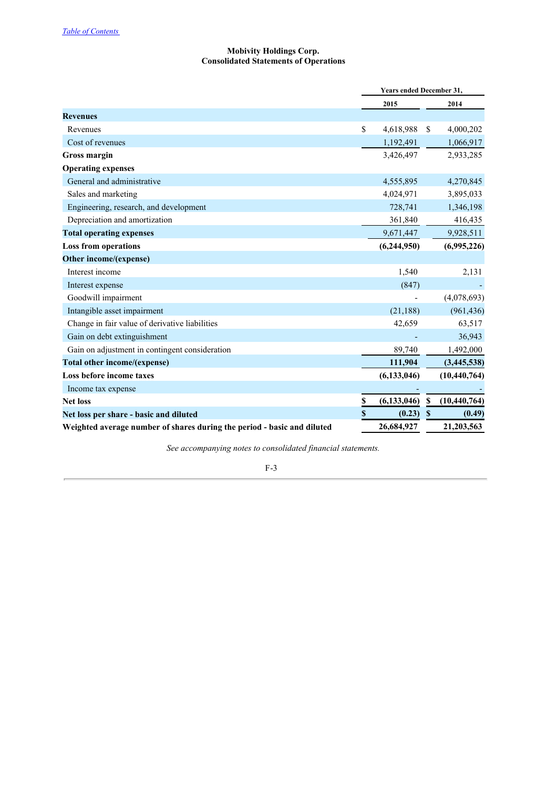# **Mobivity Holdings Corp. Consolidated Statements of Operations**

|                                                                         | Years ended December 31, |               |               |                |
|-------------------------------------------------------------------------|--------------------------|---------------|---------------|----------------|
|                                                                         |                          | 2015          |               | 2014           |
| <b>Revenues</b>                                                         |                          |               |               |                |
| Revenues                                                                | \$                       | 4,618,988     | <sup>\$</sup> | 4,000,202      |
| Cost of revenues                                                        |                          | 1,192,491     |               | 1,066,917      |
| Gross margin                                                            |                          | 3,426,497     |               | 2,933,285      |
| <b>Operating expenses</b>                                               |                          |               |               |                |
| General and administrative                                              |                          | 4,555,895     |               | 4,270,845      |
| Sales and marketing                                                     |                          | 4,024,971     |               | 3,895,033      |
| Engineering, research, and development                                  |                          | 728,741       |               | 1,346,198      |
| Depreciation and amortization                                           |                          | 361,840       |               | 416,435        |
| <b>Total operating expenses</b>                                         |                          | 9,671,447     |               | 9,928,511      |
| <b>Loss from operations</b>                                             |                          | (6,244,950)   |               | (6,995,226)    |
| Other income/(expense)                                                  |                          |               |               |                |
| Interest income                                                         |                          | 1,540         |               | 2,131          |
| Interest expense                                                        |                          | (847)         |               |                |
| Goodwill impairment                                                     |                          |               |               | (4,078,693)    |
| Intangible asset impairment                                             |                          | (21, 188)     |               | (961, 436)     |
| Change in fair value of derivative liabilities                          |                          | 42,659        |               | 63,517         |
| Gain on debt extinguishment                                             |                          |               |               | 36,943         |
| Gain on adjustment in contingent consideration                          |                          | 89,740        |               | 1,492,000      |
| Total other income/(expense)                                            |                          | 111,904       |               | (3,445,538)    |
| Loss before income taxes                                                |                          | (6, 133, 046) |               | (10, 440, 764) |
| Income tax expense                                                      |                          |               |               |                |
| <b>Net loss</b>                                                         | \$                       | (6, 133, 046) | -S            | (10, 440, 764) |
| Net loss per share - basic and diluted                                  | \$                       | (0.23)        | $\mathbf{s}$  | (0.49)         |
| Weighted average number of shares during the period - basic and diluted |                          | 26,684,927    |               | 21,203,563     |

*See accompanying notes to consolidated financial statements.*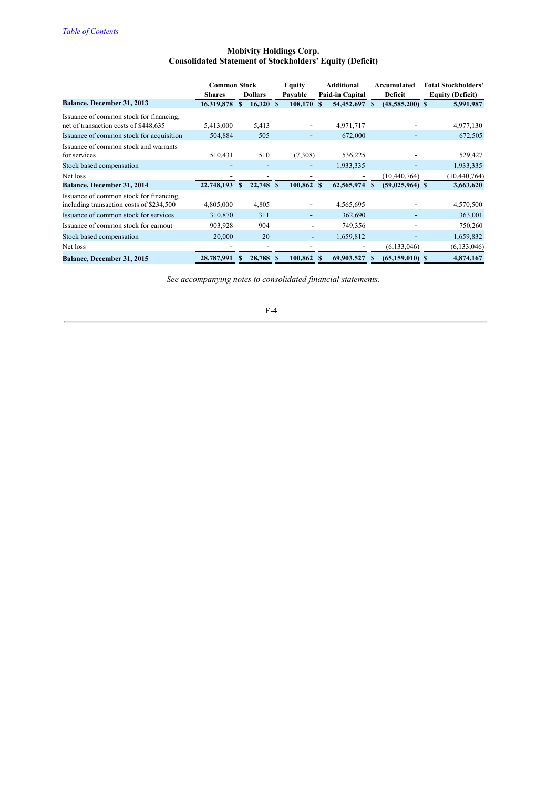# **Mobivity Holdings Corp. Consolidated Statement of Stockholders' Equity (Deficit)**

|                                                                                     | <b>Common Stock</b> |              |                          |               | Equity                   |           | <b>Additional</b> |   | Accumulated         | <b>Total Stockholders'</b> |
|-------------------------------------------------------------------------------------|---------------------|--------------|--------------------------|---------------|--------------------------|-----------|-------------------|---|---------------------|----------------------------|
|                                                                                     | <b>Shares</b>       |              | <b>Dollars</b>           |               | Pavable                  |           | Paid-in Capital   |   | <b>Deficit</b>      | <b>Equity (Deficit)</b>    |
| Balance, December 31, 2013                                                          | 16,319,878          | $\mathbf{s}$ | 16,320 S                 |               | 108,170                  | S.        | 54,452,697        | S | $(48,585,200)$ \$   | 5,991,987                  |
| Issuance of common stock for financing,<br>net of transaction costs of \$448,635    | 5,413,000           |              | 5,413                    |               |                          |           | 4,971,717         |   |                     | 4,977,130                  |
| Issuance of common stock for acquisition                                            | 504,884             |              | 505                      |               |                          |           | 672,000           |   |                     | 672,505                    |
| Issuance of common stock and warrants<br>for services                               | 510,431             |              | 510                      |               | (7,308)                  |           | 536,225           |   |                     | 529,427                    |
| Stock based compensation                                                            |                     |              | $\overline{\phantom{a}}$ |               |                          |           | 1,933,335         |   |                     | 1,933,335                  |
| Net loss                                                                            |                     |              |                          |               |                          |           |                   |   | (10, 440, 764)      | (10, 440, 764)             |
| Balance, December 31, 2014                                                          | 22,748,193          | S            | 22,748                   | <sup>\$</sup> | 100,862 \$               |           | 62,565,974        | S | $(59,025,964)$ \$   | 3,663,620                  |
| Issuance of common stock for financing,<br>including transaction costs of \$234,500 | 4,805,000           |              | 4,805                    |               |                          |           | 4,565,695         |   |                     | 4,570,500                  |
| Issuance of common stock for services                                               | 310,870             |              | 311                      |               | ٠                        |           | 362,690           |   |                     | 363,001                    |
| Issuance of common stock for earnout                                                | 903,928             |              | 904                      |               | $\overline{\phantom{a}}$ |           | 749,356           |   |                     | 750,260                    |
| Stock based compensation                                                            | 20,000              |              | 20                       |               | $\overline{\phantom{a}}$ |           | 1,659,812         |   |                     | 1,659,832                  |
| Net loss                                                                            |                     |              |                          |               |                          |           |                   |   | (6, 133, 046)       | (6, 133, 046)              |
| Balance, December 31, 2015                                                          | 28,787,991          |              | 28,788                   | -S            | 100,862                  | $\cdot$ S | 69,903,527        | S | $(65, 159, 010)$ \$ | 4,874,167                  |

*See accompanying notes to consolidated financial statements.*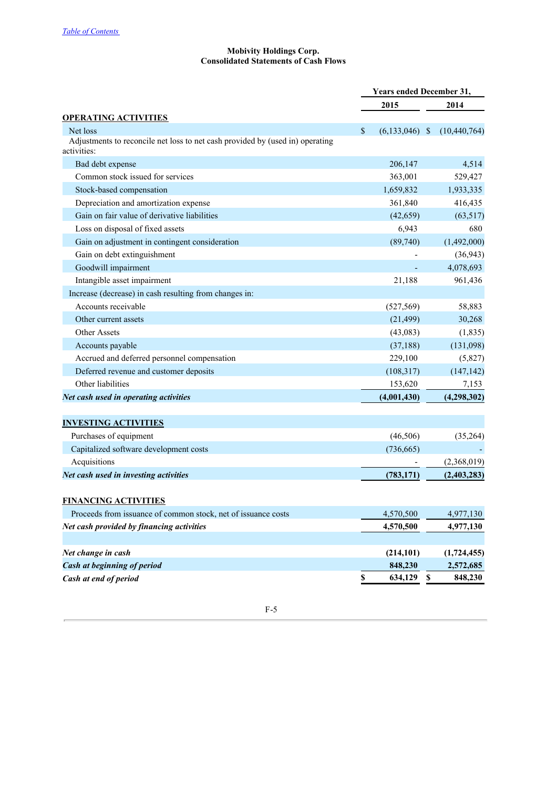### **Mobivity Holdings Corp. Consolidated Statements of Cash Flows**

|                                                                                              | Years ended December 31, |                  |    |                |
|----------------------------------------------------------------------------------------------|--------------------------|------------------|----|----------------|
|                                                                                              |                          | 2015             |    | 2014           |
| <b>OPERATING ACTIVITIES</b>                                                                  |                          |                  |    |                |
| Net loss                                                                                     | \$                       | $(6,133,046)$ \$ |    | (10, 440, 764) |
| Adjustments to reconcile net loss to net cash provided by (used in) operating<br>activities: |                          |                  |    |                |
| Bad debt expense                                                                             |                          | 206,147          |    | 4,514          |
| Common stock issued for services                                                             |                          | 363,001          |    | 529,427        |
| Stock-based compensation                                                                     |                          | 1,659,832        |    | 1,933,335      |
| Depreciation and amortization expense                                                        |                          | 361,840          |    | 416,435        |
| Gain on fair value of derivative liabilities                                                 |                          | (42, 659)        |    | (63,517)       |
| Loss on disposal of fixed assets                                                             |                          | 6,943            |    | 680            |
| Gain on adjustment in contingent consideration                                               |                          | (89,740)         |    | (1,492,000)    |
| Gain on debt extinguishment                                                                  |                          |                  |    | (36, 943)      |
| Goodwill impairment                                                                          |                          |                  |    | 4,078,693      |
| Intangible asset impairment                                                                  |                          | 21,188           |    | 961,436        |
| Increase (decrease) in cash resulting from changes in:                                       |                          |                  |    |                |
| Accounts receivable                                                                          |                          | (527, 569)       |    | 58,883         |
| Other current assets                                                                         |                          | (21, 499)        |    | 30,268         |
| <b>Other Assets</b>                                                                          |                          | (43,083)         |    | (1, 835)       |
| Accounts payable                                                                             |                          | (37, 188)        |    | (131,098)      |
| Accrued and deferred personnel compensation                                                  |                          | 229,100          |    | (5,827)        |
| Deferred revenue and customer deposits                                                       |                          | (108, 317)       |    | (147, 142)     |
| Other liabilities                                                                            |                          | 153,620          |    | 7,153          |
| Net cash used in operating activities                                                        |                          | (4,001,430)      |    | (4,298,302)    |
| <b>INVESTING ACTIVITIES</b>                                                                  |                          |                  |    |                |
| Purchases of equipment                                                                       |                          | (46,506)         |    | (35,264)       |
| Capitalized software development costs                                                       |                          | (736, 665)       |    |                |
| Acquisitions                                                                                 |                          |                  |    | (2,368,019)    |
| Net cash used in investing activities                                                        |                          | (783, 171)       |    | (2,403,283)    |
| <b>FINANCING ACTIVITIES</b>                                                                  |                          |                  |    |                |
| Proceeds from issuance of common stock, net of issuance costs                                |                          | 4,570,500        |    | 4,977,130      |
| Net cash provided by financing activities                                                    |                          | 4,570,500        |    | 4,977,130      |
|                                                                                              |                          |                  |    |                |
| Net change in cash                                                                           |                          | (214, 101)       |    | (1,724,455)    |
| Cash at beginning of period                                                                  |                          | 848,230          |    | 2,572,685      |
| Cash at end of period                                                                        | \$                       | 634,129          | \$ | 848,230        |
|                                                                                              |                          |                  |    |                |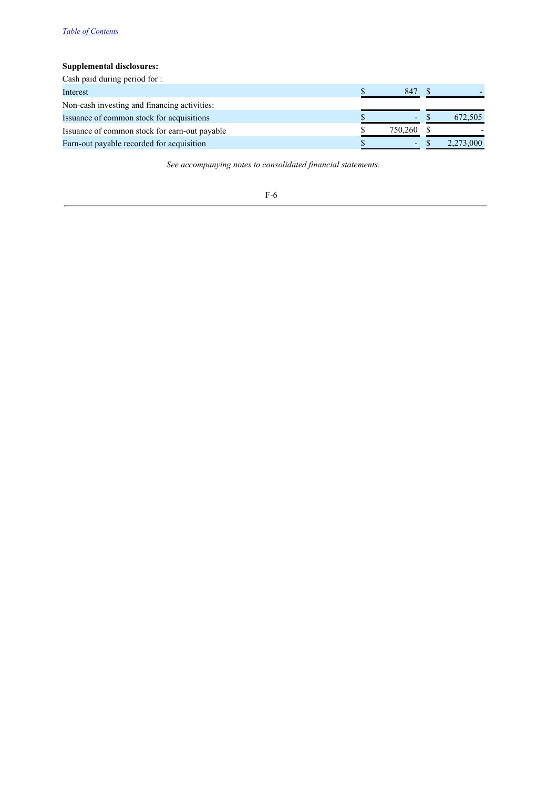# **Supplemental disclosures:**

| Cash paid during period for :                 |         |           |
|-----------------------------------------------|---------|-----------|
| Interest                                      | 847     |           |
| Non-cash investing and financing activities:  |         |           |
| Issuance of common stock for acquisitions     | ۰       | 672,505   |
| Issuance of common stock for earn-out payable | 750,260 |           |
| Earn-out payable recorded for acquisition     | ٠       | 2,273,000 |

*See accompanying notes to consolidated financial statements.*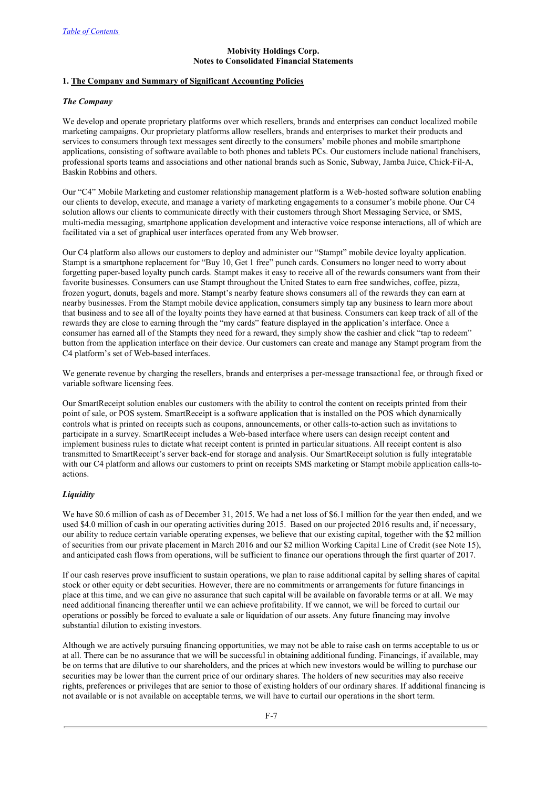## **Mobivity Holdings Corp. Notes to Consolidated Financial Statements**

# **1. The Company and Summary of Significant Accounting Policies**

#### *The Company*

We develop and operate proprietary platforms over which resellers, brands and enterprises can conduct localized mobile marketing campaigns. Our proprietary platforms allow resellers, brands and enterprises to market their products and services to consumers through text messages sent directly to the consumers' mobile phones and mobile smartphone applications, consisting of software available to both phones and tablets PCs. Our customers include national franchisers, professional sports teams and associations and other national brands such as Sonic, Subway, Jamba Juice, Chick-Fil-A, Baskin Robbins and others.

Our "C4" Mobile Marketing and customer relationship management platform is a Web-hosted software solution enabling our clients to develop, execute, and manage a variety of marketing engagements to a consumer's mobile phone. Our C4 solution allows our clients to communicate directly with their customers through Short Messaging Service, or SMS, multi-media messaging, smartphone application development and interactive voice response interactions, all of which are facilitated via a set of graphical user interfaces operated from any Web browser.

Our C4 platform also allows our customers to deploy and administer our "Stampt" mobile device loyalty application. Stampt is a smartphone replacement for "Buy 10, Get 1 free" punch cards. Consumers no longer need to worry about forgetting paper-based loyalty punch cards. Stampt makes it easy to receive all of the rewards consumers want from their favorite businesses. Consumers can use Stampt throughout the United States to earn free sandwiches, coffee, pizza, frozen yogurt, donuts, bagels and more. Stampt's nearby feature shows consumers all of the rewards they can earn at nearby businesses. From the Stampt mobile device application, consumers simply tap any business to learn more about that business and to see all of the loyalty points they have earned at that business. Consumers can keep track of all of the rewards they are close to earning through the "my cards" feature displayed in the application's interface. Once a consumer has earned all of the Stampts they need for a reward, they simply show the cashier and click "tap to redeem" button from the application interface on their device. Our customers can create and manage any Stampt program from the C4 platform's set of Web-based interfaces.

We generate revenue by charging the resellers, brands and enterprises a per-message transactional fee, or through fixed or variable software licensing fees.

Our SmartReceipt solution enables our customers with the ability to control the content on receipts printed from their point of sale, or POS system. SmartReceipt is a software application that is installed on the POS which dynamically controls what is printed on receipts such as coupons, announcements, or other calls-to-action such as invitations to participate in a survey. SmartReceipt includes a Web-based interface where users can design receipt content and implement business rules to dictate what receipt content is printed in particular situations. All receipt content is also transmitted to SmartReceipt's server back-end for storage and analysis. Our SmartReceipt solution is fully integratable with our C4 platform and allows our customers to print on receipts SMS marketing or Stampt mobile application calls-toactions.

# *Liquidity*

We have \$0.6 million of cash as of December 31, 2015. We had a net loss of \$6.1 million for the year then ended, and we used \$4.0 million of cash in our operating activities during 2015. Based on our projected 2016 results and, if necessary, our ability to reduce certain variable operating expenses, we believe that our existing capital, together with the \$2 million of securities from our private placement in March 2016 and our \$2 million Working Capital Line of Credit (see Note 15), and anticipated cash flows from operations, will be sufficient to finance our operations through the first quarter of 2017.

If our cash reserves prove insufficient to sustain operations, we plan to raise additional capital by selling shares of capital stock or other equity or debt securities. However, there are no commitments or arrangements for future financings in place at this time, and we can give no assurance that such capital will be available on favorable terms or at all. We may need additional financing thereafter until we can achieve profitability. If we cannot, we will be forced to curtail our operations or possibly be forced to evaluate a sale or liquidation of our assets. Any future financing may involve substantial dilution to existing investors.

Although we are actively pursuing financing opportunities, we may not be able to raise cash on terms acceptable to us or at all. There can be no assurance that we will be successful in obtaining additional funding. Financings, if available, may be on terms that are dilutive to our shareholders, and the prices at which new investors would be willing to purchase our securities may be lower than the current price of our ordinary shares. The holders of new securities may also receive rights, preferences or privileges that are senior to those of existing holders of our ordinary shares. If additional financing is not available or is not available on acceptable terms, we will have to curtail our operations in the short term.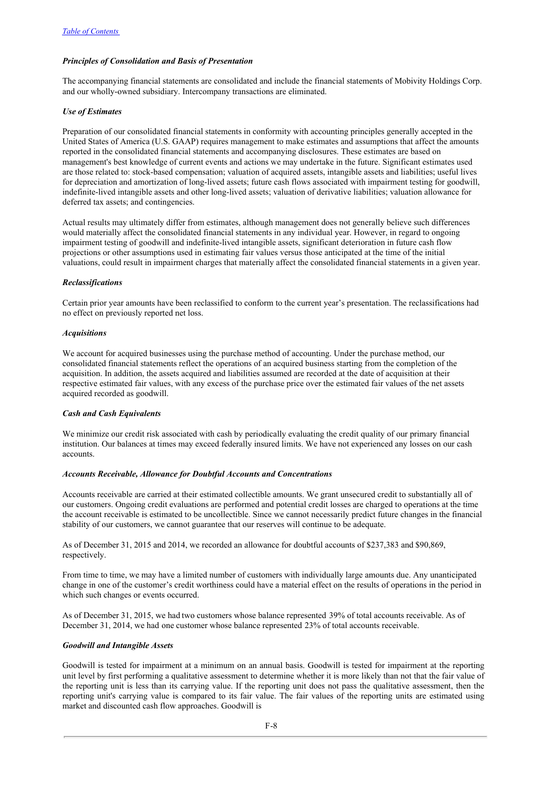# *Principles of Consolidation and Basis of Presentation*

The accompanying financial statements are consolidated and include the financial statements of Mobivity Holdings Corp. and our wholly-owned subsidiary. Intercompany transactions are eliminated.

# *Use of Estimates*

Preparation of our consolidated financial statements in conformity with accounting principles generally accepted in the United States of America (U.S. GAAP) requires management to make estimates and assumptions that affect the amounts reported in the consolidated financial statements and accompanying disclosures. These estimates are based on management's best knowledge of current events and actions we may undertake in the future. Significant estimates used are those related to: stock-based compensation; valuation of acquired assets, intangible assets and liabilities; useful lives for depreciation and amortization of long-lived assets; future cash flows associated with impairment testing for goodwill, indefinite-lived intangible assets and other long-lived assets; valuation of derivative liabilities; valuation allowance for deferred tax assets; and contingencies.

Actual results may ultimately differ from estimates, although management does not generally believe such differences would materially affect the consolidated financial statements in any individual year. However, in regard to ongoing impairment testing of goodwill and indefinite-lived intangible assets, significant deterioration in future cash flow projections or other assumptions used in estimating fair values versus those anticipated at the time of the initial valuations, could result in impairment charges that materially affect the consolidated financial statements in a given year.

# *Reclassifications*

Certain prior year amounts have been reclassified to conform to the current year's presentation. The reclassifications had no effect on previously reported net loss.

# *Acquisitions*

We account for acquired businesses using the purchase method of accounting. Under the purchase method, our consolidated financial statements reflect the operations of an acquired business starting from the completion of the acquisition. In addition, the assets acquired and liabilities assumed are recorded at the date of acquisition at their respective estimated fair values, with any excess of the purchase price over the estimated fair values of the net assets acquired recorded as goodwill.

# *Cash and Cash Equivalents*

We minimize our credit risk associated with cash by periodically evaluating the credit quality of our primary financial institution. Our balances at times may exceed federally insured limits. We have not experienced any losses on our cash accounts.

# *Accounts Receivable, Allowance for Doubtful Accounts and Concentrations*

Accounts receivable are carried at their estimated collectible amounts. We grant unsecured credit to substantially all of our customers. Ongoing credit evaluations are performed and potential credit losses are charged to operations at the time the account receivable is estimated to be uncollectible. Since we cannot necessarily predict future changes in the financial stability of our customers, we cannot guarantee that our reserves will continue to be adequate.

As of December 31, 2015 and 2014, we recorded an allowance for doubtful accounts of \$237,383 and \$90,869, respectively.

From time to time, we may have a limited number of customers with individually large amounts due. Any unanticipated change in one of the customer's credit worthiness could have a material effect on the results of operations in the period in which such changes or events occurred.

As of December 31, 2015, we had two customers whose balance represented 39% of total accounts receivable. As of December 31, 2014, we had one customer whose balance represented 23% of total accounts receivable.

# *Goodwill and Intangible Assets*

Goodwill is tested for impairment at a minimum on an annual basis. Goodwill is tested for impairment at the reporting unit level by first performing a qualitative assessment to determine whether it is more likely than not that the fair value of the reporting unit is less than its carrying value. If the reporting unit does not pass the qualitative assessment, then the reporting unit's carrying value is compared to its fair value. The fair values of the reporting units are estimated using market and discounted cash flow approaches. Goodwill is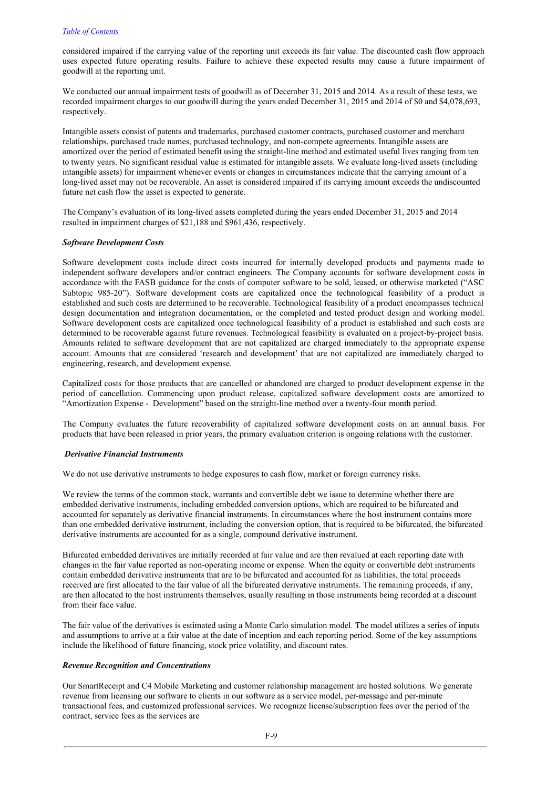considered impaired if the carrying value of the reporting unit exceeds its fair value. The discounted cash flow approach uses expected future operating results. Failure to achieve these expected results may cause a future impairment of goodwill at the reporting unit.

We conducted our annual impairment tests of goodwill as of December 31, 2015 and 2014. As a result of these tests, we recorded impairment charges to our goodwill during the years ended December 31, 2015 and 2014 of \$0 and \$4,078,693, respectively.

Intangible assets consist of patents and trademarks, purchased customer contracts, purchased customer and merchant relationships, purchased trade names, purchased technology, and non-compete agreements. Intangible assets are amortized over the period of estimated benefit using the straight-line method and estimated useful lives ranging from ten to twenty years. No significant residual value is estimated for intangible assets. We evaluate long-lived assets (including intangible assets) for impairment whenever events or changes in circumstances indicate that the carrying amount of a long-lived asset may not be recoverable. An asset is considered impaired if its carrying amount exceeds the undiscounted future net cash flow the asset is expected to generate.

The Company's evaluation of its long-lived assets completed during the years ended December 31, 2015 and 2014 resulted in impairment charges of \$21,188 and \$961,436, respectively.

### *Software Development Costs*

Software development costs include direct costs incurred for internally developed products and payments made to independent software developers and/or contract engineers. The Company accounts for software development costs in accordance with the FASB guidance for the costs of computer software to be sold, leased, or otherwise marketed ("ASC Subtopic 985-20"). Software development costs are capitalized once the technological feasibility of a product is established and such costs are determined to be recoverable. Technological feasibility of a product encompasses technical design documentation and integration documentation, or the completed and tested product design and working model. Software development costs are capitalized once technological feasibility of a product is established and such costs are determined to be recoverable against future revenues. Technological feasibility is evaluated on a project-by-project basis. Amounts related to software development that are not capitalized are charged immediately to the appropriate expense account. Amounts that are considered 'research and development' that are not capitalized are immediately charged to engineering, research, and development expense.

Capitalized costs for those products that are cancelled or abandoned are charged to product development expense in the period of cancellation. Commencing upon product release, capitalized software development costs are amortized to "Amortization Expense - Development" based on the straight-line method over a twenty-four month period.

The Company evaluates the future recoverability of capitalized software development costs on an annual basis. For products that have been released in prior years, the primary evaluation criterion is ongoing relations with the customer.

#### *Derivative Financial Instruments*

We do not use derivative instruments to hedge exposures to cash flow, market or foreign currency risks.

We review the terms of the common stock, warrants and convertible debt we issue to determine whether there are embedded derivative instruments, including embedded conversion options, which are required to be bifurcated and accounted for separately as derivative financial instruments. In circumstances where the host instrument contains more than one embedded derivative instrument, including the conversion option, that is required to be bifurcated, the bifurcated derivative instruments are accounted for as a single, compound derivative instrument.

Bifurcated embedded derivatives are initially recorded at fair value and are then revalued at each reporting date with changes in the fair value reported as non-operating income or expense. When the equity or convertible debt instruments contain embedded derivative instruments that are to be bifurcated and accounted for as liabilities, the total proceeds received are first allocated to the fair value of all the bifurcated derivative instruments. The remaining proceeds, if any, are then allocated to the host instruments themselves, usually resulting in those instruments being recorded at a discount from their face value.

The fair value of the derivatives is estimated using a Monte Carlo simulation model. The model utilizes a series of inputs and assumptions to arrive at a fair value at the date of inception and each reporting period. Some of the key assumptions include the likelihood of future financing, stock price volatility, and discount rates.

#### *Revenue Recognition and Concentrations*

Our SmartReceipt and C4 Mobile Marketing and customer relationship management are hosted solutions. We generate revenue from licensing our software to clients in our software as a service model, per-message and per-minute transactional fees, and customized professional services. We recognize license/subscription fees over the period of the contract, service fees as the services are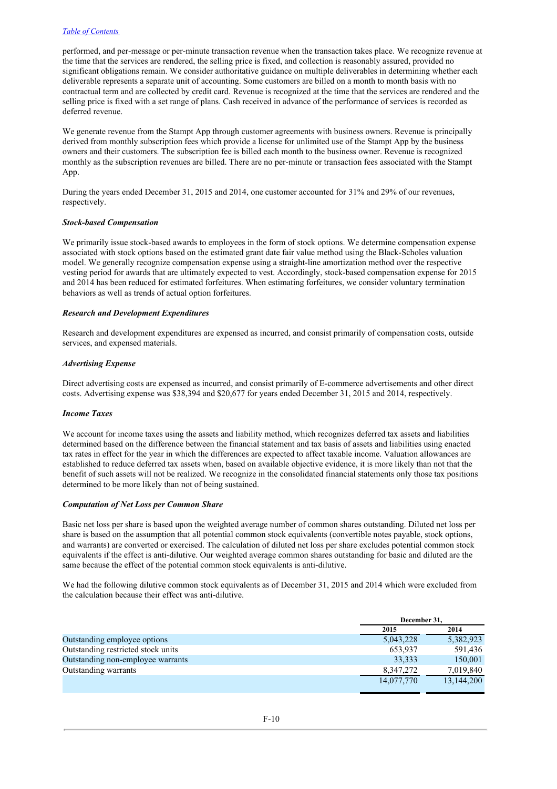performed, and per-message or per-minute transaction revenue when the transaction takes place. We recognize revenue at the time that the services are rendered, the selling price is fixed, and collection is reasonably assured, provided no significant obligations remain. We consider authoritative guidance on multiple deliverables in determining whether each deliverable represents a separate unit of accounting. Some customers are billed on a month to month basis with no contractual term and are collected by credit card. Revenue is recognized at the time that the services are rendered and the selling price is fixed with a set range of plans. Cash received in advance of the performance of services is recorded as deferred revenue.

We generate revenue from the Stampt App through customer agreements with business owners. Revenue is principally derived from monthly subscription fees which provide a license for unlimited use of the Stampt App by the business owners and their customers. The subscription fee is billed each month to the business owner. Revenue is recognized monthly as the subscription revenues are billed. There are no per-minute or transaction fees associated with the Stampt App.

During the years ended December 31, 2015 and 2014, one customer accounted for 31% and 29% of our revenues, respectively.

#### *Stock-based Compensation*

We primarily issue stock-based awards to employees in the form of stock options. We determine compensation expense associated with stock options based on the estimated grant date fair value method using the Black-Scholes valuation model. We generally recognize compensation expense using a straight-line amortization method over the respective vesting period for awards that are ultimately expected to vest. Accordingly, stock-based compensation expense for 2015 and 2014 has been reduced for estimated forfeitures. When estimating forfeitures, we consider voluntary termination behaviors as well as trends of actual option forfeitures.

### *Research and Development Expenditures*

Research and development expenditures are expensed as incurred, and consist primarily of compensation costs, outside services, and expensed materials.

# *Advertising Expense*

Direct advertising costs are expensed as incurred, and consist primarily of E-commerce advertisements and other direct costs. Advertising expense was \$38,394 and \$20,677 for years ended December 31, 2015 and 2014, respectively.

#### *Income Taxes*

We account for income taxes using the assets and liability method, which recognizes deferred tax assets and liabilities determined based on the difference between the financial statement and tax basis of assets and liabilities using enacted tax rates in effect for the year in which the differences are expected to affect taxable income. Valuation allowances are established to reduce deferred tax assets when, based on available objective evidence, it is more likely than not that the benefit of such assets will not be realized. We recognize in the consolidated financial statements only those tax positions determined to be more likely than not of being sustained.

#### *Computation of Net Loss per Common Share*

Basic net loss per share is based upon the weighted average number of common shares outstanding. Diluted net loss per share is based on the assumption that all potential common stock equivalents (convertible notes payable, stock options, and warrants) are converted or exercised. The calculation of diluted net loss per share excludes potential common stock equivalents if the effect is anti-dilutive. Our weighted average common shares outstanding for basic and diluted are the same because the effect of the potential common stock equivalents is anti-dilutive.

We had the following dilutive common stock equivalents as of December 31, 2015 and 2014 which were excluded from the calculation because their effect was anti-dilutive.

|                                    | December 31, |            |
|------------------------------------|--------------|------------|
|                                    | 2015         | 2014       |
| Outstanding employee options       | 5,043,228    | 5,382,923  |
| Outstanding restricted stock units | 653.937      | 591,436    |
| Outstanding non-employee warrants  | 33,333       | 150,001    |
| <b>Outstanding warrants</b>        | 8,347,272    | 7,019,840  |
|                                    | 14,077,770   | 13,144,200 |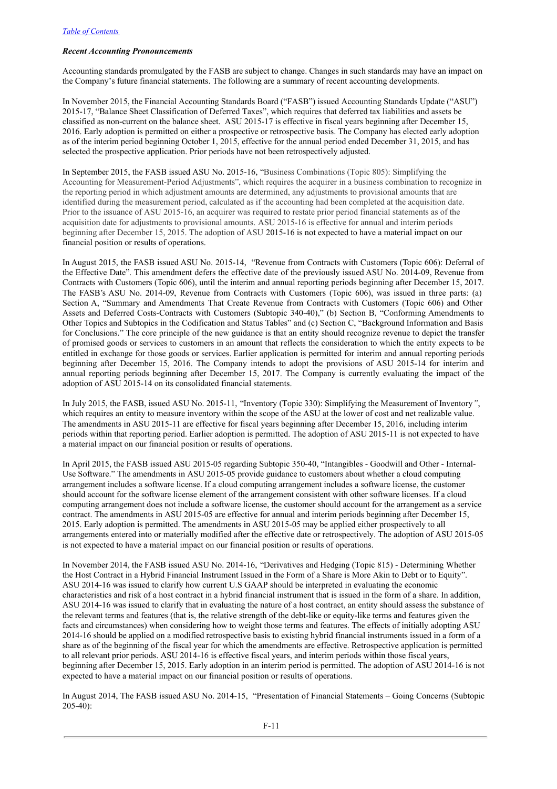# *Recent Accounting Pronouncements*

Accounting standards promulgated by the FASB are subject to change. Changes in such standards may have an impact on the Company's future financial statements. The following are a summary of recent accounting developments.

In November 2015, the Financial Accounting Standards Board ("FASB") issued Accounting Standards Update ("ASU") 2015-17, "Balance Sheet Classification of Deferred Taxes", which requires that deferred tax liabilities and assets be classified as non-current on the balance sheet. ASU 2015-17 is effective in fiscal years beginning after December 15, 2016. Early adoption is permitted on either a prospective or retrospective basis. The Company has elected early adoption as of the interim period beginning October 1, 2015, effective for the annual period ended December 31, 2015, and has selected the prospective application. Prior periods have not been retrospectively adjusted.

In September 2015, the FASB issued ASU No. 2015-16, "Business Combinations (Topic 805): Simplifying the Accounting for Measurement-Period Adjustments", which requires the acquirer in a business combination to recognize in the reporting period in which adjustment amounts are determined, any adjustments to provisional amounts that are identified during the measurement period, calculated as if the accounting had been completed at the acquisition date. Prior to the issuance of ASU 2015-16, an acquirer was required to restate prior period financial statements as of the acquisition date for adjustments to provisional amounts. ASU 2015-16 is effective for annual and interim periods beginning after December 15, 2015. The adoption of ASU 2015-16 is not expected to have a material impact on our financial position or results of operations.

In August 2015, the FASB issued ASU No. 2015-14, "Revenue from Contracts with Customers (Topic 606): Deferral of the Effective Date". This amendment defers the effective date of the previously issued ASU No. 2014-09, Revenue from Contracts with Customers (Topic 606), until the interim and annual reporting periods beginning after December 15, 2017. The FASB's ASU No. 2014-09, Revenue from Contracts with Customers (Topic 606), was issued in three parts: (a) Section A, "Summary and Amendments That Create Revenue from Contracts with Customers (Topic 606) and Other Assets and Deferred Costs-Contracts with Customers (Subtopic 340-40)," (b) Section B, "Conforming Amendments to Other Topics and Subtopics in the Codification and Status Tables" and (c) Section C, "Background Information and Basis for Conclusions." The core principle of the new guidance is that an entity should recognize revenue to depict the transfer of promised goods or services to customers in an amount that reflects the consideration to which the entity expects to be entitled in exchange for those goods or services. Earlier application is permitted for interim and annual reporting periods beginning after December 15, 2016. The Company intends to adopt the provisions of ASU 2015-14 for interim and annual reporting periods beginning after December 15, 2017. The Company is currently evaluating the impact of the adoption of ASU 2015-14 on its consolidated financial statements.

In July 2015, the FASB, issued ASU No. 2015-11, "Inventory (Topic 330): Simplifying the Measurement of Inventory*"*, which requires an entity to measure inventory within the scope of the ASU at the lower of cost and net realizable value. The amendments in ASU 2015-11 are effective for fiscal years beginning after December 15, 2016, including interim periods within that reporting period. Earlier adoption is permitted. The adoption of ASU 2015-11 is not expected to have a material impact on our financial position or results of operations.

In April 2015, the FASB issued ASU 2015-05 regarding Subtopic 350-40, "Intangibles - Goodwill and Other - Internal-Use Software." The amendments in ASU 2015-05 provide guidance to customers about whether a cloud computing arrangement includes a software license. If a cloud computing arrangement includes a software license, the customer should account for the software license element of the arrangement consistent with other software licenses. If a cloud computing arrangement does not include a software license, the customer should account for the arrangement as a service contract. The amendments in ASU 2015-05 are effective for annual and interim periods beginning after December 15, 2015. Early adoption is permitted. The amendments in ASU 2015-05 may be applied either prospectively to all arrangements entered into or materially modified after the effective date or retrospectively. The adoption of ASU 2015-05 is not expected to have a material impact on our financial position or results of operations.

In November 2014, the FASB issued ASU No. 2014-16, "Derivatives and Hedging (Topic 815) - Determining Whether the Host Contract in a Hybrid Financial Instrument Issued in the Form of a Share is More Akin to Debt or to Equity". ASU 2014-16 was issued to clarify how current U.S GAAP should be interpreted in evaluating the economic characteristics and risk of a host contract in a hybrid financial instrument that is issued in the form of a share. In addition, ASU 2014-16 was issued to clarify that in evaluating the nature of a host contract, an entity should assess the substance of the relevant terms and features (that is, the relative strength of the debt-like or equity-like terms and features given the facts and circumstances) when considering how to weight those terms and features. The effects of initially adopting ASU 2014-16 should be applied on a modified retrospective basis to existing hybrid financial instruments issued in a form of a share as of the beginning of the fiscal year for which the amendments are effective. Retrospective application is permitted to all relevant prior periods. ASU 2014-16 is effective fiscal years, and interim periods within those fiscal years, beginning after December 15, 2015. Early adoption in an interim period is permitted. The adoption of ASU 2014-16 is not expected to have a material impact on our financial position or results of operations.

In August 2014, The FASB issued ASU No. 2014-15, "Presentation of Financial Statements – Going Concerns (Subtopic  $205 - 40$ :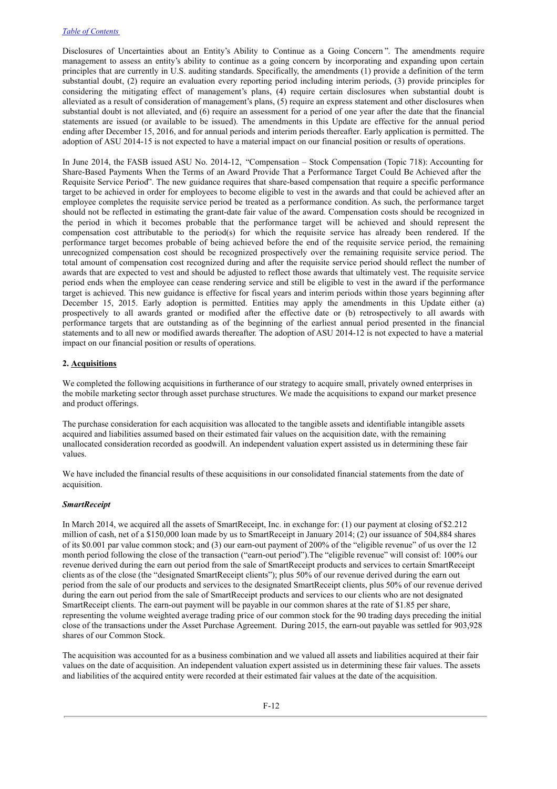Disclosures of Uncertainties about an Entity's Ability to Continue as a Going Concern ". The amendments require management to assess an entity's ability to continue as a going concern by incorporating and expanding upon certain principles that are currently in U.S. auditing standards. Specifically, the amendments (1) provide a definition of the term substantial doubt, (2) require an evaluation every reporting period including interim periods, (3) provide principles for considering the mitigating effect of management's plans, (4) require certain disclosures when substantial doubt is alleviated as a result of consideration of management's plans, (5) require an express statement and other disclosures when substantial doubt is not alleviated, and (6) require an assessment for a period of one year after the date that the financial statements are issued (or available to be issued). The amendments in this Update are effective for the annual period ending after December 15, 2016, and for annual periods and interim periods thereafter. Early application is permitted. The adoption of ASU 2014-15 is not expected to have a material impact on our financial position or results of operations.

In June 2014, the FASB issued ASU No. 2014-12, "Compensation – Stock Compensation (Topic 718): Accounting for Share-Based Payments When the Terms of an Award Provide That a Performance Target Could Be Achieved after the Requisite Service Period". The new guidance requires that share-based compensation that require a specific performance target to be achieved in order for employees to become eligible to vest in the awards and that could be achieved after an employee completes the requisite service period be treated as a performance condition. As such, the performance target should not be reflected in estimating the grant-date fair value of the award. Compensation costs should be recognized in the period in which it becomes probable that the performance target will be achieved and should represent the compensation cost attributable to the period(s) for which the requisite service has already been rendered. If the performance target becomes probable of being achieved before the end of the requisite service period, the remaining unrecognized compensation cost should be recognized prospectively over the remaining requisite service period. The total amount of compensation cost recognized during and after the requisite service period should reflect the number of awards that are expected to vest and should be adjusted to reflect those awards that ultimately vest. The requisite service period ends when the employee can cease rendering service and still be eligible to vest in the award if the performance target is achieved. This new guidance is effective for fiscal years and interim periods within those years beginning after December 15, 2015. Early adoption is permitted. Entities may apply the amendments in this Update either (a) prospectively to all awards granted or modified after the effective date or (b) retrospectively to all awards with performance targets that are outstanding as of the beginning of the earliest annual period presented in the financial statements and to all new or modified awards thereafter. The adoption of ASU 2014-12 is not expected to have a material impact on our financial position or results of operations.

## **2. Acquisitions**

We completed the following acquisitions in furtherance of our strategy to acquire small, privately owned enterprises in the mobile marketing sector through asset purchase structures. We made the acquisitions to expand our market presence and product offerings.

The purchase consideration for each acquisition was allocated to the tangible assets and identifiable intangible assets acquired and liabilities assumed based on their estimated fair values on the acquisition date, with the remaining unallocated consideration recorded as goodwill. An independent valuation expert assisted us in determining these fair values.

We have included the financial results of these acquisitions in our consolidated financial statements from the date of acquisition.

#### *SmartReceipt*

In March 2014, we acquired all the assets of SmartReceipt, Inc. in exchange for: (1) our payment at closing of\$2.212 million of cash, net of a \$150,000 loan made by us to SmartReceipt in January 2014; (2) our issuance of 504,884 shares of its \$0.001 par value common stock; and (3) our earn-out payment of 200% of the "eligible revenue" of us over the 12 month period following the close of the transaction ("earn-out period").The "eligible revenue" will consist of: 100% our revenue derived during the earn out period from the sale of SmartReceipt products and services to certain SmartReceipt clients as of the close (the "designated SmartReceipt clients"); plus 50% of our revenue derived during the earn out period from the sale of our products and services to the designated SmartReceipt clients, plus 50% of our revenue derived during the earn out period from the sale of SmartReceipt products and services to our clients who are not designated SmartReceipt clients. The earn-out payment will be payable in our common shares at the rate of \$1.85 per share, representing the volume weighted average trading price of our common stock for the 90 trading days preceding the initial close of the transactions under the Asset Purchase Agreement. During 2015, the earn-out payable was settled for 903,928 shares of our Common Stock.

The acquisition was accounted for as a business combination and we valued all assets and liabilities acquired at their fair values on the date of acquisition. An independent valuation expert assisted us in determining these fair values. The assets and liabilities of the acquired entity were recorded at their estimated fair values at the date of the acquisition.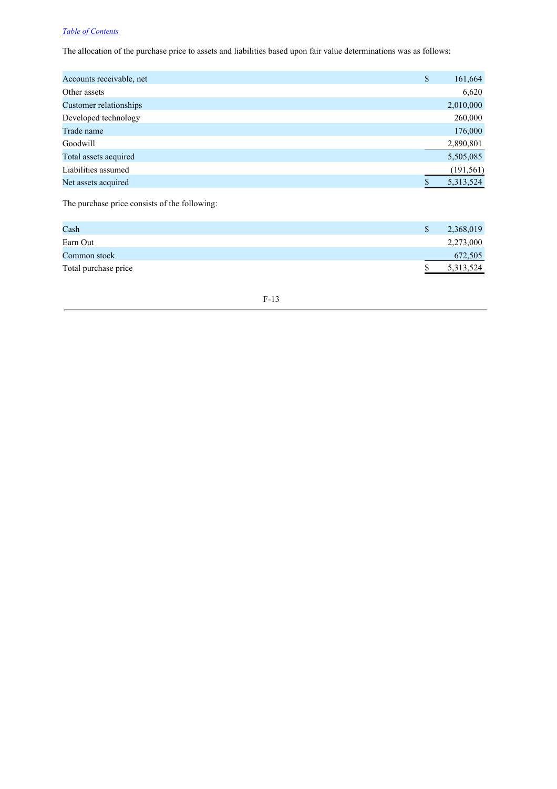The allocation of the purchase price to assets and liabilities based upon fair value determinations was as follows:

| Accounts receivable, net | \$<br>161,664 |
|--------------------------|---------------|
| Other assets             | 6,620         |
| Customer relationships   | 2,010,000     |
| Developed technology     | 260,000       |
| Trade name               | 176,000       |
| Goodwill                 | 2,890,801     |
| Total assets acquired    | 5,505,085     |
| Liabilities assumed      | (191, 561)    |
| Net assets acquired      | 5,313,524     |
|                          |               |

The purchase price consists of the following:

| Cash                 | \$ | 2,368,019   |
|----------------------|----|-------------|
| Earn Out             |    | 2,273,000   |
| Common stock         |    | 672,505     |
| Total purchase price | S  | 5, 313, 524 |

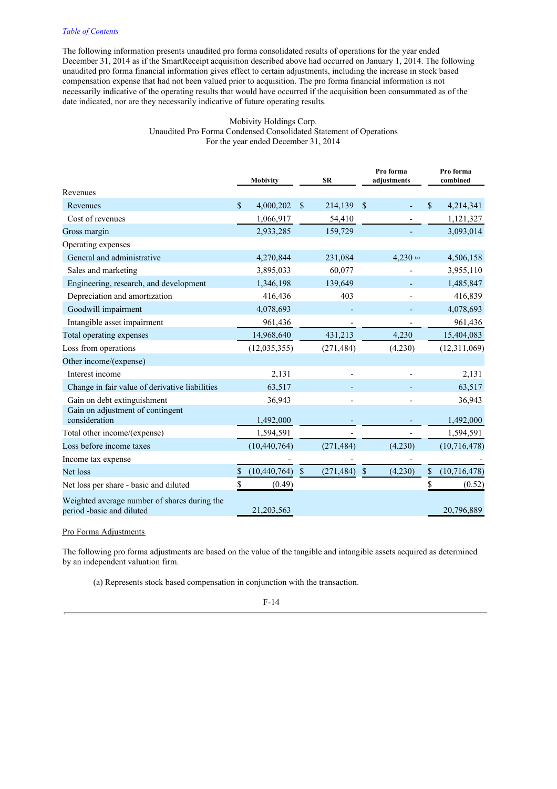The following information presents unaudited pro forma consolidated results of operations for the year ended December 31, 2014 as if the SmartReceipt acquisition described above had occurred on January 1, 2014. The following unaudited pro forma financial information gives effect to certain adjustments, including the increase in stock based compensation expense that had not been valued prior to acquisition. The pro forma financial information is not necessarily indicative of the operating results that would have occurred if the acquisition been consummated as of the date indicated, nor are they necessarily indicative of future operating results.

## Mobivity Holdings Corp. Unaudited Pro Forma Condensed Consolidated Statement of Operations For the year ended December 31, 2014

|                                                                           | Pro forma<br><b>SR</b><br><b>Mobivity</b><br>adjustments |                |                             | Pro forma<br>combined     |           |    |              |
|---------------------------------------------------------------------------|----------------------------------------------------------|----------------|-----------------------------|---------------------------|-----------|----|--------------|
| Revenues                                                                  |                                                          |                |                             |                           |           |    |              |
| Revenues                                                                  | $\mathbf{\$}$                                            | 4,000,202      | $\mathbb{S}$<br>214,139     | $\mathbb{S}$              |           | \$ | 4,214,341    |
| Cost of revenues                                                          |                                                          | 1,066,917      | 54,410                      |                           |           |    | 1,121,327    |
| Gross margin                                                              |                                                          | 2,933,285      | 159,729                     |                           |           |    | 3,093,014    |
| Operating expenses                                                        |                                                          |                |                             |                           |           |    |              |
| General and administrative                                                |                                                          | 4,270,844      | 231,084                     |                           | 4,230 (a) |    | 4,506,158    |
| Sales and marketing                                                       |                                                          | 3,895,033      | 60,077                      |                           |           |    | 3,955,110    |
| Engineering, research, and development                                    |                                                          | 1,346,198      | 139,649                     |                           |           |    | 1,485,847    |
| Depreciation and amortization                                             |                                                          | 416,436        | 403                         |                           |           |    | 416,839      |
| Goodwill impairment                                                       |                                                          | 4,078,693      |                             |                           |           |    | 4,078,693    |
| Intangible asset impairment                                               |                                                          | 961,436        |                             |                           |           |    | 961,436      |
| Total operating expenses                                                  |                                                          | 14,968,640     | 431,213                     |                           | 4,230     |    | 15,404,083   |
| Loss from operations                                                      |                                                          | (12, 035, 355) | (271, 484)                  |                           | (4,230)   |    | (12,311,069) |
| Other income/(expense)                                                    |                                                          |                |                             |                           |           |    |              |
| Interest income                                                           |                                                          | 2,131          | $\overline{\phantom{a}}$    |                           |           |    | 2,131        |
| Change in fair value of derivative liabilities                            |                                                          | 63,517         |                             |                           |           |    | 63,517       |
| Gain on debt extinguishment                                               |                                                          | 36,943         |                             |                           |           |    | 36,943       |
| Gain on adjustment of contingent<br>consideration                         |                                                          | 1,492,000      |                             |                           |           |    | 1,492,000    |
| Total other income/(expense)                                              |                                                          | 1,594,591      |                             |                           |           |    | 1,594,591    |
| Loss before income taxes                                                  |                                                          | (10, 440, 764) | (271, 484)                  |                           | (4,230)   |    | (10,716,478) |
| Income tax expense                                                        |                                                          |                |                             |                           |           |    |              |
| Net loss                                                                  | S                                                        | (10, 440, 764) | $\mathcal{S}$<br>(271, 484) | $\boldsymbol{\mathsf{S}}$ | (4,230)   | \$ | (10,716,478) |
|                                                                           | \$                                                       | (0.49)         |                             |                           |           | \$ | (0.52)       |
| Net loss per share - basic and diluted                                    |                                                          |                |                             |                           |           |    |              |
| Weighted average number of shares during the<br>period -basic and diluted |                                                          | 21,203,563     |                             |                           |           |    | 20,796,889   |

## Pro Forma Adjustments

The following pro forma adjustments are based on the value of the tangible and intangible assets acquired as determined by an independent valuation firm.

(a) Represents stock based compensation in conjunction with the transaction.

F-14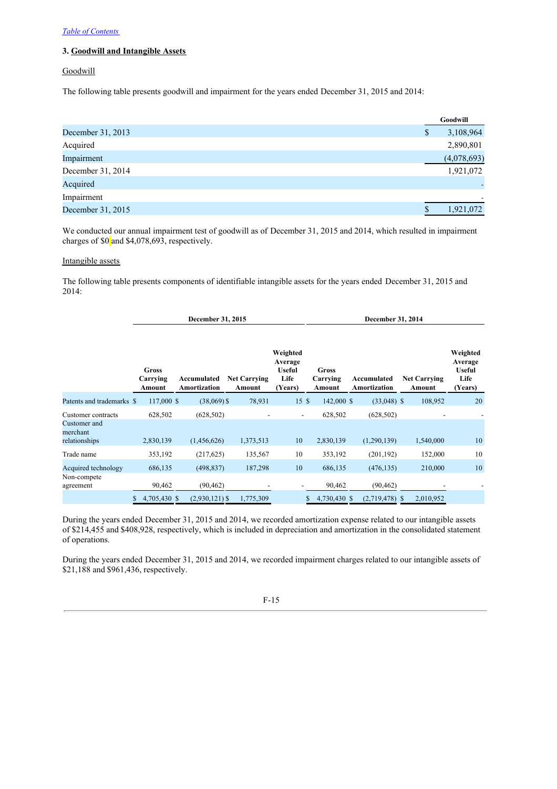# **3. Goodwill and Intangible Assets**

Goodwill

The following table presents goodwill and impairment for the years ended December 31, 2015 and 2014:

|                   | Goodwill        |
|-------------------|-----------------|
| December 31, 2013 | \$<br>3,108,964 |
| Acquired          | 2,890,801       |
| Impairment        | (4,078,693)     |
| December 31, 2014 | 1,921,072       |
| Acquired          |                 |
| Impairment        |                 |
| December 31, 2015 | 1,921,072       |

We conducted our annual impairment test of goodwill as of December 31, 2015 and 2014, which resulted in impairment charges of  $$0$  and  $$4,078,693$ , respectively.

## Intangible assets

The following table presents components of identifiable intangible assets for the years ended December 31, 2015 and 2014:

|                                           |                                    | December 31, 2015           |                               |                                                         | December 31, 2014                  |                             |                               |                                                         |  |  |
|-------------------------------------------|------------------------------------|-----------------------------|-------------------------------|---------------------------------------------------------|------------------------------------|-----------------------------|-------------------------------|---------------------------------------------------------|--|--|
|                                           | <b>Gross</b><br>Carrying<br>Amount | Accumulated<br>Amortization | <b>Net Carrying</b><br>Amount | Weighted<br>Average<br><b>Useful</b><br>Life<br>(Years) | <b>Gross</b><br>Carrying<br>Amount | Accumulated<br>Amortization | <b>Net Carrying</b><br>Amount | Weighted<br>Average<br><b>Useful</b><br>Life<br>(Years) |  |  |
| Patents and trademarks \$                 | 117,000 \$                         | $(38,069)$ \$               | 78,931                        | 15S                                                     | 142,000 \$                         | $(33,048)$ \$               | 108,952                       | 20                                                      |  |  |
| Customer contracts                        | 628,502                            | (628, 502)                  |                               | $\overline{\phantom{a}}$                                | 628,502                            | (628, 502)                  |                               |                                                         |  |  |
| Customer and<br>merchant<br>relationships | 2,830,139                          | (1,456,626)                 | 1,373,513                     | 10                                                      | 2,830,139                          | (1,290,139)                 | 1,540,000                     | 10                                                      |  |  |
|                                           |                                    |                             |                               |                                                         |                                    |                             |                               |                                                         |  |  |
| Trade name                                | 353,192                            | (217,625)                   | 135,567                       | 10                                                      | 353,192                            | (201, 192)                  | 152,000                       | 10                                                      |  |  |
| Acquired technology                       | 686,135                            | (498, 837)                  | 187,298                       | 10                                                      | 686,135                            | (476, 135)                  | 210,000                       | 10                                                      |  |  |
| Non-compete<br>agreement                  | 90,462                             | (90, 462)                   |                               |                                                         | 90,462                             | (90, 462)                   |                               |                                                         |  |  |
|                                           | 4.705.430 \$                       | $(2,930,121)$ \$            | 1,775,309                     | \$                                                      | 4,730,430 \$                       | $(2,719,478)$ \$            | 2,010,952                     |                                                         |  |  |

During the years ended December 31, 2015 and 2014, we recorded amortization expense related to our intangible assets of \$214,455 and \$408,928, respectively, which is included in depreciation and amortization in the consolidated statement of operations.

During the years ended December 31, 2015 and 2014, we recorded impairment charges related to our intangible assets of \$21,188 and \$961,436, respectively.

### F-15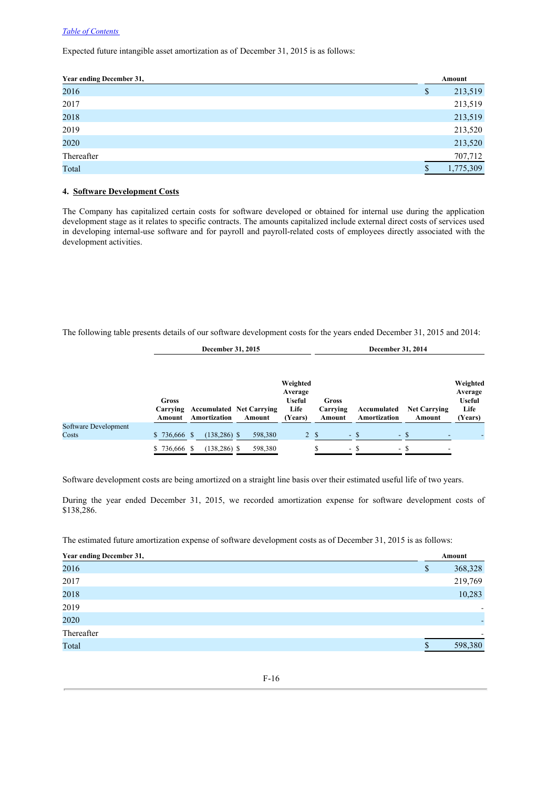Expected future intangible asset amortization as of December 31, 2015 is as follows:

| Year ending December 31, |   | Amount    |
|--------------------------|---|-----------|
| 2016                     | S | 213,519   |
| 2017                     |   | 213,519   |
| 2018                     |   | 213,519   |
| 2019                     |   | 213,520   |
| 2020                     |   | 213,520   |
| Thereafter               |   | 707,712   |
| Total                    | S | 1,775,309 |

### **4. Software Development Costs**

The Company has capitalized certain costs for software developed or obtained for internal use during the application development stage as it relates to specific contracts. The amounts capitalized include external direct costs of services used in developing internal-use software and for payroll and payroll-related costs of employees directly associated with the development activities.

The following table presents details of our software development costs for the years ended December 31, 2015 and 2014:

|                      |                             | December 31, 2015 |                                           |                                                         |                             | December 31, 2014           |                               |                                                         |
|----------------------|-----------------------------|-------------------|-------------------------------------------|---------------------------------------------------------|-----------------------------|-----------------------------|-------------------------------|---------------------------------------------------------|
|                      | Gross<br>Carrying<br>Amount | Amortization      | <b>Accumulated Net Carrying</b><br>Amount | Weighted<br>Average<br><b>Useful</b><br>Life<br>(Years) | Gross<br>Carrying<br>Amount | Accumulated<br>Amortization | <b>Net Carrying</b><br>Amount | Weighted<br>Average<br><b>Useful</b><br>Life<br>(Years) |
| Software Development |                             |                   |                                           |                                                         |                             |                             |                               |                                                         |
| Costs                | $$736,666$ \, $$$           | $(138, 286)$ \$   | 598,380                                   | $\overline{2}$                                          | <sup>\$</sup>               | - \$                        | $-$ \$                        |                                                         |
|                      | $$736,666$ \, $$$           | $(138, 286)$ \$   | 598,380                                   |                                                         |                             | - \$                        | - \$                          |                                                         |

Software development costs are being amortized on a straight line basis over their estimated useful life of two years.

During the year ended December 31, 2015, we recorded amortization expense for software development costs of \$138,286.

The estimated future amortization expense of software development costs as of December 31, 2015 is as follows:

| Year ending December 31, |    | Amount                   |
|--------------------------|----|--------------------------|
| 2016                     | \$ | 368,328                  |
| 2017                     |    | 219,769                  |
| 2018                     |    | 10,283                   |
| 2019                     |    | $\overline{\phantom{a}}$ |
| 2020                     |    | $\overline{\phantom{0}}$ |
| Thereafter               |    | $\overline{\phantom{a}}$ |
| Total                    | S  | 598,380                  |
|                          |    |                          |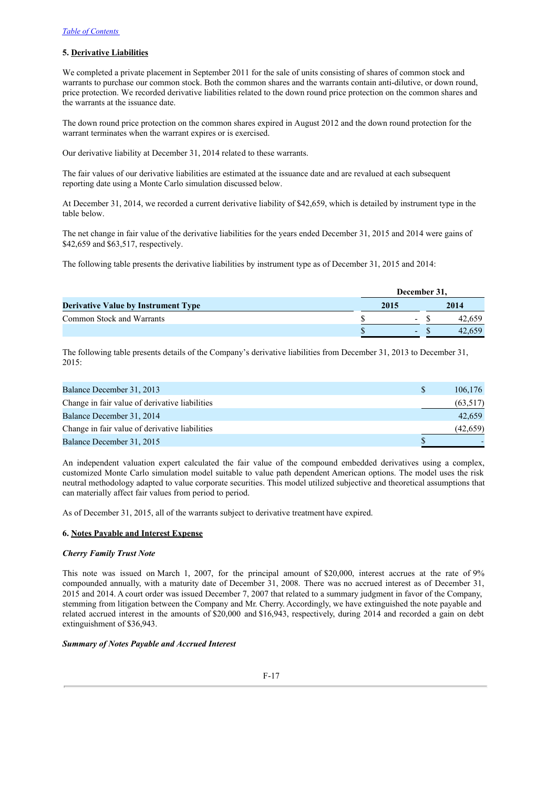## **5. Derivative Liabilities**

We completed a private placement in September 2011 for the sale of units consisting of shares of common stock and warrants to purchase our common stock. Both the common shares and the warrants contain anti-dilutive, or down round, price protection. We recorded derivative liabilities related to the down round price protection on the common shares and the warrants at the issuance date.

The down round price protection on the common shares expired in August 2012 and the down round protection for the warrant terminates when the warrant expires or is exercised.

Our derivative liability at December 31, 2014 related to these warrants.

The fair values of our derivative liabilities are estimated at the issuance date and are revalued at each subsequent reporting date using a Monte Carlo simulation discussed below.

At December 31, 2014, we recorded a current derivative liability of \$42,659, which is detailed by instrument type in the table below.

The net change in fair value of the derivative liabilities for the years ended December 31, 2015 and 2014 were gains of \$42,659 and \$63,517, respectively.

The following table presents the derivative liabilities by instrument type as of December 31, 2015 and 2014:

|                                            | December 31, |                          |  |      |  |  |
|--------------------------------------------|--------------|--------------------------|--|------|--|--|
| <b>Derivative Value by Instrument Type</b> |              | 2015                     |  | 2014 |  |  |
| Common Stock and Warrants                  |              | $\overline{\phantom{0}}$ |  |      |  |  |
|                                            |              | $\overline{\phantom{0}}$ |  |      |  |  |

The following table presents details of the Company's derivative liabilities from December 31, 2013 to December 31, 2015:

| Balance December 31, 2013                      | <sup>S</sup> | 106,176   |
|------------------------------------------------|--------------|-----------|
| Change in fair value of derivative liabilities |              | (63,517)  |
| Balance December 31, 2014                      |              | 42,659    |
| Change in fair value of derivative liabilities |              | (42, 659) |
| Balance December 31, 2015                      |              |           |

An independent valuation expert calculated the fair value of the compound embedded derivatives using a complex, customized Monte Carlo simulation model suitable to value path dependent American options. The model uses the risk neutral methodology adapted to value corporate securities. This model utilized subjective and theoretical assumptions that can materially affect fair values from period to period.

As of December 31, 2015, all of the warrants subject to derivative treatment have expired.

### **6. Notes Payable and Interest Expense**

### *Cherry Family Trust Note*

This note was issued on March 1, 2007, for the principal amount of \$20,000, interest accrues at the rate of 9% compounded annually, with a maturity date of December 31, 2008. There was no accrued interest as of December 31, 2015 and 2014. A court order was issued December 7, 2007 that related to a summary judgment in favor of the Company, stemming from litigation between the Company and Mr. Cherry. Accordingly, we have extinguished the note payable and related accrued interest in the amounts of \$20,000 and \$16,943, respectively, during 2014 and recorded a gain on debt extinguishment of \$36,943.

### *Summary of Notes Payable and Accrued Interest*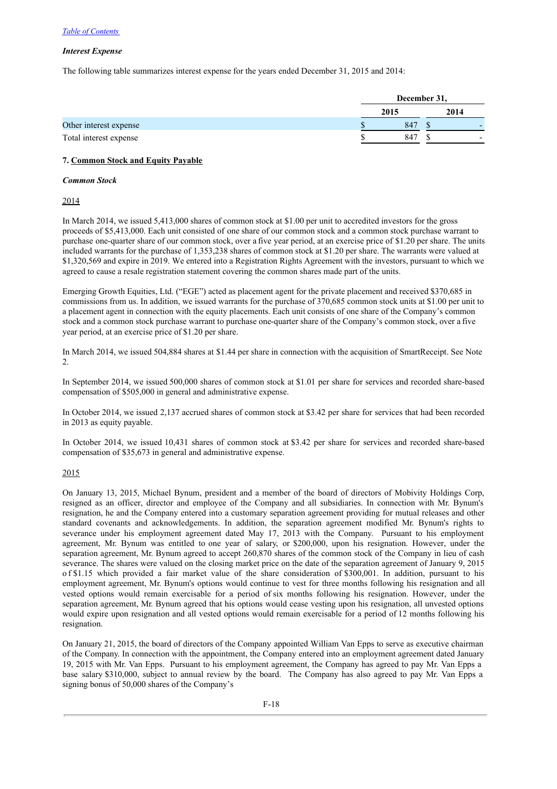### *Interest Expense*

The following table summarizes interest expense for the years ended December 31, 2015 and 2014:

|                        | December 31, |      |
|------------------------|--------------|------|
|                        | 2015         | 2014 |
| Other interest expense | 847          |      |
| Total interest expense | 847          |      |

## **7. Common Stock and Equity Payable**

#### *Common Stock*

## 2014

In March 2014, we issued 5,413,000 shares of common stock at \$1.00 per unit to accredited investors for the gross proceeds of \$5,413,000. Each unit consisted of one share of our common stock and a common stock purchase warrant to purchase one-quarter share of our common stock, over a five year period, at an exercise price of \$1.20 per share. The units included warrants for the purchase of 1,353,238 shares of common stock at \$1.20 per share. The warrants were valued at \$1,320,569 and expire in 2019. We entered into a Registration Rights Agreement with the investors, pursuant to which we agreed to cause a resale registration statement covering the common shares made part of the units.

Emerging Growth Equities, Ltd. ("EGE") acted as placement agent for the private placement and received \$370,685 in commissions from us. In addition, we issued warrants for the purchase of 370,685 common stock units at \$1.00 per unit to a placement agent in connection with the equity placements. Each unit consists of one share of the Company's common stock and a common stock purchase warrant to purchase one-quarter share of the Company's common stock, over a five year period, at an exercise price of \$1.20 per share.

In March 2014, we issued 504,884 shares at \$1.44 per share in connection with the acquisition of SmartReceipt. See Note 2.

In September 2014, we issued 500,000 shares of common stock at \$1.01 per share for services and recorded share-based compensation of \$505,000 in general and administrative expense.

In October 2014, we issued 2,137 accrued shares of common stock at \$3.42 per share for services that had been recorded in 2013 as equity payable.

In October 2014, we issued 10,431 shares of common stock at \$3.42 per share for services and recorded share-based compensation of \$35,673 in general and administrative expense.

### 2015

On January 13, 2015, Michael Bynum, president and a member of the board of directors of Mobivity Holdings Corp, resigned as an officer, director and employee of the Company and all subsidiaries. In connection with Mr. Bynum's resignation, he and the Company entered into a customary separation agreement providing for mutual releases and other standard covenants and acknowledgements. In addition, the separation agreement modified Mr. Bynum's rights to severance under his employment agreement dated May 17, 2013 with the Company. Pursuant to his employment agreement, Mr. Bynum was entitled to one year of salary, or \$200,000, upon his resignation. However, under the separation agreement, Mr. Bynum agreed to accept 260,870 shares of the common stock of the Company in lieu of cash severance. The shares were valued on the closing market price on the date of the separation agreement of January 9, 2015 of \$1.15 which provided a fair market value of the share consideration of \$300,001. In addition, pursuant to his employment agreement, Mr. Bynum's options would continue to vest for three months following his resignation and all vested options would remain exercisable for a period of six months following his resignation. However, under the separation agreement, Mr. Bynum agreed that his options would cease vesting upon his resignation, all unvested options would expire upon resignation and all vested options would remain exercisable for a period of 12 months following his resignation.

On January 21, 2015, the board of directors of the Company appointed William Van Epps to serve as executive chairman of the Company. In connection with the appointment, the Company entered into an employment agreement dated January 19, 2015 with Mr. Van Epps. Pursuant to his employment agreement, the Company has agreed to pay Mr. Van Epps a base salary \$310,000, subject to annual review by the board. The Company has also agreed to pay Mr. Van Epps a signing bonus of 50,000 shares of the Company's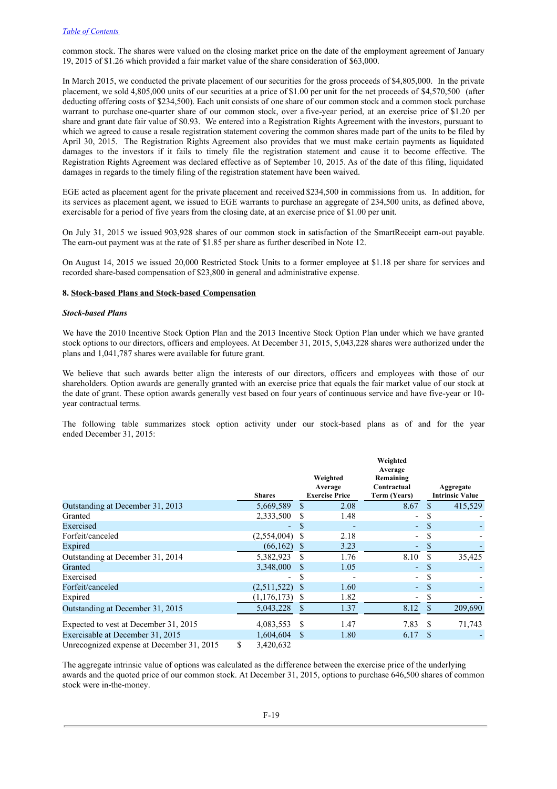common stock. The shares were valued on the closing market price on the date of the employment agreement of January 19, 2015 of \$1.26 which provided a fair market value of the share consideration of \$63,000.

In March 2015, we conducted the private placement of our securities for the gross proceeds of \$4,805,000. In the private placement, we sold 4,805,000 units of our securities at a price of \$1.00 per unit for the net proceeds of \$4,570,500 (after deducting offering costs of \$234,500). Each unit consists of one share of our common stock and a common stock purchase warrant to purchase one-quarter share of our common stock, over a five-year period, at an exercise price of \$1.20 per share and grant date fair value of \$0.93. We entered into a Registration Rights Agreement with the investors, pursuant to which we agreed to cause a resale registration statement covering the common shares made part of the units to be filed by April 30, 2015. The Registration Rights Agreement also provides that we must make certain payments as liquidated damages to the investors if it fails to timely file the registration statement and cause it to become effective. The Registration Rights Agreement was declared effective as of September 10, 2015. As of the date of this filing, liquidated damages in regards to the timely filing of the registration statement have been waived.

EGE acted as placement agent for the private placement and received \$234,500 in commissions from us. In addition, for its services as placement agent, we issued to EGE warrants to purchase an aggregate of 234,500 units, as defined above, exercisable for a period of five years from the closing date, at an exercise price of \$1.00 per unit.

On July 31, 2015 we issued 903,928 shares of our common stock in satisfaction of the SmartReceipt earn-out payable. The earn-out payment was at the rate of \$1.85 per share as further described in Note 12.

On August 14, 2015 we issued 20,000 Restricted Stock Units to a former employee at \$1.18 per share for services and recorded share-based compensation of \$23,800 in general and administrative expense.

### **8. Stock-based Plans and Stock-based Compensation**

#### *Stock-based Plans*

We have the 2010 Incentive Stock Option Plan and the 2013 Incentive Stock Option Plan under which we have granted stock options to our directors, officers and employees. At December 31, 2015, 5,043,228 shares were authorized under the plans and 1,041,787 shares were available for future grant.

We believe that such awards better align the interests of our directors, officers and employees with those of our shareholders. Option awards are generally granted with an exercise price that equals the fair market value of our stock at the date of grant. These option awards generally vest based on four years of continuous service and have five-year or 10 year contractual terms.

The following table summarizes stock option activity under our stock-based plans as of and for the year ended December 31, 2015:

|                                           | <b>Shares</b>   |              | Weighted<br>Average<br><b>Exercise Price</b> | Weighted<br>Average<br>Remaining<br>Contractual<br>Term (Years) |    | Aggregate<br><b>Intrinsic Value</b> |
|-------------------------------------------|-----------------|--------------|----------------------------------------------|-----------------------------------------------------------------|----|-------------------------------------|
| Outstanding at December 31, 2013          | 5,669,589       | S            | 2.08                                         | 8.67                                                            | \$ | 415,529                             |
| Granted                                   | 2,333,500       | \$           | 1.48                                         |                                                                 |    |                                     |
| Exercised                                 |                 | S            |                                              | ٠                                                               | S  |                                     |
| Forfeit/canceled                          | (2,554,004)     | S            | 2.18                                         | $\overline{\phantom{a}}$                                        | S  |                                     |
| Expired                                   | (66, 162)       | <sup>S</sup> | 3.23                                         |                                                                 | S  |                                     |
| Outstanding at December 31, 2014          | 5,382,923       | S            | 1.76                                         | 8.10                                                            | \$ | 35,425                              |
| Granted                                   | 3,348,000       | \$.          | 1.05                                         | $\overline{a}$                                                  |    |                                     |
| Exercised                                 |                 | S            |                                              | $\overline{\phantom{a}}$                                        |    |                                     |
| Forfeit/canceled                          | (2,511,522)     | S            | 1.60                                         | ٠                                                               |    |                                     |
| Expired                                   | (1, 176, 173)   | S            | 1.82                                         | ٠                                                               | S  |                                     |
| Outstanding at December 31, 2015          | 5,043,228       | \$           | 1.37                                         | 8.12                                                            | \$ | 209,690                             |
| Expected to vest at December 31, 2015     | 4,083,553       | S            | 1.47                                         | 7.83                                                            | S  | 71,743                              |
| Exercisable at December 31, 2015          | 1,604,604       | S            | 1.80                                         | 6.17                                                            | -S |                                     |
| Unrecognized expense at December 31, 2015 | \$<br>3,420,632 |              |                                              |                                                                 |    |                                     |

The aggregate intrinsic value of options was calculated as the difference between the exercise price of the underlying awards and the quoted price of our common stock. At December 31, 2015, options to purchase 646,500 shares of common stock were in-the-money.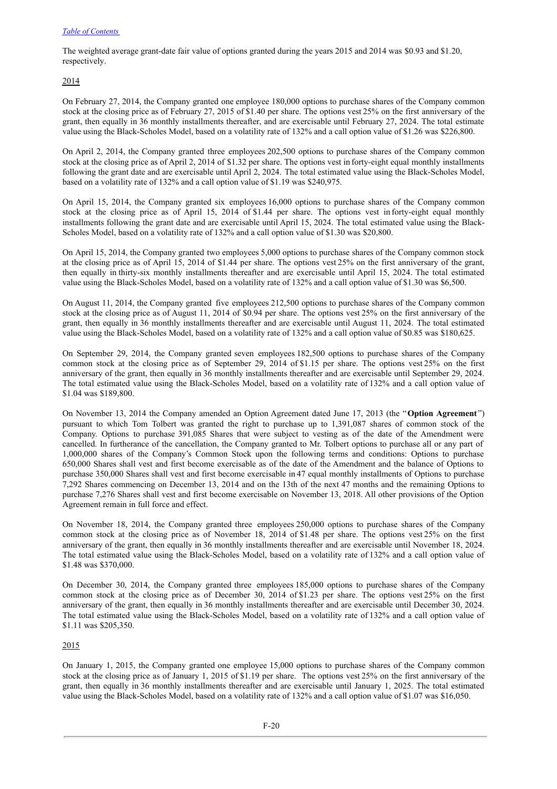The weighted average grant-date fair value of options granted during the years 2015 and 2014 was \$0.93 and \$1.20, respectively.

## 2014

On February 27, 2014, the Company granted one employee 180,000 options to purchase shares of the Company common stock at the closing price as of February 27, 2015 of \$1.40 per share. The options vest25% on the first anniversary of the grant, then equally in 36 monthly installments thereafter, and are exercisable until February 27, 2024. The total estimate value using the Black-Scholes Model, based on a volatility rate of 132% and a call option value of \$1.26 was \$226,800.

On April 2, 2014, the Company granted three employees 202,500 options to purchase shares of the Company common stock at the closing price as of April 2, 2014 of \$1.32 per share. The options vest inforty-eight equal monthly installments following the grant date and are exercisable until April 2, 2024. The total estimated value using the Black-Scholes Model, based on a volatility rate of 132% and a call option value of \$1.19 was \$240,975.

On April 15, 2014, the Company granted six employees 16,000 options to purchase shares of the Company common stock at the closing price as of April 15, 2014 of \$1.44 per share. The options vest inforty-eight equal monthly installments following the grant date and are exercisable until April 15, 2024. The total estimated value using the Black-Scholes Model, based on a volatility rate of 132% and a call option value of \$1.30 was \$20,800.

On April 15, 2014, the Company granted two employees 5,000 options to purchase shares of the Company common stock at the closing price as of April 15, 2014 of \$1.44 per share. The options vest25% on the first anniversary of the grant, then equally in thirty-six monthly installments thereafter and are exercisable until April 15, 2024. The total estimated value using the Black-Scholes Model, based on a volatility rate of 132% and a call option value of \$1.30 was \$6,500.

On August 11, 2014, the Company granted five employees 212,500 options to purchase shares of the Company common stock at the closing price as of August 11, 2014 of \$0.94 per share. The options vest25% on the first anniversary of the grant, then equally in 36 monthly installments thereafter and are exercisable until August 11, 2024. The total estimated value using the Black-Scholes Model, based on a volatility rate of 132% and a call option value of \$0.85 was \$180,625.

On September 29, 2014, the Company granted seven employees 182,500 options to purchase shares of the Company common stock at the closing price as of September 29, 2014 of \$1.15 per share. The options vest25% on the first anniversary of the grant, then equally in 36 monthly installments thereafter and are exercisable until September 29, 2024. The total estimated value using the Black-Scholes Model, based on a volatility rate of 132% and a call option value of \$1.04 was \$189,800.

On November 13, 2014 the Company amended an Option Agreement dated June 17, 2013 (the "**Option Agreement** ") pursuant to which Tom Tolbert was granted the right to purchase up to 1,391,087 shares of common stock of the Company. Options to purchase 391,085 Shares that were subject to vesting as of the date of the Amendment were cancelled. In furtherance of the cancellation, the Company granted to Mr. Tolbert options to purchase all or any part of 1,000,000 shares of the Company's Common Stock upon the following terms and conditions: Options to purchase 650,000 Shares shall vest and first become exercisable as of the date of the Amendment and the balance of Options to purchase 350,000 Shares shall vest and first become exercisable in47 equal monthly installments of Options to purchase 7,292 Shares commencing on December 13, 2014 and on the 13th of the next 47 months and the remaining Options to purchase 7,276 Shares shall vest and first become exercisable on November 13, 2018. All other provisions of the Option Agreement remain in full force and effect.

On November 18, 2014, the Company granted three employees 250,000 options to purchase shares of the Company common stock at the closing price as of November 18, 2014 of \$1.48 per share. The options vest25% on the first anniversary of the grant, then equally in 36 monthly installments thereafter and are exercisable until November 18, 2024. The total estimated value using the Black-Scholes Model, based on a volatility rate of 132% and a call option value of \$1.48 was \$370,000.

On December 30, 2014, the Company granted three employees 185,000 options to purchase shares of the Company common stock at the closing price as of December 30, 2014 of \$1.23 per share. The options vest25% on the first anniversary of the grant, then equally in 36 monthly installments thereafter and are exercisable until December 30, 2024. The total estimated value using the Black-Scholes Model, based on a volatility rate of 132% and a call option value of \$1.11 was \$205,350.

## 2015

On January 1, 2015, the Company granted one employee 15,000 options to purchase shares of the Company common stock at the closing price as of January 1, 2015 of \$1.19 per share. The options vest 25% on the first anniversary of the grant, then equally in 36 monthly installments thereafter and are exercisable until January 1, 2025. The total estimated value using the Black-Scholes Model, based on a volatility rate of 132% and a call option value of \$1.07 was \$16,050.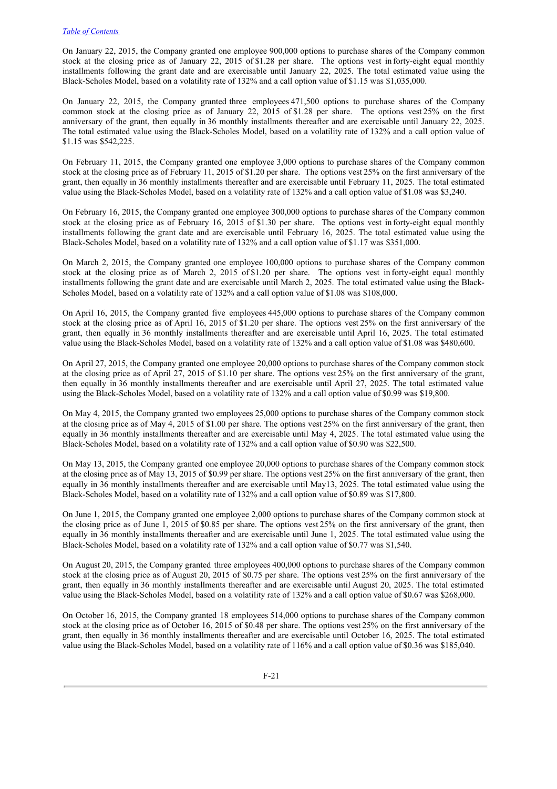On January 22, 2015, the Company granted one employee 900,000 options to purchase shares of the Company common stock at the closing price as of January 22, 2015 of \$1.28 per share. The options vest inforty-eight equal monthly installments following the grant date and are exercisable until January 22, 2025. The total estimated value using the Black-Scholes Model, based on a volatility rate of 132% and a call option value of \$1.15 was \$1,035,000.

On January 22, 2015, the Company granted three employees 471,500 options to purchase shares of the Company common stock at the closing price as of January 22, 2015 of \$1.28 per share. The options vest25% on the first anniversary of the grant, then equally in 36 monthly installments thereafter and are exercisable until January 22, 2025. The total estimated value using the Black-Scholes Model, based on a volatility rate of 132% and a call option value of \$1.15 was \$542,225.

On February 11, 2015, the Company granted one employee 3,000 options to purchase shares of the Company common stock at the closing price as of February 11, 2015 of \$1.20 per share. The options vest 25% on the first anniversary of the grant, then equally in 36 monthly installments thereafter and are exercisable until February 11, 2025. The total estimated value using the Black-Scholes Model, based on a volatility rate of 132% and a call option value of \$1.08 was \$3,240.

On February 16, 2015, the Company granted one employee 300,000 options to purchase shares of the Company common stock at the closing price as of February 16, 2015 of \$1.30 per share. The options vest inforty-eight equal monthly installments following the grant date and are exercisable until February 16, 2025. The total estimated value using the Black-Scholes Model, based on a volatility rate of 132% and a call option value of \$1.17 was \$351,000.

On March 2, 2015, the Company granted one employee 100,000 options to purchase shares of the Company common stock at the closing price as of March 2, 2015 of \$1.20 per share. The options vest inforty-eight equal monthly installments following the grant date and are exercisable until March 2, 2025. The total estimated value using the Black-Scholes Model, based on a volatility rate of 132% and a call option value of \$1.08 was \$108,000.

On April 16, 2015, the Company granted five employees 445,000 options to purchase shares of the Company common stock at the closing price as of April 16, 2015 of \$1.20 per share. The options vest25% on the first anniversary of the grant, then equally in 36 monthly installments thereafter and are exercisable until April 16, 2025. The total estimated value using the Black-Scholes Model, based on a volatility rate of 132% and a call option value of \$1.08 was \$480,600.

On April 27, 2015, the Company granted one employee 20,000 options to purchase shares of the Company common stock at the closing price as of April 27, 2015 of \$1.10 per share. The options vest25% on the first anniversary of the grant, then equally in 36 monthly installments thereafter and are exercisable until April 27, 2025. The total estimated value using the Black-Scholes Model, based on a volatility rate of 132% and a call option value of \$0.99 was \$19,800.

On May 4, 2015, the Company granted two employees 25,000 options to purchase shares of the Company common stock at the closing price as of May 4, 2015 of \$1.00 per share. The options vest25% on the first anniversary of the grant, then equally in 36 monthly installments thereafter and are exercisable until May 4, 2025. The total estimated value using the Black-Scholes Model, based on a volatility rate of 132% and a call option value of \$0.90 was \$22,500.

On May 13, 2015, the Company granted one employee 20,000 options to purchase shares of the Company common stock at the closing price as of May 13, 2015 of \$0.99 per share. The options vest25% on the first anniversary of the grant, then equally in 36 monthly installments thereafter and are exercisable until May13, 2025. The total estimated value using the Black-Scholes Model, based on a volatility rate of 132% and a call option value of \$0.89 was \$17,800.

On June 1, 2015, the Company granted one employee 2,000 options to purchase shares of the Company common stock at the closing price as of June 1, 2015 of \$0.85 per share. The options vest25% on the first anniversary of the grant, then equally in 36 monthly installments thereafter and are exercisable until June 1, 2025. The total estimated value using the Black-Scholes Model, based on a volatility rate of 132% and a call option value of \$0.77 was \$1,540.

On August 20, 2015, the Company granted three employees 400,000 options to purchase shares of the Company common stock at the closing price as of August 20, 2015 of \$0.75 per share. The options vest25% on the first anniversary of the grant, then equally in 36 monthly installments thereafter and are exercisable until August 20, 2025. The total estimated value using the Black-Scholes Model, based on a volatility rate of 132% and a call option value of \$0.67 was \$268,000.

On October 16, 2015, the Company granted 18 employees 514,000 options to purchase shares of the Company common stock at the closing price as of October 16, 2015 of \$0.48 per share. The options vest25% on the first anniversary of the grant, then equally in 36 monthly installments thereafter and are exercisable until October 16, 2025. The total estimated value using the Black-Scholes Model, based on a volatility rate of 116% and a call option value of \$0.36 was \$185,040.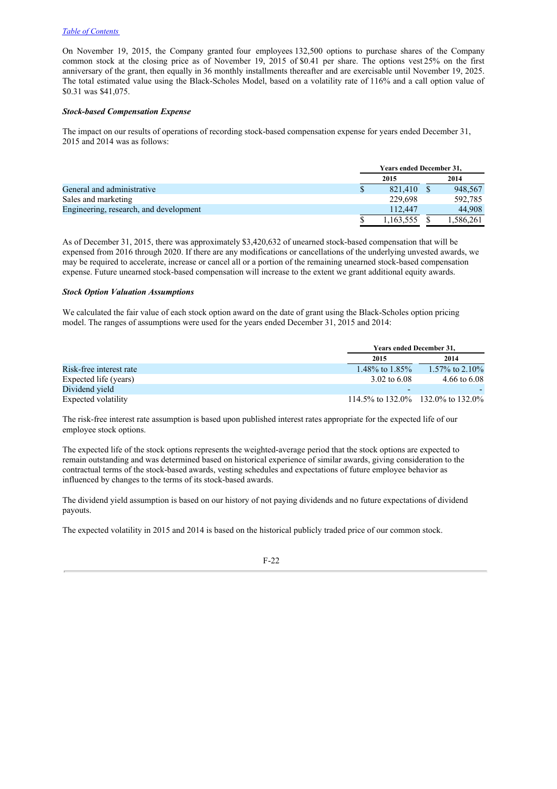On November 19, 2015, the Company granted four employees 132,500 options to purchase shares of the Company common stock at the closing price as of November 19, 2015 of \$0.41 per share. The options vest25% on the first anniversary of the grant, then equally in 36 monthly installments thereafter and are exercisable until November 19, 2025. The total estimated value using the Black-Scholes Model, based on a volatility rate of 116% and a call option value of \$0.31 was \$41,075.

### *Stock-based Compensation Expense*

The impact on our results of operations of recording stock-based compensation expense for years ended December 31, 2015 and 2014 was as follows:

|                                        | Years ended December 31, |  |           |  |  |
|----------------------------------------|--------------------------|--|-----------|--|--|
|                                        | 2015                     |  | 2014      |  |  |
| General and administrative             | 821.410                  |  | 948.567   |  |  |
| Sales and marketing                    | 229,698                  |  | 592,785   |  |  |
| Engineering, research, and development | 112.447                  |  | 44,908    |  |  |
|                                        | 1.163.555                |  | 1,586,261 |  |  |

As of December 31, 2015, there was approximately \$3,420,632 of unearned stock-based compensation that will be expensed from 2016 through 2020. If there are any modifications or cancellations of the underlying unvested awards, we may be required to accelerate, increase or cancel all or a portion of the remaining unearned stock-based compensation expense. Future unearned stock-based compensation will increase to the extent we grant additional equity awards.

### *Stock Option Valuation Assumptions*

We calculated the fair value of each stock option award on the date of grant using the Black-Scholes option pricing model. The ranges of assumptions were used for the years ended December 31, 2015 and 2014:

|                         | Years ended December 31,          |                  |
|-------------------------|-----------------------------------|------------------|
|                         | 2015                              | 2014             |
| Risk-free interest rate | 1.48\% to 1.85\%                  | 1.57\% to 2.10\% |
| Expected life (years)   | 3.02 to 6.08                      | 4.66 to 6.08     |
| Dividend yield          | $\overline{\phantom{0}}$          |                  |
| Expected volatility     | 114.5% to 132.0% 132.0% to 132.0% |                  |

The risk-free interest rate assumption is based upon published interest rates appropriate for the expected life of our employee stock options.

The expected life of the stock options represents the weighted-average period that the stock options are expected to remain outstanding and was determined based on historical experience of similar awards, giving consideration to the contractual terms of the stock-based awards, vesting schedules and expectations of future employee behavior as influenced by changes to the terms of its stock-based awards.

The dividend yield assumption is based on our history of not paying dividends and no future expectations of dividend payouts.

The expected volatility in 2015 and 2014 is based on the historical publicly traded price of our common stock.

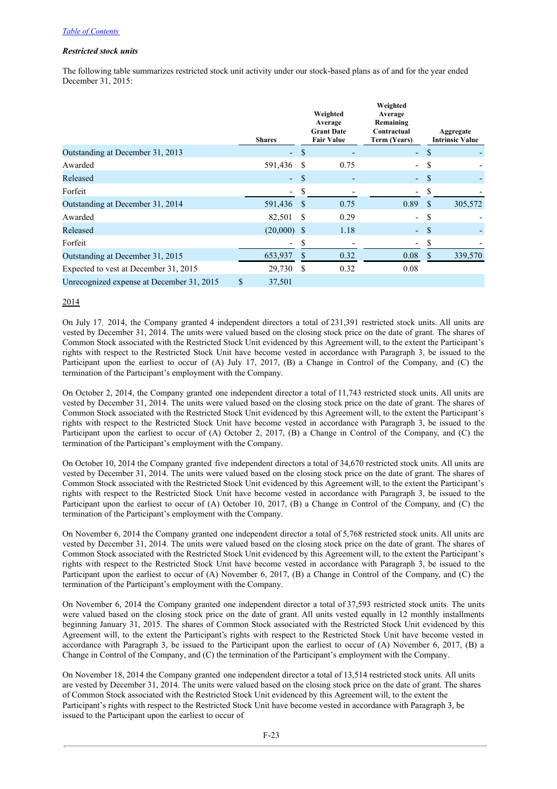### *Restricted stock units*

The following table summarizes restricted stock unit activity under our stock-based plans as of and for the year ended December 31, 2015:

|                                           | <b>Shares</b>            |     | Weighted<br>Average<br><b>Grant Date</b><br><b>Fair Value</b> | Weighted<br>Average<br>Remaining<br>Contractual<br>Term (Years) |               | Aggregate<br><b>Intrinsic Value</b> |
|-------------------------------------------|--------------------------|-----|---------------------------------------------------------------|-----------------------------------------------------------------|---------------|-------------------------------------|
| Outstanding at December 31, 2013          | $\overline{\phantom{a}}$ | \$  |                                                               | ٠                                                               | \$            |                                     |
| Awarded                                   | 591,436                  | S   | 0.75                                                          | $\overline{\phantom{0}}$                                        | \$            |                                     |
| Released                                  | $\blacksquare$           | \$  |                                                               | $\sim$                                                          | \$            |                                     |
| Forfeit                                   | $\overline{\phantom{a}}$ | \$  |                                                               | -                                                               | S             |                                     |
| Outstanding at December 31, 2014          | 591,436                  | -S  | 0.75                                                          | 0.89                                                            | <sup>\$</sup> | 305,572                             |
| Awarded                                   | 82,501                   | \$. | 0.29                                                          | $\overline{\phantom{0}}$                                        | \$            |                                     |
| Released                                  | $(20,000)$ \$            |     | 1.18                                                          | $\sim$                                                          | S             |                                     |
| Forfeit                                   | $\overline{\phantom{a}}$ | S   |                                                               | $\overline{\phantom{a}}$                                        | \$            |                                     |
| Outstanding at December 31, 2015          | 653,937                  | S   | 0.32                                                          | 0.08                                                            | S             | 339,570                             |
| Expected to vest at December 31, 2015     | 29,730                   | \$. | 0.32                                                          | 0.08                                                            |               |                                     |
| Unrecognized expense at December 31, 2015 | \$<br>37,501             |     |                                                               |                                                                 |               |                                     |

## 2014

On July 17, 2014, the Company granted 4 independent directors a total of 231,391 restricted stock units. All units are vested by December 31, 2014. The units were valued based on the closing stock price on the date of grant. The shares of Common Stock associated with the Restricted Stock Unit evidenced by this Agreement will, to the extent the Participant's rights with respect to the Restricted Stock Unit have become vested in accordance with Paragraph 3, be issued to the Participant upon the earliest to occur of (A) July 17, 2017, (B) a Change in Control of the Company, and (C) the termination of the Participant's employment with the Company.

On October 2, 2014, the Company granted one independent director a total of 11,743 restricted stock units. All units are vested by December 31, 2014. The units were valued based on the closing stock price on the date of grant. The shares of Common Stock associated with the Restricted Stock Unit evidenced by this Agreement will, to the extent the Participant's rights with respect to the Restricted Stock Unit have become vested in accordance with Paragraph 3, be issued to the Participant upon the earliest to occur of (A) October 2, 2017, (B) a Change in Control of the Company, and (C) the termination of the Participant's employment with the Company.

On October 10, 2014 the Company granted five independent directors a total of 34,670 restricted stock units. All units are vested by December 31, 2014. The units were valued based on the closing stock price on the date of grant. The shares of Common Stock associated with the Restricted Stock Unit evidenced by this Agreement will, to the extent the Participant's rights with respect to the Restricted Stock Unit have become vested in accordance with Paragraph 3, be issued to the Participant upon the earliest to occur of (A) October 10, 2017, (B) a Change in Control of the Company, and (C) the termination of the Participant's employment with the Company.

On November 6, 2014 the Company granted one independent director a total of 5,768 restricted stock units. All units are vested by December 31, 2014. The units were valued based on the closing stock price on the date of grant. The shares of Common Stock associated with the Restricted Stock Unit evidenced by this Agreement will, to the extent the Participant's rights with respect to the Restricted Stock Unit have become vested in accordance with Paragraph 3, be issued to the Participant upon the earliest to occur of (A) November 6, 2017, (B) a Change in Control of the Company, and (C) the termination of the Participant's employment with the Company.

On November 6, 2014 the Company granted one independent director a total of 37,593 restricted stock units. The units were valued based on the closing stock price on the date of grant. All units vested equally in 12 monthly installments beginning January 31, 2015. The shares of Common Stock associated with the Restricted Stock Unit evidenced by this Agreement will, to the extent the Participant's rights with respect to the Restricted Stock Unit have become vested in accordance with Paragraph 3, be issued to the Participant upon the earliest to occur of (A) November 6, 2017, (B) a Change in Control of the Company, and (C) the termination of the Participant's employment with the Company.

On November 18, 2014 the Company granted one independent director a total of 13,514 restricted stock units. All units are vested by December 31, 2014. The units were valued based on the closing stock price on the date of grant. The shares of Common Stock associated with the Restricted Stock Unit evidenced by this Agreement will, to the extent the Participant's rights with respect to the Restricted Stock Unit have become vested in accordance with Paragraph 3, be issued to the Participant upon the earliest to occur of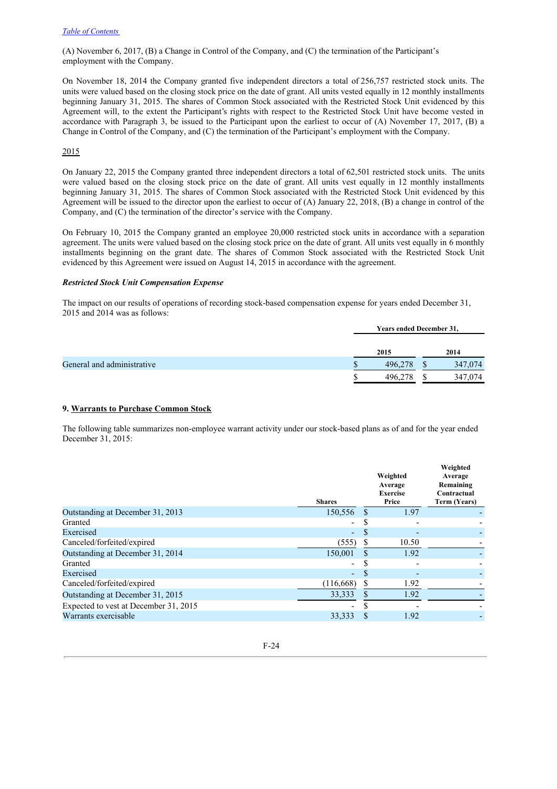(A) November 6, 2017, (B) a Change in Control of the Company, and (C) the termination of the Participant's employment with the Company.

On November 18, 2014 the Company granted five independent directors a total of 256,757 restricted stock units. The units were valued based on the closing stock price on the date of grant. All units vested equally in 12 monthly installments beginning January 31, 2015. The shares of Common Stock associated with the Restricted Stock Unit evidenced by this Agreement will, to the extent the Participant's rights with respect to the Restricted Stock Unit have become vested in accordance with Paragraph 3, be issued to the Participant upon the earliest to occur of (A) November 17, 2017, (B) a Change in Control of the Company, and (C) the termination of the Participant's employment with the Company.

### 2015

On January 22, 2015 the Company granted three independent directors a total of 62,501 restricted stock units. The units were valued based on the closing stock price on the date of grant. All units vest equally in 12 monthly installments beginning January 31, 2015. The shares of Common Stock associated with the Restricted Stock Unit evidenced by this Agreement will be issued to the director upon the earliest to occur of (A) January 22, 2018, (B) a change in control of the Company, and (C) the termination of the director's service with the Company.

On February 10, 2015 the Company granted an employee 20,000 restricted stock units in accordance with a separation agreement. The units were valued based on the closing stock price on the date of grant. All units vest equally in 6 monthly installments beginning on the grant date. The shares of Common Stock associated with the Restricted Stock Unit evidenced by this Agreement were issued on August 14, 2015 in accordance with the agreement.

#### *Restricted Stock Unit Compensation Expense*

The impact on our results of operations of recording stock-based compensation expense for years ended December 31, 2015 and 2014 was as follows:

|                            | Years ended December 31, |  |         |  |  |
|----------------------------|--------------------------|--|---------|--|--|
|                            | 2015                     |  | 2014    |  |  |
| General and administrative | 496,278                  |  | 347,074 |  |  |
|                            | 496,278                  |  | 347,074 |  |  |

### **9. Warrants to Purchase Common Stock**

The following table summarizes non-employee warrant activity under our stock-based plans as of and for the year ended December 31, 2015:

|                                       | <b>Shares</b>            |     | Weighted<br>Average<br><b>Exercise</b><br>Price | Weighted<br>Average<br>Remaining<br>Contractual<br>Term (Years) |
|---------------------------------------|--------------------------|-----|-------------------------------------------------|-----------------------------------------------------------------|
| Outstanding at December 31, 2013      | 150,556                  | \$. | 1.97                                            |                                                                 |
| Granted                               | ٠                        | S   |                                                 |                                                                 |
| Exercised                             | ٠                        | S   |                                                 |                                                                 |
| Canceled/forfeited/expired            | (555)                    | S   | 10.50                                           |                                                                 |
| Outstanding at December 31, 2014      | 150,001                  | \$  | 1.92                                            |                                                                 |
| Granted                               | $\overline{\phantom{0}}$ |     |                                                 |                                                                 |
| Exercised                             | ٠                        | S   |                                                 |                                                                 |
| Canceled/forfeited/expired            | (116, 668)               |     | 1.92                                            |                                                                 |
| Outstanding at December 31, 2015      | 33,333                   |     | 1.92                                            |                                                                 |
| Expected to vest at December 31, 2015 | $\overline{\phantom{0}}$ |     |                                                 |                                                                 |
| Warrants exercisable                  | 33.333                   |     | 1.92                                            |                                                                 |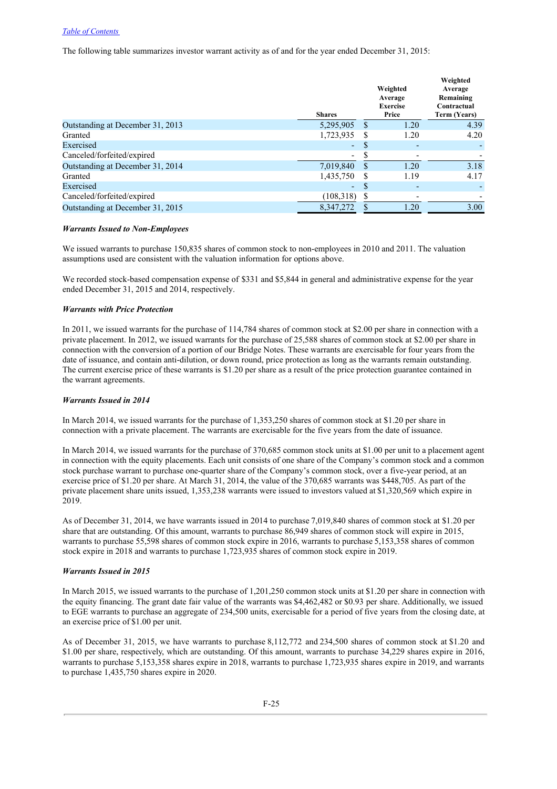The following table summarizes investor warrant activity as of and for the year ended December 31, 2015:

|                                  | <b>Shares</b>            |               | Weighted<br>Average<br><b>Exercise</b><br>Price | Weighted<br>Average<br>Remaining<br>Contractual<br>Term (Years) |
|----------------------------------|--------------------------|---------------|-------------------------------------------------|-----------------------------------------------------------------|
| Outstanding at December 31, 2013 | 5,295,905                | \$            | 1.20                                            | 4.39                                                            |
| Granted                          | 1,723,935                | \$            | 1.20                                            | 4.20                                                            |
| Exercised                        | Ξ.                       | <sup>\$</sup> |                                                 |                                                                 |
| Canceled/forfeited/expired       | $\overline{\phantom{a}}$ |               |                                                 |                                                                 |
| Outstanding at December 31, 2014 | 7,019,840                | \$            | .20                                             | 3.18                                                            |
| Granted                          | 1,435,750                | \$.           | 1.19                                            | 4.17                                                            |
| Exercised                        | ۰.                       | S             | -                                               |                                                                 |
| Canceled/forfeited/expired       | (108, 318)               | \$            |                                                 |                                                                 |
| Outstanding at December 31, 2015 | 8,347,272                |               | 1.20                                            | 3.00                                                            |

### *Warrants Issued to Non-Employees*

We issued warrants to purchase 150,835 shares of common stock to non-employees in 2010 and 2011. The valuation assumptions used are consistent with the valuation information for options above.

We recorded stock-based compensation expense of \$331 and \$5,844 in general and administrative expense for the year ended December 31, 2015 and 2014, respectively.

## *Warrants with Price Protection*

In 2011, we issued warrants for the purchase of 114,784 shares of common stock at \$2.00 per share in connection with a private placement. In 2012, we issued warrants for the purchase of 25,588 shares of common stock at \$2.00 per share in connection with the conversion of a portion of our Bridge Notes. These warrants are exercisable for four years from the date of issuance, and contain anti-dilution, or down round, price protection as long as the warrants remain outstanding. The current exercise price of these warrants is \$1.20 per share as a result of the price protection guarantee contained in the warrant agreements.

### *Warrants Issued in 2014*

In March 2014, we issued warrants for the purchase of 1,353,250 shares of common stock at \$1.20 per share in connection with a private placement. The warrants are exercisable for the five years from the date of issuance.

In March 2014, we issued warrants for the purchase of 370,685 common stock units at \$1.00 per unit to a placement agent in connection with the equity placements. Each unit consists of one share of the Company's common stock and a common stock purchase warrant to purchase one-quarter share of the Company's common stock, over a five-year period, at an exercise price of \$1.20 per share. At March 31, 2014, the value of the 370,685 warrants was \$448,705. As part of the private placement share units issued, 1,353,238 warrants were issued to investors valued at \$1,320,569 which expire in 2019.

As of December 31, 2014, we have warrants issued in 2014 to purchase 7,019,840 shares of common stock at \$1.20 per share that are outstanding. Of this amount, warrants to purchase 86,949 shares of common stock will expire in 2015, warrants to purchase 55,598 shares of common stock expire in 2016, warrants to purchase 5,153,358 shares of common stock expire in 2018 and warrants to purchase 1,723,935 shares of common stock expire in 2019.

### *Warrants Issued in 2015*

In March 2015, we issued warrants to the purchase of 1,201,250 common stock units at \$1.20 per share in connection with the equity financing. The grant date fair value of the warrants was \$4,462,482 or \$0.93 per share. Additionally, we issued to EGE warrants to purchase an aggregate of 234,500 units, exercisable for a period of five years from the closing date, at an exercise price of \$1.00 per unit.

As of December 31, 2015, we have warrants to purchase 8,112,772 and 234,500 shares of common stock at \$1.20 and \$1.00 per share, respectively, which are outstanding. Of this amount, warrants to purchase 34,229 shares expire in 2016, warrants to purchase 5,153,358 shares expire in 2018, warrants to purchase 1,723,935 shares expire in 2019, and warrants to purchase 1,435,750 shares expire in 2020.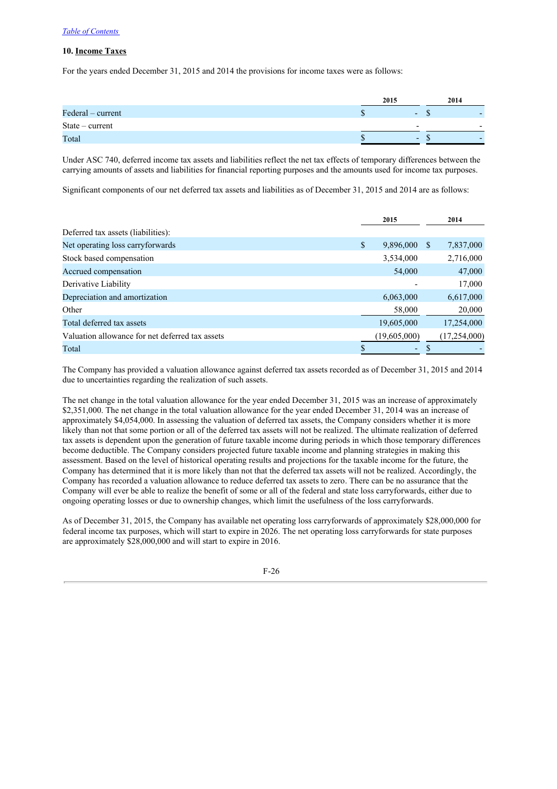### **10. Income Taxes**

For the years ended December 31, 2015 and 2014 the provisions for income taxes were as follows:

|                   | 2015 |   | 2014 |                          |
|-------------------|------|---|------|--------------------------|
| Federal – current |      | - |      | $\overline{\phantom{0}}$ |
| $State$ – current |      | - |      | $\overline{\phantom{0}}$ |
| Total             |      | - |      |                          |

Under ASC 740, deferred income tax assets and liabilities reflect the net tax effects of temporary differences between the carrying amounts of assets and liabilities for financial reporting purposes and the amounts used for income tax purposes.

Significant components of our net deferred tax assets and liabilities as of December 31, 2015 and 2014 are as follows:

|                                                 | 2015            |    | 2014         |
|-------------------------------------------------|-----------------|----|--------------|
| Deferred tax assets (liabilities):              |                 |    |              |
| Net operating loss carryforwards                | \$<br>9,896,000 | -S | 7,837,000    |
| Stock based compensation                        | 3,534,000       |    | 2,716,000    |
| Accrued compensation                            | 54,000          |    | 47,000       |
| Derivative Liability                            |                 |    | 17,000       |
| Depreciation and amortization                   | 6,063,000       |    | 6,617,000    |
| Other                                           | 58,000          |    | 20,000       |
| Total deferred tax assets                       | 19,605,000      |    | 17,254,000   |
| Valuation allowance for net deferred tax assets | (19,605,000)    |    | (17,254,000) |
| Total                                           | ٠               |    |              |

The Company has provided a valuation allowance against deferred tax assets recorded as of December 31, 2015 and 2014 due to uncertainties regarding the realization of such assets.

The net change in the total valuation allowance for the year ended December 31, 2015 was an increase of approximately \$2,351,000. The net change in the total valuation allowance for the year ended December 31, 2014 was an increase of approximately \$4,054,000. In assessing the valuation of deferred tax assets, the Company considers whether it is more likely than not that some portion or all of the deferred tax assets will not be realized. The ultimate realization of deferred tax assets is dependent upon the generation of future taxable income during periods in which those temporary differences become deductible. The Company considers projected future taxable income and planning strategies in making this assessment. Based on the level of historical operating results and projections for the taxable income for the future, the Company has determined that it is more likely than not that the deferred tax assets will not be realized. Accordingly, the Company has recorded a valuation allowance to reduce deferred tax assets to zero. There can be no assurance that the Company will ever be able to realize the benefit of some or all of the federal and state loss carryforwards, either due to ongoing operating losses or due to ownership changes, which limit the usefulness of the loss carryforwards.

As of December 31, 2015, the Company has available net operating loss carryforwards of approximately \$28,000,000 for federal income tax purposes, which will start to expire in 2026. The net operating loss carryforwards for state purposes are approximately \$28,000,000 and will start to expire in 2016.

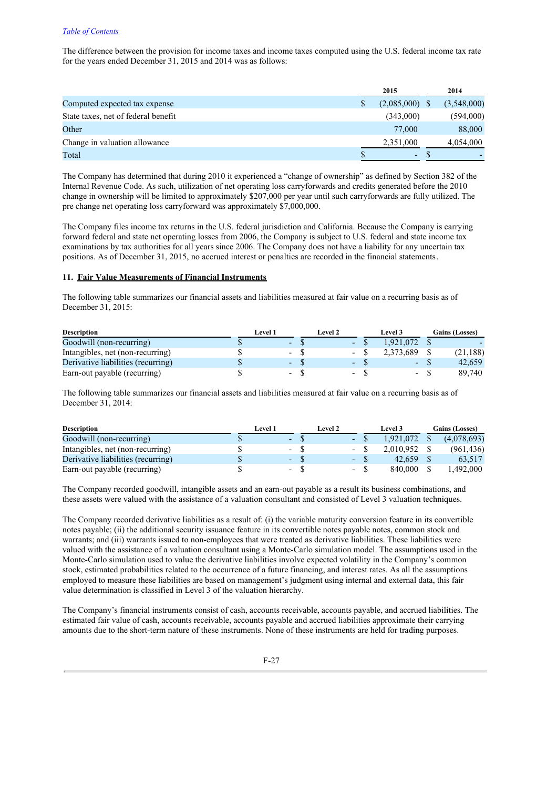The difference between the provision for income taxes and income taxes computed using the U.S. federal income tax rate for the years ended December 31, 2015 and 2014 was as follows:

|                                     | 2015             | 2014        |
|-------------------------------------|------------------|-------------|
| Computed expected tax expense       | $(2,085,000)$ \$ | (3,548,000) |
| State taxes, net of federal benefit | (343,000)        | (594,000)   |
| Other                               | 77,000           | 88,000      |
| Change in valuation allowance       | 2,351,000        | 4,054,000   |
| Total                               | ٠                |             |

The Company has determined that during 2010 it experienced a "change of ownership" as defined by Section 382 of the Internal Revenue Code. As such, utilization of net operating loss carryforwards and credits generated before the 2010 change in ownership will be limited to approximately \$207,000 per year until such carryforwards are fully utilized. The pre change net operating loss carryforward was approximately \$7,000,000.

The Company files income tax returns in the U.S. federal jurisdiction and California. Because the Company is carrying forward federal and state net operating losses from 2006, the Company is subject to U.S. federal and state income tax examinations by tax authorities for all years since 2006. The Company does not have a liability for any uncertain tax positions. As of December 31, 2015, no accrued interest or penalties are recorded in the financial statements.

### **11. Fair Value Measurements of Financial Instruments**

The following table summarizes our financial assets and liabilities measured at fair value on a recurring basis as of December 31, 2015:

| <b>Description</b>                 | <b>Level 1</b>           | Level 2                  | <b>Level 3</b> |       | Gains (Losses) |
|------------------------------------|--------------------------|--------------------------|----------------|-------|----------------|
| Goodwill (non-recurring)           | $\overline{\phantom{a}}$ | a a                      | $1.921.072$ :  |       |                |
| Intangibles, net (non-recurring)   | $\sim$                   | $\overline{\phantom{a}}$ | 2,373,689      |       | (21, 188)      |
| Derivative liabilities (recurring) | н.                       | <b>COL</b>               |                | $-$ S | 42.659         |
| Earn-out payable (recurring)       | $\blacksquare$           | $\sim$                   |                | $-$ S | 89.740         |

The following table summarizes our financial assets and liabilities measured at fair value on a recurring basis as of December 31, 2014:

| <b>Description</b>                 | Level 1 |     | Level 2                  |      | <b>Level 3</b> | Gains (Losses) |
|------------------------------------|---------|-----|--------------------------|------|----------------|----------------|
| Goodwill (non-recurring)           | ш.      |     | <b>Contract</b>          |      | 1.921.072      | (4,078,693)    |
| Intangibles, net (non-recurring)   | $\sim$  | - 8 | $\overline{\phantom{a}}$ |      | 2.010.952      | (961, 436)     |
| Derivative liabilities (recurring) | a.      | ∣S. | - 7                      |      | 42.659         | 63.517         |
| Earn-out payable (recurring)       | $\sim$  |     |                          | - \$ | 840,000        | .492.000       |

The Company recorded goodwill, intangible assets and an earn-out payable as a result its business combinations, and these assets were valued with the assistance of a valuation consultant and consisted of Level 3 valuation techniques.

The Company recorded derivative liabilities as a result of: (i) the variable maturity conversion feature in its convertible notes payable; (ii) the additional security issuance feature in its convertible notes payable notes, common stock and warrants; and (iii) warrants issued to non-employees that were treated as derivative liabilities. These liabilities were valued with the assistance of a valuation consultant using a Monte-Carlo simulation model. The assumptions used in the Monte-Carlo simulation used to value the derivative liabilities involve expected volatility in the Company's common stock, estimated probabilities related to the occurrence of a future financing, and interest rates. As all the assumptions employed to measure these liabilities are based on management's judgment using internal and external data, this fair value determination is classified in Level 3 of the valuation hierarchy.

The Company's financial instruments consist of cash, accounts receivable, accounts payable, and accrued liabilities. The estimated fair value of cash, accounts receivable, accounts payable and accrued liabilities approximate their carrying amounts due to the short-term nature of these instruments. None of these instruments are held for trading purposes.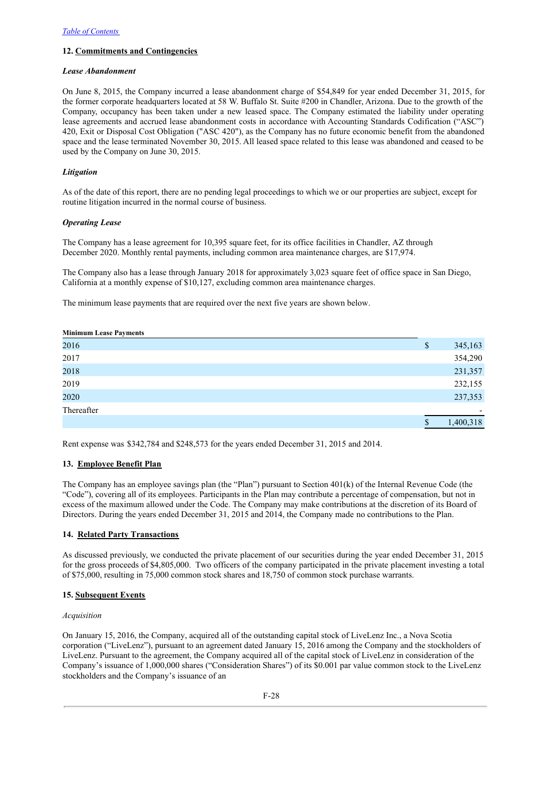### **12. Commitments and Contingencies**

### *Lease Abandonment*

On June 8, 2015, the Company incurred a lease abandonment charge of \$54,849 for year ended December 31, 2015, for the former corporate headquarters located at 58 W. Buffalo St. Suite #200 in Chandler, Arizona. Due to the growth of the Company, occupancy has been taken under a new leased space. The Company estimated the liability under operating lease agreements and accrued lease abandonment costs in accordance with Accounting Standards Codification ("ASC") 420, Exit or Disposal Cost Obligation ("ASC 420"), as the Company has no future economic benefit from the abandoned space and the lease terminated November 30, 2015. All leased space related to this lease was abandoned and ceased to be used by the Company on June 30, 2015.

### *Litigation*

As of the date of this report, there are no pending legal proceedings to which we or our properties are subject, except for routine litigation incurred in the normal course of business.

### *Operating Lease*

The Company has a lease agreement for 10,395 square feet, for its office facilities in Chandler, AZ through December 2020. Monthly rental payments, including common area maintenance charges, are \$17,974.

The Company also has a lease through January 2018 for approximately 3,023 square feet of office space in San Diego, California at a monthly expense of \$10,127, excluding common area maintenance charges.

The minimum lease payments that are required over the next five years are shown below.

| <b>Minimum Lease Payments</b> |                 |
|-------------------------------|-----------------|
| 2016                          | \$<br>345,163   |
| 2017                          | 354,290         |
| 2018                          | 231,357         |
| 2019                          | 232,155         |
| 2020                          | 237,353         |
| Thereafter                    |                 |
|                               | \$<br>1,400,318 |

Rent expense was \$342,784 and \$248,573 for the years ended December 31, 2015 and 2014.

### **13. Employee Benefit Plan**

The Company has an employee savings plan (the "Plan") pursuant to Section 401(k) of the Internal Revenue Code (the "Code"), covering all of its employees. Participants in the Plan may contribute a percentage of compensation, but not in excess of the maximum allowed under the Code. The Company may make contributions at the discretion of its Board of Directors. During the years ended December 31, 2015 and 2014, the Company made no contributions to the Plan.

### **14. Related Party Transactions**

As discussed previously, we conducted the private placement of our securities during the year ended December 31, 2015 for the gross proceeds of \$4,805,000. Two officers of the company participated in the private placement investing a total of \$75,000, resulting in 75,000 common stock shares and 18,750 of common stock purchase warrants.

## **15. Subsequent Events**

#### *Acquisition*

On January 15, 2016, the Company, acquired all of the outstanding capital stock of LiveLenz Inc., a Nova Scotia corporation ("LiveLenz"), pursuant to an agreement dated January 15, 2016 among the Company and the stockholders of LiveLenz. Pursuant to the agreement, the Company acquired all of the capital stock of LiveLenz in consideration of the Company's issuance of 1,000,000 shares ("Consideration Shares") of its \$0.001 par value common stock to the LiveLenz stockholders and the Company's issuance of an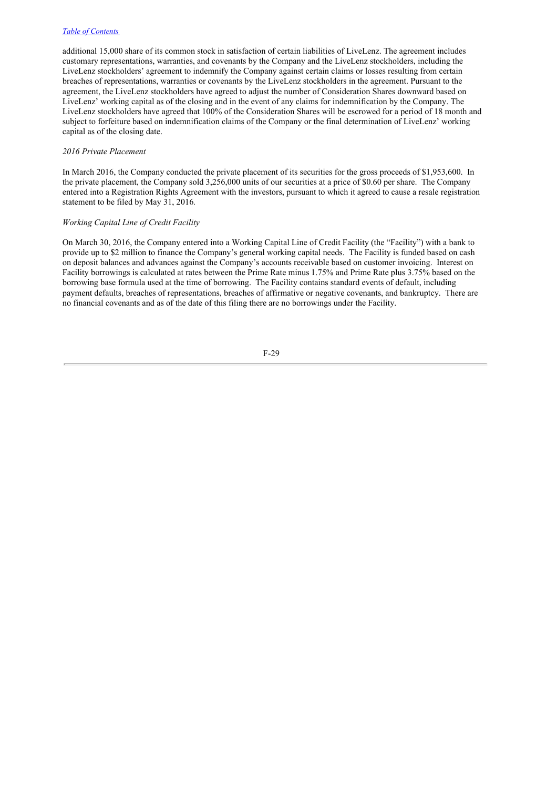additional 15,000 share of its common stock in satisfaction of certain liabilities of LiveLenz. The agreement includes customary representations, warranties, and covenants by the Company and the LiveLenz stockholders, including the LiveLenz stockholders' agreement to indemnify the Company against certain claims or losses resulting from certain breaches of representations, warranties or covenants by the LiveLenz stockholders in the agreement. Pursuant to the agreement, the LiveLenz stockholders have agreed to adjust the number of Consideration Shares downward based on LiveLenz' working capital as of the closing and in the event of any claims for indemnification by the Company. The LiveLenz stockholders have agreed that 100% of the Consideration Shares will be escrowed for a period of 18 month and subject to forfeiture based on indemnification claims of the Company or the final determination of LiveLenz' working capital as of the closing date.

### *2016 Private Placement*

In March 2016, the Company conducted the private placement of its securities for the gross proceeds of \$1,953,600. In the private placement, the Company sold 3,256,000 units of our securities at a price of \$0.60 per share. The Company entered into a Registration Rights Agreement with the investors, pursuant to which it agreed to cause a resale registration statement to be filed by May 31, 2016.

#### *Working Capital Line of Credit Facility*

On March 30, 2016, the Company entered into a Working Capital Line of Credit Facility (the "Facility") with a bank to provide up to \$2 million to finance the Company's general working capital needs. The Facility is funded based on cash on deposit balances and advances against the Company's accounts receivable based on customer invoicing. Interest on Facility borrowings is calculated at rates between the Prime Rate minus 1.75% and Prime Rate plus 3.75% based on the borrowing base formula used at the time of borrowing. The Facility contains standard events of default, including payment defaults, breaches of representations, breaches of affirmative or negative covenants, and bankruptcy. There are no financial covenants and as of the date of this filing there are no borrowings under the Facility.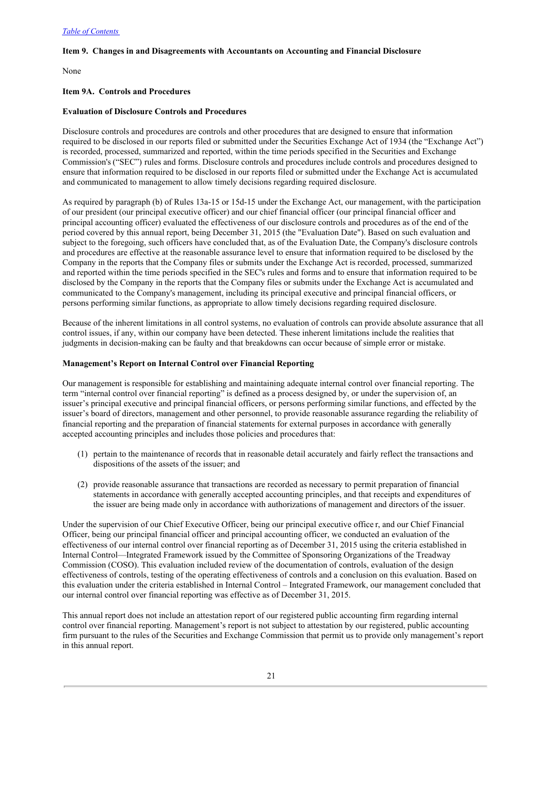### **Item 9. Changes in and Disagreements with Accountants on Accounting and Financial Disclosure**

None

#### **Item 9A. Controls and Procedures**

#### **Evaluation of Disclosure Controls and Procedures**

Disclosure controls and procedures are controls and other procedures that are designed to ensure that information required to be disclosed in our reports filed or submitted under the Securities Exchange Act of 1934 (the "Exchange Act") is recorded, processed, summarized and reported, within the time periods specified in the Securities and Exchange Commission's ("SEC") rules and forms. Disclosure controls and procedures include controls and procedures designed to ensure that information required to be disclosed in our reports filed or submitted under the Exchange Act is accumulated and communicated to management to allow timely decisions regarding required disclosure.

As required by paragraph (b) of Rules 13a-15 or 15d-15 under the Exchange Act, our management, with the participation of our president (our principal executive officer) and our chief financial officer (our principal financial officer and principal accounting officer) evaluated the effectiveness of our disclosure controls and procedures as of the end of the period covered by this annual report, being December 31, 2015 (the "Evaluation Date"). Based on such evaluation and subject to the foregoing, such officers have concluded that, as of the Evaluation Date, the Company's disclosure controls and procedures are effective at the reasonable assurance level to ensure that information required to be disclosed by the Company in the reports that the Company files or submits under the Exchange Act is recorded, processed, summarized and reported within the time periods specified in the SEC's rules and forms and to ensure that information required to be disclosed by the Company in the reports that the Company files or submits under the Exchange Act is accumulated and communicated to the Company's management, including its principal executive and principal financial officers, or persons performing similar functions, as appropriate to allow timely decisions regarding required disclosure.

Because of the inherent limitations in all control systems, no evaluation of controls can provide absolute assurance that all control issues, if any, within our company have been detected. These inherent limitations include the realities that judgments in decision-making can be faulty and that breakdowns can occur because of simple error or mistake.

## **Management's Report on Internal Control over Financial Reporting**

Our management is responsible for establishing and maintaining adequate internal control over financial reporting. The term "internal control over financial reporting" is defined as a process designed by, or under the supervision of, an issuer's principal executive and principal financial officers, or persons performing similar functions, and effected by the issuer's board of directors, management and other personnel, to provide reasonable assurance regarding the reliability of financial reporting and the preparation of financial statements for external purposes in accordance with generally accepted accounting principles and includes those policies and procedures that:

- (1) pertain to the maintenance of records that in reasonable detail accurately and fairly reflect the transactions and dispositions of the assets of the issuer; and
- (2) provide reasonable assurance that transactions are recorded as necessary to permit preparation of financial statements in accordance with generally accepted accounting principles, and that receipts and expenditures of the issuer are being made only in accordance with authorizations of management and directors of the issuer.

Under the supervision of our Chief Executive Officer, being our principal executive office r, and our Chief Financial Officer, being our principal financial officer and principal accounting officer, we conducted an evaluation of the effectiveness of our internal control over financial reporting as of December 31, 2015 using the criteria established in Internal Control—Integrated Framework issued by the Committee of Sponsoring Organizations of the Treadway Commission (COSO). This evaluation included review of the documentation of controls, evaluation of the design effectiveness of controls, testing of the operating effectiveness of controls and a conclusion on this evaluation. Based on this evaluation under the criteria established in Internal Control – Integrated Framework, our management concluded that our internal control over financial reporting was effective as of December 31, 2015.

This annual report does not include an attestation report of our registered public accounting firm regarding internal control over financial reporting. Management's report is not subject to attestation by our registered, public accounting firm pursuant to the rules of the Securities and Exchange Commission that permit us to provide only management's report in this annual report.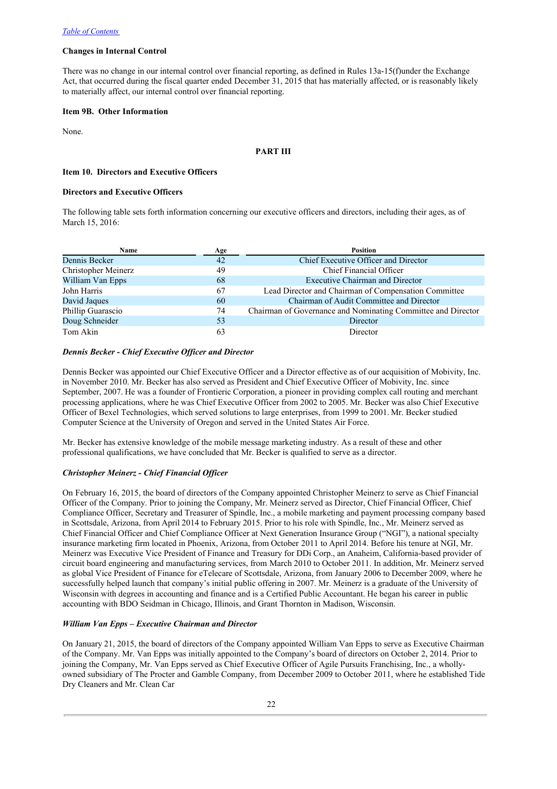### **Changes in Internal Control**

There was no change in our internal control over financial reporting, as defined in Rules 13a-15(f)under the Exchange Act, that occurred during the fiscal quarter ended December 31, 2015 that has materially affected, or is reasonably likely to materially affect, our internal control over financial reporting.

#### **Item 9B. Other Information**

None.

## **PART III**

### **Item 10. Directors and Executive Officers**

### **Directors and Executive Officers**

The following table sets forth information concerning our executive officers and directors, including their ages, as of March 15, 2016:

| Name                | Age | <b>Position</b>                                              |  |  |
|---------------------|-----|--------------------------------------------------------------|--|--|
| Dennis Becker       | 42  | Chief Executive Officer and Director                         |  |  |
| Christopher Meinerz | 49  | Chief Financial Officer                                      |  |  |
| William Van Epps    | 68  | <b>Executive Chairman and Director</b>                       |  |  |
| John Harris         | 67  | Lead Director and Chairman of Compensation Committee         |  |  |
| David Jaques        | 60  | Chairman of Audit Committee and Director                     |  |  |
| Phillip Guarascio   | 74  | Chairman of Governance and Nominating Committee and Director |  |  |
| Doug Schneider      | 53  | Director                                                     |  |  |
| Tom Akin            | 63  | Director                                                     |  |  |

### *Dennis Becker - Chief Executive Of icer and Director*

Dennis Becker was appointed our Chief Executive Officer and a Director effective as of our acquisition of Mobivity, Inc. in November 2010. Mr. Becker has also served as President and Chief Executive Officer of Mobivity, Inc. since September, 2007. He was a founder of Frontieric Corporation, a pioneer in providing complex call routing and merchant processing applications, where he was Chief Executive Officer from 2002 to 2005. Mr. Becker was also Chief Executive Officer of Bexel Technologies, which served solutions to large enterprises, from 1999 to 2001. Mr. Becker studied Computer Science at the University of Oregon and served in the United States Air Force.

Mr. Becker has extensive knowledge of the mobile message marketing industry. As a result of these and other professional qualifications, we have concluded that Mr. Becker is qualified to serve as a director.

### *Christopher Meinerz - Chief Financial Of icer*

On February 16, 2015, the board of directors of the Company appointed Christopher Meinerz to serve as Chief Financial Officer of the Company. Prior to joining the Company, Mr. Meinerz served as Director, Chief Financial Officer, Chief Compliance Officer, Secretary and Treasurer of Spindle, Inc., a mobile marketing and payment processing company based in Scottsdale, Arizona, from April 2014 to February 2015. Prior to his role with Spindle, Inc., Mr. Meinerz served as Chief Financial Officer and Chief Compliance Officer at Next Generation Insurance Group ("NGI"), a national specialty insurance marketing firm located in Phoenix, Arizona, from October 2011 to April 2014. Before his tenure at NGI, Mr. Meinerz was Executive Vice President of Finance and Treasury for DDi Corp., an Anaheim, California-based provider of circuit board engineering and manufacturing services, from March 2010 to October 2011. In addition, Mr. Meinerz served as global Vice President of Finance for eTelecare of Scottsdale, Arizona, from January 2006 to December 2009, where he successfully helped launch that company's initial public offering in 2007. Mr. Meinerz is a graduate of the University of Wisconsin with degrees in accounting and finance and is a Certified Public Accountant. He began his career in public accounting with BDO Seidman in Chicago, Illinois, and Grant Thornton in Madison, Wisconsin.

### *William Van Epps – Executive Chairman and Director*

On January 21, 2015, the board of directors of the Company appointed William Van Epps to serve as Executive Chairman of the Company. Mr. Van Epps was initially appointed to the Company's board of directors on October 2, 2014. Prior to joining the Company, Mr. Van Epps served as Chief Executive Officer of Agile Pursuits Franchising, Inc., a whollyowned subsidiary of The Procter and Gamble Company, from December 2009 to October 2011, where he established Tide Dry Cleaners and Mr. Clean Car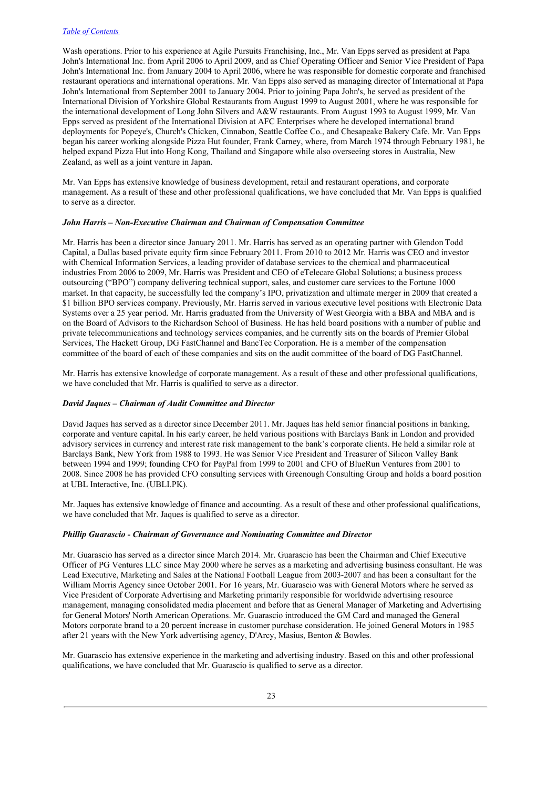Wash operations. Prior to his experience at Agile Pursuits Franchising, Inc., Mr. Van Epps served as president at Papa John's International Inc. from April 2006 to April 2009, and as Chief Operating Officer and Senior Vice President of Papa John's International Inc. from January 2004 to April 2006, where he was responsible for domestic corporate and franchised restaurant operations and international operations. Mr. Van Epps also served as managing director of International at Papa John's International from September 2001 to January 2004. Prior to joining Papa John's, he served as president of the International Division of Yorkshire Global Restaurants from August 1999 to August 2001, where he was responsible for the international development of Long John Silvers and A&W restaurants. From August 1993 to August 1999, Mr. Van Epps served as president of the International Division at AFC Enterprises where he developed international brand deployments for Popeye's, Church's Chicken, Cinnabon, Seattle Coffee Co., and Chesapeake Bakery Cafe. Mr. Van Epps began his career working alongside Pizza Hut founder, Frank Carney, where, from March 1974 through February 1981, he helped expand Pizza Hut into Hong Kong, Thailand and Singapore while also overseeing stores in Australia, New Zealand, as well as a joint venture in Japan.

Mr. Van Epps has extensive knowledge of business development, retail and restaurant operations, and corporate management. As a result of these and other professional qualifications, we have concluded that Mr. Van Epps is qualified to serve as a director.

#### *John Harris – Non-Executive Chairman and Chairman of Compensation Committee*

Mr. Harris has been a director since January 2011. Mr. Harris has served as an operating partner with Glendon Todd Capital, a Dallas based private equity firm since February 2011. From 2010 to 2012 Mr. Harris was CEO and investor with Chemical Information Services, a leading provider of database services to the chemical and pharmaceutical industries From 2006 to 2009, Mr. Harris was President and CEO of eTelecare Global Solutions; a business process outsourcing ("BPO") company delivering technical support, sales, and customer care services to the Fortune 1000 market. In that capacity, he successfully led the company's IPO, privatization and ultimate merger in 2009 that created a \$1 billion BPO services company. Previously, Mr. Harris served in various executive level positions with Electronic Data Systems over a 25 year period. Mr. Harris graduated from the University of West Georgia with a BBA and MBA and is on the Board of Advisors to the Richardson School of Business. He has held board positions with a number of public and private telecommunications and technology services companies, and he currently sits on the boards of Premier Global Services, The Hackett Group, DG FastChannel and BancTec Corporation. He is a member of the compensation committee of the board of each of these companies and sits on the audit committee of the board of DG FastChannel.

Mr. Harris has extensive knowledge of corporate management. As a result of these and other professional qualifications, we have concluded that Mr. Harris is qualified to serve as a director.

### *David Jaques – Chairman of Audit Committee and Director*

David Jaques has served as a director since December 2011. Mr. Jaques has held senior financial positions in banking, corporate and venture capital. In his early career, he held various positions with Barclays Bank in London and provided advisory services in currency and interest rate risk management to the bank's corporate clients. He held a similar role at Barclays Bank, New York from 1988 to 1993. He was Senior Vice President and Treasurer of Silicon Valley Bank between 1994 and 1999; founding CFO for PayPal from 1999 to 2001 and CFO of BlueRun Ventures from 2001 to 2008. Since 2008 he has provided CFO consulting services with Greenough Consulting Group and holds a board position at UBL Interactive, Inc. (UBLI.PK).

Mr. Jaques has extensive knowledge of finance and accounting. As a result of these and other professional qualifications, we have concluded that Mr. Jaques is qualified to serve as a director.

#### *Phillip Guarascio - Chairman of Governance and Nominating Committee and Director*

Mr. Guarascio has served as a director since March 2014. Mr. Guarascio has been the Chairman and Chief Executive Officer of PG Ventures LLC since May 2000 where he serves as a marketing and advertising business consultant. He was Lead Executive, Marketing and Sales at the National Football League from 2003-2007 and has been a consultant for the William Morris Agency since October 2001. For 16 years, Mr. Guarascio was with General Motors where he served as Vice President of Corporate Advertising and Marketing primarily responsible for worldwide advertising resource management, managing consolidated media placement and before that as General Manager of Marketing and Advertising for General Motors' North American Operations. Mr. Guarascio introduced the GM Card and managed the General Motors corporate brand to a 20 percent increase in customer purchase consideration. He joined General Motors in 1985 after 21 years with the New York advertising agency, D'Arcy, Masius, Benton & Bowles.

Mr. Guarascio has extensive experience in the marketing and advertising industry. Based on this and other professional qualifications, we have concluded that Mr. Guarascio is qualified to serve as a director.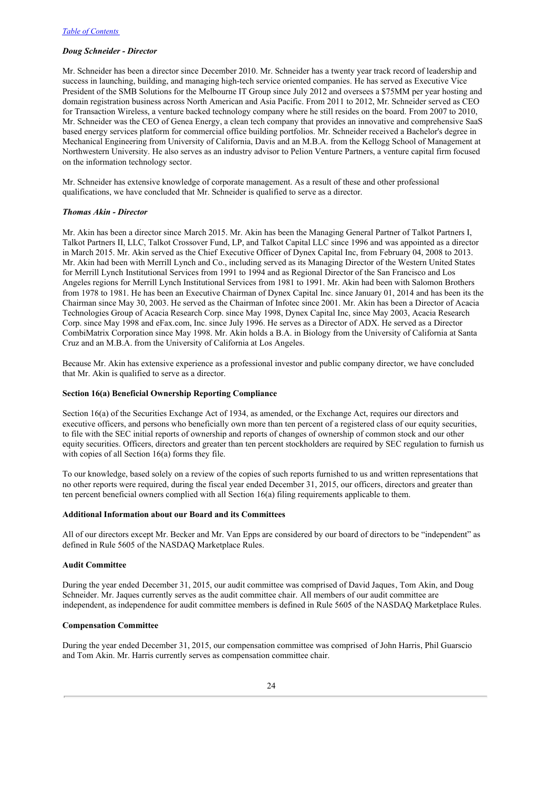#### *Doug Schneider - Director*

Mr. Schneider has been a director since December 2010. Mr. Schneider has a twenty year track record of leadership and success in launching, building, and managing high-tech service oriented companies. He has served as Executive Vice President of the SMB Solutions for the Melbourne IT Group since July 2012 and oversees a \$75MM per year hosting and domain registration business across North American and Asia Pacific. From 2011 to 2012, Mr. Schneider served as CEO for Transaction Wireless, a venture backed technology company where he still resides on the board. From 2007 to 2010, Mr. Schneider was the CEO of Genea Energy, a clean tech company that provides an innovative and comprehensive SaaS based energy services platform for commercial office building portfolios. Mr. Schneider received a Bachelor's degree in Mechanical Engineering from University of California, Davis and an M.B.A. from the Kellogg School of Management at Northwestern University. He also serves as an industry advisor to Pelion Venture Partners, a venture capital firm focused on the information technology sector.

Mr. Schneider has extensive knowledge of corporate management. As a result of these and other professional qualifications, we have concluded that Mr. Schneider is qualified to serve as a director.

#### *Thomas Akin - Director*

Mr. Akin has been a director since March 2015. Mr. Akin has been the Managing General Partner of Talkot Partners I, Talkot Partners II, LLC, Talkot Crossover Fund, LP, and Talkot Capital LLC since 1996 and was appointed as a director in March 2015. Mr. Akin served as the Chief Executive Officer of Dynex Capital Inc, from February 04, 2008 to 2013. Mr. Akin had been with Merrill Lynch and Co., including served as its Managing Director of the Western United States for Merrill Lynch Institutional Services from 1991 to 1994 and as Regional Director of the San Francisco and Los Angeles regions for Merrill Lynch Institutional Services from 1981 to 1991. Mr. Akin had been with Salomon Brothers from 1978 to 1981. He has been an Executive Chairman of Dynex Capital Inc. since January 01, 2014 and has been its the Chairman since May 30, 2003. He served as the Chairman of Infotec since 2001. Mr. Akin has been a Director of Acacia Technologies Group of Acacia Research Corp. since May 1998, Dynex Capital Inc, since May 2003, Acacia Research Corp. since May 1998 and eFax.com, Inc. since July 1996. He serves as a Director of ADX. He served as a Director CombiMatrix Corporation since May 1998. Mr. Akin holds a B.A. in Biology from the University of California at Santa Cruz and an M.B.A. from the University of California at Los Angeles.

Because Mr. Akin has extensive experience as a professional investor and public company director, we have concluded that Mr. Akin is qualified to serve as a director.

#### **Section 16(a) Beneficial Ownership Reporting Compliance**

Section 16(a) of the Securities Exchange Act of 1934, as amended, or the Exchange Act, requires our directors and executive officers, and persons who beneficially own more than ten percent of a registered class of our equity securities, to file with the SEC initial reports of ownership and reports of changes of ownership of common stock and our other equity securities. Officers, directors and greater than ten percent stockholders are required by SEC regulation to furnish us with copies of all Section 16(a) forms they file.

To our knowledge, based solely on a review of the copies of such reports furnished to us and written representations that no other reports were required, during the fiscal year ended December 31, 2015, our officers, directors and greater than ten percent beneficial owners complied with all Section 16(a) filing requirements applicable to them.

## **Additional Information about our Board and its Committees**

All of our directors except Mr. Becker and Mr. Van Epps are considered by our board of directors to be "independent" as defined in Rule 5605 of the NASDAQ Marketplace Rules.

#### **Audit Committee**

During the year ended December 31, 2015, our audit committee was comprised of David Jaques, Tom Akin, and Doug Schneider. Mr. Jaques currently serves as the audit committee chair. All members of our audit committee are independent, as independence for audit committee members is defined in Rule 5605 of the NASDAQ Marketplace Rules.

#### **Compensation Committee**

During the year ended December 31, 2015, our compensation committee was comprised of John Harris, Phil Guarscio and Tom Akin. Mr. Harris currently serves as compensation committee chair.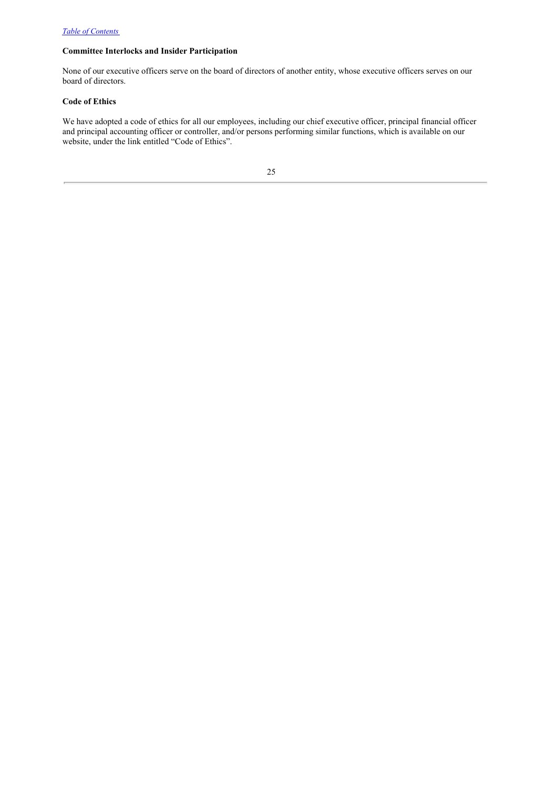## **Committee Interlocks and Insider Participation**

None of our executive officers serve on the board of directors of another entity, whose executive officers serves on our board of directors.

## **Code of Ethics**

We have adopted a code of ethics for all our employees, including our chief executive officer, principal financial officer and principal accounting officer or controller, and/or persons performing similar functions, which is available on our website, under the link entitled "Code of Ethics".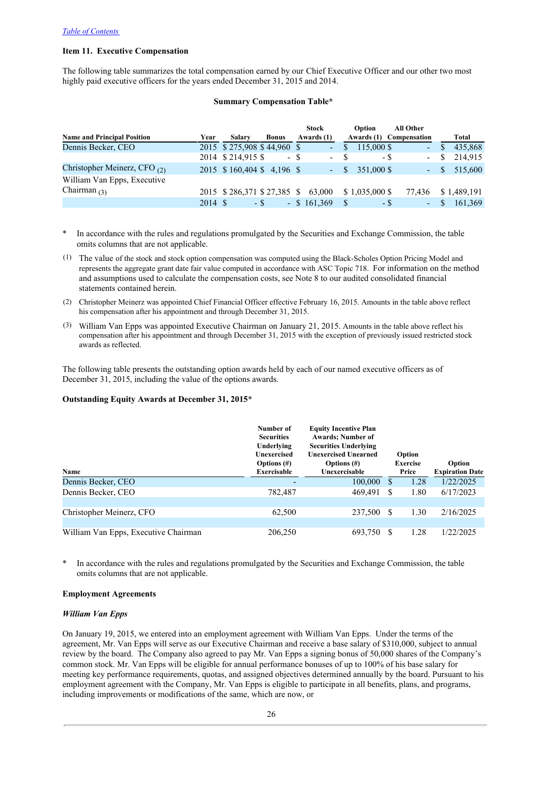### **Item 11. Executive Compensation**

The following table summarizes the total compensation earned by our Chief Executive Officer and our other two most highly paid executive officers for the years ended December 31, 2015 and 2014.

#### **Summary Compensation Table\***

|                                    |         |                            |       | <b>Stock</b>             | Option                     | All Other               |              |             |
|------------------------------------|---------|----------------------------|-------|--------------------------|----------------------------|-------------------------|--------------|-------------|
| <b>Name and Principal Position</b> | Year    | <b>Salary</b>              | Bonus | Awards (1)               |                            | Awards (1) Compensation |              | Total       |
| Dennis Becker, CEO                 |         | 2015 \$275,908 \$44,960 \$ |       | ш                        | 115,000 \$<br>S.           | Æ7                      | $\mathbb{S}$ | 435,868     |
|                                    |         | 2014 \$214,915 \$          | - S   | $\overline{\phantom{a}}$ |                            | - \$<br>$\sim$          | <sup>S</sup> | 214,915     |
| Christopher Meinerz, CFO $_{(2)}$  |         | 2015 \$160,404 \$4,196 \$  |       | ٠                        | 351,000 \$<br><sup>S</sup> |                         |              | \$515,600   |
| William Van Epps, Executive        |         |                            |       |                          |                            |                         |              |             |
| Chairman $(3)$                     |         | 2015 \$286,371 \$27,385 \$ |       | 63,000                   | $$1,035,000$ \$            | 77.436                  |              | \$1,489,191 |
|                                    | 2014 \$ | - \$                       |       | $-$ \$ 161,369           | <sup>S</sup>               | $-$ \$<br>$\sim$        | <sup>S</sup> | 161,369     |

- \* In accordance with the rules and regulations promulgated by the Securities and Exchange Commission, the table omits columns that are not applicable.
- (1) The value of the stock and stock option compensation was computed using the Black-Scholes Option Pricing Model and represents the aggregate grant date fair value computed in accordance with ASC Topic 718. For information on the method and assumptions used to calculate the compensation costs, see Note 8 to our audited consolidated financial statements contained herein.
- (2) Christopher Meinerz was appointed Chief Financial Officer effective February 16, 2015. Amounts in the table above reflect his compensation after his appointment and through December 31, 2015.
- (3) William Van Epps was appointed Executive Chairman on January 21, 2015. Amounts in the table above reflect his compensation after his appointment and through December 31, 2015 with the exception of previously issued restricted stock awards as reflected.

The following table presents the outstanding option awards held by each of our named executive officers as of December 31, 2015, including the value of the options awards.

#### **Outstanding Equity Awards at December 31, 2015\***

| Name                                 | Number of<br><b>Securities</b><br>Underlying<br><b>Unexercised</b><br>Options $(\#)$<br><b>Exercisable</b> | <b>Equity Incentive Plan</b><br><b>Awards</b> ; Number of<br><b>Securities Underlying</b><br><b>Unexercised Unearned</b><br>Options $(\#)$<br>Unexercisable |     | Option<br><b>Exercise</b><br>Price | Option<br><b>Expiration Date</b> |
|--------------------------------------|------------------------------------------------------------------------------------------------------------|-------------------------------------------------------------------------------------------------------------------------------------------------------------|-----|------------------------------------|----------------------------------|
| Dennis Becker, CEO                   | -                                                                                                          | 100,000                                                                                                                                                     | \$. | 1.28                               | 1/22/2025                        |
| Dennis Becker, CEO                   | 782,487                                                                                                    | 469.491                                                                                                                                                     | \$  | 1.80                               | 6/17/2023                        |
|                                      |                                                                                                            |                                                                                                                                                             |     |                                    |                                  |
| Christopher Meinerz, CFO             | 62,500                                                                                                     | 237,500                                                                                                                                                     | S   | 1.30                               | 2/16/2025                        |
|                                      |                                                                                                            |                                                                                                                                                             |     |                                    |                                  |
| William Van Epps, Executive Chairman | 206,250                                                                                                    | 693.750                                                                                                                                                     |     | 1.28                               | 1/22/2025                        |

In accordance with the rules and regulations promulgated by the Securities and Exchange Commission, the table omits columns that are not applicable.

#### **Employment Agreements**

#### *William Van Epps*

On January 19, 2015, we entered into an employment agreement with William Van Epps. Under the terms of the agreement, Mr. Van Epps will serve as our Executive Chairman and receive a base salary of \$310,000, subject to annual review by the board. The Company also agreed to pay Mr. Van Epps a signing bonus of 50,000 shares of the Company's common stock. Mr. Van Epps will be eligible for annual performance bonuses of up to 100% of his base salary for meeting key performance requirements, quotas, and assigned objectives determined annually by the board. Pursuant to his employment agreement with the Company, Mr. Van Epps is eligible to participate in all benefits, plans, and programs, including improvements or modifications of the same, which are now, or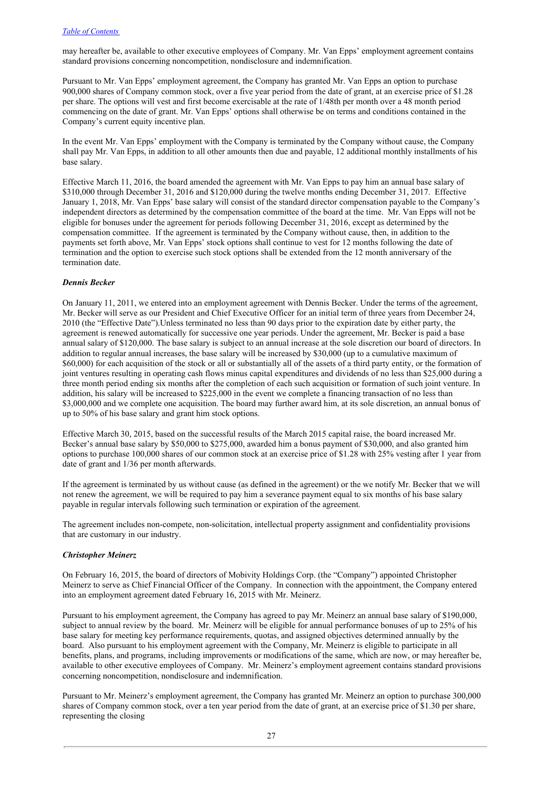may hereafter be, available to other executive employees of Company. Mr. Van Epps' employment agreement contains standard provisions concerning noncompetition, nondisclosure and indemnification.

Pursuant to Mr. Van Epps' employment agreement, the Company has granted Mr. Van Epps an option to purchase 900,000 shares of Company common stock, over a five year period from the date of grant, at an exercise price of \$1.28 per share. The options will vest and first become exercisable at the rate of 1/48th per month over a 48 month period commencing on the date of grant. Mr. Van Epps' options shall otherwise be on terms and conditions contained in the Company's current equity incentive plan.

In the event Mr. Van Epps' employment with the Company is terminated by the Company without cause, the Company shall pay Mr. Van Epps, in addition to all other amounts then due and payable, 12 additional monthly installments of his base salary.

Effective March 11, 2016, the board amended the agreement with Mr. Van Epps to pay him an annual base salary of \$310,000 through December 31, 2016 and \$120,000 during the twelve months ending December 31, 2017. Effective January 1, 2018, Mr. Van Epps' base salary will consist of the standard director compensation payable to the Company's independent directors as determined by the compensation committee of the board at the time. Mr. Van Epps will not be eligible for bonuses under the agreement for periods following December 31, 2016, except as determined by the compensation committee. If the agreement is terminated by the Company without cause, then, in addition to the payments set forth above, Mr. Van Epps' stock options shall continue to vest for 12 months following the date of termination and the option to exercise such stock options shall be extended from the 12 month anniversary of the termination date.

### *Dennis Becker*

On January 11, 2011, we entered into an employment agreement with Dennis Becker. Under the terms of the agreement, Mr. Becker will serve as our President and Chief Executive Officer for an initial term of three years from December 24, 2010 (the "Effective Date").Unless terminated no less than 90 days prior to the expiration date by either party, the agreement is renewed automatically for successive one year periods. Under the agreement, Mr. Becker is paid a base annual salary of \$120,000. The base salary is subject to an annual increase at the sole discretion our board of directors. In addition to regular annual increases, the base salary will be increased by \$30,000 (up to a cumulative maximum of \$60,000) for each acquisition of the stock or all or substantially all of the assets of a third party entity, or the formation of joint ventures resulting in operating cash flows minus capital expenditures and dividends of no less than \$25,000 during a three month period ending six months after the completion of each such acquisition or formation of such joint venture. In addition, his salary will be increased to \$225,000 in the event we complete a financing transaction of no less than \$3,000,000 and we complete one acquisition. The board may further award him, at its sole discretion, an annual bonus of up to 50% of his base salary and grant him stock options.

Effective March 30, 2015, based on the successful results of the March 2015 capital raise, the board increased Mr. Becker's annual base salary by \$50,000 to \$275,000, awarded him a bonus payment of \$30,000, and also granted him options to purchase 100,000 shares of our common stock at an exercise price of \$1.28 with 25% vesting after 1 year from date of grant and 1/36 per month afterwards.

If the agreement is terminated by us without cause (as defined in the agreement) or the we notify Mr. Becker that we will not renew the agreement, we will be required to pay him a severance payment equal to six months of his base salary payable in regular intervals following such termination or expiration of the agreement.

The agreement includes non-compete, non-solicitation, intellectual property assignment and confidentiality provisions that are customary in our industry.

### *Christopher Meinerz*

On February 16, 2015, the board of directors of Mobivity Holdings Corp. (the "Company") appointed Christopher Meinerz to serve as Chief Financial Officer of the Company. In connection with the appointment, the Company entered into an employment agreement dated February 16, 2015 with Mr. Meinerz.

Pursuant to his employment agreement, the Company has agreed to pay Mr. Meinerz an annual base salary of \$190,000, subject to annual review by the board. Mr. Meinerz will be eligible for annual performance bonuses of up to 25% of his base salary for meeting key performance requirements, quotas, and assigned objectives determined annually by the board. Also pursuant to his employment agreement with the Company, Mr. Meinerz is eligible to participate in all benefits, plans, and programs, including improvements or modifications of the same, which are now, or may hereafter be, available to other executive employees of Company. Mr. Meinerz's employment agreement contains standard provisions concerning noncompetition, nondisclosure and indemnification.

Pursuant to Mr. Meinerz's employment agreement, the Company has granted Mr. Meinerz an option to purchase 300,000 shares of Company common stock, over a ten year period from the date of grant, at an exercise price of \$1.30 per share, representing the closing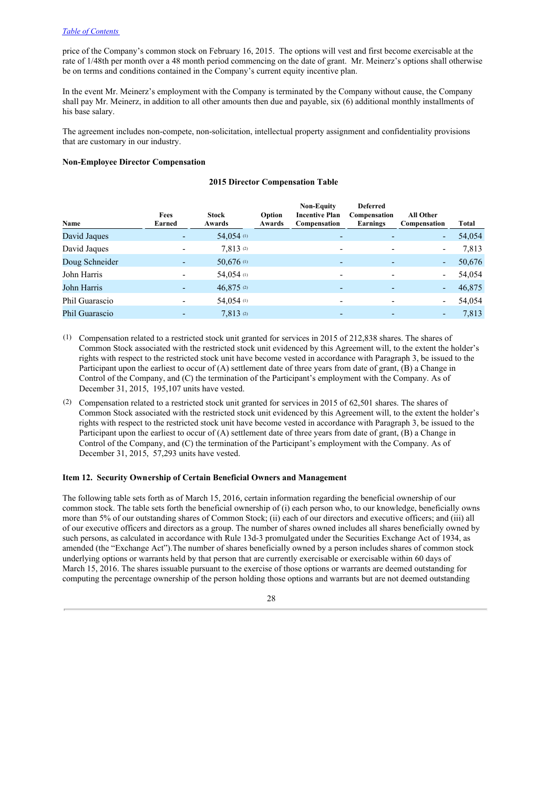price of the Company's common stock on February 16, 2015. The options will vest and first become exercisable at the rate of 1/48th per month over a 48 month period commencing on the date of grant. Mr. Meinerz's options shall otherwise be on terms and conditions contained in the Company's current equity incentive plan.

In the event Mr. Meinerz's employment with the Company is terminated by the Company without cause, the Company shall pay Mr. Meinerz, in addition to all other amounts then due and payable, six (6) additional monthly installments of his base salary.

The agreement includes non-compete, non-solicitation, intellectual property assignment and confidentiality provisions that are customary in our industry.

### **Non-Employee Director Compensation**

#### **2015 Director Compensation Table**

| Name           | Fees<br><b>Earned</b>    | <b>Stock</b><br>Awards | Option<br>Awards | <b>Non-Equity</b><br><b>Incentive Plan</b><br>Compensation | <b>Deferred</b><br>Compensation<br>Earnings | <b>All Other</b><br>Compensation | <b>Total</b> |
|----------------|--------------------------|------------------------|------------------|------------------------------------------------------------|---------------------------------------------|----------------------------------|--------------|
| David Jaques   | ٠                        | 54,054 (1)             |                  |                                                            |                                             | ٠                                | 54,054       |
| David Jaques   | $\overline{\phantom{a}}$ | $7,813$ (2)            |                  | $\overline{\phantom{0}}$                                   | $\overline{\phantom{a}}$                    | $\overline{\phantom{a}}$         | 7,813        |
| Doug Schneider |                          | 50,676 (1)             |                  |                                                            | ٠                                           | ٠                                | 50,676       |
| John Harris    | $\overline{\phantom{a}}$ | 54,054 (1)             |                  | -                                                          | $\overline{\phantom{a}}$                    | $\overline{\phantom{a}}$         | 54,054       |
| John Harris    | $\overline{a}$           | 46,875 (2)             |                  |                                                            | -                                           | ٠                                | 46,875       |
| Phil Guarascio | $\overline{\phantom{a}}$ | 54.054 (1)             |                  | -                                                          | $\overline{\phantom{a}}$                    | ٠                                | 54,054       |
| Phil Guarascio | -                        | $7.813$ (2)            |                  |                                                            | -                                           | ٠                                | 7,813        |

- (1) Compensation related to a restricted stock unit granted for services in 2015 of 212,838 shares. The shares of Common Stock associated with the restricted stock unit evidenced by this Agreement will, to the extent the holder's rights with respect to the restricted stock unit have become vested in accordance with Paragraph 3, be issued to the Participant upon the earliest to occur of (A) settlement date of three years from date of grant, (B) a Change in Control of the Company, and (C) the termination of the Participant's employment with the Company. As of December 31, 2015, 195,107 units have vested.
- (2) Compensation related to a restricted stock unit granted for services in 2015 of 62,501 shares. The shares of Common Stock associated with the restricted stock unit evidenced by this Agreement will, to the extent the holder's rights with respect to the restricted stock unit have become vested in accordance with Paragraph 3, be issued to the Participant upon the earliest to occur of (A) settlement date of three years from date of grant, (B) a Change in Control of the Company, and (C) the termination of the Participant's employment with the Company. As of December 31, 2015, 57,293 units have vested.

#### **Item 12. Security Ownership of Certain Beneficial Owners and Management**

The following table sets forth as of March 15, 2016, certain information regarding the beneficial ownership of our common stock. The table sets forth the beneficial ownership of (i) each person who, to our knowledge, beneficially owns more than 5% of our outstanding shares of Common Stock; (ii) each of our directors and executive officers; and (iii) all of our executive officers and directors as a group. The number of shares owned includes all shares beneficially owned by such persons, as calculated in accordance with Rule 13d-3 promulgated under the Securities Exchange Act of 1934, as amended (the "Exchange Act").The number of shares beneficially owned by a person includes shares of common stock underlying options or warrants held by that person that are currently exercisable or exercisable within 60 days of March 15, 2016. The shares issuable pursuant to the exercise of those options or warrants are deemed outstanding for computing the percentage ownership of the person holding those options and warrants but are not deemed outstanding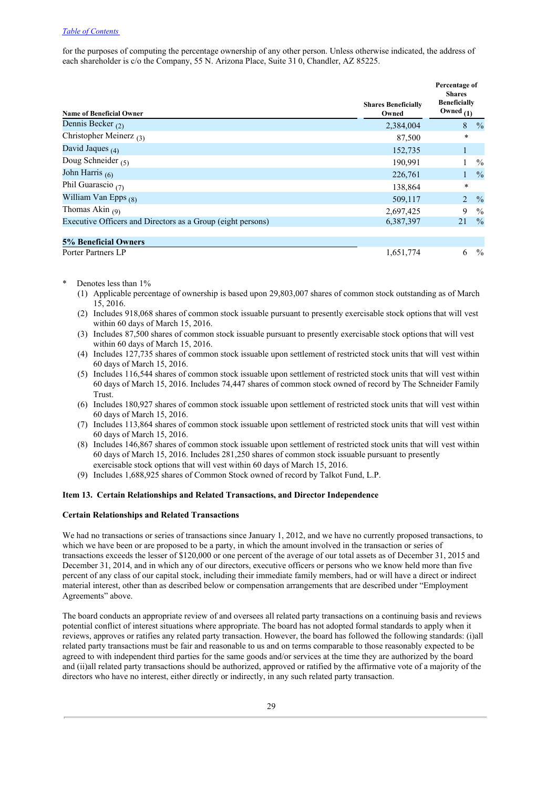for the purposes of computing the percentage ownership of any other person. Unless otherwise indicated, the address of each shareholder is c/o the Company, 55 N. Arizona Place, Suite 310, Chandler, AZ 85225.

|                                                             | <b>Shares Beneficially</b> | Percentage of<br><b>Shares</b><br><b>Beneficially</b> |               |
|-------------------------------------------------------------|----------------------------|-------------------------------------------------------|---------------|
| <b>Name of Beneficial Owner</b>                             | Owned                      | Owned $(1)$                                           |               |
| Dennis Becker $(2)$                                         | 2,384,004                  | 8                                                     | $\frac{0}{0}$ |
| Christopher Meinerz (3)                                     | 87,500                     | $\ast$                                                |               |
| David Jaques $(4)$                                          | 152,735                    |                                                       |               |
| Doug Schneider $(5)$                                        | 190,991                    |                                                       | $\%$          |
| John Harris $(6)$                                           | 226,761                    |                                                       | $\frac{0}{0}$ |
| Phil Guarascio $(7)$                                        | 138,864                    | $\star$                                               |               |
| William Van Epps $(8)$                                      | 509,117                    | $\overline{2}$                                        | $\frac{0}{0}$ |
| Thomas Akin $(9)$                                           | 2,697,425                  | 9                                                     | $\frac{0}{0}$ |
| Executive Officers and Directors as a Group (eight persons) | 6,387,397                  | 21                                                    | $\frac{0}{0}$ |
|                                                             |                            |                                                       |               |
| <b>5% Beneficial Owners</b>                                 |                            |                                                       |               |
| Porter Partners LP                                          | 1,651,774                  | 6                                                     | $\%$          |

#### Denotes less than 1%

- (1) Applicable percentage of ownership is based upon 29,803,007 shares of common stock outstanding as of March 15, 2016.
- (2) Includes 918,068 shares of common stock issuable pursuant to presently exercisable stock optionsthat will vest within 60 days of March 15, 2016.
- (3) Includes 87,500 shares of common stock issuable pursuant to presently exercisable stock optionsthat will vest within 60 days of March 15, 2016.
- (4) Includes 127,735 shares of common stock issuable upon settlement of restricted stock units that will vest within 60 days of March 15, 2016.
- (5) Includes 116,544 shares of common stock issuable upon settlement of restricted stock units that will vest within 60 days of March 15, 2016. Includes 74,447 shares of common stock owned of record by The Schneider Family Trust.
- (6) Includes 180,927 shares of common stock issuable upon settlement of restricted stock units that will vest within 60 days of March 15, 2016.
- (7) Includes 113,864 shares of common stock issuable upon settlement of restricted stock units that will vest within 60 days of March 15, 2016.
- (8) Includes 146,867 shares of common stock issuable upon settlement of restricted stock units that will vest within 60 days of March 15, 2016. Includes 281,250 shares of common stock issuable pursuant to presently exercisable stock options that will vest within 60 days of March 15, 2016.
- (9) Includes 1,688,925 shares of Common Stock owned of record by Talkot Fund, L.P.

### **Item 13. Certain Relationships and Related Transactions, and Director Independence**

#### **Certain Relationships and Related Transactions**

We had no transactions or series of transactions since January 1, 2012, and we have no currently proposed transactions, to which we have been or are proposed to be a party, in which the amount involved in the transaction or series of transactions exceeds the lesser of \$120,000 or one percent of the average of our total assets as of December 31, 2015 and December 31, 2014, and in which any of our directors, executive officers or persons who we know held more than five percent of any class of our capital stock, including their immediate family members, had or will have a direct or indirect material interest, other than as described below or compensation arrangements that are described under "Employment Agreements" above.

The board conducts an appropriate review of and oversees all related party transactions on a continuing basis and reviews potential conflict of interest situations where appropriate. The board has not adopted formal standards to apply when it reviews, approves or ratifies any related party transaction. However, the board has followed the following standards: (i)all related party transactions must be fair and reasonable to us and on terms comparable to those reasonably expected to be agreed to with independent third parties for the same goods and/or services at the time they are authorized by the board and (ii)all related party transactions should be authorized, approved or ratified by the affirmative vote of a majority of the directors who have no interest, either directly or indirectly, in any such related party transaction.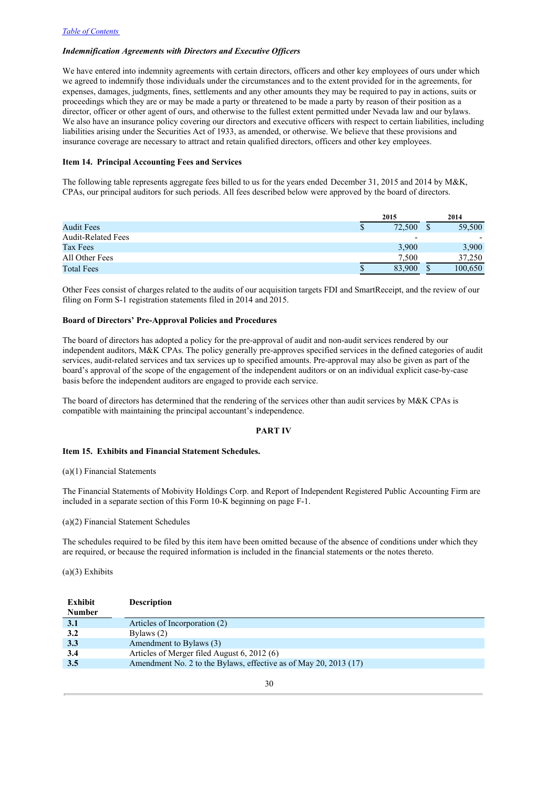#### *Indemnification Agreements with Directors and Executive Of icers*

We have entered into indemnity agreements with certain directors, officers and other key employees of ours under which we agreed to indemnify those individuals under the circumstances and to the extent provided for in the agreements, for expenses, damages, judgments, fines, settlements and any other amounts they may be required to pay in actions, suits or proceedings which they are or may be made a party or threatened to be made a party by reason of their position as a director, officer or other agent of ours, and otherwise to the fullest extent permitted under Nevada law and our bylaws. We also have an insurance policy covering our directors and executive officers with respect to certain liabilities, including liabilities arising under the Securities Act of 1933, as amended, or otherwise. We believe that these provisions and insurance coverage are necessary to attract and retain qualified directors, officers and other key employees.

#### **Item 14. Principal Accounting Fees and Services**

The following table represents aggregate fees billed to us for the years ended December 31, 2015 and 2014 by M&K, CPAs, our principal auditors for such periods. All fees described below were approved by the board of directors.

|                           | 2015                     |            | 2014    |
|---------------------------|--------------------------|------------|---------|
| <b>Audit Fees</b>         | 72,500                   | S          | 59,500  |
| <b>Audit-Related Fees</b> | $\overline{\phantom{a}}$ |            |         |
| Tax Fees                  | 3,900                    |            | 3,900   |
| All Other Fees            | 7.500                    |            | 37,250  |
| <b>Total Fees</b>         | 83,900                   | $\sqrt{2}$ | 100.650 |

Other Fees consist of charges related to the audits of our acquisition targets FDI and SmartReceipt, and the review of our filing on Form S-1 registration statements filed in 2014 and 2015.

#### **Board of Directors' Pre-Approval Policies and Procedures**

The board of directors has adopted a policy for the pre-approval of audit and non-audit services rendered by our independent auditors, M&K CPAs. The policy generally pre-approves specified services in the defined categories of audit services, audit-related services and tax services up to specified amounts. Pre-approval may also be given as part of the board's approval of the scope of the engagement of the independent auditors or on an individual explicit case-by-case basis before the independent auditors are engaged to provide each service.

The board of directors has determined that the rendering of the services other than audit services by M&K CPAs is compatible with maintaining the principal accountant's independence.

#### **PART IV**

### **Item 15. Exhibits and Financial Statement Schedules.**

### (a)(1) Financial Statements

The Financial Statements of Mobivity Holdings Corp. and Report of Independent Registered Public Accounting Firm are included in a separate section of this Form 10-K beginning on page F-1.

### (a)(2) Financial Statement Schedules

The schedules required to be filed by this item have been omitted because of the absence of conditions under which they are required, or because the required information is included in the financial statements or the notes thereto.

### (a)(3) Exhibits

| Exhibit | <b>Description</b>                                               |
|---------|------------------------------------------------------------------|
| Number  |                                                                  |
| 3.1     | Articles of Incorporation (2)                                    |
| 3.2     | Bylaws $(2)$                                                     |
| 3.3     | Amendment to Bylaws (3)                                          |
| 3.4     | Articles of Merger filed August 6, 2012 (6)                      |
| 3.5     | Amendment No. 2 to the Bylaws, effective as of May 20, 2013 (17) |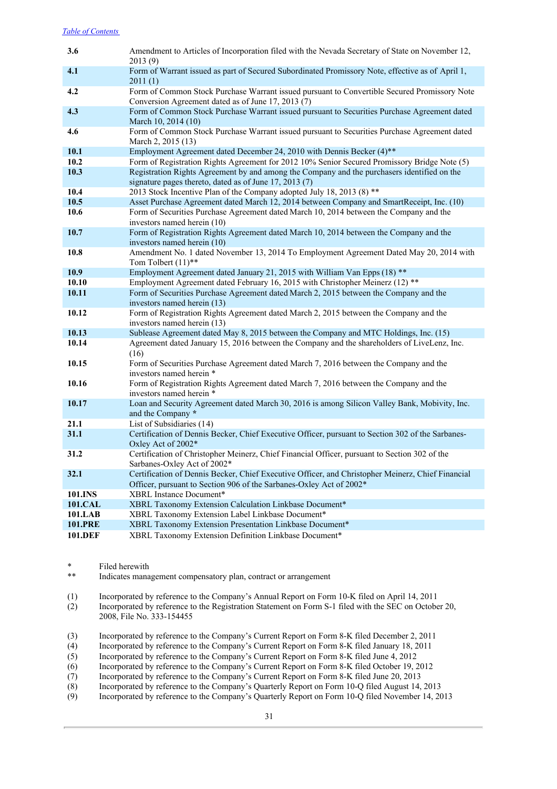| 3.6            | Amendment to Articles of Incorporation filed with the Nevada Secretary of State on November 12,<br>2013(9)                                                               |
|----------------|--------------------------------------------------------------------------------------------------------------------------------------------------------------------------|
| 4.1            | Form of Warrant issued as part of Secured Subordinated Promissory Note, effective as of April 1,<br>2011(1)                                                              |
| 4.2            | Form of Common Stock Purchase Warrant issued pursuant to Convertible Secured Promissory Note<br>Conversion Agreement dated as of June 17, 2013 (7)                       |
| 4.3            | Form of Common Stock Purchase Warrant issued pursuant to Securities Purchase Agreement dated<br>March 10, 2014 (10)                                                      |
| 4.6            | Form of Common Stock Purchase Warrant issued pursuant to Securities Purchase Agreement dated<br>March 2, 2015 (13)                                                       |
| 10.1           | Employment Agreement dated December 24, 2010 with Dennis Becker (4)**                                                                                                    |
| 10.2           | Form of Registration Rights Agreement for 2012 10% Senior Secured Promissory Bridge Note (5)                                                                             |
| 10.3           | Registration Rights Agreement by and among the Company and the purchasers identified on the<br>signature pages thereto, dated as of June 17, 2013 (7)                    |
| 10.4           | 2013 Stock Incentive Plan of the Company adopted July 18, 2013 (8) **                                                                                                    |
| 10.5           | Asset Purchase Agreement dated March 12, 2014 between Company and SmartReceipt, Inc. (10)                                                                                |
| 10.6           | Form of Securities Purchase Agreement dated March 10, 2014 between the Company and the<br>investors named herein (10)                                                    |
| 10.7           | Form of Registration Rights Agreement dated March 10, 2014 between the Company and the<br>investors named herein (10)                                                    |
| 10.8           | Amendment No. 1 dated November 13, 2014 To Employment Agreement Dated May 20, 2014 with<br>Tom Tolbert (11)**                                                            |
| 10.9           | Employment Agreement dated January 21, 2015 with William Van Epps (18) **                                                                                                |
| 10.10          | Employment Agreement dated February 16, 2015 with Christopher Meinerz (12) **                                                                                            |
| 10.11          | Form of Securities Purchase Agreement dated March 2, 2015 between the Company and the<br>investors named herein (13)                                                     |
| 10.12          | Form of Registration Rights Agreement dated March 2, 2015 between the Company and the<br>investors named herein (13)                                                     |
| 10.13          | Sublease Agreement dated May 8, 2015 between the Company and MTC Holdings, Inc. (15)                                                                                     |
| 10.14          | Agreement dated January 15, 2016 between the Company and the shareholders of LiveLenz, Inc.<br>(16)                                                                      |
| 10.15          | Form of Securities Purchase Agreement dated March 7, 2016 between the Company and the<br>investors named herein *                                                        |
| 10.16          | Form of Registration Rights Agreement dated March 7, 2016 between the Company and the<br>investors named herein *                                                        |
| 10.17          | Loan and Security Agreement dated March 30, 2016 is among Silicon Valley Bank, Mobivity, Inc.<br>and the Company *                                                       |
| 21.1           | List of Subsidiaries (14)                                                                                                                                                |
| 31.1           | Certification of Dennis Becker, Chief Executive Officer, pursuant to Section 302 of the Sarbanes-<br>Oxley Act of 2002*                                                  |
| 31.2           | Certification of Christopher Meinerz, Chief Financial Officer, pursuant to Section 302 of the<br>Sarbanes-Oxley Act of 2002*                                             |
| 32.1           | Certification of Dennis Becker, Chief Executive Officer, and Christopher Meinerz, Chief Financial<br>Officer, pursuant to Section 906 of the Sarbanes-Oxley Act of 2002* |
| <b>101.INS</b> | XBRL Instance Document*                                                                                                                                                  |
| <b>101.CAL</b> | XBRL Taxonomy Extension Calculation Linkbase Document*                                                                                                                   |
| <b>101.LAB</b> | XBRL Taxonomy Extension Label Linkbase Document*                                                                                                                         |
| <b>101.PRE</b> | XBRL Taxonomy Extension Presentation Linkbase Document*                                                                                                                  |
| <b>101.DEF</b> | XBRL Taxonomy Extension Definition Linkbase Document*                                                                                                                    |

\* Filed herewith

Indicates management compensatory plan, contract or arrangement

(1) Incorporated by reference to the Company's Annual Report on Form 10-K filed on April 14, 2011 (2) Incorporated by reference to the Registration Statement on Form S-1 filed with the SEC on October 20, 2008, File No. 333-154455

(3) Incorporated by reference to the Company's Current Report on Form 8-K filed December 2, 2011

(4) Incorporated by reference to the Company's Current Report on Form 8-K filed January 18, 2011<br>
Incorporated by reference to the Company's Current Report on Form 8-K filed June 4, 2012

(5) Incorporated by reference to the Company's Current Report on Form 8-K filed June 4, 2012<br>
(6) Incorporated by reference to the Company's Current Report on Form 8-K filed October 19, 2

Incorporated by reference to the Company's Current Report on Form 8-K filed October 19, 2012

(7) Incorporated by reference to the Company's Current Report on Form 8-K filed June 20, 2013<br>
(8) Incorporated by reference to the Company's Quarterly Report on Form 10-Q filed August 14.

(8) Incorporated by reference to the Company's Quarterly Report on Form 10-Q filed August 14, 2013<br>
(9) Incorporated by reference to the Company's Quarterly Report on Form 10-Q filed November 14, 20

Incorporated by reference to the Company's Quarterly Report on Form 10-Q filed November 14, 2013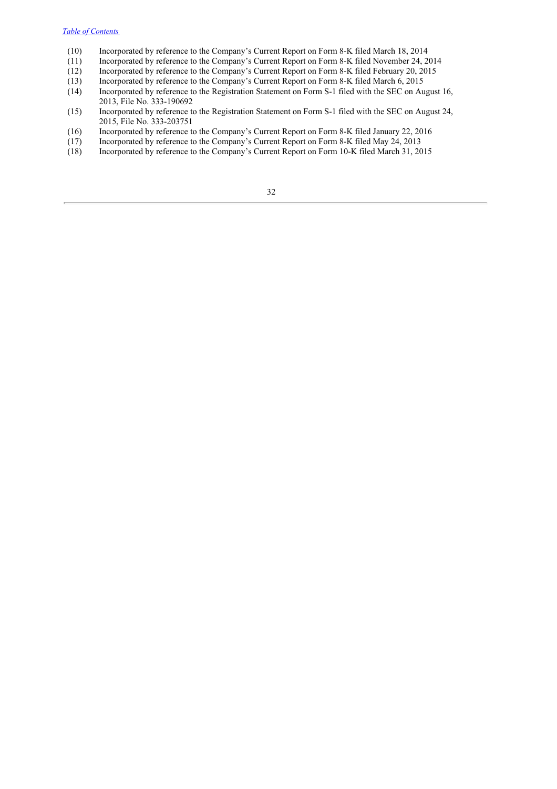- (10) Incorporated by reference to the Company's Current Report on Form 8-K filed March 18, 2014<br>(11) Incorporated by reference to the Company's Current Report on Form 8-K filed November 24, 2
- Incorporated by reference to the Company's Current Report on Form 8-K filed November 24, 2014
- (12) Incorporated by reference to the Company's Current Report on Form 8-K filed February 20, 2015
- (13) Incorporated by reference to the Company's Current Report on Form 8-K filed March 6, 2015
- (14) Incorporated by reference to the Registration Statement on Form S-1 filed with the SEC on August 16, 2013, File No. 333-190692
- (15) Incorporated by reference to the Registration Statement on Form S-1 filed with the SEC on August 24, 2015, File No. 333-203751
- 
- Incorporated by reference to the Company's Current Report on Form 8-K filed May 24, 2013
- (16) Incorporated by reference to the Company's Current Report on Form 8-K filed January 22, 2016<br>
(17) Incorporated by reference to the Company's Current Report on Form 8-K filed May 24, 2013<br>
(18) Incorporated by referen Incorporated by reference to the Company's Current Report on Form 10-K filed March 31, 2015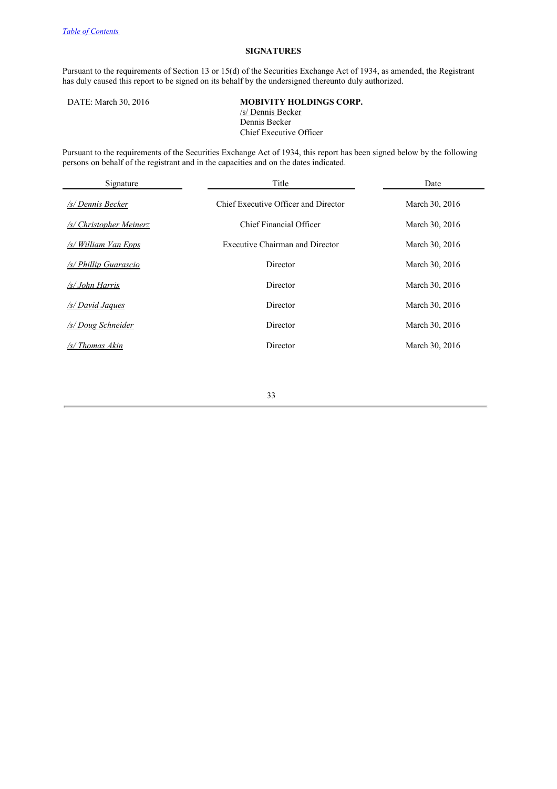# **SIGNATURES**

Pursuant to the requirements of Section 13 or 15(d) of the Securities Exchange Act of 1934, as amended, the Registrant has duly caused this report to be signed on its behalf by the undersigned thereunto duly authorized.

## DATE: March 30, 2016 **MOBIVITY HOLDINGS CORP.**

/s/ Dennis Becker Dennis Becker Chief Executive Officer

Pursuant to the requirements of the Securities Exchange Act of 1934, this report has been signed below by the following persons on behalf of the registrant and in the capacities and on the dates indicated.

| Signature                      | Title                                | Date           |
|--------------------------------|--------------------------------------|----------------|
| /s/ Dennis Becker              | Chief Executive Officer and Director | March 30, 2016 |
| <b>/s/ Christopher Meinerz</b> | Chief Financial Officer              | March 30, 2016 |
| <b>/s/ William Van Epps</b>    | Executive Chairman and Director      | March 30, 2016 |
| /s/ Phillip Guarascio          | Director                             | March 30, 2016 |
| /s/ John Harris                | Director                             | March 30, 2016 |
| <u>/s/ David Jaques</u>        | Director                             | March 30, 2016 |
| /s/ Doug Schneider             | Director                             | March 30, 2016 |
| /s/ Thomas Akin                | Director                             | March 30, 2016 |

## 33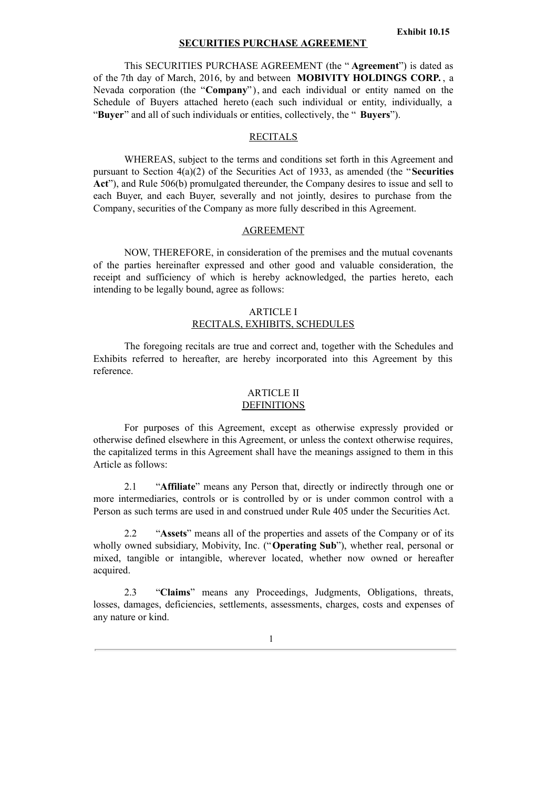### **Exhibit 10.15**

## **SECURITIES PURCHASE AGREEMENT**

This SECURITIES PURCHASE AGREEMENT (the " **Agreement**") is dated as of the 7th day of March, 2016, by and between **MOBIVITY HOLDINGS CORP.** , a Nevada corporation (the "**Company**" ), and each individual or entity named on the Schedule of Buyers attached hereto (each such individual or entity, individually, a "**Buyer**" and all of such individuals or entities, collectively, the " **Buyers**").

## RECITALS

WHEREAS, subject to the terms and conditions set forth in this Agreement and pursuant to Section 4(a)(2) of the Securities Act of 1933, as amended (the "**Securities Act**"), and Rule 506(b) promulgated thereunder, the Company desires to issue and sell to each Buyer, and each Buyer, severally and not jointly, desires to purchase from the Company, securities of the Company as more fully described in this Agreement.

## AGREEMENT

NOW, THEREFORE, in consideration of the premises and the mutual covenants of the parties hereinafter expressed and other good and valuable consideration, the receipt and sufficiency of which is hereby acknowledged, the parties hereto, each intending to be legally bound, agree as follows:

# ARTICLE I RECITALS, EXHIBITS, SCHEDULES

The foregoing recitals are true and correct and, together with the Schedules and Exhibits referred to hereafter, are hereby incorporated into this Agreement by this reference.

## ARTICLE II **DEFINITIONS**

For purposes of this Agreement, except as otherwise expressly provided or otherwise defined elsewhere in this Agreement, or unless the context otherwise requires, the capitalized terms in this Agreement shall have the meanings assigned to them in this Article as follows:

2.1 "**Affiliate**" means any Person that, directly or indirectly through one or more intermediaries, controls or is controlled by or is under common control with a Person as such terms are used in and construed under Rule 405 under the Securities Act.

2.2 "**Assets**" means all of the properties and assets of the Company or of its wholly owned subsidiary, Mobivity, Inc. ("**Operating Sub**"), whether real, personal or mixed, tangible or intangible, wherever located, whether now owned or hereafter acquired.

2.3 "**Claims**" means any Proceedings, Judgments, Obligations, threats, losses, damages, deficiencies, settlements, assessments, charges, costs and expenses of any nature or kind.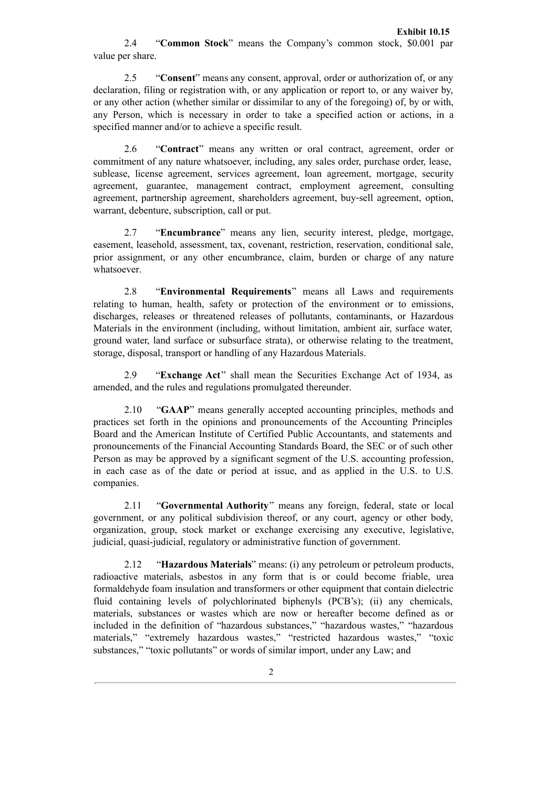2.5 "**Consent**" means any consent, approval, order or authorization of, or any declaration, filing or registration with, or any application or report to, or any waiver by, or any other action (whether similar or dissimilar to any of the foregoing) of, by or with, any Person, which is necessary in order to take a specified action or actions, in a specified manner and/or to achieve a specific result.

2.6 "**Contract**" means any written or oral contract, agreement, order or commitment of any nature whatsoever, including, any sales order, purchase order, lease, sublease, license agreement, services agreement, loan agreement, mortgage, security agreement, guarantee, management contract, employment agreement, consulting agreement, partnership agreement, shareholders agreement, buy‑sell agreement, option, warrant, debenture, subscription, call or put.

2.7 "**Encumbrance**" means any lien, security interest, pledge, mortgage, easement, leasehold, assessment, tax, covenant, restriction, reservation, conditional sale, prior assignment, or any other encumbrance, claim, burden or charge of any nature whatsoever.

2.8 "**Environmental Requirements**" means all Laws and requirements relating to human, health, safety or protection of the environment or to emissions, discharges, releases or threatened releases of pollutants, contaminants, or Hazardous Materials in the environment (including, without limitation, ambient air, surface water, ground water, land surface or subsurface strata), or otherwise relating to the treatment, storage, disposal, transport or handling of any Hazardous Materials.

2.9 "**Exchange Act**" shall mean the Securities Exchange Act of 1934, as amended, and the rules and regulations promulgated thereunder.

2.10 "**GAAP**" means generally accepted accounting principles, methods and practices set forth in the opinions and pronouncements of the Accounting Principles Board and the American Institute of Certified Public Accountants, and statements and pronouncements of the Financial Accounting Standards Board, the SEC or of such other Person as may be approved by a significant segment of the U.S. accounting profession, in each case as of the date or period at issue, and as applied in the U.S. to U.S. companies.

2.11 "**Governmental Authority**" means any foreign, federal, state or local government, or any political subdivision thereof, or any court, agency or other body, organization, group, stock market or exchange exercising any executive, legislative, judicial, quasi-judicial, regulatory or administrative function of government.

2.12 "**Hazardous Materials**" means: (i) any petroleum or petroleum products, radioactive materials, asbestos in any form that is or could become friable, urea formaldehyde foam insulation and transformers or other equipment that contain dielectric fluid containing levels of polychlorinated biphenyls (PCB's); (ii) any chemicals, materials, substances or wastes which are now or hereafter become defined as or included in the definition of "hazardous substances," "hazardous wastes," "hazardous materials," "extremely hazardous wastes," "restricted hazardous wastes," "toxic substances," "toxic pollutants" or words of similar import, under any Law; and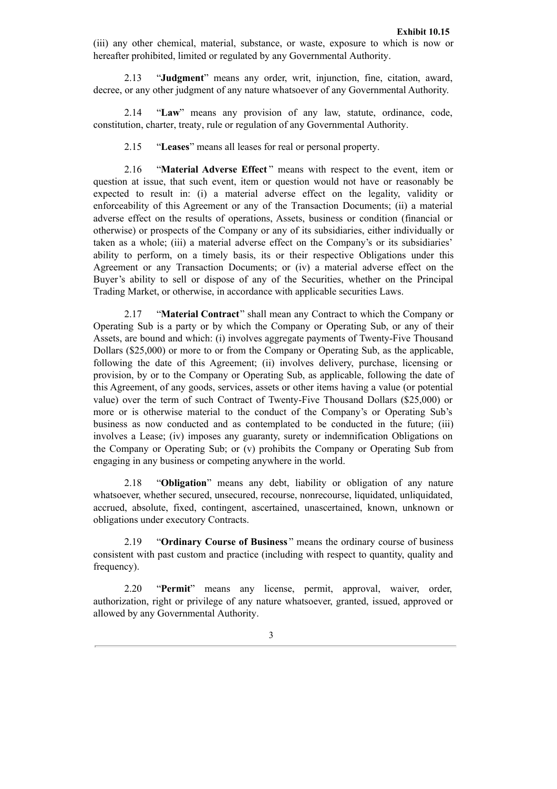(iii) any other chemical, material, substance, or waste, exposure to which is now or hereafter prohibited, limited or regulated by any Governmental Authority.

2.13 "**Judgment**" means any order, writ, injunction, fine, citation, award, decree, or any other judgment of any nature whatsoever of any Governmental Authority.

2.14 "**Law**" means any provision of any law, statute, ordinance, code, constitution, charter, treaty, rule or regulation of any Governmental Authority.

2.15 "**Leases**" means all leases for real or personal property.

2.16 "**Material Adverse Effect** " means with respect to the event, item or question at issue, that such event, item or question would not have or reasonably be expected to result in: (i) a material adverse effect on the legality, validity or enforceability of this Agreement or any of the Transaction Documents; (ii) a material adverse effect on the results of operations, Assets, business or condition (financial or otherwise) or prospects of the Company or any of its subsidiaries, either individually or taken as a whole; (iii) a material adverse effect on the Company's or its subsidiaries' ability to perform, on a timely basis, its or their respective Obligations under this Agreement or any Transaction Documents; or (iv) a material adverse effect on the Buyer's ability to sell or dispose of any of the Securities, whether on the Principal Trading Market, or otherwise, in accordance with applicable securities Laws.

2.17 "**Material Contract**" shall mean any Contract to which the Company or Operating Sub is a party or by which the Company or Operating Sub, or any of their Assets, are bound and which: (i) involves aggregate payments of Twenty-Five Thousand Dollars (\$25,000) or more to or from the Company or Operating Sub, as the applicable, following the date of this Agreement; (ii) involves delivery, purchase, licensing or provision, by or to the Company or Operating Sub, as applicable, following the date of this Agreement, of any goods, services, assets or other items having a value (or potential value) over the term of such Contract of Twenty-Five Thousand Dollars (\$25,000) or more or is otherwise material to the conduct of the Company's or Operating Sub's business as now conducted and as contemplated to be conducted in the future; (iii) involves a Lease; (iv) imposes any guaranty, surety or indemnification Obligations on the Company or Operating Sub; or (v) prohibits the Company or Operating Sub from engaging in any business or competing anywhere in the world.

2.18 "**Obligation**" means any debt, liability or obligation of any nature whatsoever, whether secured, unsecured, recourse, nonrecourse, liquidated, unliquidated, accrued, absolute, fixed, contingent, ascertained, unascertained, known, unknown or obligations under executory Contracts.

2.19 "**Ordinary Course of Business** " means the ordinary course of business consistent with past custom and practice (including with respect to quantity, quality and frequency).

2.20 "**Permit**" means any license, permit, approval, waiver, order, authorization, right or privilege of any nature whatsoever, granted, issued, approved or allowed by any Governmental Authority.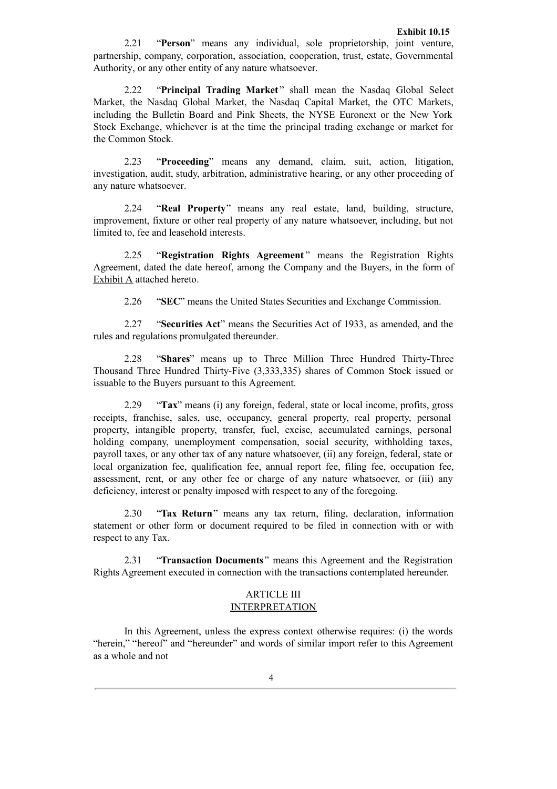2.21 "**Person**" means any individual, sole proprietorship, joint venture, partnership, company, corporation, association, cooperation, trust, estate, Governmental Authority, or any other entity of any nature whatsoever.

2.22 "**Principal Trading Market**" shall mean the Nasdaq Global Select Market, the Nasdaq Global Market, the Nasdaq Capital Market, the OTC Markets, including the Bulletin Board and Pink Sheets, the NYSE Euronext or the New York Stock Exchange, whichever is at the time the principal trading exchange or market for the Common Stock.

2.23 "**Proceeding**" means any demand, claim, suit, action, litigation, investigation, audit, study, arbitration, administrative hearing, or any other proceeding of any nature whatsoever.

2.24 "**Real Property**" means any real estate, land, building, structure, improvement, fixture or other real property of any nature whatsoever, including, but not limited to, fee and leasehold interests.

2.25 "**Registration Rights Agreement** " means the Registration Rights Agreement, dated the date hereof, among the Company and the Buyers, in the form of Exhibit A attached hereto.

2.26 "**SEC**" means the United States Securities and Exchange Commission.

2.27 "**Securities Act**" means the Securities Act of 1933, as amended, and the rules and regulations promulgated thereunder.

2.28 "**Shares**" means up to Three Million Three Hundred Thirty-Three Thousand Three Hundred Thirty‑Five (3,333,335) shares of Common Stock issued or issuable to the Buyers pursuant to this Agreement.

2.29 "**Tax**" means (i) any foreign, federal, state or local income, profits, gross receipts, franchise, sales, use, occupancy, general property, real property, personal property, intangible property, transfer, fuel, excise, accumulated earnings, personal holding company, unemployment compensation, social security, withholding taxes, payroll taxes, or any other tax of any nature whatsoever, (ii) any foreign, federal, state or local organization fee, qualification fee, annual report fee, filing fee, occupation fee, assessment, rent, or any other fee or charge of any nature whatsoever, or (iii) any deficiency, interest or penalty imposed with respect to any of the foregoing.

2.30 "**Tax Return**" means any tax return, filing, declaration, information statement or other form or document required to be filed in connection with or with respect to any Tax.

2.31 "**Transaction Documents**" means this Agreement and the Registration Rights Agreement executed in connection with the transactions contemplated hereunder.

## ARTICLE III INTERPRETATION

In this Agreement, unless the express context otherwise requires: (i) the words "herein," "hereof" and "hereunder" and words of similar import refer to this Agreement as a whole and not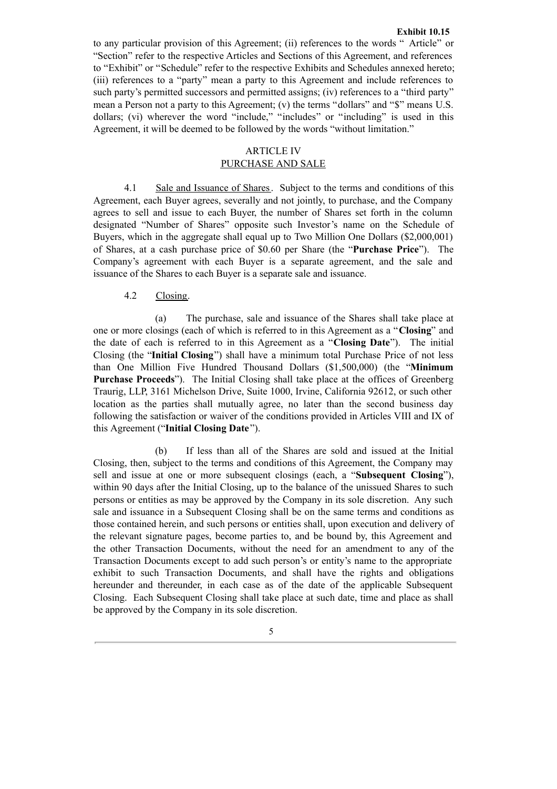to any particular provision of this Agreement; (ii) references to the words " Article" or "Section" refer to the respective Articles and Sections of this Agreement, and references to "Exhibit" or "Schedule" refer to the respective Exhibits and Schedules annexed hereto; (iii) references to a "party" mean a party to this Agreement and include references to such party's permitted successors and permitted assigns; (iv) references to a "third party" mean a Person not a party to this Agreement; (v) the terms "dollars" and "\$" means U.S. dollars; (vi) wherever the word "include," "includes" or "including" is used in this Agreement, it will be deemed to be followed by the words "without limitation."

## ARTICLE IV

## PURCHASE AND SALE

4.1 Sale and Issuance of Shares. Subject to the terms and conditions of this Agreement, each Buyer agrees, severally and not jointly, to purchase, and the Company agrees to sell and issue to each Buyer, the number of Shares set forth in the column designated "Number of Shares" opposite such Investor's name on the Schedule of Buyers, which in the aggregate shall equal up to Two Million One Dollars (\$2,000,001) of Shares, at a cash purchase price of \$0.60 per Share (the "**Purchase Price**"). The Company's agreement with each Buyer is a separate agreement, and the sale and issuance of the Shares to each Buyer is a separate sale and issuance.

### 4.2 Closing.

(a) The purchase, sale and issuance of the Shares shall take place at one or more closings (each of which is referred to in this Agreement as a "**Closing**" and the date of each is referred to in this Agreement as a "**Closing Date**"). The initial Closing (the "**Initial Closing**") shall have a minimum total Purchase Price of not less than One Million Five Hundred Thousand Dollars (\$1,500,000) (the "**Minimum Purchase Proceeds**"). The Initial Closing shall take place at the offices of Greenberg Traurig, LLP, 3161 Michelson Drive, Suite 1000, Irvine, California 92612, or such other location as the parties shall mutually agree, no later than the second business day following the satisfaction or waiver of the conditions provided in Articles VIII and IX of this Agreement ("**Initial Closing Date**").

(b) If less than all of the Shares are sold and issued at the Initial Closing, then, subject to the terms and conditions of this Agreement, the Company may sell and issue at one or more subsequent closings (each, a "**Subsequent Closing**"), within 90 days after the Initial Closing, up to the balance of the unissued Shares to such persons or entities as may be approved by the Company in its sole discretion. Any such sale and issuance in a Subsequent Closing shall be on the same terms and conditions as those contained herein, and such persons or entities shall, upon execution and delivery of the relevant signature pages, become parties to, and be bound by, this Agreement and the other Transaction Documents, without the need for an amendment to any of the Transaction Documents except to add such person's or entity's name to the appropriate exhibit to such Transaction Documents, and shall have the rights and obligations hereunder and thereunder, in each case as of the date of the applicable Subsequent Closing. Each Subsequent Closing shall take place at such date, time and place as shall be approved by the Company in its sole discretion.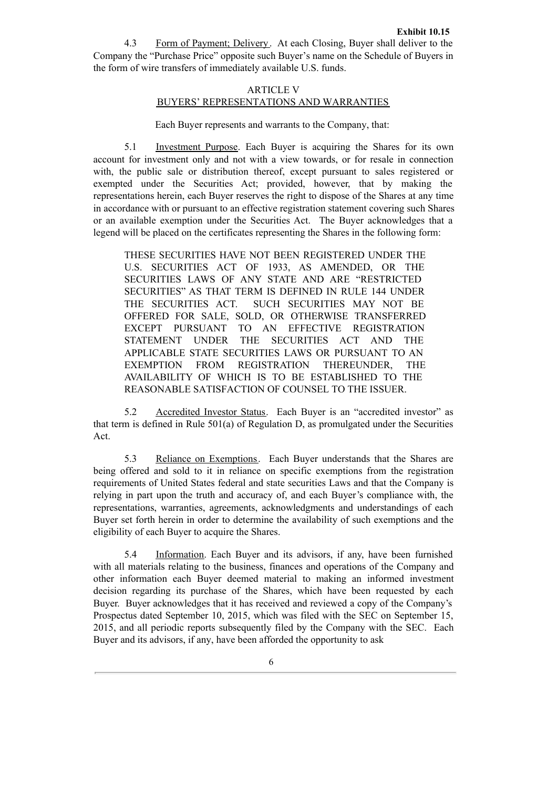4.3 Form of Payment; Delivery . At each Closing, Buyer shall deliver to the Company the "Purchase Price" opposite such Buyer's name on the Schedule of Buyers in the form of wire transfers of immediately available U.S. funds.

### ARTICLE V BUYERS' REPRESENTATIONS AND WARRANTIES

Each Buyer represents and warrants to the Company, that:

5.1 Investment Purpose. Each Buyer is acquiring the Shares for its own account for investment only and not with a view towards, or for resale in connection with, the public sale or distribution thereof, except pursuant to sales registered or exempted under the Securities Act; provided, however, that by making the representations herein, each Buyer reserves the right to dispose of the Shares at any time in accordance with or pursuant to an effective registration statement covering such Shares or an available exemption under the Securities Act. The Buyer acknowledges that a legend will be placed on the certificates representing the Shares in the following form:

THESE SECURITIES HAVE NOT BEEN REGISTERED UNDER THE U.S. SECURITIES ACT OF 1933, AS AMENDED, OR THE SECURITIES LAWS OF ANY STATE AND ARE "RESTRICTED SECURITIES" AS THAT TERM IS DEFINED IN RULE 144 UNDER THE SECURITIES ACT. SUCH SECURITIES MAY NOT BE OFFERED FOR SALE, SOLD, OR OTHERWISE TRANSFERRED EXCEPT PURSUANT TO AN EFFECTIVE REGISTRATION STATEMENT UNDER THE SECURITIES ACT AND THE APPLICABLE STATE SECURITIES LAWS OR PURSUANT TO AN EXEMPTION FROM REGISTRATION THEREUNDER, THE AVAILABILITY OF WHICH IS TO BE ESTABLISHED TO THE REASONABLE SATISFACTION OF COUNSEL TO THE ISSUER.

5.2 Accredited Investor Status. Each Buyer is an "accredited investor" as that term is defined in Rule  $501(a)$  of Regulation D, as promulgated under the Securities Act.

5.3 Reliance on Exemptions. Each Buyer understands that the Shares are being offered and sold to it in reliance on specific exemptions from the registration requirements of United States federal and state securities Laws and that the Company is relying in part upon the truth and accuracy of, and each Buyer's compliance with, the representations, warranties, agreements, acknowledgments and understandings of each Buyer set forth herein in order to determine the availability of such exemptions and the eligibility of each Buyer to acquire the Shares.

5.4 Information. Each Buyer and its advisors, if any, have been furnished with all materials relating to the business, finances and operations of the Company and other information each Buyer deemed material to making an informed investment decision regarding its purchase of the Shares, which have been requested by each Buyer. Buyer acknowledges that it has received and reviewed a copy of the Company's Prospectus dated September 10, 2015, which was filed with the SEC on September 15, 2015, and all periodic reports subsequently filed by the Company with the SEC. Each Buyer and its advisors, if any, have been afforded the opportunity to ask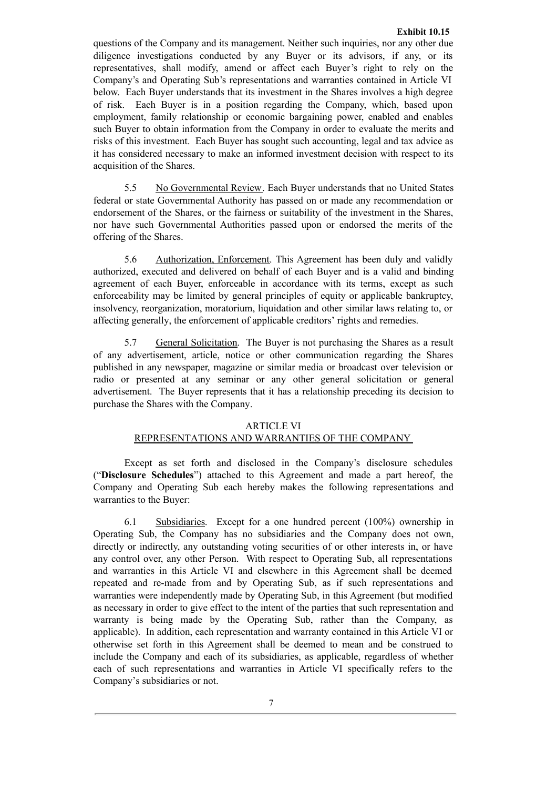questions of the Company and its management. Neither such inquiries, nor any other due diligence investigations conducted by any Buyer or its advisors, if any, or its representatives, shall modify, amend or affect each Buyer's right to rely on the Company's and Operating Sub's representations and warranties contained in Article VI below. Each Buyer understands that its investment in the Shares involves a high degree of risk. Each Buyer is in a position regarding the Company, which, based upon employment, family relationship or economic bargaining power, enabled and enables such Buyer to obtain information from the Company in order to evaluate the merits and risks of this investment. Each Buyer has sought such accounting, legal and tax advice as it has considered necessary to make an informed investment decision with respect to its acquisition of the Shares.

5.5 No Governmental Review. Each Buyer understands that no United States federal or state Governmental Authority has passed on or made any recommendation or endorsement of the Shares, or the fairness or suitability of the investment in the Shares, nor have such Governmental Authorities passed upon or endorsed the merits of the offering of the Shares.

5.6 Authorization, Enforcement. This Agreement has been duly and validly authorized, executed and delivered on behalf of each Buyer and is a valid and binding agreement of each Buyer, enforceable in accordance with its terms, except as such enforceability may be limited by general principles of equity or applicable bankruptcy, insolvency, reorganization, moratorium, liquidation and other similar laws relating to, or affecting generally, the enforcement of applicable creditors' rights and remedies.

5.7 General Solicitation. The Buyer is not purchasing the Shares as a result of any advertisement, article, notice or other communication regarding the Shares published in any newspaper, magazine or similar media or broadcast over television or radio or presented at any seminar or any other general solicitation or general advertisement. The Buyer represents that it has a relationship preceding its decision to purchase the Shares with the Company.

#### ARTICLE VI

## REPRESENTATIONS AND WARRANTIES OF THE COMPANY

Except as set forth and disclosed in the Company's disclosure schedules ("**Disclosure Schedules**") attached to this Agreement and made a part hereof, the Company and Operating Sub each hereby makes the following representations and warranties to the Buyer:

6.1 Subsidiaries. Except for a one hundred percent (100%) ownership in Operating Sub, the Company has no subsidiaries and the Company does not own, directly or indirectly, any outstanding voting securities of or other interests in, or have any control over, any other Person. With respect to Operating Sub, all representations and warranties in this Article VI and elsewhere in this Agreement shall be deemed repeated and re-made from and by Operating Sub, as if such representations and warranties were independently made by Operating Sub, in this Agreement (but modified as necessary in order to give effect to the intent of the parties that such representation and warranty is being made by the Operating Sub, rather than the Company, as applicable). In addition, each representation and warranty contained in this Article VI or otherwise set forth in this Agreement shall be deemed to mean and be construed to include the Company and each of its subsidiaries, as applicable, regardless of whether each of such representations and warranties in Article VI specifically refers to the Company's subsidiaries or not.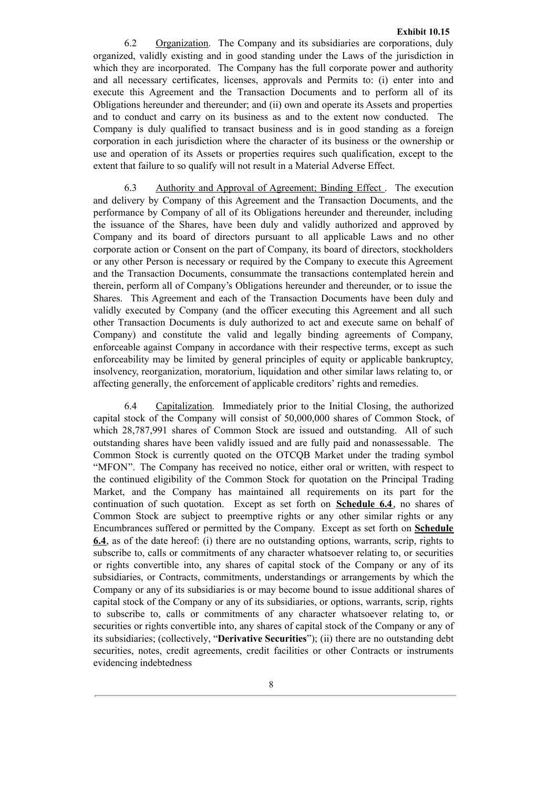6.2 Organization. The Company and its subsidiaries are corporations, duly organized, validly existing and in good standing under the Laws of the jurisdiction in which they are incorporated. The Company has the full corporate power and authority and all necessary certificates, licenses, approvals and Permits to: (i) enter into and execute this Agreement and the Transaction Documents and to perform all of its Obligations hereunder and thereunder; and (ii) own and operate its Assets and properties and to conduct and carry on its business as and to the extent now conducted. The Company is duly qualified to transact business and is in good standing as a foreign corporation in each jurisdiction where the character of its business or the ownership or use and operation of its Assets or properties requires such qualification, except to the extent that failure to so qualify will not result in a Material Adverse Effect.

6.3 Authority and Approval of Agreement; Binding Effect . The execution and delivery by Company of this Agreement and the Transaction Documents, and the performance by Company of all of its Obligations hereunder and thereunder, including the issuance of the Shares, have been duly and validly authorized and approved by Company and its board of directors pursuant to all applicable Laws and no other corporate action or Consent on the part of Company, its board of directors, stockholders or any other Person is necessary or required by the Company to execute this Agreement and the Transaction Documents, consummate the transactions contemplated herein and therein, perform all of Company's Obligations hereunder and thereunder, or to issue the Shares. This Agreement and each of the Transaction Documents have been duly and validly executed by Company (and the officer executing this Agreement and all such other Transaction Documents is duly authorized to act and execute same on behalf of Company) and constitute the valid and legally binding agreements of Company, enforceable against Company in accordance with their respective terms, except as such enforceability may be limited by general principles of equity or applicable bankruptcy, insolvency, reorganization, moratorium, liquidation and other similar laws relating to, or affecting generally, the enforcement of applicable creditors' rights and remedies.

6.4 Capitalization. Immediately prior to the Initial Closing, the authorized capital stock of the Company will consist of 50,000,000 shares of Common Stock, of which 28,787,991 shares of Common Stock are issued and outstanding. All of such outstanding shares have been validly issued and are fully paid and nonassessable. The Common Stock is currently quoted on the OTCQB Market under the trading symbol "MFON". The Company has received no notice, either oral or written, with respect to the continued eligibility of the Common Stock for quotation on the Principal Trading Market, and the Company has maintained all requirements on its part for the continuation of such quotation. Except as set forth on **Schedule 6.4**, no shares of Common Stock are subject to preemptive rights or any other similar rights or any Encumbrances suffered or permitted by the Company. Except as set forth on **Schedule 6.4**, as of the date hereof: (i) there are no outstanding options, warrants, scrip, rights to subscribe to, calls or commitments of any character whatsoever relating to, or securities or rights convertible into, any shares of capital stock of the Company or any of its subsidiaries, or Contracts, commitments, understandings or arrangements by which the Company or any of its subsidiaries is or may become bound to issue additional shares of capital stock of the Company or any of its subsidiaries, or options, warrants, scrip, rights to subscribe to, calls or commitments of any character whatsoever relating to, or securities or rights convertible into, any shares of capital stock of the Company or any of its subsidiaries; (collectively, "**Derivative Securities**"); (ii) there are no outstanding debt securities, notes, credit agreements, credit facilities or other Contracts or instruments evidencing indebtedness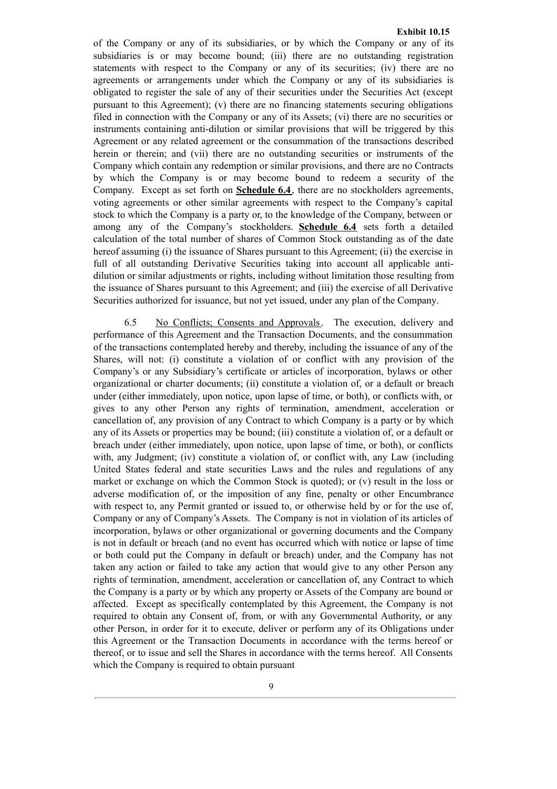### **Exhibit 10.15**

of the Company or any of its subsidiaries, or by which the Company or any of its subsidiaries is or may become bound; (iii) there are no outstanding registration statements with respect to the Company or any of its securities; (iv) there are no agreements or arrangements under which the Company or any of its subsidiaries is obligated to register the sale of any of their securities under the Securities Act (except pursuant to this Agreement); (v) there are no financing statements securing obligations filed in connection with the Company or any of its Assets; (vi) there are no securities or instruments containing anti-dilution or similar provisions that will be triggered by this Agreement or any related agreement or the consummation of the transactions described herein or therein; and (vii) there are no outstanding securities or instruments of the Company which contain any redemption or similar provisions, and there are no Contracts by which the Company is or may become bound to redeem a security of the Company. Except as set forth on **Schedule 6.4**, there are no stockholders agreements, voting agreements or other similar agreements with respect to the Company's capital stock to which the Company is a party or, to the knowledge of the Company, between or among any of the Company's stockholders. **Schedule 6.4** sets forth a detailed calculation of the total number of shares of Common Stock outstanding as of the date hereof assuming (i) the issuance of Shares pursuant to this Agreement; (ii) the exercise in full of all outstanding Derivative Securities taking into account all applicable antidilution or similar adjustments or rights, including without limitation those resulting from the issuance of Shares pursuant to this Agreement; and (iii) the exercise of all Derivative Securities authorized for issuance, but not yet issued, under any plan of the Company.

6.5 No Conflicts; Consents and Approvals. The execution, delivery and performance of this Agreement and the Transaction Documents, and the consummation of the transactions contemplated hereby and thereby, including the issuance of any of the Shares, will not: (i) constitute a violation of or conflict with any provision of the Company's or any Subsidiary's certificate or articles of incorporation, bylaws or other organizational or charter documents; (ii) constitute a violation of, or a default or breach under (either immediately, upon notice, upon lapse of time, or both), or conflicts with, or gives to any other Person any rights of termination, amendment, acceleration or cancellation of, any provision of any Contract to which Company is a party or by which any of its Assets or properties may be bound; (iii) constitute a violation of, or a default or breach under (either immediately, upon notice, upon lapse of time, or both), or conflicts with, any Judgment; (iv) constitute a violation of, or conflict with, any Law (including United States federal and state securities Laws and the rules and regulations of any market or exchange on which the Common Stock is quoted); or (v) result in the loss or adverse modification of, or the imposition of any fine, penalty or other Encumbrance with respect to, any Permit granted or issued to, or otherwise held by or for the use of, Company or any of Company's Assets. The Company is not in violation of its articles of incorporation, bylaws or other organizational or governing documents and the Company is not in default or breach (and no event has occurred which with notice or lapse of time or both could put the Company in default or breach) under, and the Company has not taken any action or failed to take any action that would give to any other Person any rights of termination, amendment, acceleration or cancellation of, any Contract to which the Company is a party or by which any property or Assets of the Company are bound or affected. Except as specifically contemplated by this Agreement, the Company is not required to obtain any Consent of, from, or with any Governmental Authority, or any other Person, in order for it to execute, deliver or perform any of its Obligations under this Agreement or the Transaction Documents in accordance with the terms hereof or thereof, or to issue and sell the Shares in accordance with the terms hereof. All Consents which the Company is required to obtain pursuant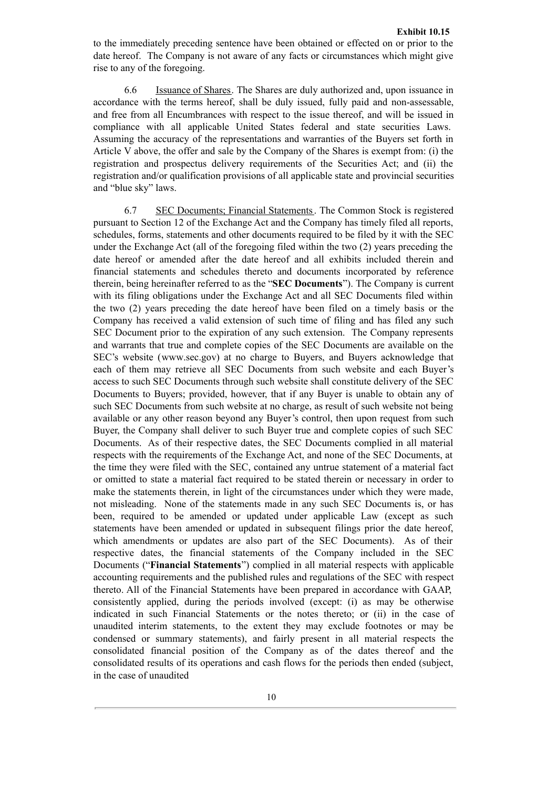to the immediately preceding sentence have been obtained or effected on or prior to the date hereof. The Company is not aware of any facts or circumstances which might give rise to any of the foregoing.

6.6 Issuance of Shares. The Shares are duly authorized and, upon issuance in accordance with the terms hereof, shall be duly issued, fully paid and non-assessable, and free from all Encumbrances with respect to the issue thereof, and will be issued in compliance with all applicable United States federal and state securities Laws. Assuming the accuracy of the representations and warranties of the Buyers set forth in Article V above, the offer and sale by the Company of the Shares is exempt from: (i) the registration and prospectus delivery requirements of the Securities Act; and (ii) the registration and/or qualification provisions of all applicable state and provincial securities and "blue sky" laws.

6.7 SEC Documents; Financial Statements. The Common Stock is registered pursuant to Section 12 of the Exchange Act and the Company has timely filed all reports, schedules, forms, statements and other documents required to be filed by it with the SEC under the Exchange Act (all of the foregoing filed within the two (2) years preceding the date hereof or amended after the date hereof and all exhibits included therein and financial statements and schedules thereto and documents incorporated by reference therein, being hereinafter referred to as the "**SEC Documents**"). The Company is current with its filing obligations under the Exchange Act and all SEC Documents filed within the two (2) years preceding the date hereof have been filed on a timely basis or the Company has received a valid extension of such time of filing and has filed any such SEC Document prior to the expiration of any such extension. The Company represents and warrants that true and complete copies of the SEC Documents are available on the SEC's website (www.sec.gov) at no charge to Buyers, and Buyers acknowledge that each of them may retrieve all SEC Documents from such website and each Buyer's access to such SEC Documents through such website shall constitute delivery of the SEC Documents to Buyers; provided, however, that if any Buyer is unable to obtain any of such SEC Documents from such website at no charge, as result of such website not being available or any other reason beyond any Buyer's control, then upon request from such Buyer, the Company shall deliver to such Buyer true and complete copies of such SEC Documents. As of their respective dates, the SEC Documents complied in all material respects with the requirements of the Exchange Act, and none of the SEC Documents, at the time they were filed with the SEC, contained any untrue statement of a material fact or omitted to state a material fact required to be stated therein or necessary in order to make the statements therein, in light of the circumstances under which they were made, not misleading. None of the statements made in any such SEC Documents is, or has been, required to be amended or updated under applicable Law (except as such statements have been amended or updated in subsequent filings prior the date hereof, which amendments or updates are also part of the SEC Documents). As of their respective dates, the financial statements of the Company included in the SEC Documents ("**Financial Statements**") complied in all material respects with applicable accounting requirements and the published rules and regulations of the SEC with respect thereto. All of the Financial Statements have been prepared in accordance with GAAP, consistently applied, during the periods involved (except: (i) as may be otherwise indicated in such Financial Statements or the notes thereto; or (ii) in the case of unaudited interim statements, to the extent they may exclude footnotes or may be condensed or summary statements), and fairly present in all material respects the consolidated financial position of the Company as of the dates thereof and the consolidated results of its operations and cash flows for the periods then ended (subject, in the case of unaudited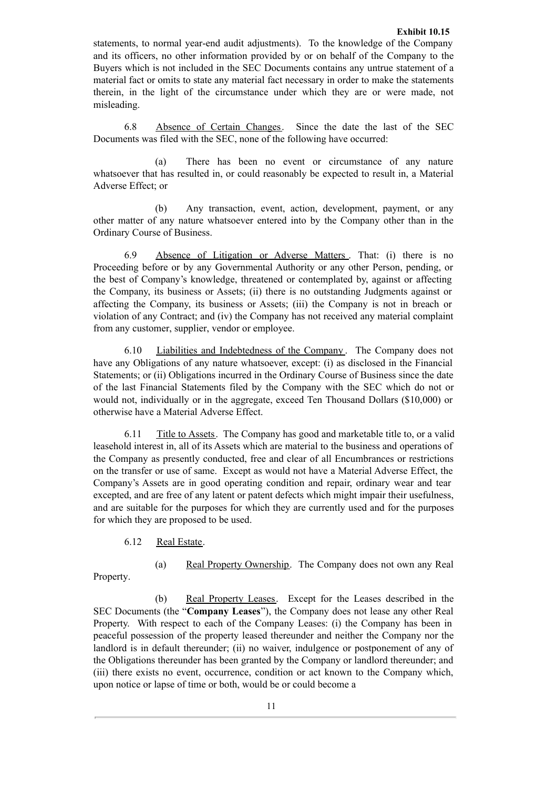statements, to normal year-end audit adjustments). To the knowledge of the Company and its officers, no other information provided by or on behalf of the Company to the Buyers which is not included in the SEC Documents contains any untrue statement of a material fact or omits to state any material fact necessary in order to make the statements therein, in the light of the circumstance under which they are or were made, not misleading.

6.8 Absence of Certain Changes. Since the date the last of the SEC Documents was filed with the SEC, none of the following have occurred:

(a) There has been no event or circumstance of any nature whatsoever that has resulted in, or could reasonably be expected to result in, a Material Adverse Effect; or

(b) Any transaction, event, action, development, payment, or any other matter of any nature whatsoever entered into by the Company other than in the Ordinary Course of Business.

6.9 Absence of Litigation or Adverse Matters . That: (i) there is no Proceeding before or by any Governmental Authority or any other Person, pending, or the best of Company's knowledge, threatened or contemplated by, against or affecting the Company, its business or Assets; (ii) there is no outstanding Judgments against or affecting the Company, its business or Assets; (iii) the Company is not in breach or violation of any Contract; and (iv) the Company has not received any material complaint from any customer, supplier, vendor or employee.

6.10 Liabilities and Indebtedness of the Company . The Company does not have any Obligations of any nature whatsoever, except: (i) as disclosed in the Financial Statements; or (ii) Obligations incurred in the Ordinary Course of Business since the date of the last Financial Statements filed by the Company with the SEC which do not or would not, individually or in the aggregate, exceed Ten Thousand Dollars (\$10,000) or otherwise have a Material Adverse Effect.

6.11 Title to Assets. The Company has good and marketable title to, or a valid leasehold interest in, all of its Assets which are material to the business and operations of the Company as presently conducted, free and clear of all Encumbrances or restrictions on the transfer or use of same. Except as would not have a Material Adverse Effect, the Company's Assets are in good operating condition and repair, ordinary wear and tear excepted, and are free of any latent or patent defects which might impair their usefulness, and are suitable for the purposes for which they are currently used and for the purposes for which they are proposed to be used.

6.12 Real Estate.

(a) Real Property Ownership. The Company does not own any Real Property.

(b) Real Property Leases. Except for the Leases described in the SEC Documents (the "**Company Leases**"), the Company does not lease any other Real Property. With respect to each of the Company Leases: (i) the Company has been in peaceful possession of the property leased thereunder and neither the Company nor the landlord is in default thereunder; (ii) no waiver, indulgence or postponement of any of the Obligations thereunder has been granted by the Company or landlord thereunder; and (iii) there exists no event, occurrence, condition or act known to the Company which, upon notice or lapse of time or both, would be or could become a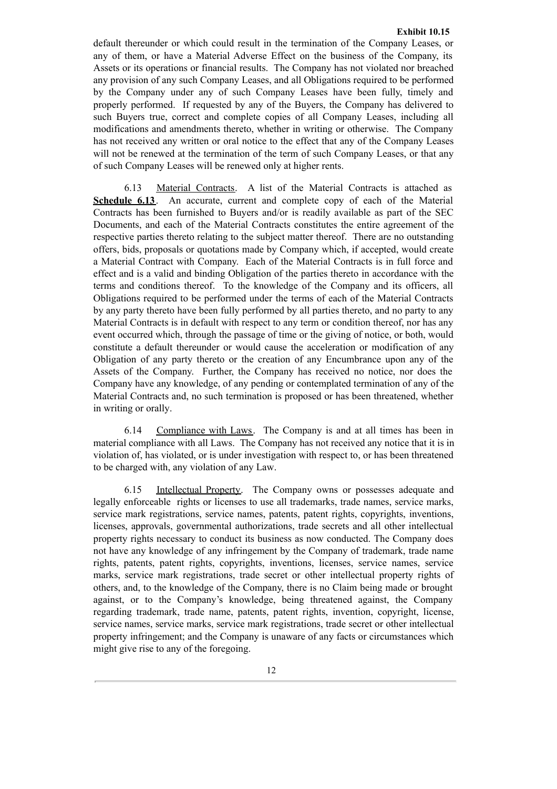default thereunder or which could result in the termination of the Company Leases, or any of them, or have a Material Adverse Effect on the business of the Company, its Assets or its operations or financial results. The Company has not violated nor breached any provision of any such Company Leases, and all Obligations required to be performed by the Company under any of such Company Leases have been fully, timely and properly performed. If requested by any of the Buyers, the Company has delivered to such Buyers true, correct and complete copies of all Company Leases, including all modifications and amendments thereto, whether in writing or otherwise. The Company has not received any written or oral notice to the effect that any of the Company Leases will not be renewed at the termination of the term of such Company Leases, or that any of such Company Leases will be renewed only at higher rents.

6.13 Material Contracts. A list of the Material Contracts is attached as **Schedule 6.13**. An accurate, current and complete copy of each of the Material Contracts has been furnished to Buyers and/or is readily available as part of the SEC Documents, and each of the Material Contracts constitutes the entire agreement of the respective parties thereto relating to the subject matter thereof. There are no outstanding offers, bids, proposals or quotations made by Company which, if accepted, would create a Material Contract with Company. Each of the Material Contracts is in full force and effect and is a valid and binding Obligation of the parties thereto in accordance with the terms and conditions thereof. To the knowledge of the Company and its officers, all Obligations required to be performed under the terms of each of the Material Contracts by any party thereto have been fully performed by all parties thereto, and no party to any Material Contracts is in default with respect to any term or condition thereof, nor has any event occurred which, through the passage of time or the giving of notice, or both, would constitute a default thereunder or would cause the acceleration or modification of any Obligation of any party thereto or the creation of any Encumbrance upon any of the Assets of the Company. Further, the Company has received no notice, nor does the Company have any knowledge, of any pending or contemplated termination of any of the Material Contracts and, no such termination is proposed or has been threatened, whether in writing or orally.

6.14 Compliance with Laws. The Company is and at all times has been in material compliance with all Laws. The Company has not received any notice that it is in violation of, has violated, or is under investigation with respect to, or has been threatened to be charged with, any violation of any Law.

6.15 Intellectual Property. The Company owns or possesses adequate and legally enforceable rights or licenses to use all trademarks, trade names, service marks, service mark registrations, service names, patents, patent rights, copyrights, inventions, licenses, approvals, governmental authorizations, trade secrets and all other intellectual property rights necessary to conduct its business as now conducted. The Company does not have any knowledge of any infringement by the Company of trademark, trade name rights, patents, patent rights, copyrights, inventions, licenses, service names, service marks, service mark registrations, trade secret or other intellectual property rights of others, and, to the knowledge of the Company, there is no Claim being made or brought against, or to the Company's knowledge, being threatened against, the Company regarding trademark, trade name, patents, patent rights, invention, copyright, license, service names, service marks, service mark registrations, trade secret or other intellectual property infringement; and the Company is unaware of any facts or circumstances which might give rise to any of the foregoing.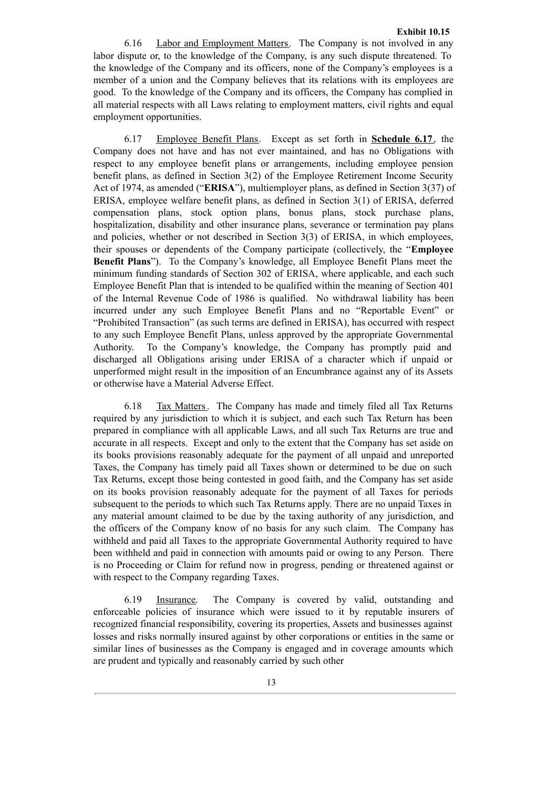6.16 Labor and Employment Matters. The Company is not involved in any labor dispute or, to the knowledge of the Company, is any such dispute threatened. To the knowledge of the Company and its officers, none of the Company's employees is a member of a union and the Company believes that its relations with its employees are good. To the knowledge of the Company and its officers, the Company has complied in all material respects with all Laws relating to employment matters, civil rights and equal employment opportunities.

6.17 Employee Benefit Plans. Except as set forth in **Schedule 6.17**, the Company does not have and has not ever maintained, and has no Obligations with respect to any employee benefit plans or arrangements, including employee pension benefit plans, as defined in Section 3(2) of the Employee Retirement Income Security Act of 1974, as amended ("**ERISA**"), multiemployer plans, as defined in Section 3(37) of ERISA, employee welfare benefit plans, as defined in Section 3(1) of ERISA, deferred compensation plans, stock option plans, bonus plans, stock purchase plans, hospitalization, disability and other insurance plans, severance or termination pay plans and policies, whether or not described in Section 3(3) of ERISA, in which employees, their spouses or dependents of the Company participate (collectively, the "**Employee Benefit Plans**"). To the Company's knowledge, all Employee Benefit Plans meet the minimum funding standards of Section 302 of ERISA, where applicable, and each such Employee Benefit Plan that is intended to be qualified within the meaning of Section 401 of the Internal Revenue Code of 1986 is qualified. No withdrawal liability has been incurred under any such Employee Benefit Plans and no "Reportable Event" or "Prohibited Transaction" (as such terms are defined in ERISA), has occurred with respect to any such Employee Benefit Plans, unless approved by the appropriate Governmental Authority. To the Company's knowledge, the Company has promptly paid and discharged all Obligations arising under ERISA of a character which if unpaid or unperformed might result in the imposition of an Encumbrance against any of its Assets or otherwise have a Material Adverse Effect.

6.18 Tax Matters. The Company has made and timely filed all Tax Returns required by any jurisdiction to which it is subject, and each such Tax Return has been prepared in compliance with all applicable Laws, and all such Tax Returns are true and accurate in all respects. Except and only to the extent that the Company has set aside on its books provisions reasonably adequate for the payment of all unpaid and unreported Taxes, the Company has timely paid all Taxes shown or determined to be due on such Tax Returns, except those being contested in good faith, and the Company has set aside on its books provision reasonably adequate for the payment of all Taxes for periods subsequent to the periods to which such Tax Returns apply. There are no unpaid Taxes in any material amount claimed to be due by the taxing authority of any jurisdiction, and the officers of the Company know of no basis for any such claim. The Company has withheld and paid all Taxes to the appropriate Governmental Authority required to have been withheld and paid in connection with amounts paid or owing to any Person. There is no Proceeding or Claim for refund now in progress, pending or threatened against or with respect to the Company regarding Taxes.

6.19 Insurance. The Company is covered by valid, outstanding and enforceable policies of insurance which were issued to it by reputable insurers of recognized financial responsibility, covering its properties, Assets and businesses against losses and risks normally insured against by other corporations or entities in the same or similar lines of businesses as the Company is engaged and in coverage amounts which are prudent and typically and reasonably carried by such other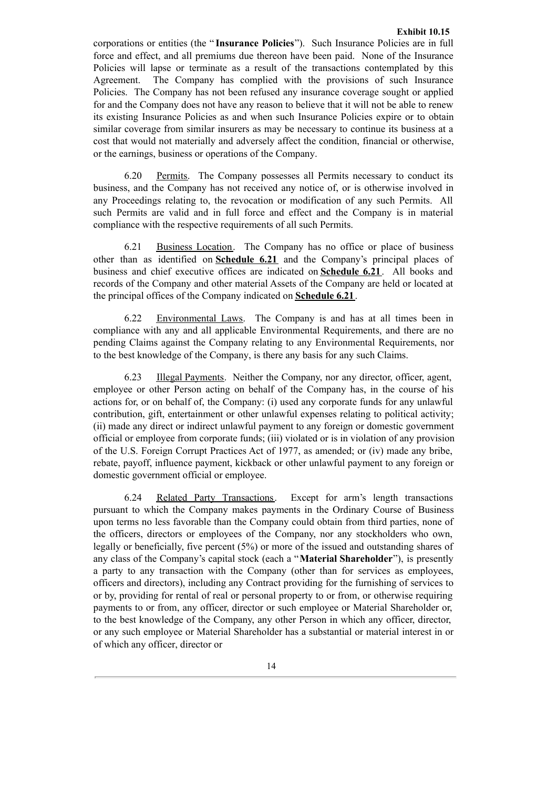corporations or entities (the " **Insurance Policies**"). Such Insurance Policies are in full force and effect, and all premiums due thereon have been paid. None of the Insurance Policies will lapse or terminate as a result of the transactions contemplated by this Agreement. The Company has complied with the provisions of such Insurance Policies. The Company has not been refused any insurance coverage sought or applied for and the Company does not have any reason to believe that it will not be able to renew its existing Insurance Policies as and when such Insurance Policies expire or to obtain similar coverage from similar insurers as may be necessary to continue its business at a cost that would not materially and adversely affect the condition, financial or otherwise, or the earnings, business or operations of the Company.

6.20 Permits. The Company possesses all Permits necessary to conduct its business, and the Company has not received any notice of, or is otherwise involved in any Proceedings relating to, the revocation or modification of any such Permits. All such Permits are valid and in full force and effect and the Company is in material compliance with the respective requirements of all such Permits.

6.21 Business Location. The Company has no office or place of business other than as identified on **Schedule 6.21** and the Company's principal places of business and chief executive offices are indicated on **Schedule 6.21**. All books and records of the Company and other material Assets of the Company are held or located at the principal offices of the Company indicated on **Schedule 6.21**.

6.22 Environmental Laws. The Company is and has at all times been in compliance with any and all applicable Environmental Requirements, and there are no pending Claims against the Company relating to any Environmental Requirements, nor to the best knowledge of the Company, is there any basis for any such Claims.

6.23 Illegal Payments. Neither the Company, nor any director, officer, agent, employee or other Person acting on behalf of the Company has, in the course of his actions for, or on behalf of, the Company: (i) used any corporate funds for any unlawful contribution, gift, entertainment or other unlawful expenses relating to political activity; (ii) made any direct or indirect unlawful payment to any foreign or domestic government official or employee from corporate funds; (iii) violated or is in violation of any provision of the U.S. Foreign Corrupt Practices Act of 1977, as amended; or (iv) made any bribe, rebate, payoff, influence payment, kickback or other unlawful payment to any foreign or domestic government official or employee.

6.24 Related Party Transactions. Except for arm's length transactions pursuant to which the Company makes payments in the Ordinary Course of Business upon terms no less favorable than the Company could obtain from third parties, none of the officers, directors or employees of the Company, nor any stockholders who own, legally or beneficially, five percent (5%) or more of the issued and outstanding shares of any class of the Company's capital stock (each a "**Material Shareholder**"), is presently a party to any transaction with the Company (other than for services as employees, officers and directors), including any Contract providing for the furnishing of services to or by, providing for rental of real or personal property to or from, or otherwise requiring payments to or from, any officer, director or such employee or Material Shareholder or, to the best knowledge of the Company, any other Person in which any officer, director, or any such employee or Material Shareholder has a substantial or material interest in or of which any officer, director or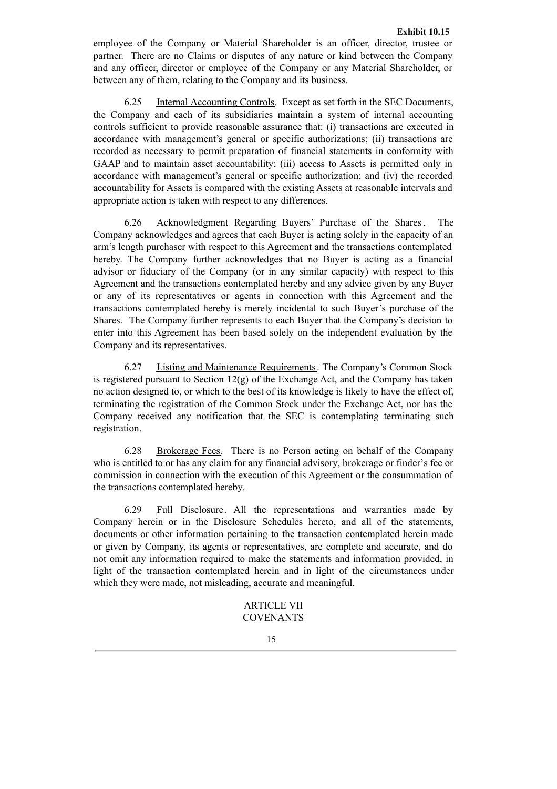employee of the Company or Material Shareholder is an officer, director, trustee or partner. There are no Claims or disputes of any nature or kind between the Company and any officer, director or employee of the Company or any Material Shareholder, or between any of them, relating to the Company and its business.

6.25 Internal Accounting Controls. Except as set forth in the SEC Documents, the Company and each of its subsidiaries maintain a system of internal accounting controls sufficient to provide reasonable assurance that: (i) transactions are executed in accordance with management's general or specific authorizations; (ii) transactions are recorded as necessary to permit preparation of financial statements in conformity with GAAP and to maintain asset accountability; (iii) access to Assets is permitted only in accordance with management's general or specific authorization; and (iv) the recorded accountability for Assets is compared with the existing Assets at reasonable intervals and appropriate action is taken with respect to any differences.

6.26 Acknowledgment Regarding Buyers' Purchase of the Shares. The Company acknowledges and agrees that each Buyer is acting solely in the capacity of an arm's length purchaser with respect to this Agreement and the transactions contemplated hereby. The Company further acknowledges that no Buyer is acting as a financial advisor or fiduciary of the Company (or in any similar capacity) with respect to this Agreement and the transactions contemplated hereby and any advice given by any Buyer or any of its representatives or agents in connection with this Agreement and the transactions contemplated hereby is merely incidental to such Buyer's purchase of the Shares. The Company further represents to each Buyer that the Company's decision to enter into this Agreement has been based solely on the independent evaluation by the Company and its representatives.

6.27 Listing and Maintenance Requirements. The Company's Common Stock is registered pursuant to Section  $12(g)$  of the Exchange Act, and the Company has taken no action designed to, or which to the best of its knowledge is likely to have the effect of, terminating the registration of the Common Stock under the Exchange Act, nor has the Company received any notification that the SEC is contemplating terminating such registration.

6.28 Brokerage Fees. There is no Person acting on behalf of the Company who is entitled to or has any claim for any financial advisory, brokerage or finder's fee or commission in connection with the execution of this Agreement or the consummation of the transactions contemplated hereby.

6.29 Full Disclosure. All the representations and warranties made by Company herein or in the Disclosure Schedules hereto, and all of the statements, documents or other information pertaining to the transaction contemplated herein made or given by Company, its agents or representatives, are complete and accurate, and do not omit any information required to make the statements and information provided, in light of the transaction contemplated herein and in light of the circumstances under which they were made, not misleading, accurate and meaningful.

## ARTICLE VII **COVENANTS**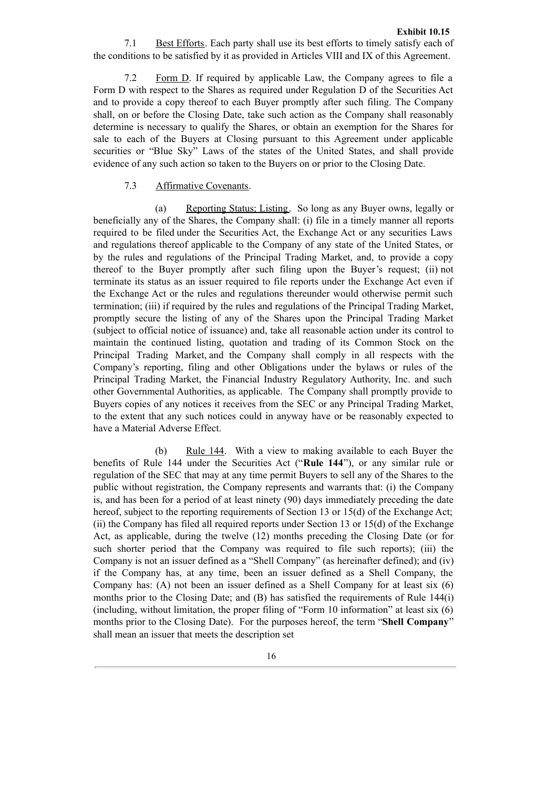7.1 Best Efforts. Each party shall use its best efforts to timely satisfy each of the conditions to be satisfied by it as provided in Articles VIII and IX of this Agreement.

7.2 Form D. If required by applicable Law, the Company agrees to file a Form D with respect to the Shares as required under Regulation D of the Securities Act and to provide a copy thereof to each Buyer promptly after such filing. The Company shall, on or before the Closing Date, take such action as the Company shall reasonably determine is necessary to qualify the Shares, or obtain an exemption for the Shares for sale to each of the Buyers at Closing pursuant to this Agreement under applicable securities or "Blue Sky" Laws of the states of the United States, and shall provide evidence of any such action so taken to the Buyers on or prior to the Closing Date.

## 7.3 Affirmative Covenants.

(a) Reporting Status; Listing. So long as any Buyer owns, legally or beneficially any of the Shares, the Company shall: (i) file in a timely manner all reports required to be filed under the Securities Act, the Exchange Act or any securities Laws and regulations thereof applicable to the Company of any state of the United States, or by the rules and regulations of the Principal Trading Market, and, to provide a copy thereof to the Buyer promptly after such filing upon the Buyer's request; (ii) not terminate its status as an issuer required to file reports under the Exchange Act even if the Exchange Act or the rules and regulations thereunder would otherwise permit such termination; (iii) if required by the rules and regulations of the Principal Trading Market, promptly secure the listing of any of the Shares upon the Principal Trading Market (subject to official notice of issuance) and, take all reasonable action under its control to maintain the continued listing, quotation and trading of its Common Stock on the Principal Trading Market, and the Company shall comply in all respects with the Company's reporting, filing and other Obligations under the bylaws or rules of the Principal Trading Market, the Financial Industry Regulatory Authority, Inc. and such other Governmental Authorities, as applicable. The Company shall promptly provide to Buyers copies of any notices it receives from the SEC or any Principal Trading Market, to the extent that any such notices could in anyway have or be reasonably expected to have a Material Adverse Effect.

(b) Rule 144. With a view to making available to each Buyer the benefits of Rule 144 under the Securities Act ("**Rule 144**"), or any similar rule or regulation of the SEC that may at any time permit Buyers to sell any of the Shares to the public without registration, the Company represents and warrants that: (i) the Company is, and has been for a period of at least ninety (90) days immediately preceding the date hereof, subject to the reporting requirements of Section 13 or 15(d) of the Exchange Act; (ii) the Company has filed all required reports under Section 13 or 15(d) of the Exchange Act, as applicable, during the twelve (12) months preceding the Closing Date (or for such shorter period that the Company was required to file such reports); (iii) the Company is not an issuer defined as a "Shell Company" (as hereinafter defined); and (iv) if the Company has, at any time, been an issuer defined as a Shell Company, the Company has: (A) not been an issuer defined as a Shell Company for at least six (6) months prior to the Closing Date; and (B) has satisfied the requirements of Rule 144(i) (including, without limitation, the proper filing of "Form 10 information" at least six (6) months prior to the Closing Date). For the purposes hereof, the term "**Shell Company**" shall mean an issuer that meets the description set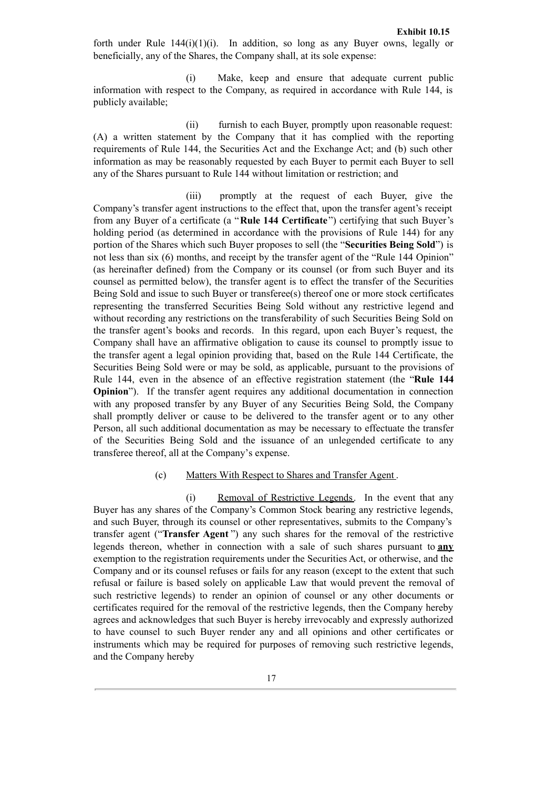forth under Rule 144(i)(1)(i). In addition, so long as any Buyer owns, legally or beneficially, any of the Shares, the Company shall, at its sole expense:

(i) Make, keep and ensure that adequate current public information with respect to the Company, as required in accordance with Rule 144, is publicly available;

(ii) furnish to each Buyer, promptly upon reasonable request: (A) a written statement by the Company that it has complied with the reporting requirements of Rule 144, the Securities Act and the Exchange Act; and (b) such other information as may be reasonably requested by each Buyer to permit each Buyer to sell any of the Shares pursuant to Rule 144 without limitation or restriction; and

(iii) promptly at the request of each Buyer, give the Company's transfer agent instructions to the effect that, upon the transfer agent's receipt from any Buyer of a certificate (a "**Rule 144 Certificate**") certifying that such Buyer's holding period (as determined in accordance with the provisions of Rule 144) for any portion of the Shares which such Buyer proposes to sell (the "**Securities Being Sold**") is not less than six (6) months, and receipt by the transfer agent of the "Rule 144 Opinion" (as hereinafter defined) from the Company or its counsel (or from such Buyer and its counsel as permitted below), the transfer agent is to effect the transfer of the Securities Being Sold and issue to such Buyer or transferee(s) thereof one or more stock certificates representing the transferred Securities Being Sold without any restrictive legend and without recording any restrictions on the transferability of such Securities Being Sold on the transfer agent's books and records. In this regard, upon each Buyer's request, the Company shall have an affirmative obligation to cause its counsel to promptly issue to the transfer agent a legal opinion providing that, based on the Rule 144 Certificate, the Securities Being Sold were or may be sold, as applicable, pursuant to the provisions of Rule 144, even in the absence of an effective registration statement (the "**Rule 144 Opinion**"). If the transfer agent requires any additional documentation in connection with any proposed transfer by any Buyer of any Securities Being Sold, the Company shall promptly deliver or cause to be delivered to the transfer agent or to any other Person, all such additional documentation as may be necessary to effectuate the transfer of the Securities Being Sold and the issuance of an unlegended certificate to any transferee thereof, all at the Company's expense.

## (c) Matters With Respect to Shares and Transfer Agent .

(i) Removal of Restrictive Legends. In the event that any Buyer has any shares of the Company's Common Stock bearing any restrictive legends, and such Buyer, through its counsel or other representatives, submits to the Company's transfer agent ("**Transfer Agent** ") any such shares for the removal of the restrictive legends thereon, whether in connection with a sale of such shares pursuant to **any** exemption to the registration requirements under the Securities Act, or otherwise, and the Company and or its counsel refuses or fails for any reason (except to the extent that such refusal or failure is based solely on applicable Law that would prevent the removal of such restrictive legends) to render an opinion of counsel or any other documents or certificates required for the removal of the restrictive legends, then the Company hereby agrees and acknowledges that such Buyer is hereby irrevocably and expressly authorized to have counsel to such Buyer render any and all opinions and other certificates or instruments which may be required for purposes of removing such restrictive legends, and the Company hereby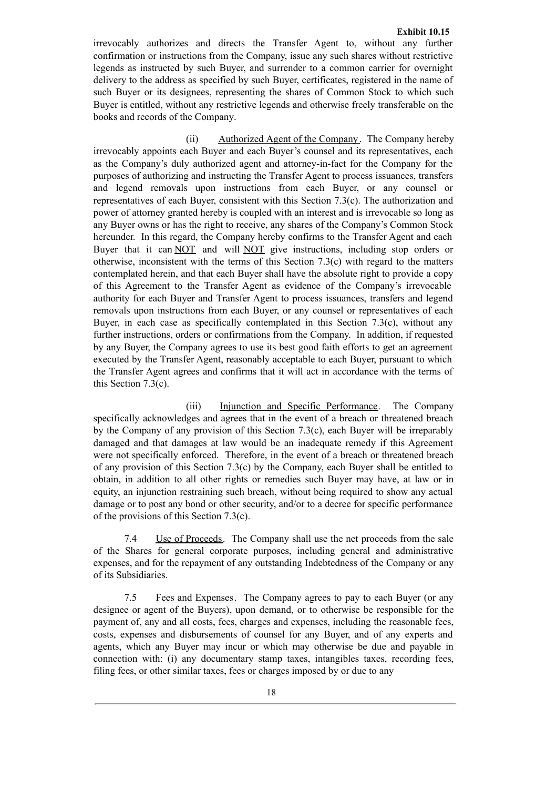irrevocably authorizes and directs the Transfer Agent to, without any further confirmation or instructions from the Company, issue any such shares without restrictive legends as instructed by such Buyer, and surrender to a common carrier for overnight delivery to the address as specified by such Buyer, certificates, registered in the name of such Buyer or its designees, representing the shares of Common Stock to which such Buyer is entitled, without any restrictive legends and otherwise freely transferable on the books and records of the Company.

(ii) Authorized Agent of the Company . The Company hereby irrevocably appoints each Buyer and each Buyer's counsel and its representatives, each as the Company's duly authorized agent and attorney-in-fact for the Company for the purposes of authorizing and instructing the Transfer Agent to process issuances, transfers and legend removals upon instructions from each Buyer, or any counsel or representatives of each Buyer, consistent with this Section 7.3(c). The authorization and power of attorney granted hereby is coupled with an interest and is irrevocable so long as any Buyer owns or has the right to receive, any shares of the Company's Common Stock hereunder. In this regard, the Company hereby confirms to the Transfer Agent and each Buyer that it can NOT and will NOT give instructions, including stop orders or otherwise, inconsistent with the terms of this Section 7.3(c) with regard to the matters contemplated herein, and that each Buyer shall have the absolute right to provide a copy of this Agreement to the Transfer Agent as evidence of the Company's irrevocable authority for each Buyer and Transfer Agent to process issuances, transfers and legend removals upon instructions from each Buyer, or any counsel or representatives of each Buyer, in each case as specifically contemplated in this Section 7.3(c), without any further instructions, orders or confirmations from the Company. In addition, if requested by any Buyer, the Company agrees to use its best good faith efforts to get an agreement executed by the Transfer Agent, reasonably acceptable to each Buyer, pursuant to which the Transfer Agent agrees and confirms that it will act in accordance with the terms of this Section 7.3(c).

(iii) Injunction and Specific Performance. The Company specifically acknowledges and agrees that in the event of a breach or threatened breach by the Company of any provision of this Section 7.3(c), each Buyer will be irreparably damaged and that damages at law would be an inadequate remedy if this Agreement were not specifically enforced. Therefore, in the event of a breach or threatened breach of any provision of this Section 7.3(c) by the Company, each Buyer shall be entitled to obtain, in addition to all other rights or remedies such Buyer may have, at law or in equity, an injunction restraining such breach, without being required to show any actual damage or to post any bond or other security, and/or to a decree for specific performance of the provisions of this Section 7.3(c).

7.4 Use of Proceeds. The Company shall use the net proceeds from the sale of the Shares for general corporate purposes, including general and administrative expenses, and for the repayment of any outstanding Indebtedness of the Company or any of its Subsidiaries.

7.5 Fees and Expenses. The Company agrees to pay to each Buyer (or any designee or agent of the Buyers), upon demand, or to otherwise be responsible for the payment of, any and all costs, fees, charges and expenses, including the reasonable fees, costs, expenses and disbursements of counsel for any Buyer, and of any experts and agents, which any Buyer may incur or which may otherwise be due and payable in connection with: (i) any documentary stamp taxes, intangibles taxes, recording fees, filing fees, or other similar taxes, fees or charges imposed by or due to any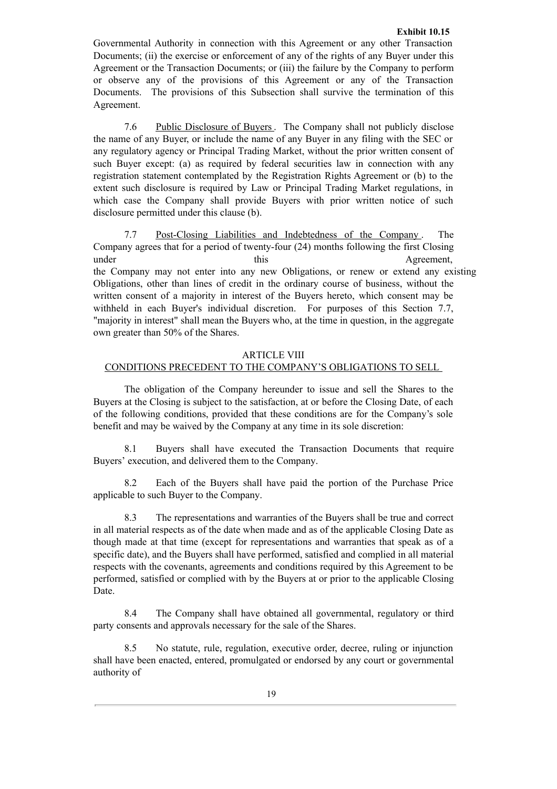Governmental Authority in connection with this Agreement or any other Transaction Documents; (ii) the exercise or enforcement of any of the rights of any Buyer under this Agreement or the Transaction Documents; or (iii) the failure by the Company to perform or observe any of the provisions of this Agreement or any of the Transaction Documents. The provisions of this Subsection shall survive the termination of this Agreement.

7.6 Public Disclosure of Buyers. The Company shall not publicly disclose the name of any Buyer, or include the name of any Buyer in any filing with the SEC or any regulatory agency or Principal Trading Market, without the prior written consent of such Buyer except: (a) as required by federal securities law in connection with any registration statement contemplated by the Registration Rights Agreement or (b) to the extent such disclosure is required by Law or Principal Trading Market regulations, in which case the Company shall provide Buyers with prior written notice of such disclosure permitted under this clause (b).

7.7 Post-Closing Liabilities and Indebtedness of the Company . The Company agrees that for a period of twenty-four (24) months following the first Closing under this this Agreement, the Company may not enter into any new Obligations, or renew or extend any existing Obligations, other than lines of credit in the ordinary course of business, without the written consent of a majority in interest of the Buyers hereto, which consent may be withheld in each Buyer's individual discretion. For purposes of this Section 7.7, "majority in interest" shall mean the Buyers who, at the time in question, in the aggregate own greater than 50% of the Shares.

## ARTICLE VIII CONDITIONS PRECEDENT TO THE COMPANY'S OBLIGATIONS TO SELL

The obligation of the Company hereunder to issue and sell the Shares to the Buyers at the Closing is subject to the satisfaction, at or before the Closing Date, of each of the following conditions, provided that these conditions are for the Company's sole benefit and may be waived by the Company at any time in its sole discretion:

8.1 Buyers shall have executed the Transaction Documents that require Buyers' execution, and delivered them to the Company.

8.2 Each of the Buyers shall have paid the portion of the Purchase Price applicable to such Buyer to the Company.

8.3 The representations and warranties of the Buyers shall be true and correct in all material respects as of the date when made and as of the applicable Closing Date as though made at that time (except for representations and warranties that speak as of a specific date), and the Buyers shall have performed, satisfied and complied in all material respects with the covenants, agreements and conditions required by this Agreement to be performed, satisfied or complied with by the Buyers at or prior to the applicable Closing Date.

8.4 The Company shall have obtained all governmental, regulatory or third party consents and approvals necessary for the sale of the Shares.

8.5 No statute, rule, regulation, executive order, decree, ruling or injunction shall have been enacted, entered, promulgated or endorsed by any court or governmental authority of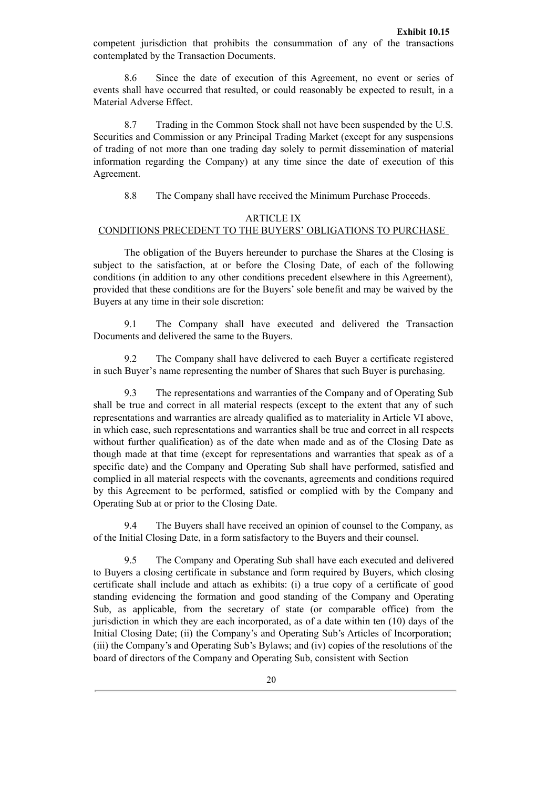competent jurisdiction that prohibits the consummation of any of the transactions contemplated by the Transaction Documents.

8.6 Since the date of execution of this Agreement, no event or series of events shall have occurred that resulted, or could reasonably be expected to result, in a Material Adverse Effect.

8.7 Trading in the Common Stock shall not have been suspended by the U.S. Securities and Commission or any Principal Trading Market (except for any suspensions of trading of not more than one trading day solely to permit dissemination of material information regarding the Company) at any time since the date of execution of this Agreement.

8.8 The Company shall have received the Minimum Purchase Proceeds.

#### ARTICLE IX

## CONDITIONS PRECEDENT TO THE BUYERS' OBLIGATIONS TO PURCHASE

The obligation of the Buyers hereunder to purchase the Shares at the Closing is subject to the satisfaction, at or before the Closing Date, of each of the following conditions (in addition to any other conditions precedent elsewhere in this Agreement), provided that these conditions are for the Buyers' sole benefit and may be waived by the Buyers at any time in their sole discretion:

9.1 The Company shall have executed and delivered the Transaction Documents and delivered the same to the Buyers.

9.2 The Company shall have delivered to each Buyer a certificate registered in such Buyer's name representing the number of Shares that such Buyer is purchasing.

9.3 The representations and warranties of the Company and of Operating Sub shall be true and correct in all material respects (except to the extent that any of such representations and warranties are already qualified as to materiality in Article VI above, in which case, such representations and warranties shall be true and correct in all respects without further qualification) as of the date when made and as of the Closing Date as though made at that time (except for representations and warranties that speak as of a specific date) and the Company and Operating Sub shall have performed, satisfied and complied in all material respects with the covenants, agreements and conditions required by this Agreement to be performed, satisfied or complied with by the Company and Operating Sub at or prior to the Closing Date.

9.4 The Buyers shall have received an opinion of counsel to the Company, as of the Initial Closing Date, in a form satisfactory to the Buyers and their counsel.

9.5 The Company and Operating Sub shall have each executed and delivered to Buyers a closing certificate in substance and form required by Buyers, which closing certificate shall include and attach as exhibits: (i) a true copy of a certificate of good standing evidencing the formation and good standing of the Company and Operating Sub, as applicable, from the secretary of state (or comparable office) from the jurisdiction in which they are each incorporated, as of a date within ten (10) days of the Initial Closing Date; (ii) the Company's and Operating Sub's Articles of Incorporation; (iii) the Company's and Operating Sub's Bylaws; and (iv) copies of the resolutions of the board of directors of the Company and Operating Sub, consistent with Section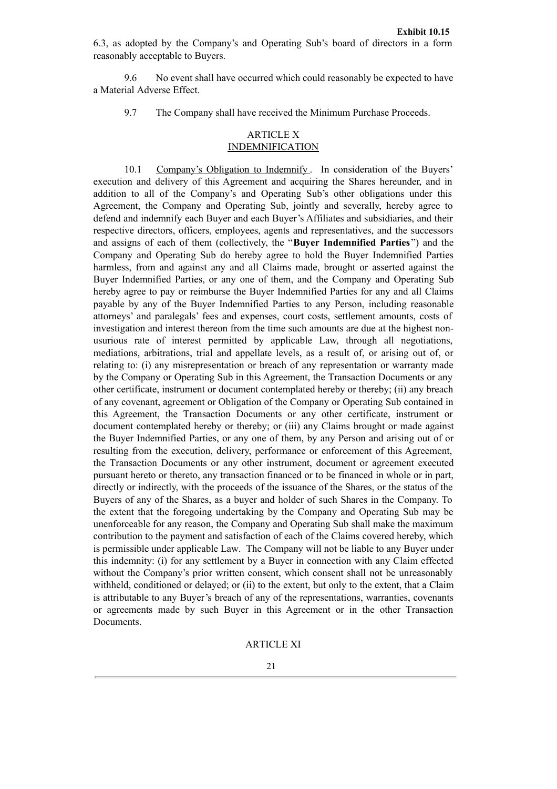9.6 No event shall have occurred which could reasonably be expected to have a Material Adverse Effect.

9.7 The Company shall have received the Minimum Purchase Proceeds.

### ARTICLE X INDEMNIFICATION

10.1 Company's Obligation to Indemnify . In consideration of the Buyers' execution and delivery of this Agreement and acquiring the Shares hereunder, and in addition to all of the Company's and Operating Sub's other obligations under this Agreement, the Company and Operating Sub, jointly and severally, hereby agree to defend and indemnify each Buyer and each Buyer's Affiliates and subsidiaries, and their respective directors, officers, employees, agents and representatives, and the successors and assigns of each of them (collectively, the "**Buyer Indemnified Parties** ") and the Company and Operating Sub do hereby agree to hold the Buyer Indemnified Parties harmless, from and against any and all Claims made, brought or asserted against the Buyer Indemnified Parties, or any one of them, and the Company and Operating Sub hereby agree to pay or reimburse the Buyer Indemnified Parties for any and all Claims payable by any of the Buyer Indemnified Parties to any Person, including reasonable attorneys' and paralegals' fees and expenses, court costs, settlement amounts, costs of investigation and interest thereon from the time such amounts are due at the highest nonusurious rate of interest permitted by applicable Law, through all negotiations, mediations, arbitrations, trial and appellate levels, as a result of, or arising out of, or relating to: (i) any misrepresentation or breach of any representation or warranty made by the Company or Operating Sub in this Agreement, the Transaction Documents or any other certificate, instrument or document contemplated hereby or thereby; (ii) any breach of any covenant, agreement or Obligation of the Company or Operating Sub contained in this Agreement, the Transaction Documents or any other certificate, instrument or document contemplated hereby or thereby; or (iii) any Claims brought or made against the Buyer Indemnified Parties, or any one of them, by any Person and arising out of or resulting from the execution, delivery, performance or enforcement of this Agreement, the Transaction Documents or any other instrument, document or agreement executed pursuant hereto or thereto, any transaction financed or to be financed in whole or in part, directly or indirectly, with the proceeds of the issuance of the Shares, or the status of the Buyers of any of the Shares, as a buyer and holder of such Shares in the Company. To the extent that the foregoing undertaking by the Company and Operating Sub may be unenforceable for any reason, the Company and Operating Sub shall make the maximum contribution to the payment and satisfaction of each of the Claims covered hereby, which is permissible under applicable Law. The Company will not be liable to any Buyer under this indemnity: (i) for any settlement by a Buyer in connection with any Claim effected without the Company's prior written consent, which consent shall not be unreasonably withheld, conditioned or delayed; or (ii) to the extent, but only to the extent, that a Claim is attributable to any Buyer's breach of any of the representations, warranties, covenants or agreements made by such Buyer in this Agreement or in the other Transaction Documents.

## ARTICLE XI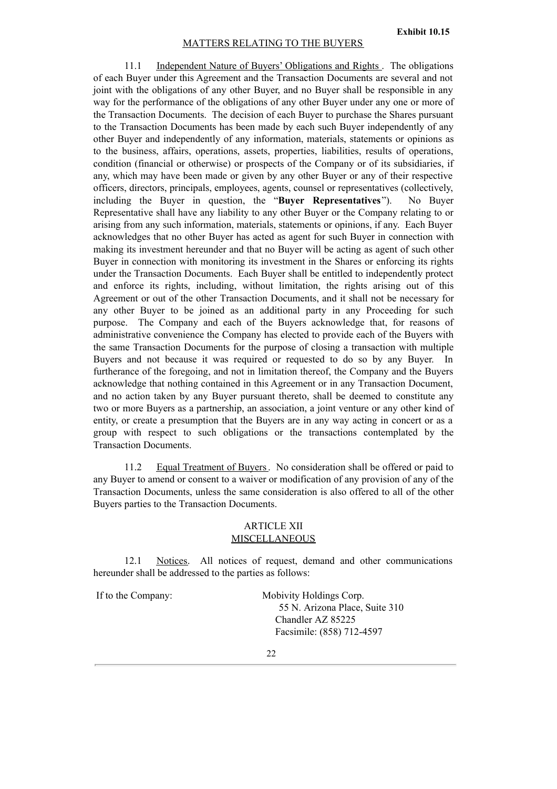11.1 Independent Nature of Buyers' Obligations and Rights . The obligations of each Buyer under this Agreement and the Transaction Documents are several and not joint with the obligations of any other Buyer, and no Buyer shall be responsible in any way for the performance of the obligations of any other Buyer under any one or more of the Transaction Documents. The decision of each Buyer to purchase the Shares pursuant to the Transaction Documents has been made by each such Buyer independently of any other Buyer and independently of any information, materials, statements or opinions as to the business, affairs, operations, assets, properties, liabilities, results of operations, condition (financial or otherwise) or prospects of the Company or of its subsidiaries, if any, which may have been made or given by any other Buyer or any of their respective officers, directors, principals, employees, agents, counsel or representatives (collectively, including the Buyer in question, the "**Buyer Representatives**"). No Buyer Representative shall have any liability to any other Buyer or the Company relating to or arising from any such information, materials, statements or opinions, if any. Each Buyer acknowledges that no other Buyer has acted as agent for such Buyer in connection with making its investment hereunder and that no Buyer will be acting as agent of such other Buyer in connection with monitoring its investment in the Shares or enforcing its rights under the Transaction Documents. Each Buyer shall be entitled to independently protect and enforce its rights, including, without limitation, the rights arising out of this Agreement or out of the other Transaction Documents, and it shall not be necessary for any other Buyer to be joined as an additional party in any Proceeding for such purpose. The Company and each of the Buyers acknowledge that, for reasons of administrative convenience the Company has elected to provide each of the Buyers with the same Transaction Documents for the purpose of closing a transaction with multiple Buyers and not because it was required or requested to do so by any Buyer. In furtherance of the foregoing, and not in limitation thereof, the Company and the Buyers acknowledge that nothing contained in this Agreement or in any Transaction Document, and no action taken by any Buyer pursuant thereto, shall be deemed to constitute any two or more Buyers as a partnership, an association, a joint venture or any other kind of entity, or create a presumption that the Buyers are in any way acting in concert or as a group with respect to such obligations or the transactions contemplated by the Transaction Documents.

11.2 Equal Treatment of Buyers. No consideration shall be offered or paid to any Buyer to amend or consent to a waiver or modification of any provision of any of the Transaction Documents, unless the same consideration is also offered to all of the other Buyers parties to the Transaction Documents.

### ARTICLE XII MISCELLANEOUS

12.1 Notices. All notices of request, demand and other communications hereunder shall be addressed to the parties as follows:

If to the Company: Mobivity Holdings Corp. 55 N. Arizona Place, Suite 310 Chandler AZ 85225 Facsimile: (858) 712-4597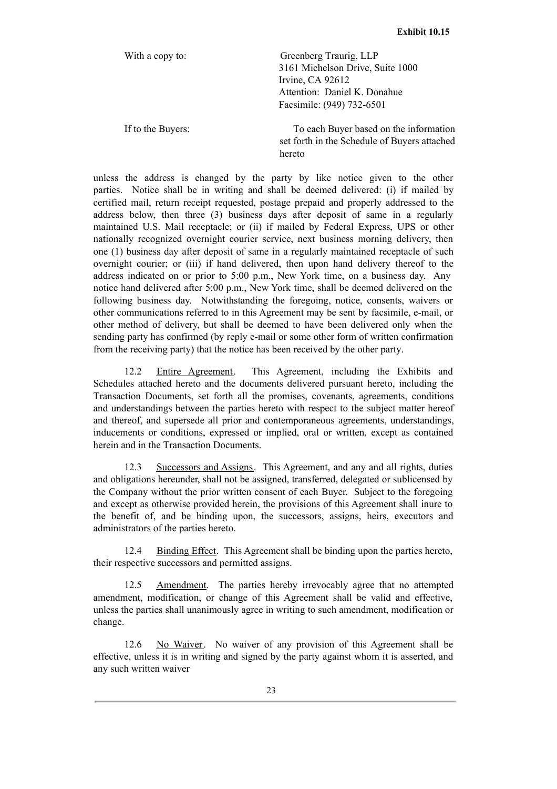| With a copy to:   | Greenberg Traurig, LLP<br>3161 Michelson Drive, Suite 1000<br>Irvine, CA 92612<br>Attention: Daniel K. Donahue                |
|-------------------|-------------------------------------------------------------------------------------------------------------------------------|
| If to the Buyers: | Facsimile: (949) 732-6501<br>To each Buyer based on the information<br>set forth in the Schedule of Buyers attached<br>hereto |

unless the address is changed by the party by like notice given to the other parties. Notice shall be in writing and shall be deemed delivered: (i) if mailed by certified mail, return receipt requested, postage prepaid and properly addressed to the address below, then three (3) business days after deposit of same in a regularly maintained U.S. Mail receptacle; or (ii) if mailed by Federal Express, UPS or other nationally recognized overnight courier service, next business morning delivery, then one (1) business day after deposit of same in a regularly maintained receptacle of such overnight courier; or (iii) if hand delivered, then upon hand delivery thereof to the address indicated on or prior to 5:00 p.m., New York time, on a business day. Any notice hand delivered after 5:00 p.m., New York time, shall be deemed delivered on the following business day. Notwithstanding the foregoing, notice, consents, waivers or other communications referred to in this Agreement may be sent by facsimile, e-mail, or other method of delivery, but shall be deemed to have been delivered only when the sending party has confirmed (by reply e-mail or some other form of written confirmation from the receiving party) that the notice has been received by the other party.

12.2 Entire Agreement. This Agreement, including the Exhibits and Schedules attached hereto and the documents delivered pursuant hereto, including the Transaction Documents, set forth all the promises, covenants, agreements, conditions and understandings between the parties hereto with respect to the subject matter hereof and thereof, and supersede all prior and contemporaneous agreements, understandings, inducements or conditions, expressed or implied, oral or written, except as contained herein and in the Transaction Documents.

12.3 Successors and Assigns. This Agreement, and any and all rights, duties and obligations hereunder, shall not be assigned, transferred, delegated or sublicensed by the Company without the prior written consent of each Buyer. Subject to the foregoing and except as otherwise provided herein, the provisions of this Agreement shall inure to the benefit of, and be binding upon, the successors, assigns, heirs, executors and administrators of the parties hereto.

12.4 Binding Effect. This Agreement shall be binding upon the parties hereto, their respective successors and permitted assigns.

12.5 Amendment. The parties hereby irrevocably agree that no attempted amendment, modification, or change of this Agreement shall be valid and effective, unless the parties shall unanimously agree in writing to such amendment, modification or change.

12.6 No Waiver. No waiver of any provision of this Agreement shall be effective, unless it is in writing and signed by the party against whom it is asserted, and any such written waiver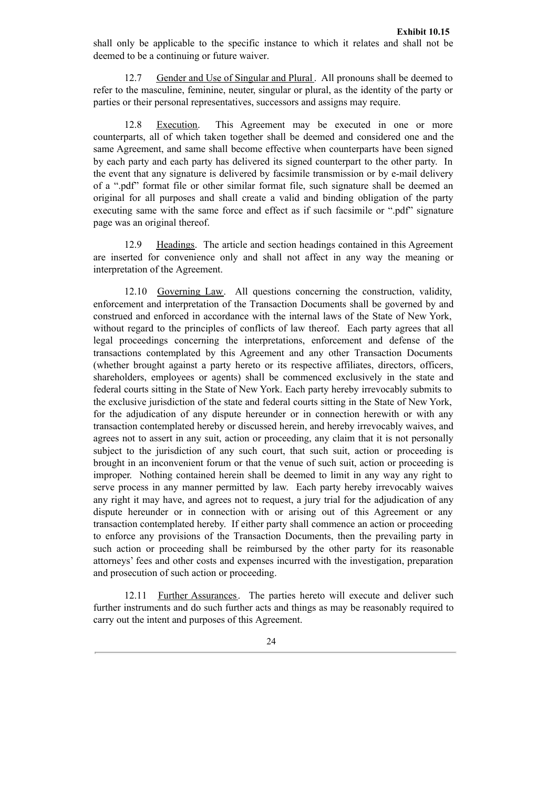shall only be applicable to the specific instance to which it relates and shall not be deemed to be a continuing or future waiver.

12.7 Gender and Use of Singular and Plural. All pronouns shall be deemed to refer to the masculine, feminine, neuter, singular or plural, as the identity of the party or parties or their personal representatives, successors and assigns may require.

12.8 Execution. This Agreement may be executed in one or more counterparts, all of which taken together shall be deemed and considered one and the same Agreement, and same shall become effective when counterparts have been signed by each party and each party has delivered its signed counterpart to the other party. In the event that any signature is delivered by facsimile transmission or by e-mail delivery of a ".pdf" format file or other similar format file, such signature shall be deemed an original for all purposes and shall create a valid and binding obligation of the party executing same with the same force and effect as if such facsimile or ".pdf" signature page was an original thereof.

12.9 Headings. The article and section headings contained in this Agreement are inserted for convenience only and shall not affect in any way the meaning or interpretation of the Agreement.

12.10 Governing Law. All questions concerning the construction, validity, enforcement and interpretation of the Transaction Documents shall be governed by and construed and enforced in accordance with the internal laws of the State of New York, without regard to the principles of conflicts of law thereof. Each party agrees that all legal proceedings concerning the interpretations, enforcement and defense of the transactions contemplated by this Agreement and any other Transaction Documents (whether brought against a party hereto or its respective affiliates, directors, officers, shareholders, employees or agents) shall be commenced exclusively in the state and federal courts sitting in the State of New York. Each party hereby irrevocably submits to the exclusive jurisdiction of the state and federal courts sitting in the State of New York, for the adjudication of any dispute hereunder or in connection herewith or with any transaction contemplated hereby or discussed herein, and hereby irrevocably waives, and agrees not to assert in any suit, action or proceeding, any claim that it is not personally subject to the jurisdiction of any such court, that such suit, action or proceeding is brought in an inconvenient forum or that the venue of such suit, action or proceeding is improper. Nothing contained herein shall be deemed to limit in any way any right to serve process in any manner permitted by law. Each party hereby irrevocably waives any right it may have, and agrees not to request, a jury trial for the adjudication of any dispute hereunder or in connection with or arising out of this Agreement or any transaction contemplated hereby. If either party shall commence an action or proceeding to enforce any provisions of the Transaction Documents, then the prevailing party in such action or proceeding shall be reimbursed by the other party for its reasonable attorneys' fees and other costs and expenses incurred with the investigation, preparation and prosecution of such action or proceeding.

12.11 Further Assurances. The parties hereto will execute and deliver such further instruments and do such further acts and things as may be reasonably required to carry out the intent and purposes of this Agreement.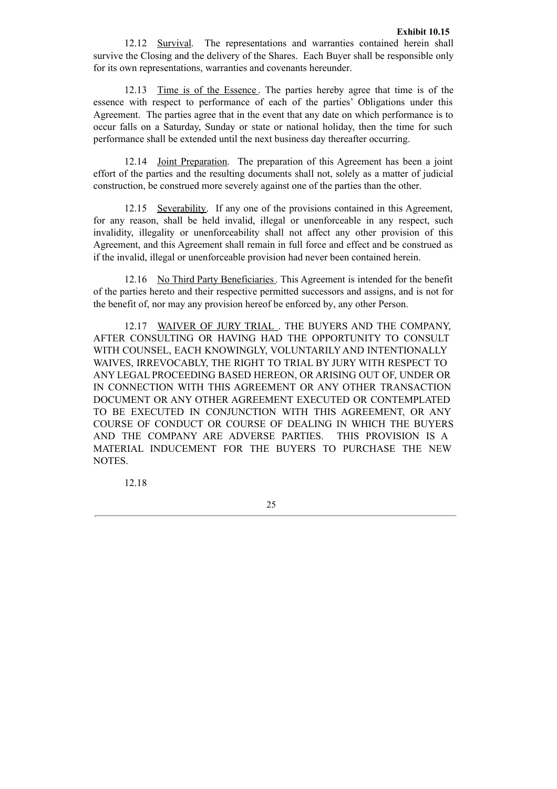12.12 Survival. The representations and warranties contained herein shall survive the Closing and the delivery of the Shares. Each Buyer shall be responsible only for its own representations, warranties and covenants hereunder.

12.13 Time is of the Essence . The parties hereby agree that time is of the essence with respect to performance of each of the parties' Obligations under this Agreement. The parties agree that in the event that any date on which performance is to occur falls on a Saturday, Sunday or state or national holiday, then the time for such performance shall be extended until the next business day thereafter occurring.

12.14 Joint Preparation. The preparation of this Agreement has been a joint effort of the parties and the resulting documents shall not, solely as a matter of judicial construction, be construed more severely against one of the parties than the other.

12.15 Severability. If any one of the provisions contained in this Agreement, for any reason, shall be held invalid, illegal or unenforceable in any respect, such invalidity, illegality or unenforceability shall not affect any other provision of this Agreement, and this Agreement shall remain in full force and effect and be construed as if the invalid, illegal or unenforceable provision had never been contained herein.

12.16 No Third Party Beneficiaries. This Agreement is intended for the benefit of the parties hereto and their respective permitted successors and assigns, and is not for the benefit of, nor may any provision hereof be enforced by, any other Person.

12.17 WAIVER OF JURY TRIAL . THE BUYERS AND THE COMPANY, AFTER CONSULTING OR HAVING HAD THE OPPORTUNITY TO CONSULT WITH COUNSEL, EACH KNOWINGLY, VOLUNTARILY AND INTENTIONALLY WAIVES, IRREVOCABLY, THE RIGHT TO TRIAL BY JURY WITH RESPECT TO ANY LEGAL PROCEEDING BASED HEREON, OR ARISING OUT OF, UNDER OR IN CONNECTION WITH THIS AGREEMENT OR ANY OTHER TRANSACTION DOCUMENT OR ANY OTHER AGREEMENT EXECUTED OR CONTEMPLATED TO BE EXECUTED IN CONJUNCTION WITH THIS AGREEMENT, OR ANY COURSE OF CONDUCT OR COURSE OF DEALING IN WHICH THE BUYERS AND THE COMPANY ARE ADVERSE PARTIES. THIS PROVISION IS A MATERIAL INDUCEMENT FOR THE BUYERS TO PURCHASE THE NEW NOTES.

12.18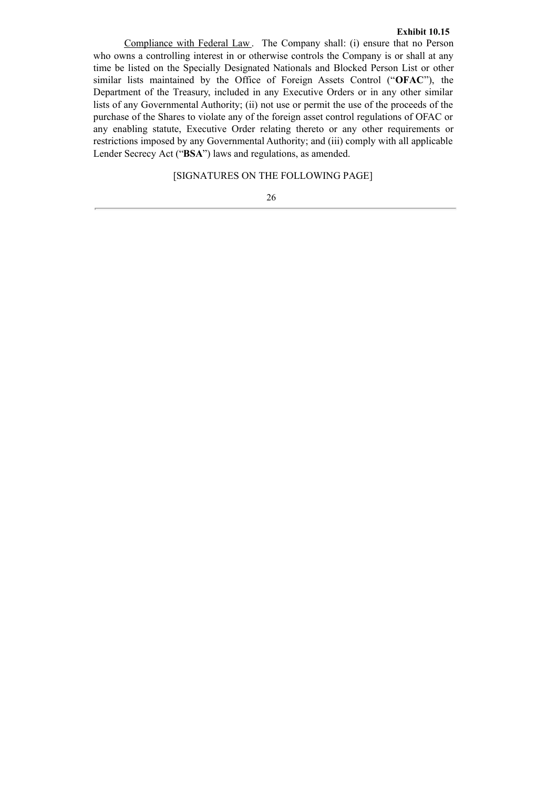#### **Exhibit 10.15**

Compliance with Federal Law. The Company shall: (i) ensure that no Person who owns a controlling interest in or otherwise controls the Company is or shall at any time be listed on the Specially Designated Nationals and Blocked Person List or other similar lists maintained by the Office of Foreign Assets Control ("**OFAC**"), the Department of the Treasury, included in any Executive Orders or in any other similar lists of any Governmental Authority; (ii) not use or permit the use of the proceeds of the purchase of the Shares to violate any of the foreign asset control regulations of OFAC or any enabling statute, Executive Order relating thereto or any other requirements or restrictions imposed by any Governmental Authority; and (iii) comply with all applicable Lender Secrecy Act ("**BSA**") laws and regulations, as amended.

## [SIGNATURES ON THE FOLLOWING PAGE]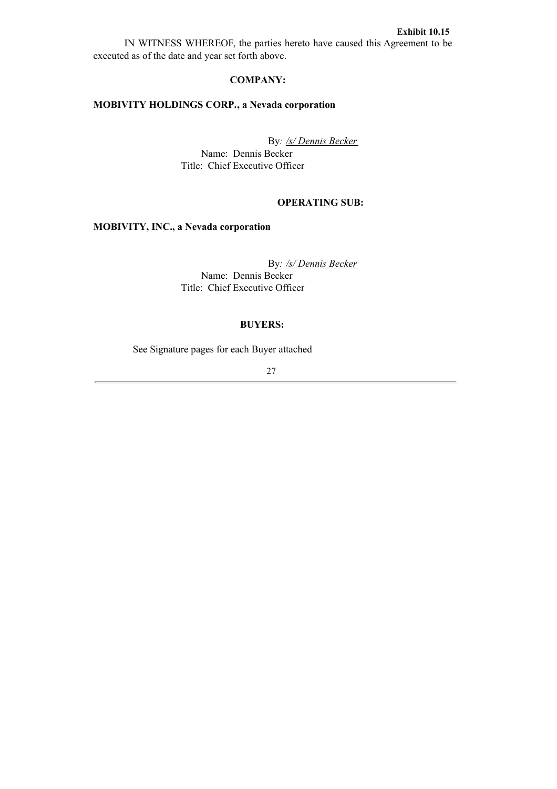IN WITNESS WHEREOF, the parties hereto have caused this Agreement to be executed as of the date and year set forth above.

## **COMPANY:**

## **MOBIVITY HOLDINGS CORP., a Nevada corporation**

By*: /s/ Dennis Becker* Name: Dennis Becker Title: Chief Executive Officer

## **OPERATING SUB:**

## **MOBIVITY, INC., a Nevada corporation**

By*: /s/ Dennis Becker* Name: Dennis Becker Title: Chief Executive Officer

## **BUYERS:**

See Signature pages for each Buyer attached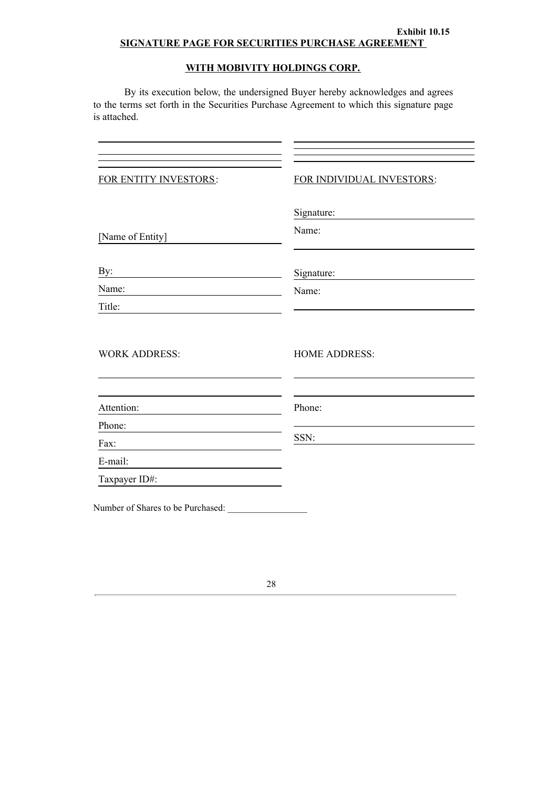### **Exhibit 10.15 SIGNATURE PAGE FOR SECURITIES PURCHASE AGREEMENT**

# **WITH MOBIVITY HOLDINGS CORP.**

By its execution below, the undersigned Buyer hereby acknowledges and agrees to the terms set forth in the Securities Purchase Agreement to which this signature page is attached.

| FOR ENTITY INVESTORS:                                                                                                        | FOR INDIVIDUAL INVESTORS: |
|------------------------------------------------------------------------------------------------------------------------------|---------------------------|
|                                                                                                                              | Signature:                |
| [Name of Entity]                                                                                                             | Name:                     |
| By:<br><u> 1989 - Johann Barn, mars ann an t-Amhain an t-Amhain an t-Amhain an t-Amhain an t-Amhain an t-Amhain an t-Amh</u> | Signature:                |
| Name:                                                                                                                        | Name:                     |
| Title:                                                                                                                       |                           |
| <b>WORK ADDRESS:</b>                                                                                                         | <b>HOME ADDRESS:</b>      |
| Attention:                                                                                                                   | Phone:                    |
| Phone:                                                                                                                       |                           |
| Fax:                                                                                                                         | SSN:                      |
| E-mail:                                                                                                                      |                           |
| Taxpayer ID#:                                                                                                                |                           |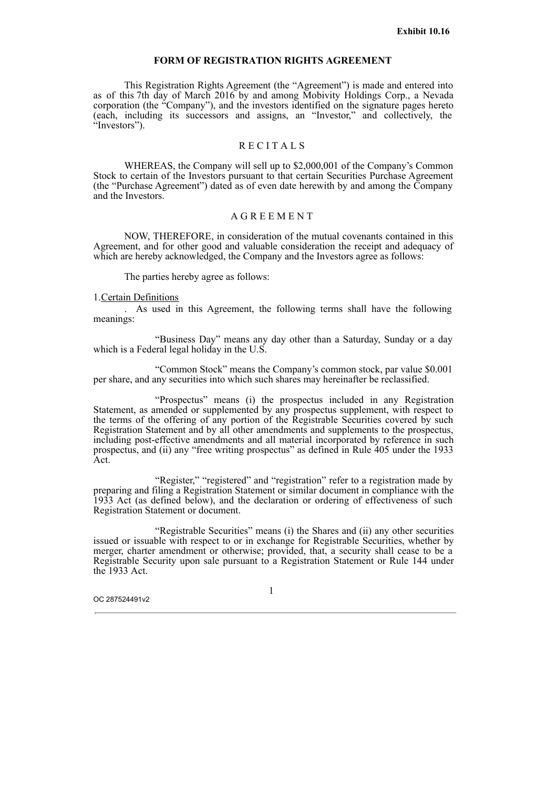#### **FORM OF REGISTRATION RIGHTS AGREEMENT**

This Registration Rights Agreement (the "Agreement") is made and entered into as of this 7th day of March 2016 by and among Mobivity Holdings Corp., a Nevada corporation (the "Company"), and the investors identified on the signature pages hereto (each, including its successors and assigns, an "Investor," and collectively, the "Investors").

### R E C I T A L S

WHEREAS, the Company will sell up to \$2,000,001 of the Company's Common Stock to certain of the Investors pursuant to that certain Securities Purchase Agreement (the "Purchase Agreement") dated as of even date herewith by and among the Company and the Investors.

#### A G R E E M E N T

NOW, THEREFORE, in consideration of the mutual covenants contained in this Agreement, and for other good and valuable consideration the receipt and adequacy of which are hereby acknowledged, the Company and the Investors agree as follows:

The parties hereby agree as follows:

1.Certain Definitions

. As used in this Agreement, the following terms shall have the following meanings:

"Business Day" means any day other than a Saturday, Sunday or a day which is a Federal legal holiday in the U.S.

"Common Stock" means the Company's common stock, par value \$0.001 per share, and any securities into which such shares may hereinafter be reclassified.

"Prospectus" means (i) the prospectus included in any Registration Statement, as amended or supplemented by any prospectus supplement, with respect to the terms of the offering of any portion of the Registrable Securities covered by such Registration Statement and by all other amendments and supplements to the prospectus, including post-effective amendments and all material incorporated by reference in such prospectus, and (ii) any "free writing prospectus" as defined in Rule 405 under the 1933 Act.

"Register," "registered" and "registration" refer to a registration made by preparing and filing a Registration Statement or similar document in compliance with the 1933 Act (as defined below), and the declaration or ordering of effectiveness of such Registration Statement or document.

"Registrable Securities" means (i) the Shares and (ii) any other securities issued or issuable with respect to or in exchange for Registrable Securities, whether by merger, charter amendment or otherwise; provided, that, a security shall cease to be a Registrable Security upon sale pursuant to a Registration Statement or Rule 144 under the 1933 Act.

OC 287524491v2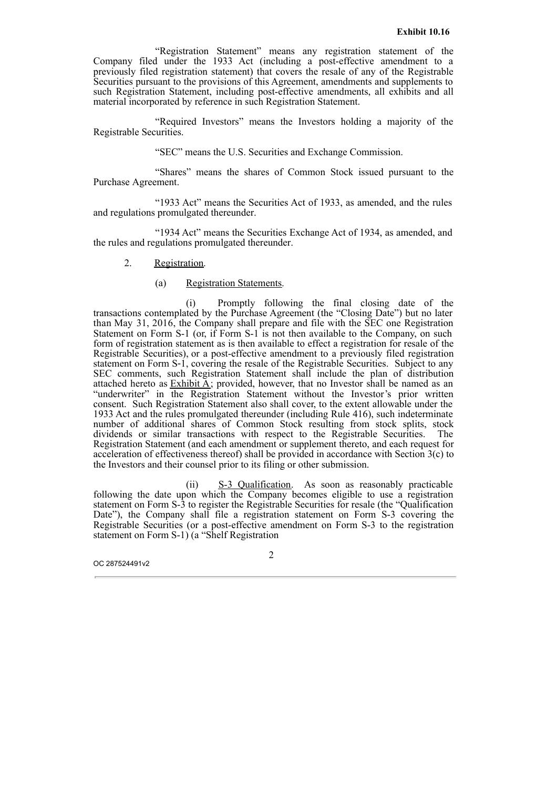"Registration Statement" means any registration statement of the Company filed under the 1933 Act (including a post-effective amendment to a previously filed registration statement) that covers the resale of any of the Registrable Securities pursuant to the provisions of this Agreement, amendments and supplements to such Registration Statement, including post-effective amendments, all exhibits and all material incorporated by reference in such Registration Statement.

"Required Investors" means the Investors holding a majority of the Registrable Securities.

"SEC" means the U.S. Securities and Exchange Commission.

"Shares" means the shares of Common Stock issued pursuant to the Purchase Agreement.

"1933 Act" means the Securities Act of 1933, as amended, and the rules and regulations promulgated thereunder.

"1934 Act" means the Securities Exchange Act of 1934, as amended, and the rules and regulations promulgated thereunder.

- 2. Registration.
	- (a) Registration Statements.

(i) Promptly following the final closing date of the transactions contemplated by the Purchase Agreement (the "Closing Date") but no later than May 31, 2016, the Company shall prepare and file with the SEC one Registration Statement on Form S-1 (or, if Form S-1 is not then available to the Company, on such form of registration statement as is then available to effect a registration for resale of the Registrable Securities), or a post-effective amendment to a previously filed registration statement on Form S-1, covering the resale of the Registrable Securities. Subject to any SEC comments, such Registration Statement shall include the plan of distribution attached hereto as  $Exhibit A$ ; provided, however, that no Investor shall be named as an "underwriter" in the Registration Statement without the Investor's prior written consent. Such Registration Statement also shall cover, to the extent allowable under the 1933 Act and the rules promulgated thereunder (including Rule 416), such indeterminate number of additional shares of Common Stock resulting from stock splits, stock dividends or similar transactions with respect to the Registrable Securities. The dividends or similar transactions with respect to the Registrable Securities. Registration Statement (and each amendment or supplement thereto, and each request for acceleration of effectiveness thereof) shall be provided in accordance with Section 3(c) to the Investors and their counsel prior to its filing or other submission.

(ii) S-3 Qualification. As soon as reasonably practicable following the date upon which the Company becomes eligible to use a registration statement on Form S-3 to register the Registrable Securities for resale (the "Qualification") Date"), the Company shall file a registration statement on Form S-3 covering the Registrable Securities (or a post-effective amendment on Form S-3 to the registration statement on Form S-1) (a "Shelf Registration

OC 287524491v2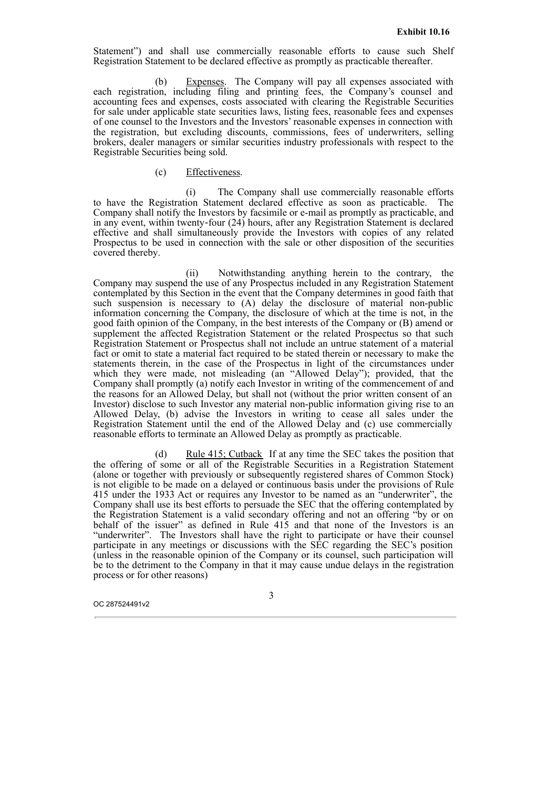Statement") and shall use commercially reasonable efforts to cause such Shelf Registration Statement to be declared effective as promptly as practicable thereafter.

(b) Expenses. The Company will pay all expenses associated with each registration, including filing and printing fees, the Company's counsel and accounting fees and expenses, costs associated with clearing the Registrable Securities for sale under applicable state securities laws, listing fees, reasonable fees and expenses of one counsel to the Investors and the Investors' reasonable expenses in connection with the registration, but excluding discounts, commissions, fees of underwriters, selling brokers, dealer managers or similar securities industry professionals with respect to the Registrable Securities being sold.

(c) Effectiveness.

(i) The Company shall use commercially reasonable efforts to have the Registration Statement declared effective as soon as practicable. The Company shall notify the Investors by facsimile or e-mail as promptly as practicable, and in any event, within twenty-four (24) hours, after any Registration Statement is declared effective and shall simultaneously provide the Investors with copies of any related Prospectus to be used in connection with the sale or other disposition of the securities covered thereby.

(ii) Notwithstanding anything herein to the contrary, the Company may suspend the use of any Prospectus included in any Registration Statement contemplated by this Section in the event that the Company determines in good faith that such suspension is necessary to (A) delay the disclosure of material non-public information concerning the Company, the disclosure of which at the time is not, in the good faith opinion of the Company, in the best interests of the Company or (B) amend or supplement the affected Registration Statement or the related Prospectus so that such Registration Statement or Prospectus shall not include an untrue statement of a material fact or omit to state a material fact required to be stated therein or necessary to make the statements therein, in the case of the Prospectus in light of the circumstances under which they were made, not misleading (an "Allowed Delay"); provided, that the Company shall promptly (a) notify each Investor in writing of the commencement of and the reasons for an Allowed Delay, but shall not (without the prior written consent of an Investor) disclose to such Investor any material non-public information giving rise to an Allowed Delay, (b) advise the Investors in writing to cease all sales under the Registration Statement until the end of the Allowed Delay and (c) use commercially reasonable efforts to terminate an Allowed Delay as promptly as practicable.

(d) Rule 415; Cutback If at any time the SEC takes the position that the offering of some or all of the Registrable Securities in a Registration Statement (alone or together with previously or subsequently registered shares of Common Stock) is not eligible to be made on a delayed or continuous basis under the provisions of Rule 415 under the 1933 Act or requires any Investor to be named as an "underwriter", the Company shall use its best efforts to persuade the SEC that the offering contemplated by the Registration Statement is a valid secondary offering and not an offering "by or on behalf of the issuer" as defined in Rule 415 and that none of the Investors is an "underwriter". The Investors shall have the right to participate or have their counsel participate in any meetings or discussions with the SEC regarding the SEC's position (unless in the reasonable opinion of the Company or its counsel, such participation will be to the detriment to the Company in that it may cause undue delays in the registration process or for other reasons)

OC 287524491v2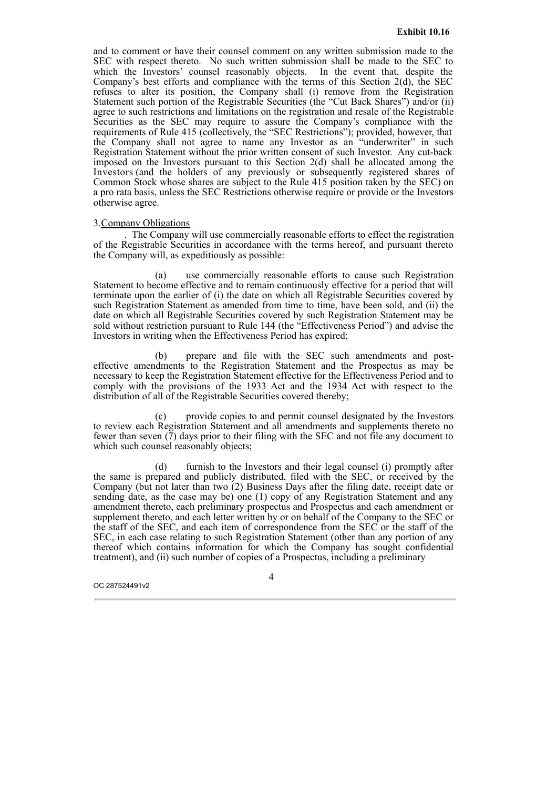and to comment or have their counsel comment on any written submission made to the SEC with respect thereto. No such written submission shall be made to the SEC to which the Investors' counsel reasonably objects. In the event that, despite the Company's best efforts and compliance with the terms of this Section  $2(d)$ , the SEC refuses to alter its position, the Company shall (i) remove from the Registration Statement such portion of the Registrable Securities (the "Cut Back Shares") and/or (ii) agree to such restrictions and limitations on the registration and resale of the Registrable Securities as the SEC may require to assure the Company's compliance with the requirements of Rule 415 (collectively, the "SEC Restrictions"); provided, however, that the Company shall not agree to name any Investor as an "underwriter" in such Registration Statement without the prior written consent of such Investor. Any cut-back imposed on the Investors pursuant to this Section  $2(d)$  shall be allocated among the Investors (and the holders of any previously or subsequently registered shares of Common Stock whose shares are subject to the Rule 415 position taken by the SEC) on a pro rata basis, unless the SEC Restrictions otherwise require or provide or the Investors otherwise agree.

#### 3.Company Obligations

. The Company will use commercially reasonable efforts to effect the registration of the Registrable Securities in accordance with the terms hereof, and pursuant thereto the Company will, as expeditiously as possible:

(a) use commercially reasonable efforts to cause such Registration Statement to become effective and to remain continuously effective for a period that will terminate upon the earlier of (i) the date on which all Registrable Securities covered by such Registration Statement as amended from time to time, have been sold, and (ii) the date on which all Registrable Securities covered by such Registration Statement may be sold without restriction pursuant to Rule 144 (the "Effectiveness Period") and advise the Investors in writing when the Effectiveness Period has expired;

(b) prepare and file with the SEC such amendments and posteffective amendments to the Registration Statement and the Prospectus as may be necessary to keep the Registration Statement effective for the Effectiveness Period and to comply with the provisions of the 1933 Act and the 1934 Act with respect to the distribution of all of the Registrable Securities covered thereby;

(c) provide copies to and permit counsel designated by the Investors to review each Registration Statement and all amendments and supplements thereto no fewer than seven (7) days prior to their filing with the SEC and not file any document to which such counsel reasonably objects;

(d) furnish to the Investors and their legal counsel (i) promptly after the same is prepared and publicly distributed, filed with the SEC, or received by the Company (but not later than two (2) Business Days after the filing date, receipt date or sending date, as the case may be) one (1) copy of any Registration Statement and any amendment thereto, each preliminary prospectus and Prospectus and each amendment or supplement thereto, and each letter written by or on behalf of the Company to the SEC or the staff of the SEC, and each item of correspondence from the SEC or the staff of the SEC, in each case relating to such Registration Statement (other than any portion of any thereof which contains information for which the Company has sought confidential treatment), and (ii) such number of copies of a Prospectus, including a preliminary

OC 287524491v2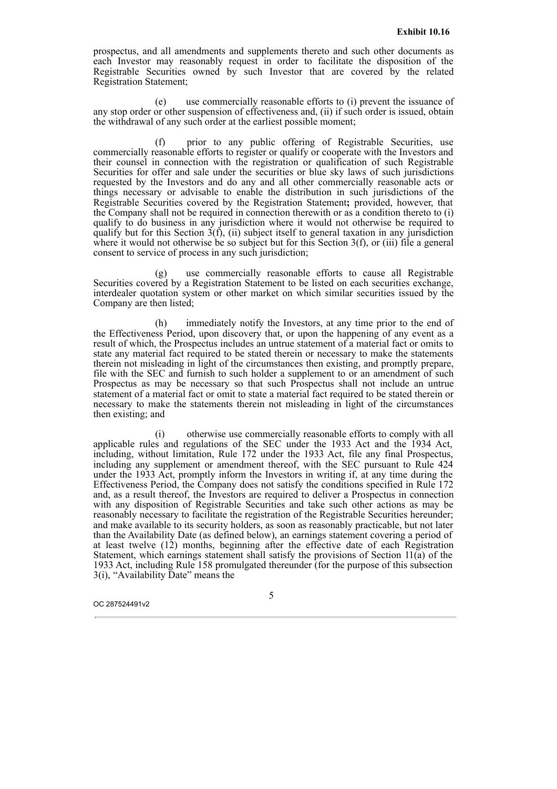prospectus, and all amendments and supplements thereto and such other documents as each Investor may reasonably request in order to facilitate the disposition of the Registrable Securities owned by such Investor that are covered by the related Registration Statement;

(e) use commercially reasonable efforts to (i) prevent the issuance of any stop order or other suspension of effectiveness and, (ii) if such order is issued, obtain the withdrawal of any such order at the earliest possible moment;

(f) prior to any public offering of Registrable Securities, use commercially reasonable efforts to register or qualify or cooperate with the Investors and their counsel in connection with the registration or qualification of such Registrable Securities for offer and sale under the securities or blue sky laws of such jurisdictions requested by the Investors and do any and all other commercially reasonable acts or things necessary or advisable to enable the distribution in such jurisdictions of the Registrable Securities covered by the Registration Statement**;** provided, however, that the Company shall not be required in connection therewith or as a condition thereto to (i) qualify to do business in any jurisdiction where it would not otherwise be required to qualify but for this Section  $3(f)$ , (ii) subject itself to general taxation in any jurisdiction where it would not otherwise be so subject but for this Section  $3(f)$ , or (iii) file a general consent to service of process in any such jurisdiction;

(g) use commercially reasonable efforts to cause all Registrable Securities covered by a Registration Statement to be listed on each securities exchange, interdealer quotation system or other market on which similar securities issued by the Company are then listed;

(h) immediately notify the Investors, at any time prior to the end of the Effectiveness Period, upon discovery that, or upon the happening of any event as a result of which, the Prospectus includes an untrue statement of a material fact or omits to state any material fact required to be stated therein or necessary to make the statements therein not misleading in light of the circumstances then existing, and promptly prepare, file with the SEC and furnish to such holder a supplement to or an amendment of such Prospectus as may be necessary so that such Prospectus shall not include an untrue statement of a material fact or omit to state a material fact required to be stated therein or necessary to make the statements therein not misleading in light of the circumstances then existing; and

(i) otherwise use commercially reasonable efforts to comply with all applicable rules and regulations of the SEC under the 1933 Act and the 1934 Act, including, without limitation, Rule 172 under the 1933 Act, file any final Prospectus, including any supplement or amendment thereof, with the SEC pursuant to Rule 424 under the 1933 Act, promptly inform the Investors in writing if, at any time during the Effectiveness Period, the Company does not satisfy the conditions specified in Rule 172 and, as a result thereof, the Investors are required to deliver a Prospectus in connection with any disposition of Registrable Securities and take such other actions as may be reasonably necessary to facilitate the registration of the Registrable Securities hereunder; and make available to its security holders, as soon as reasonably practicable, but not later than the Availability Date (as defined below), an earnings statement covering a period of at least twelve (12) months, beginning after the effective date of each Registration Statement, which earnings statement shall satisfy the provisions of Section  $11(a)$  of the 1933 Act, including Rule 158 promulgated thereunder (for the purpose of this subsection 3(i), "Availability Date" means the

OC 287524491v2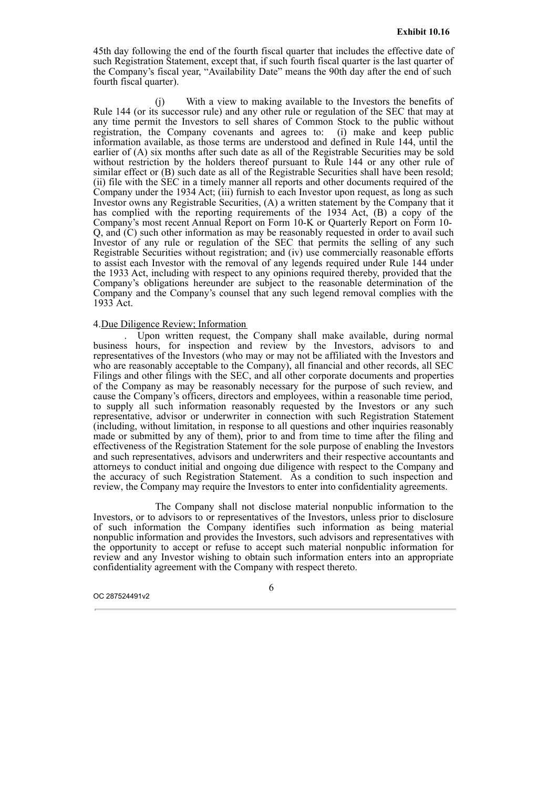45th day following the end of the fourth fiscal quarter that includes the effective date of such Registration Statement, except that, if such fourth fiscal quarter is the last quarter of the Company's fiscal year, "Availability Date" means the 90th day after the end of such fourth fiscal quarter).

(j) With a view to making available to the Investors the benefits of Rule 144 (or its successor rule) and any other rule or regulation of the SEC that may at any time permit the Investors to sell shares of Common Stock to the public without registration, the Company covenants and agrees to: (i) make and keep public information available, as those terms are understood and defined in Rule 144, until the earlier of (A) six months after such date as all of the Registrable Securities may be sold without restriction by the holders thereof pursuant to Rule 144 or any other rule of similar effect or (B) such date as all of the Registrable Securities shall have been resold; (ii) file with the SEC in a timely manner all reports and other documents required of the Company under the 1934 Act; (iii) furnish to each Investor upon request, as long as such Investor owns any Registrable Securities, (A) a written statement by the Company that it has complied with the reporting requirements of the 1934 Act, (B) a copy of the Company's most recent Annual Report on Form 10-K or Quarterly Report on Form 10- Q, and (C) such other information as may be reasonably requested in order to avail such Investor of any rule or regulation of the SEC that permits the selling of any such Registrable Securities without registration; and (iv) use commercially reasonable efforts to assist each Investor with the removal of any legends required under Rule 144 under the 1933 Act, including with respect to any opinions required thereby, provided that the Company's obligations hereunder are subject to the reasonable determination of the Company and the Company's counsel that any such legend removal complies with the 1933 Act.

#### 4.Due Diligence Review; Information

. Upon written request, the Company shall make available, during normal business hours, for inspection and review by the Investors, advisors to and representatives of the Investors (who may or may not be affiliated with the Investors and who are reasonably acceptable to the Company), all financial and other records, all SEC Filings and other filings with the SEC, and all other corporate documents and properties of the Company as may be reasonably necessary for the purpose of such review, and cause the Company's officers, directors and employees, within a reasonable time period, to supply all such information reasonably requested by the Investors or any such representative, advisor or underwriter in connection with such Registration Statement (including, without limitation, in response to all questions and other inquiries reasonably made or submitted by any of them), prior to and from time to time after the filing and effectiveness of the Registration Statement for the sole purpose of enabling the Investors and such representatives, advisors and underwriters and their respective accountants and attorneys to conduct initial and ongoing due diligence with respect to the Company and the accuracy of such Registration Statement. As a condition to such inspection and review, the Company may require the Investors to enter into confidentiality agreements.

The Company shall not disclose material nonpublic information to the Investors, or to advisors to or representatives of the Investors, unless prior to disclosure of such information the Company identifies such information as being material nonpublic information and provides the Investors, such advisors and representatives with the opportunity to accept or refuse to accept such material nonpublic information for review and any Investor wishing to obtain such information enters into an appropriate confidentiality agreement with the Company with respect thereto.

OC 287524491v2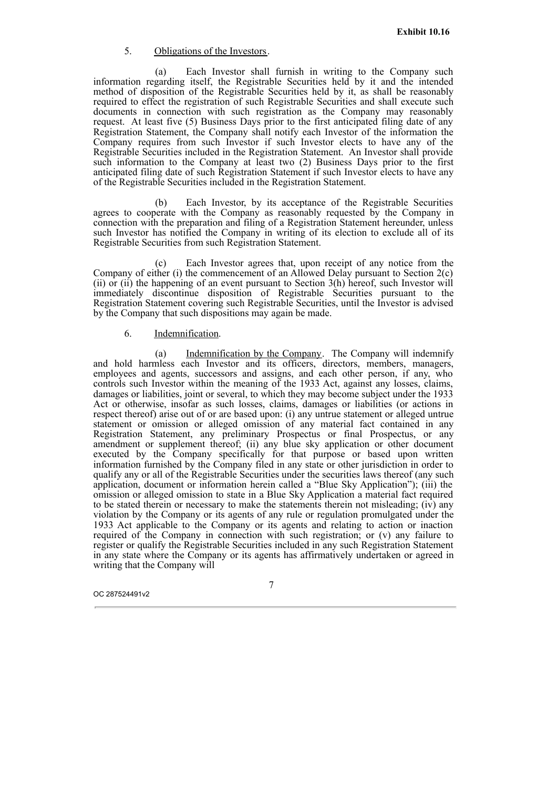#### 5. Obligations of the Investors.

(a) Each Investor shall furnish in writing to the Company such information regarding itself, the Registrable Securities held by it and the intended method of disposition of the Registrable Securities held by it, as shall be reasonably required to effect the registration of such Registrable Securities and shall execute such documents in connection with such registration as the Company may reasonably request. At least five (5) Business Days prior to the first anticipated filing date of any Registration Statement, the Company shall notify each Investor of the information the Company requires from such Investor if such Investor elects to have any of the Registrable Securities included in the Registration Statement. An Investor shall provide such information to the Company at least two (2) Business Days prior to the first anticipated filing date of such Registration Statement if such Investor elects to have any of the Registrable Securities included in the Registration Statement.

(b) Each Investor, by its acceptance of the Registrable Securities agrees to cooperate with the Company as reasonably requested by the Company in connection with the preparation and filing of a Registration Statement hereunder, unless such Investor has notified the Company in writing of its election to exclude all of its Registrable Securities from such Registration Statement.

(c) Each Investor agrees that, upon receipt of any notice from the Company of either (i) the commencement of an Allowed Delay pursuant to Section 2(c) (ii) or (ii) the happening of an event pursuant to Section 3(h) hereof, such Investor will immediately discontinue disposition of Registrable Securities pursuant to the Registration Statement covering such Registrable Securities, until the Investor is advised by the Company that such dispositions may again be made.

### 6. Indemnification.

(a) Indemnification by the Company. The Company will indemnify and hold harmless each Investor and its officers, directors, members, managers, employees and agents, successors and assigns, and each other person, if any, who controls such Investor within the meaning of the 1933 Act, against any losses, claims, damages or liabilities, joint or several, to which they may become subject under the 1933 Act or otherwise, insofar as such losses, claims, damages or liabilities (or actions in respect thereof) arise out of or are based upon: (i) any untrue statement or alleged untrue statement or omission or alleged omission of any material fact contained in any Registration Statement, any preliminary Prospectus or final Prospectus, or any amendment or supplement thereof; (ii) any blue sky application or other document executed by the Company specifically for that purpose or based upon written information furnished by the Company filed in any state or other jurisdiction in order to qualify any or all of the Registrable Securities under the securities laws thereof (any such application, document or information herein called a "Blue Sky Application"); (iii) the omission or alleged omission to state in a Blue Sky Application a material fact required to be stated therein or necessary to make the statements therein not misleading; (iv) any violation by the Company or its agents of any rule or regulation promulgated under the 1933 Act applicable to the Company or its agents and relating to action or inaction required of the Company in connection with such registration; or (v) any failure to register or qualify the Registrable Securities included in any such Registration Statement in any state where the Company or its agents has affirmatively undertaken or agreed in writing that the Company will

OC 287524491v2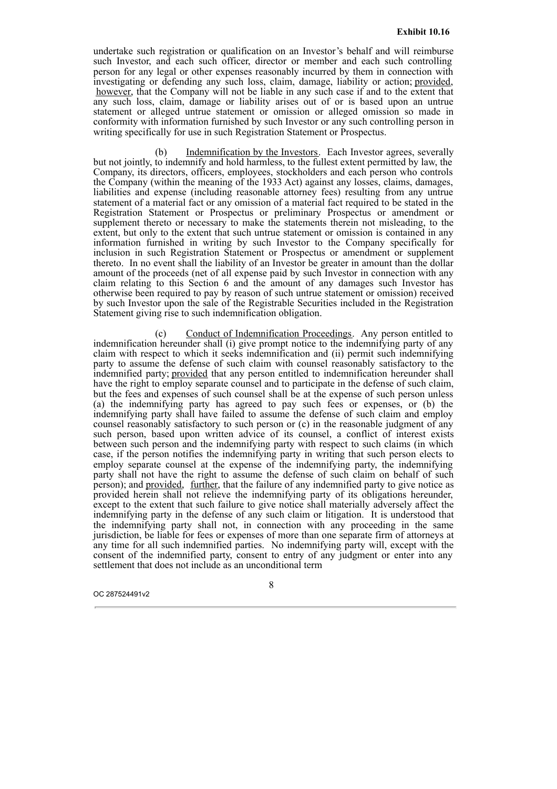undertake such registration or qualification on an Investor's behalf and will reimburse such Investor, and each such officer, director or member and each such controlling person for any legal or other expenses reasonably incurred by them in connection with investigating or defending any such loss, claim, damage, liability or action; provided, however, that the Company will not be liable in any such case if and to the extent that any such loss, claim, damage or liability arises out of or is based upon an untrue statement or alleged untrue statement or omission or alleged omission so made in conformity with information furnished by such Investor or any such controlling person in writing specifically for use in such Registration Statement or Prospectus.

(b) Indemnification by the Investors. Each Investor agrees, severally but not jointly, to indemnify and hold harmless, to the fullest extent permitted by law, the Company, its directors, officers, employees, stockholders and each person who controls the Company (within the meaning of the 1933 Act) against any losses, claims, damages, liabilities and expense (including reasonable attorney fees) resulting from any untrue statement of a material fact or any omission of a material fact required to be stated in the Registration Statement or Prospectus or preliminary Prospectus or amendment or supplement thereto or necessary to make the statements therein not misleading, to the extent, but only to the extent that such untrue statement or omission is contained in any information furnished in writing by such Investor to the Company specifically for inclusion in such Registration Statement or Prospectus or amendment or supplement thereto. In no event shall the liability of an Investor be greater in amount than the dollar amount of the proceeds (net of all expense paid by such Investor in connection with any claim relating to this Section 6 and the amount of any damages such Investor has otherwise been required to pay by reason of such untrue statement or omission) received by such Investor upon the sale of the Registrable Securities included in the Registration Statement giving rise to such indemnification obligation.

(c) Conduct of Indemnification Proceedings. Any person entitled to indemnification hereunder shall (i) give prompt notice to the indemnifying party of any claim with respect to which it seeks indemnification and (ii) permit such indemnifying party to assume the defense of such claim with counsel reasonably satisfactory to the indemnified party; provided that any person entitled to indemnification hereunder shall have the right to employ separate counsel and to participate in the defense of such claim, but the fees and expenses of such counsel shall be at the expense of such person unless (a) the indemnifying party has agreed to pay such fees or expenses, or (b) the indemnifying party shall have failed to assume the defense of such claim and employ counsel reasonably satisfactory to such person or (c) in the reasonable judgment of any such person, based upon written advice of its counsel, a conflict of interest exists between such person and the indemnifying party with respect to such claims (in which case, if the person notifies the indemnifying party in writing that such person elects to employ separate counsel at the expense of the indemnifying party, the indemnifying party shall not have the right to assume the defense of such claim on behalf of such person); and provided, further, that the failure of any indemnified party to give notice as provided herein shall not relieve the indemnifying party of its obligations hereunder, except to the extent that such failure to give notice shall materially adversely affect the indemnifying party in the defense of any such claim or litigation. It is understood that the indemnifying party shall not, in connection with any proceeding in the same jurisdiction, be liable for fees or expenses of more than one separate firm of attorneys at any time for all such indemnified parties. No indemnifying party will, except with the consent of the indemnified party, consent to entry of any judgment or enter into any settlement that does not include as an unconditional term

OC 287524491v2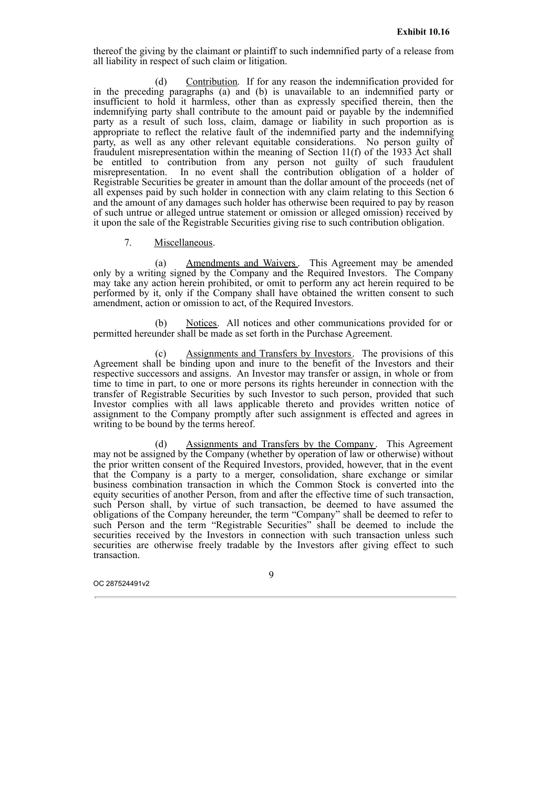thereof the giving by the claimant or plaintiff to such indemnified party of a release from all liability in respect of such claim or litigation.

(d) Contribution. If for any reason the indemnification provided for in the preceding paragraphs (a) and (b) is unavailable to an indemnified party or insufficient to hold it harmless, other than as expressly specified therein, then the indemnifying party shall contribute to the amount paid or payable by the indemnified party as a result of such loss, claim, damage or liability in such proportion as is appropriate to reflect the relative fault of the indemnified party and the indemnifying party, as well as any other relevant equitable considerations. No person guilty of fraudulent misrepresentation within the meaning of Section 11(f) of the 1933 Act shall be entitled to contribution from any person not guilty of such fraudulent misrepresentation. In no event shall the contribution obligation of a holder of Registrable Securities be greater in amount than the dollar amount of the proceeds (net of all expenses paid by such holder in connection with any claim relating to this Section 6 and the amount of any damages such holder has otherwise been required to pay by reason of such untrue or alleged untrue statement or omission or alleged omission) received by it upon the sale of the Registrable Securities giving rise to such contribution obligation.

#### 7. Miscellaneous.

(a) Amendments and Waivers. This Agreement may be amended only by a writing signed by the Company and the Required Investors. The Company may take any action herein prohibited, or omit to perform any act herein required to be performed by it, only if the Company shall have obtained the written consent to such amendment, action or omission to act, of the Required Investors.

(b) Notices. All notices and other communications provided for or permitted hereunder shall be made as set forth in the Purchase Agreement.

(c) Assignments and Transfers by Investors. The provisions of this Agreement shall be binding upon and inure to the benefit of the Investors and their respective successors and assigns. An Investor may transfer or assign, in whole or from time to time in part, to one or more persons its rights hereunder in connection with the transfer of Registrable Securities by such Investor to such person, provided that such Investor complies with all laws applicable thereto and provides written notice of assignment to the Company promptly after such assignment is effected and agrees in writing to be bound by the terms hereof.

(d) Assignments and Transfers by the Company. This Agreement may not be assigned by the Company (whether by operation of law or otherwise) without the prior written consent of the Required Investors, provided, however, that in the event that the Company is a party to a merger, consolidation, share exchange or similar business combination transaction in which the Common Stock is converted into the equity securities of another Person, from and after the effective time of such transaction, such Person shall, by virtue of such transaction, be deemed to have assumed the obligations of the Company hereunder, the term "Company" shall be deemed to refer to such Person and the term "Registrable Securities" shall be deemed to include the securities received by the Investors in connection with such transaction unless such securities are otherwise freely tradable by the Investors after giving effect to such transaction.

OC 287524491v2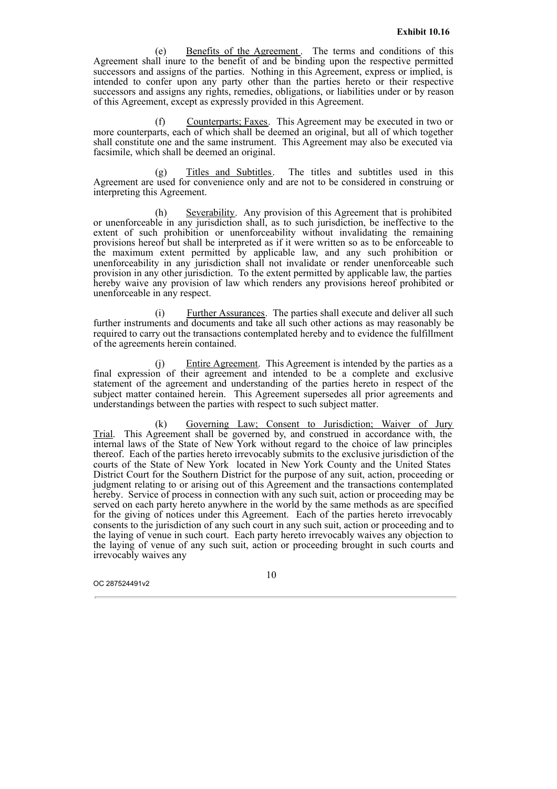(e) Benefits of the Agreement. The terms and conditions of this Agreement shall inure to the benefit of and be binding upon the respective permitted successors and assigns of the parties. Nothing in this Agreement, express or implied, is intended to confer upon any party other than the parties hereto or their respective successors and assigns any rights, remedies, obligations, or liabilities under or by reason of this Agreement, except as expressly provided in this Agreement.

(f) Counterparts; Faxes. This Agreement may be executed in two or more counterparts, each of which shall be deemed an original, but all of which together shall constitute one and the same instrument. This Agreement may also be executed via facsimile, which shall be deemed an original.

(g) Titles and Subtitles. The titles and subtitles used in this Agreement are used for convenience only and are not to be considered in construing or interpreting this Agreement.

(h) Severability. Any provision of this Agreement that is prohibited or unenforceable in any jurisdiction shall, as to such jurisdiction, be ineffective to the extent of such prohibition or unenforceability without invalidating the remaining provisions hereof but shall be interpreted as if it were written so as to be enforceable to the maximum extent permitted by applicable law, and any such prohibition or unenforceability in any jurisdiction shall not invalidate or render unenforceable such provision in any other jurisdiction. To the extent permitted by applicable law, the parties hereby waive any provision of law which renders any provisions hereof prohibited or unenforceable in any respect.

(i) Further Assurances. The parties shall execute and deliver all such further instruments and documents and take all such other actions as may reasonably be required to carry out the transactions contemplated hereby and to evidence the fulfillment of the agreements herein contained.

(j) Entire Agreement. This Agreement is intended by the parties as a final expression of their agreement and intended to be a complete and exclusive statement of the agreement and understanding of the parties hereto in respect of the subject matter contained herein. This Agreement supersedes all prior agreements and understandings between the parties with respect to such subject matter.

(k) Governing Law; Consent to Jurisdiction; Waiver of Jury Trial. This Agreement shall be governed by, and construed in accordance with, the internal laws of the State of New York without regard to the choice of law principles thereof. Each of the parties hereto irrevocably submits to the exclusive jurisdiction of the courts of the State of New York located in New York County and the United States District Court for the Southern District for the purpose of any suit, action, proceeding or judgment relating to or arising out of this Agreement and the transactions contemplated hereby. Service of process in connection with any such suit, action or proceeding may be served on each party hereto anywhere in the world by the same methods as are specified for the giving of notices under this Agreement. Each of the parties hereto irrevocably consents to the jurisdiction of any such court in any such suit, action or proceeding and to the laying of venue in such court. Each party hereto irrevocably waives any objection to the laying of venue of any such suit, action or proceeding brought in such courts and irrevocably waives any

OC 287524491v2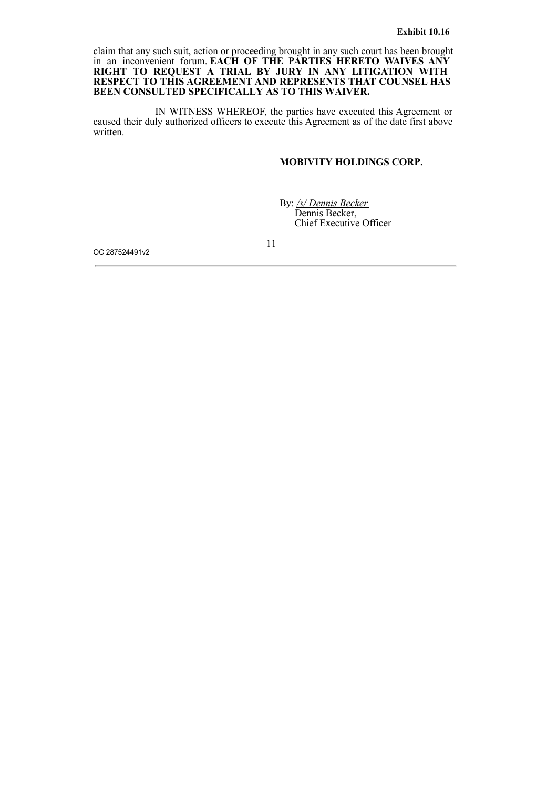claim that any such suit, action or proceeding brought in any such court has been brought in an inconvenient forum. **EACH OF THE PARTIES HERETO WAIVES ANY RIGHT TO REQUEST A TRIAL BY JURY IN ANY LITIGATION WITH RESPECT TO THIS AGREEMENT AND REPRESENTS THAT COUNSEL HAS BEEN CONSULTED SPECIFICALLY AS TO THIS WAIVER.**

IN WITNESS WHEREOF, the parties have executed this Agreement or caused their duly authorized officers to execute this Agreement as of the date first above written.

## **MOBIVITY HOLDINGS CORP.**

By: */s/ Dennis Becker* Dennis Becker, Chief Executive Officer

OC 287524491v2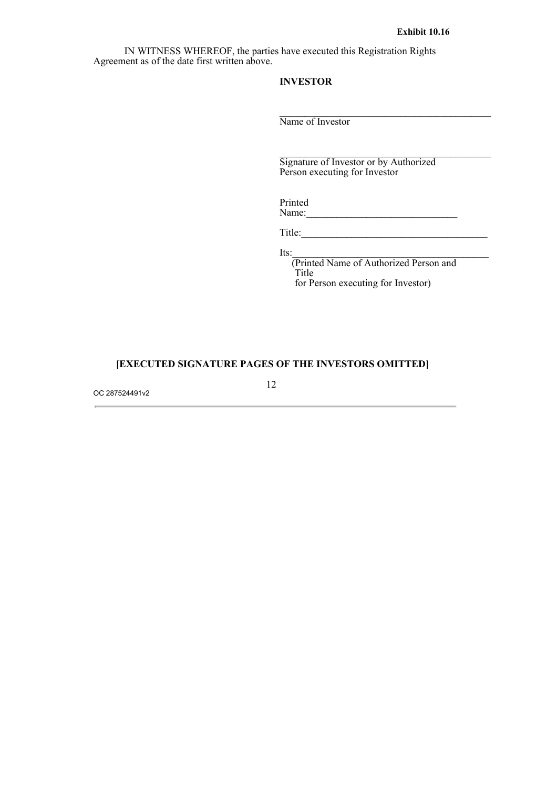#### **Exhibit 10.16**

IN WITNESS WHEREOF, the parties have executed this Registration Rights Agreement as of the date first written above.

## **INVESTOR**

Name of Investor

Signature of Investor or by Authorized Person executing for Investor

 $\mathcal{L}_\text{max}$ 

 $\mathcal{L}_\text{max}$ 

Printed Name:\_\_\_\_\_\_\_\_\_\_\_\_\_\_\_\_\_\_\_\_\_\_\_\_\_\_\_\_\_\_

Title:

Its:  $\blacksquare$ 

(Printed Name of Authorized Person and Title for Person executing for Investor)

# **[EXECUTED SIGNATURE PAGES OF THE INVESTORS OMITTED]**

OC 287524491v2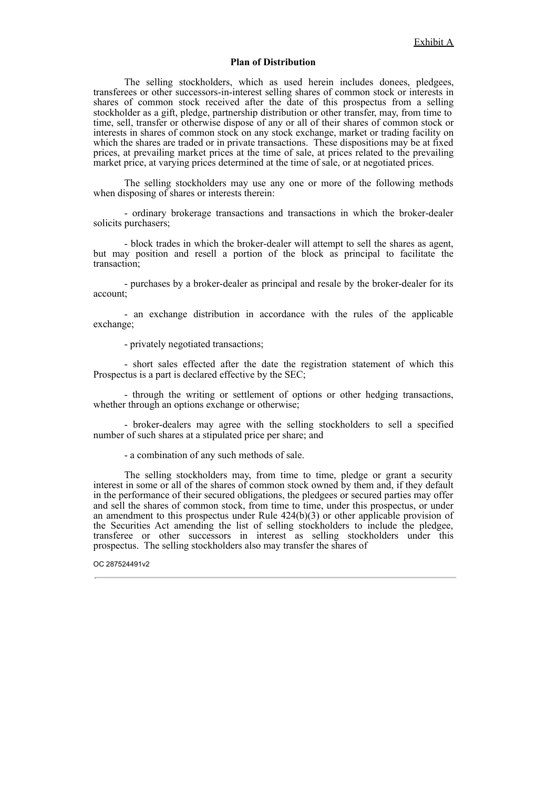#### **Plan of Distribution**

The selling stockholders, which as used herein includes donees, pledgees, transferees or other successors-in-interest selling shares of common stock or interests in shares of common stock received after the date of this prospectus from a selling stockholder as a gift, pledge, partnership distribution or other transfer, may, from time to time, sell, transfer or otherwise dispose of any or all of their shares of common stock or interests in shares of common stock on any stock exchange, market or trading facility on which the shares are traded or in private transactions. These dispositions may be at fixed prices, at prevailing market prices at the time of sale, at prices related to the prevailing market price, at varying prices determined at the time of sale, or at negotiated prices.

The selling stockholders may use any one or more of the following methods when disposing of shares or interests therein:

- ordinary brokerage transactions and transactions in which the broker-dealer solicits purchasers;

- block trades in which the broker-dealer will attempt to sell the shares as agent, but may position and resell a portion of the block as principal to facilitate the transaction;

- purchases by a broker-dealer as principal and resale by the broker-dealer for its account;

- an exchange distribution in accordance with the rules of the applicable exchange;

- privately negotiated transactions;

- short sales effected after the date the registration statement of which this Prospectus is a part is declared effective by the SEC;

- through the writing or settlement of options or other hedging transactions, whether through an options exchange or otherwise;

- broker-dealers may agree with the selling stockholders to sell a specified number of such shares at a stipulated price per share; and

- a combination of any such methods of sale.

The selling stockholders may, from time to time, pledge or grant a security interest in some or all of the shares of common stock owned by them and, if they default in the performance of their secured obligations, the pledgees or secured parties may offer and sell the shares of common stock, from time to time, under this prospectus, or under an amendment to this prospectus under Rule 424(b)(3) or other applicable provision of the Securities Act amending the list of selling stockholders to include the pledgee, transferee or other successors in interest as selling stockholders under this prospectus. The selling stockholders also may transfer the shares of

OC 287524491v2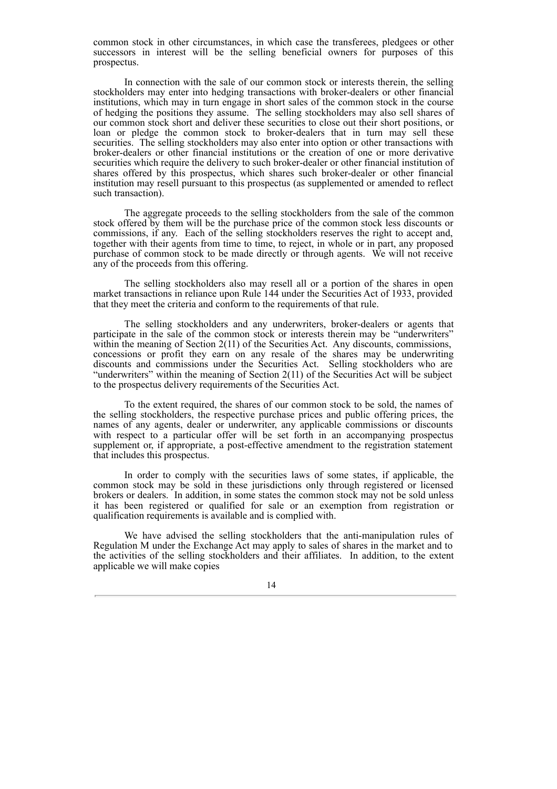common stock in other circumstances, in which case the transferees, pledgees or other successors in interest will be the selling beneficial owners for purposes of this prospectus.

In connection with the sale of our common stock or interests therein, the selling stockholders may enter into hedging transactions with broker-dealers or other financial institutions, which may in turn engage in short sales of the common stock in the course of hedging the positions they assume. The selling stockholders may also sell shares of our common stock short and deliver these securities to close out their short positions, or loan or pledge the common stock to broker-dealers that in turn may sell these securities. The selling stockholders may also enter into option or other transactions with broker-dealers or other financial institutions or the creation of one or more derivative securities which require the delivery to such broker-dealer or other financial institution of shares offered by this prospectus, which shares such broker-dealer or other financial institution may resell pursuant to this prospectus (as supplemented or amended to reflect such transaction).

The aggregate proceeds to the selling stockholders from the sale of the common stock offered by them will be the purchase price of the common stock less discounts or commissions, if any. Each of the selling stockholders reserves the right to accept and, together with their agents from time to time, to reject, in whole or in part, any proposed purchase of common stock to be made directly or through agents. We will not receive any of the proceeds from this offering.

The selling stockholders also may resell all or a portion of the shares in open market transactions in reliance upon Rule 144 under the Securities Act of 1933, provided that they meet the criteria and conform to the requirements of that rule.

The selling stockholders and any underwriters, broker-dealers or agents that participate in the sale of the common stock or interests therein may be "underwriters" within the meaning of Section 2(11) of the Securities Act. Any discounts, commissions, concessions or profit they earn on any resale of the shares may be underwriting discounts and commissions under the Securities Act. Selling stockholders who are "underwriters" within the meaning of Section 2(11) of the Securities Act will be subject to the prospectus delivery requirements of the Securities Act.

To the extent required, the shares of our common stock to be sold, the names of the selling stockholders, the respective purchase prices and public offering prices, the names of any agents, dealer or underwriter, any applicable commissions or discounts with respect to a particular offer will be set forth in an accompanying prospectus supplement or, if appropriate, a post-effective amendment to the registration statement that includes this prospectus.

In order to comply with the securities laws of some states, if applicable, the common stock may be sold in these jurisdictions only through registered or licensed brokers or dealers. In addition, in some states the common stock may not be sold unless it has been registered or qualified for sale or an exemption from registration or qualification requirements is available and is complied with.

We have advised the selling stockholders that the anti-manipulation rules of Regulation M under the Exchange Act may apply to sales of shares in the market and to the activities of the selling stockholders and their affiliates. In addition, to the extent applicable we will make copies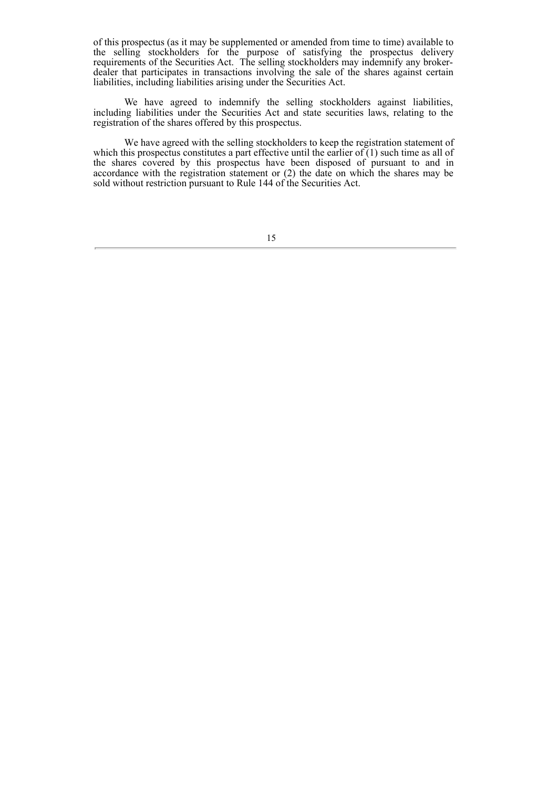of this prospectus (as it may be supplemented or amended from time to time) available to the selling stockholders for the purpose of satisfying the prospectus delivery requirements of the Securities Act. The selling stockholders may indemnify any brokerdealer that participates in transactions involving the sale of the shares against certain liabilities, including liabilities arising under the Securities Act.

We have agreed to indemnify the selling stockholders against liabilities, including liabilities under the Securities Act and state securities laws, relating to the registration of the shares offered by this prospectus.

We have agreed with the selling stockholders to keep the registration statement of which this prospectus constitutes a part effective until the earlier of (1) such time as all of the shares covered by this prospectus have been disposed of pursuant to and in accordance with the registration statement or (2) the date on which the shares may be sold without restriction pursuant to Rule 144 of the Securities Act.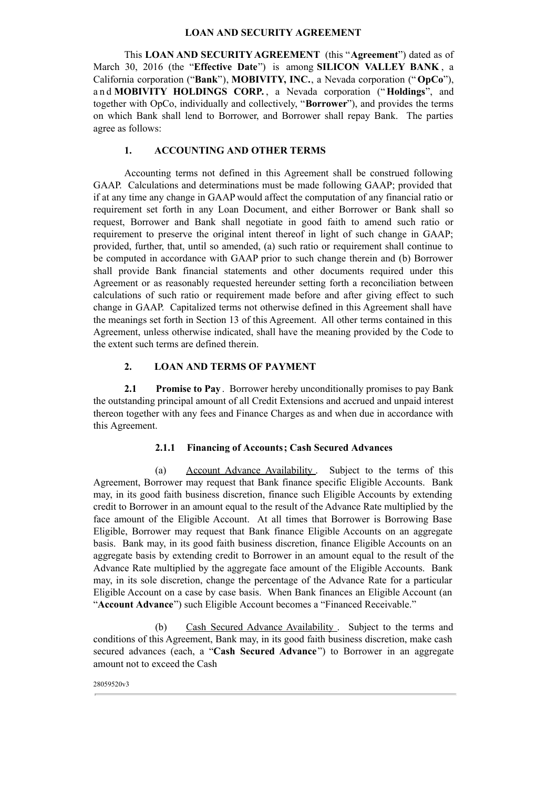### **LOAN AND SECURITY AGREEMENT**

This **LOAN AND SECURITYAGREEMENT** (this "**Agreement**") dated as of March 30, 2016 (the "**Effective Date**") is among **SILICON VALLEY BANK** , a California corporation ("**Bank**"), **MOBIVITY, INC.**, a Nevada corporation (" **OpCo**"), a n d **MOBIVITY HOLDINGS CORP.** , a Nevada corporation (" **Holdings**", and together with OpCo, individually and collectively, "**Borrower**"), and provides the terms on which Bank shall lend to Borrower, and Borrower shall repay Bank. The parties agree as follows:

## **1. ACCOUNTING AND OTHER TERMS**

Accounting terms not defined in this Agreement shall be construed following GAAP. Calculations and determinations must be made following GAAP; provided that if at any time any change in GAAP would affect the computation of any financial ratio or requirement set forth in any Loan Document, and either Borrower or Bank shall so request, Borrower and Bank shall negotiate in good faith to amend such ratio or requirement to preserve the original intent thereof in light of such change in GAAP; provided, further, that, until so amended, (a) such ratio or requirement shall continue to be computed in accordance with GAAP prior to such change therein and (b) Borrower shall provide Bank financial statements and other documents required under this Agreement or as reasonably requested hereunder setting forth a reconciliation between calculations of such ratio or requirement made before and after giving effect to such change in GAAP. Capitalized terms not otherwise defined in this Agreement shall have the meanings set forth in Section 13 of this Agreement. All other terms contained in this Agreement, unless otherwise indicated, shall have the meaning provided by the Code to the extent such terms are defined therein.

# **2. LOAN AND TERMS OF PAYMENT**

**2.1 Promise to Pay** . Borrower hereby unconditionally promises to pay Bank the outstanding principal amount of all Credit Extensions and accrued and unpaid interest thereon together with any fees and Finance Charges as and when due in accordance with this Agreement.

### **2.1.1 Financing of Accounts; Cash Secured Advances**

(a) Account Advance Availability . Subject to the terms of this Agreement, Borrower may request that Bank finance specific Eligible Accounts. Bank may, in its good faith business discretion, finance such Eligible Accounts by extending credit to Borrower in an amount equal to the result of the Advance Rate multiplied by the face amount of the Eligible Account. At all times that Borrower is Borrowing Base Eligible, Borrower may request that Bank finance Eligible Accounts on an aggregate basis. Bank may, in its good faith business discretion, finance Eligible Accounts on an aggregate basis by extending credit to Borrower in an amount equal to the result of the Advance Rate multiplied by the aggregate face amount of the Eligible Accounts. Bank may, in its sole discretion, change the percentage of the Advance Rate for a particular Eligible Account on a case by case basis. When Bank finances an Eligible Account (an "**Account Advance**") such Eligible Account becomes a "Financed Receivable."

(b) Cash Secured Advance Availability . Subject to the terms and conditions of this Agreement, Bank may, in its good faith business discretion, make cash secured advances (each, a "**Cash Secured Advance**") to Borrower in an aggregate amount not to exceed the Cash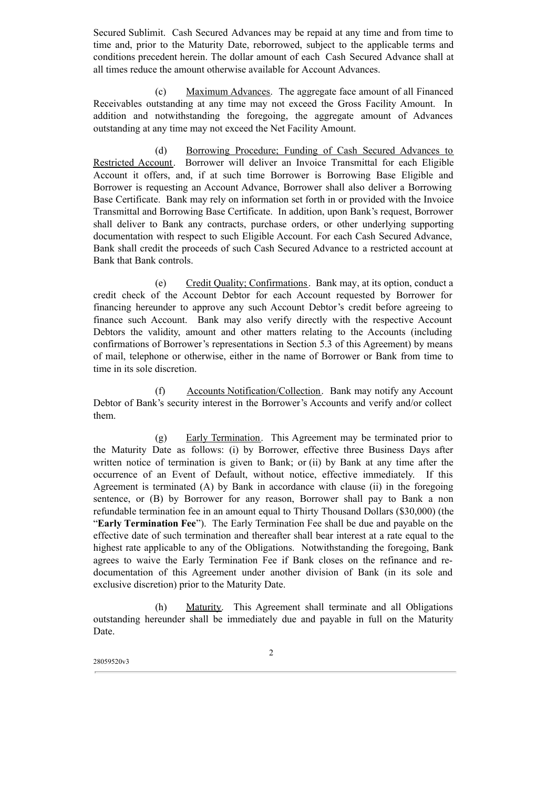Secured Sublimit. Cash Secured Advances may be repaid at any time and from time to time and, prior to the Maturity Date, reborrowed, subject to the applicable terms and conditions precedent herein. The dollar amount of each Cash Secured Advance shall at all times reduce the amount otherwise available for Account Advances.

(c) Maximum Advances. The aggregate face amount of all Financed Receivables outstanding at any time may not exceed the Gross Facility Amount. In addition and notwithstanding the foregoing, the aggregate amount of Advances outstanding at any time may not exceed the Net Facility Amount.

(d) Borrowing Procedure; Funding of Cash Secured Advances to Restricted Account. Borrower will deliver an Invoice Transmittal for each Eligible Account it offers, and, if at such time Borrower is Borrowing Base Eligible and Borrower is requesting an Account Advance, Borrower shall also deliver a Borrowing Base Certificate. Bank may rely on information set forth in or provided with the Invoice Transmittal and Borrowing Base Certificate. In addition, upon Bank's request, Borrower shall deliver to Bank any contracts, purchase orders, or other underlying supporting documentation with respect to such Eligible Account. For each Cash Secured Advance, Bank shall credit the proceeds of such Cash Secured Advance to a restricted account at Bank that Bank controls.

(e) Credit Quality; Confirmations. Bank may, at its option, conduct a credit check of the Account Debtor for each Account requested by Borrower for financing hereunder to approve any such Account Debtor's credit before agreeing to finance such Account. Bank may also verify directly with the respective Account Debtors the validity, amount and other matters relating to the Accounts (including confirmations of Borrower's representations in Section 5.3 of this Agreement) by means of mail, telephone or otherwise, either in the name of Borrower or Bank from time to time in its sole discretion.

(f) Accounts Notification/Collection. Bank may notify any Account Debtor of Bank's security interest in the Borrower's Accounts and verify and/or collect them.

(g) Early Termination. This Agreement may be terminated prior to the Maturity Date as follows: (i) by Borrower, effective three Business Days after written notice of termination is given to Bank; or (ii) by Bank at any time after the occurrence of an Event of Default, without notice, effective immediately. If this Agreement is terminated (A) by Bank in accordance with clause (ii) in the foregoing sentence, or (B) by Borrower for any reason, Borrower shall pay to Bank a non refundable termination fee in an amount equal to Thirty Thousand Dollars (\$30,000) (the "**Early Termination Fee**"). The Early Termination Fee shall be due and payable on the effective date of such termination and thereafter shall bear interest at a rate equal to the highest rate applicable to any of the Obligations. Notwithstanding the foregoing, Bank agrees to waive the Early Termination Fee if Bank closes on the refinance and redocumentation of this Agreement under another division of Bank (in its sole and exclusive discretion) prior to the Maturity Date.

(h) Maturity. This Agreement shall terminate and all Obligations outstanding hereunder shall be immediately due and payable in full on the Maturity Date.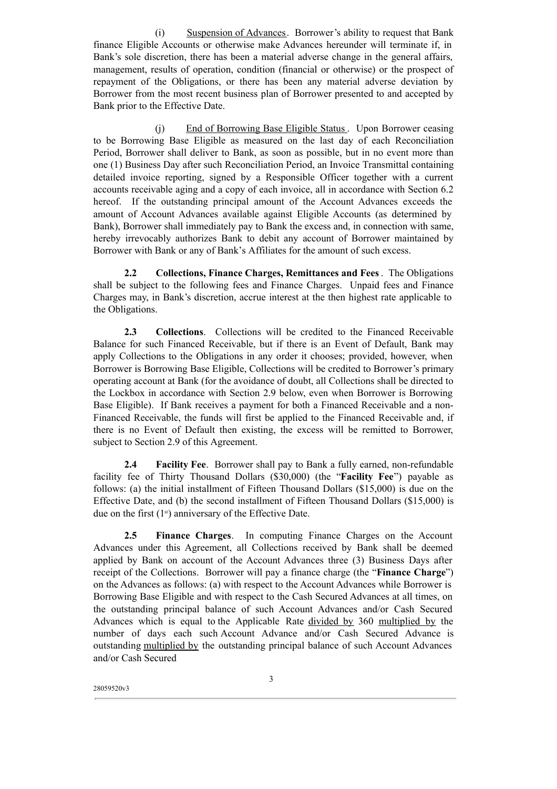(i) Suspension of Advances. Borrower's ability to request that Bank finance Eligible Accounts or otherwise make Advances hereunder will terminate if, in Bank's sole discretion, there has been a material adverse change in the general affairs, management, results of operation, condition (financial or otherwise) or the prospect of repayment of the Obligations, or there has been any material adverse deviation by Borrower from the most recent business plan of Borrower presented to and accepted by Bank prior to the Effective Date.

(j) End of Borrowing Base Eligible Status . Upon Borrower ceasing to be Borrowing Base Eligible as measured on the last day of each Reconciliation Period, Borrower shall deliver to Bank, as soon as possible, but in no event more than one (1) Business Day after such Reconciliation Period, an Invoice Transmittal containing detailed invoice reporting, signed by a Responsible Officer together with a current accounts receivable aging and a copy of each invoice, all in accordance with Section 6.2 hereof. If the outstanding principal amount of the Account Advances exceeds the amount of Account Advances available against Eligible Accounts (as determined by Bank), Borrower shall immediately pay to Bank the excess and, in connection with same, hereby irrevocably authorizes Bank to debit any account of Borrower maintained by Borrower with Bank or any of Bank's Affiliates for the amount of such excess.

**2.2 Collections, Finance Charges, Remittances and Fees**. The Obligations shall be subject to the following fees and Finance Charges. Unpaid fees and Finance Charges may, in Bank's discretion, accrue interest at the then highest rate applicable to the Obligations.

**2.3 Collections**. Collections will be credited to the Financed Receivable Balance for such Financed Receivable, but if there is an Event of Default, Bank may apply Collections to the Obligations in any order it chooses; provided, however, when Borrower is Borrowing Base Eligible, Collections will be credited to Borrower's primary operating account at Bank (for the avoidance of doubt, all Collections shall be directed to the Lockbox in accordance with Section 2.9 below, even when Borrower is Borrowing Base Eligible). If Bank receives a payment for both a Financed Receivable and a non-Financed Receivable, the funds will first be applied to the Financed Receivable and, if there is no Event of Default then existing, the excess will be remitted to Borrower, subject to Section 2.9 of this Agreement.

**2.4 Facility Fee**. Borrower shall pay to Bank a fully earned, non-refundable facility fee of Thirty Thousand Dollars (\$30,000) (the "**Facility Fee**") payable as follows: (a) the initial installment of Fifteen Thousand Dollars (\$15,000) is due on the Effective Date, and (b) the second installment of Fifteen Thousand Dollars (\$15,000) is due on the first  $(1^{st})$  anniversary of the Effective Date.

**2.5 Finance Charges**. In computing Finance Charges on the Account Advances under this Agreement, all Collections received by Bank shall be deemed applied by Bank on account of the Account Advances three (3) Business Days after receipt of the Collections. Borrower will pay a finance charge (the "**Finance Charge**") on the Advances as follows: (a) with respect to the Account Advances while Borrower is Borrowing Base Eligible and with respect to the Cash Secured Advances at all times, on the outstanding principal balance of such Account Advances and/or Cash Secured Advances which is equal to the Applicable Rate divided by 360 multiplied by the number of days each such Account Advance and/or Cash Secured Advance is outstanding multiplied by the outstanding principal balance of such Account Advances and/or Cash Secured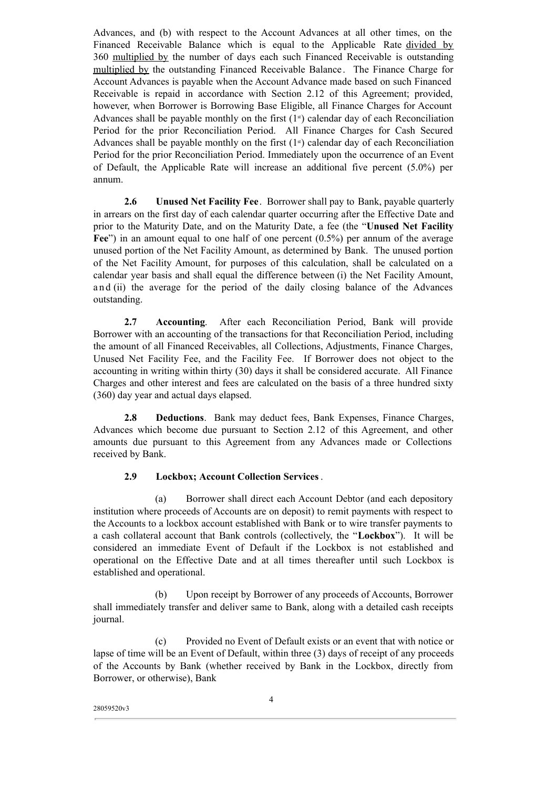Advances, and (b) with respect to the Account Advances at all other times, on the Financed Receivable Balance which is equal to the Applicable Rate divided by 360 multiplied by the number of days each such Financed Receivable is outstanding multiplied by the outstanding Financed Receivable Balance . The Finance Charge for Account Advances is payable when the Account Advance made based on such Financed Receivable is repaid in accordance with Section 2.12 of this Agreement; provided, however, when Borrower is Borrowing Base Eligible, all Finance Charges for Account Advances shall be payable monthly on the first  $(1<sup>s</sup>)$  calendar day of each Reconciliation Period for the prior Reconciliation Period. All Finance Charges for Cash Secured Advances shall be payable monthly on the first  $(1<sup>s</sup>)$  calendar day of each Reconciliation Period for the prior Reconciliation Period. Immediately upon the occurrence of an Event of Default, the Applicable Rate will increase an additional five percent (5.0%) per annum.

**2.6 Unused Net Facility Fee**. Borrower shall pay to Bank, payable quarterly in arrears on the first day of each calendar quarter occurring after the Effective Date and prior to the Maturity Date, and on the Maturity Date, a fee (the "**Unused Net Facility** Fee") in an amount equal to one half of one percent  $(0.5\%)$  per annum of the average unused portion of the Net Facility Amount, as determined by Bank. The unused portion of the Net Facility Amount, for purposes of this calculation, shall be calculated on a calendar year basis and shall equal the difference between (i) the Net Facility Amount, a n d (ii) the average for the period of the daily closing balance of the Advances outstanding.

**2.7 Accounting**. After each Reconciliation Period, Bank will provide Borrower with an accounting of the transactions for that Reconciliation Period, including the amount of all Financed Receivables, all Collections, Adjustments, Finance Charges, Unused Net Facility Fee, and the Facility Fee. If Borrower does not object to the accounting in writing within thirty (30) days it shall be considered accurate. All Finance Charges and other interest and fees are calculated on the basis of a three hundred sixty (360) day year and actual days elapsed.

**2.8 Deductions**. Bank may deduct fees, Bank Expenses, Finance Charges, Advances which become due pursuant to Section 2.12 of this Agreement, and other amounts due pursuant to this Agreement from any Advances made or Collections received by Bank.

### **2.9 Lockbox; Account Collection Services**.

(a) Borrower shall direct each Account Debtor (and each depository institution where proceeds of Accounts are on deposit) to remit payments with respect to the Accounts to a lockbox account established with Bank or to wire transfer payments to a cash collateral account that Bank controls (collectively, the "**Lockbox**"). It will be considered an immediate Event of Default if the Lockbox is not established and operational on the Effective Date and at all times thereafter until such Lockbox is established and operational.

(b) Upon receipt by Borrower of any proceeds of Accounts, Borrower shall immediately transfer and deliver same to Bank, along with a detailed cash receipts journal.

(c) Provided no Event of Default exists or an event that with notice or lapse of time will be an Event of Default, within three (3) days of receipt of any proceeds of the Accounts by Bank (whether received by Bank in the Lockbox, directly from Borrower, or otherwise), Bank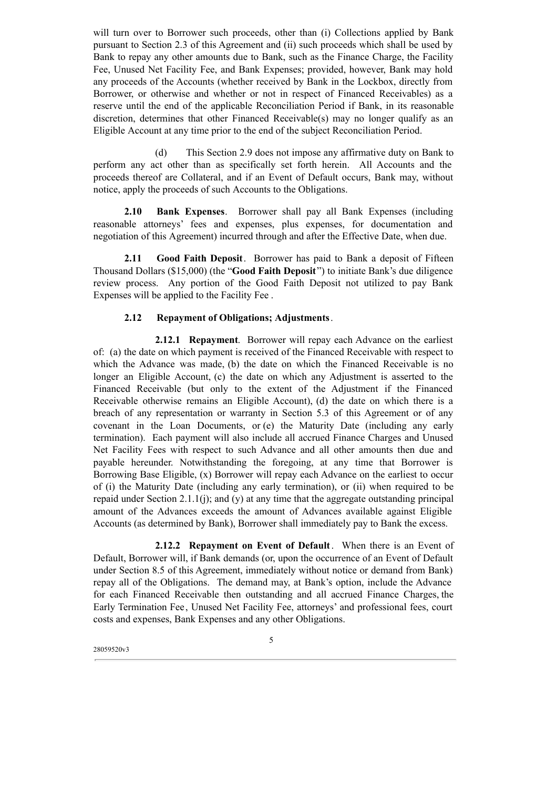will turn over to Borrower such proceeds, other than (i) Collections applied by Bank pursuant to Section 2.3 of this Agreement and (ii) such proceeds which shall be used by Bank to repay any other amounts due to Bank, such as the Finance Charge, the Facility Fee, Unused Net Facility Fee, and Bank Expenses; provided, however, Bank may hold any proceeds of the Accounts (whether received by Bank in the Lockbox, directly from Borrower, or otherwise and whether or not in respect of Financed Receivables) as a reserve until the end of the applicable Reconciliation Period if Bank, in its reasonable discretion, determines that other Financed Receivable(s) may no longer qualify as an Eligible Account at any time prior to the end of the subject Reconciliation Period.

(d) This Section 2.9 does not impose any affirmative duty on Bank to perform any act other than as specifically set forth herein. All Accounts and the proceeds thereof are Collateral, and if an Event of Default occurs, Bank may, without notice, apply the proceeds of such Accounts to the Obligations.

**2.10 Bank Expenses**. Borrower shall pay all Bank Expenses (including reasonable attorneys' fees and expenses, plus expenses, for documentation and negotiation of this Agreement) incurred through and after the Effective Date, when due.

**2.11 Good Faith Deposit**. Borrower has paid to Bank a deposit of Fifteen Thousand Dollars (\$15,000) (the "**Good Faith Deposit**") to initiate Bank's due diligence review process. Any portion of the Good Faith Deposit not utilized to pay Bank Expenses will be applied to the Facility Fee .

### **2.12 Repayment of Obligations; Adjustments**.

**2.12.1 Repayment**. Borrower will repay each Advance on the earliest of: (a) the date on which payment is received of the Financed Receivable with respect to which the Advance was made, (b) the date on which the Financed Receivable is no longer an Eligible Account, (c) the date on which any Adjustment is asserted to the Financed Receivable (but only to the extent of the Adjustment if the Financed Receivable otherwise remains an Eligible Account), (d) the date on which there is a breach of any representation or warranty in Section 5.3 of this Agreement or of any covenant in the Loan Documents, or (e) the Maturity Date (including any early termination). Each payment will also include all accrued Finance Charges and Unused Net Facility Fees with respect to such Advance and all other amounts then due and payable hereunder. Notwithstanding the foregoing, at any time that Borrower is Borrowing Base Eligible, (x) Borrower will repay each Advance on the earliest to occur of (i) the Maturity Date (including any early termination), or (ii) when required to be repaid under Section 2.1.1(j); and (y) at any time that the aggregate outstanding principal amount of the Advances exceeds the amount of Advances available against Eligible Accounts (as determined by Bank), Borrower shall immediately pay to Bank the excess.

**2.12.2 Repayment on Event of Default**. When there is an Event of Default, Borrower will, if Bank demands (or, upon the occurrence of an Event of Default under Section 8.5 of this Agreement, immediately without notice or demand from Bank) repay all of the Obligations. The demand may, at Bank's option, include the Advance for each Financed Receivable then outstanding and all accrued Finance Charges, the Early Termination Fee, Unused Net Facility Fee, attorneys' and professional fees, court costs and expenses, Bank Expenses and any other Obligations.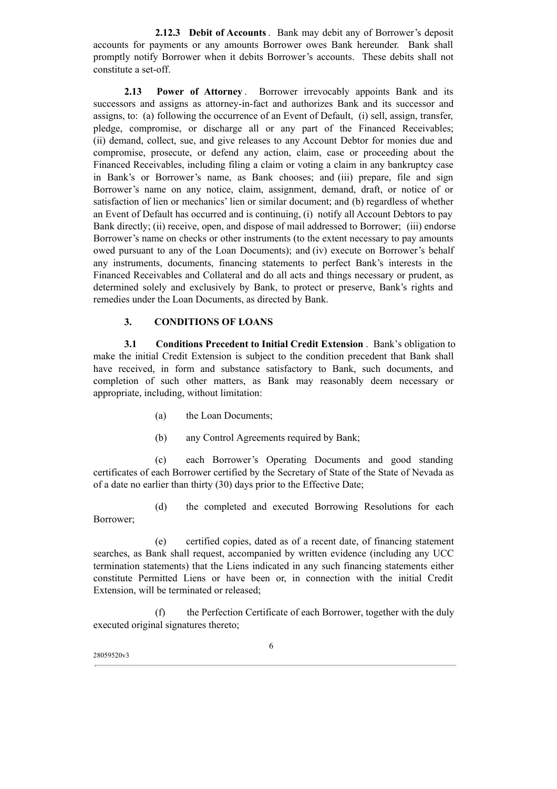**2.12.3 Debit of Accounts**. Bank may debit any of Borrower's deposit accounts for payments or any amounts Borrower owes Bank hereunder. Bank shall promptly notify Borrower when it debits Borrower's accounts. These debits shall not constitute a set-off.

**2.13 Power of Attorney** . Borrower irrevocably appoints Bank and its successors and assigns as attorney-in-fact and authorizes Bank and its successor and assigns, to: (a) following the occurrence of an Event of Default, (i) sell, assign, transfer, pledge, compromise, or discharge all or any part of the Financed Receivables; (ii) demand, collect, sue, and give releases to any Account Debtor for monies due and compromise, prosecute, or defend any action, claim, case or proceeding about the Financed Receivables, including filing a claim or voting a claim in any bankruptcy case in Bank's or Borrower's name, as Bank chooses; and (iii) prepare, file and sign Borrower's name on any notice, claim, assignment, demand, draft, or notice of or satisfaction of lien or mechanics' lien or similar document; and (b) regardless of whether an Event of Default has occurred and is continuing, (i) notify all Account Debtors to pay Bank directly; (ii) receive, open, and dispose of mail addressed to Borrower; (iii) endorse Borrower's name on checks or other instruments (to the extent necessary to pay amounts owed pursuant to any of the Loan Documents); and (iv) execute on Borrower's behalf any instruments, documents, financing statements to perfect Bank's interests in the Financed Receivables and Collateral and do all acts and things necessary or prudent, as determined solely and exclusively by Bank, to protect or preserve, Bank's rights and remedies under the Loan Documents, as directed by Bank.

#### **3. CONDITIONS OF LOANS**

**3.1 Conditions Precedent to Initial Credit Extension** . Bank's obligation to make the initial Credit Extension is subject to the condition precedent that Bank shall have received, in form and substance satisfactory to Bank, such documents, and completion of such other matters, as Bank may reasonably deem necessary or appropriate, including, without limitation:

- (a) the Loan Documents;
- (b) any Control Agreements required by Bank;

(c) each Borrower's Operating Documents and good standing certificates of each Borrower certified by the Secretary of State of the State of Nevada as of a date no earlier than thirty (30) days prior to the Effective Date;

(d) the completed and executed Borrowing Resolutions for each Borrower;

(e) certified copies, dated as of a recent date, of financing statement searches, as Bank shall request, accompanied by written evidence (including any UCC termination statements) that the Liens indicated in any such financing statements either constitute Permitted Liens or have been or, in connection with the initial Credit Extension, will be terminated or released;

(f) the Perfection Certificate of each Borrower, together with the duly executed original signatures thereto;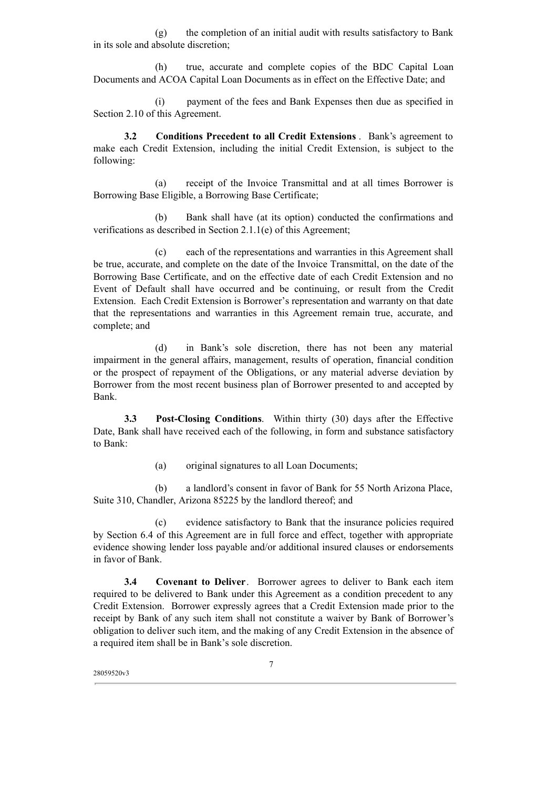(g) the completion of an initial audit with results satisfactory to Bank in its sole and absolute discretion;

(h) true, accurate and complete copies of the BDC Capital Loan Documents and ACOA Capital Loan Documents as in effect on the Effective Date; and

(i) payment of the fees and Bank Expenses then due as specified in Section 2.10 of this Agreement.

**3.2 Conditions Precedent to all Credit Extensions** . Bank's agreement to make each Credit Extension, including the initial Credit Extension, is subject to the following:

(a) receipt of the Invoice Transmittal and at all times Borrower is Borrowing Base Eligible, a Borrowing Base Certificate;

(b) Bank shall have (at its option) conducted the confirmations and verifications as described in Section 2.1.1(e) of this Agreement;

(c) each of the representations and warranties in this Agreement shall be true, accurate, and complete on the date of the Invoice Transmittal, on the date of the Borrowing Base Certificate, and on the effective date of each Credit Extension and no Event of Default shall have occurred and be continuing, or result from the Credit Extension. Each Credit Extension is Borrower's representation and warranty on that date that the representations and warranties in this Agreement remain true, accurate, and complete; and

(d) in Bank's sole discretion, there has not been any material impairment in the general affairs, management, results of operation, financial condition or the prospect of repayment of the Obligations, or any material adverse deviation by Borrower from the most recent business plan of Borrower presented to and accepted by Bank.

**3.3 Post-Closing Conditions**. Within thirty (30) days after the Effective Date, Bank shall have received each of the following, in form and substance satisfactory to Bank:

(a) original signatures to all Loan Documents;

(b) a landlord's consent in favor of Bank for 55 North Arizona Place, Suite 310, Chandler, Arizona 85225 by the landlord thereof; and

(c) evidence satisfactory to Bank that the insurance policies required by Section 6.4 of this Agreement are in full force and effect, together with appropriate evidence showing lender loss payable and/or additional insured clauses or endorsements in favor of Bank.

**3.4 Covenant to Deliver**. Borrower agrees to deliver to Bank each item required to be delivered to Bank under this Agreement as a condition precedent to any Credit Extension. Borrower expressly agrees that a Credit Extension made prior to the receipt by Bank of any such item shall not constitute a waiver by Bank of Borrower's obligation to deliver such item, and the making of any Credit Extension in the absence of a required item shall be in Bank's sole discretion.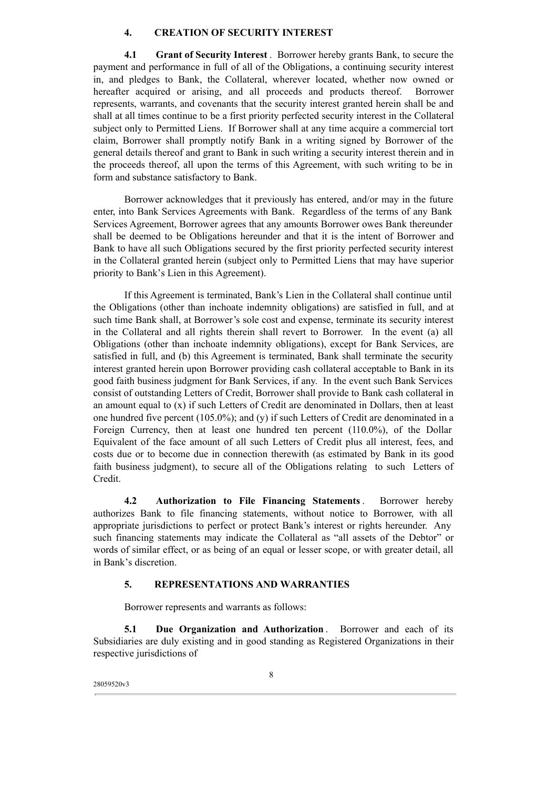#### **4. CREATION OF SECURITY INTEREST**

**4.1 Grant of Security Interest** . Borrower hereby grants Bank, to secure the payment and performance in full of all of the Obligations, a continuing security interest in, and pledges to Bank, the Collateral, wherever located, whether now owned or hereafter acquired or arising, and all proceeds and products thereof. Borrower represents, warrants, and covenants that the security interest granted herein shall be and shall at all times continue to be a first priority perfected security interest in the Collateral subject only to Permitted Liens. If Borrower shall at any time acquire a commercial tort claim, Borrower shall promptly notify Bank in a writing signed by Borrower of the general details thereof and grant to Bank in such writing a security interest therein and in the proceeds thereof, all upon the terms of this Agreement, with such writing to be in form and substance satisfactory to Bank.

Borrower acknowledges that it previously has entered, and/or may in the future enter, into Bank Services Agreements with Bank. Regardless of the terms of any Bank Services Agreement, Borrower agrees that any amounts Borrower owes Bank thereunder shall be deemed to be Obligations hereunder and that it is the intent of Borrower and Bank to have all such Obligations secured by the first priority perfected security interest in the Collateral granted herein (subject only to Permitted Liens that may have superior priority to Bank's Lien in this Agreement).

If this Agreement is terminated, Bank's Lien in the Collateral shall continue until the Obligations (other than inchoate indemnity obligations) are satisfied in full, and at such time Bank shall, at Borrower's sole cost and expense, terminate its security interest in the Collateral and all rights therein shall revert to Borrower. In the event (a) all Obligations (other than inchoate indemnity obligations), except for Bank Services, are satisfied in full, and (b) this Agreement is terminated, Bank shall terminate the security interest granted herein upon Borrower providing cash collateral acceptable to Bank in its good faith business judgment for Bank Services, if any. In the event such Bank Services consist of outstanding Letters of Credit, Borrower shall provide to Bank cash collateral in an amount equal to (x) if such Letters of Credit are denominated in Dollars, then at least one hundred five percent (105.0%); and (y) if such Letters of Credit are denominated in a Foreign Currency, then at least one hundred ten percent (110.0%), of the Dollar Equivalent of the face amount of all such Letters of Credit plus all interest, fees, and costs due or to become due in connection therewith (as estimated by Bank in its good faith business judgment), to secure all of the Obligations relating to such Letters of Credit.

**4.2 Authorization to File Financing Statements** . Borrower hereby authorizes Bank to file financing statements, without notice to Borrower, with all appropriate jurisdictions to perfect or protect Bank's interest or rights hereunder. Any such financing statements may indicate the Collateral as "all assets of the Debtor" or words of similar effect, or as being of an equal or lesser scope, or with greater detail, all in Bank's discretion.

## **5. REPRESENTATIONS AND WARRANTIES**

Borrower represents and warrants as follows:

**5.1 Due Organization and Authorization** . Borrower and each of its Subsidiaries are duly existing and in good standing as Registered Organizations in their respective jurisdictions of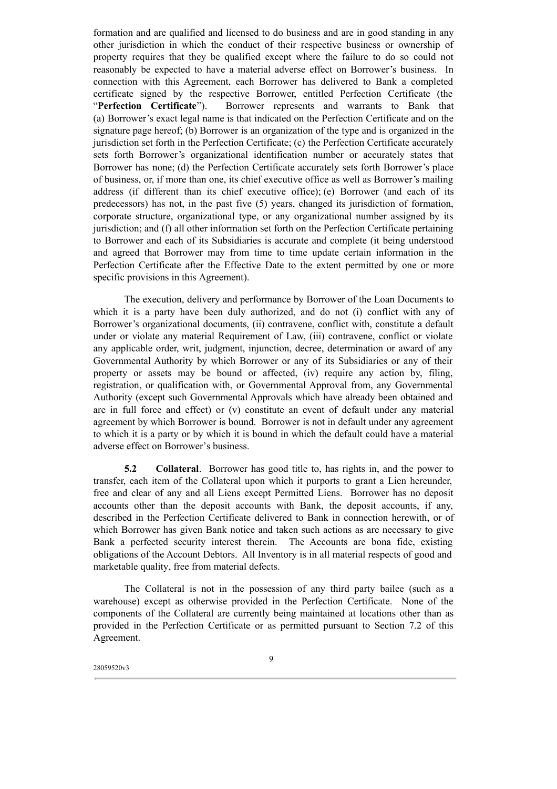formation and are qualified and licensed to do business and are in good standing in any other jurisdiction in which the conduct of their respective business or ownership of property requires that they be qualified except where the failure to do so could not reasonably be expected to have a material adverse effect on Borrower's business. In connection with this Agreement, each Borrower has delivered to Bank a completed certificate signed by the respective Borrower, entitled Perfection Certificate (the "**Perfection Certificate**"). Borrower represents and warrants to Bank that (a) Borrower's exact legal name is that indicated on the Perfection Certificate and on the signature page hereof; (b) Borrower is an organization of the type and is organized in the jurisdiction set forth in the Perfection Certificate; (c) the Perfection Certificate accurately sets forth Borrower's organizational identification number or accurately states that Borrower has none; (d) the Perfection Certificate accurately sets forth Borrower's place of business, or, if more than one, its chief executive office as well as Borrower's mailing address (if different than its chief executive office); (e) Borrower (and each of its predecessors) has not, in the past five (5) years, changed its jurisdiction of formation, corporate structure, organizational type, or any organizational number assigned by its jurisdiction; and (f) all other information set forth on the Perfection Certificate pertaining to Borrower and each of its Subsidiaries is accurate and complete (it being understood and agreed that Borrower may from time to time update certain information in the Perfection Certificate after the Effective Date to the extent permitted by one or more specific provisions in this Agreement).

The execution, delivery and performance by Borrower of the Loan Documents to which it is a party have been duly authorized, and do not (i) conflict with any of Borrower's organizational documents, (ii) contravene, conflict with, constitute a default under or violate any material Requirement of Law, (iii) contravene, conflict or violate any applicable order, writ, judgment, injunction, decree, determination or award of any Governmental Authority by which Borrower or any of its Subsidiaries or any of their property or assets may be bound or affected, (iv) require any action by, filing, registration, or qualification with, or Governmental Approval from, any Governmental Authority (except such Governmental Approvals which have already been obtained and are in full force and effect) or (v) constitute an event of default under any material agreement by which Borrower is bound. Borrower is not in default under any agreement to which it is a party or by which it is bound in which the default could have a material adverse effect on Borrower's business.

**5.2 Collateral**. Borrower has good title to, has rights in, and the power to transfer, each item of the Collateral upon which it purports to grant a Lien hereunder, free and clear of any and all Liens except Permitted Liens. Borrower has no deposit accounts other than the deposit accounts with Bank, the deposit accounts, if any, described in the Perfection Certificate delivered to Bank in connection herewith, or of which Borrower has given Bank notice and taken such actions as are necessary to give Bank a perfected security interest therein. The Accounts are bona fide, existing obligations of the Account Debtors. All Inventory is in all material respects of good and marketable quality, free from material defects.

The Collateral is not in the possession of any third party bailee (such as a warehouse) except as otherwise provided in the Perfection Certificate. None of the components of the Collateral are currently being maintained at locations other than as provided in the Perfection Certificate or as permitted pursuant to Section 7.2 of this Agreement.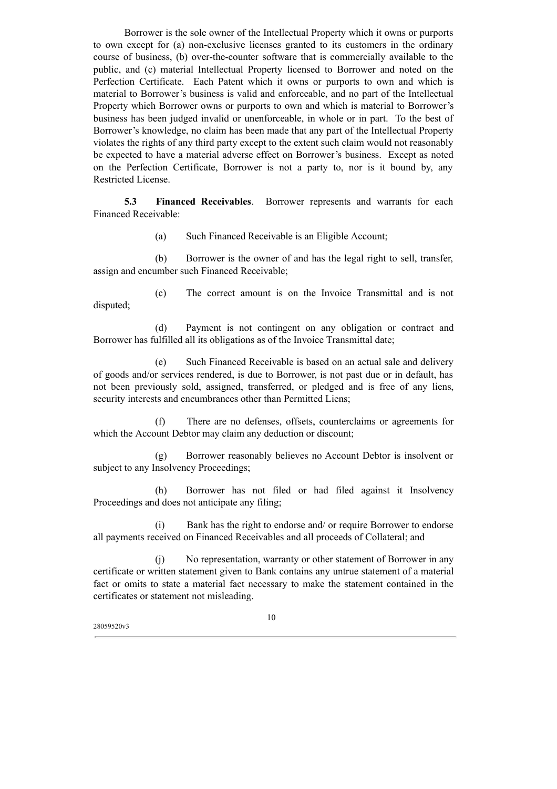Borrower is the sole owner of the Intellectual Property which it owns or purports to own except for (a) non-exclusive licenses granted to its customers in the ordinary course of business, (b) over-the-counter software that is commercially available to the public, and (c) material Intellectual Property licensed to Borrower and noted on the Perfection Certificate. Each Patent which it owns or purports to own and which is material to Borrower's business is valid and enforceable, and no part of the Intellectual Property which Borrower owns or purports to own and which is material to Borrower's business has been judged invalid or unenforceable, in whole or in part. To the best of Borrower's knowledge, no claim has been made that any part of the Intellectual Property violates the rights of any third party except to the extent such claim would not reasonably be expected to have a material adverse effect on Borrower's business. Except as noted on the Perfection Certificate, Borrower is not a party to, nor is it bound by, any Restricted License.

**5.3 Financed Receivables**. Borrower represents and warrants for each Financed Receivable:

(a) Such Financed Receivable is an Eligible Account;

(b) Borrower is the owner of and has the legal right to sell, transfer, assign and encumber such Financed Receivable;

(c) The correct amount is on the Invoice Transmittal and is not disputed;

(d) Payment is not contingent on any obligation or contract and Borrower has fulfilled all its obligations as of the Invoice Transmittal date;

(e) Such Financed Receivable is based on an actual sale and delivery of goods and/or services rendered, is due to Borrower, is not past due or in default, has not been previously sold, assigned, transferred, or pledged and is free of any liens, security interests and encumbrances other than Permitted Liens;

(f) There are no defenses, offsets, counterclaims or agreements for which the Account Debtor may claim any deduction or discount;

(g) Borrower reasonably believes no Account Debtor is insolvent or subject to any Insolvency Proceedings;

(h) Borrower has not filed or had filed against it Insolvency Proceedings and does not anticipate any filing;

(i) Bank has the right to endorse and/ or require Borrower to endorse all payments received on Financed Receivables and all proceeds of Collateral; and

(j) No representation, warranty or other statement of Borrower in any certificate or written statement given to Bank contains any untrue statement of a material fact or omits to state a material fact necessary to make the statement contained in the certificates or statement not misleading.

28059520v3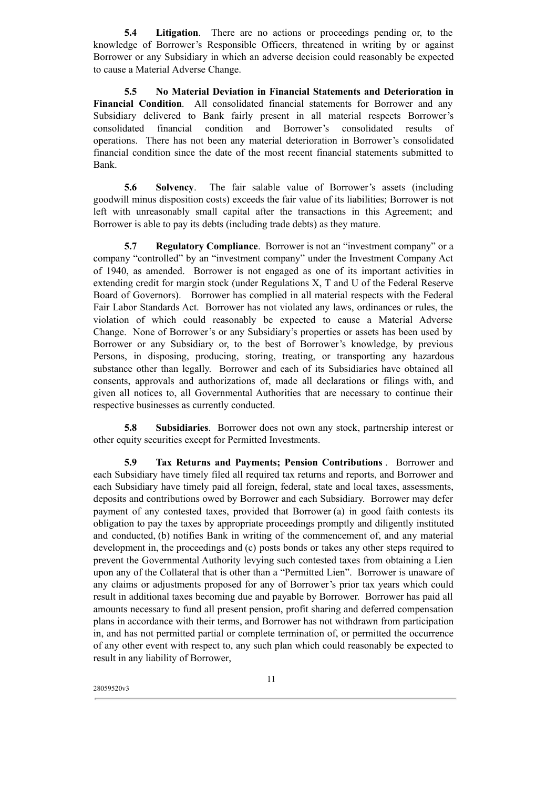**5.4 Litigation**. There are no actions or proceedings pending or, to the knowledge of Borrower's Responsible Officers, threatened in writing by or against Borrower or any Subsidiary in which an adverse decision could reasonably be expected to cause a Material Adverse Change.

**5.5 No Material Deviation in Financial Statements and Deterioration in Financial Condition**. All consolidated financial statements for Borrower and any Subsidiary delivered to Bank fairly present in all material respects Borrower's consolidated financial condition and Borrower's consolidated results of operations. There has not been any material deterioration in Borrower's consolidated financial condition since the date of the most recent financial statements submitted to Bank.

**5.6 Solvency**. The fair salable value of Borrower's assets (including goodwill minus disposition costs) exceeds the fair value of its liabilities; Borrower is not left with unreasonably small capital after the transactions in this Agreement; and Borrower is able to pay its debts (including trade debts) as they mature.

**5.7 Regulatory Compliance**. Borrower is not an "investment company" or a company "controlled" by an "investment company" under the Investment Company Act of 1940, as amended. Borrower is not engaged as one of its important activities in extending credit for margin stock (under Regulations X, T and U of the Federal Reserve Board of Governors). Borrower has complied in all material respects with the Federal Fair Labor Standards Act. Borrower has not violated any laws, ordinances or rules, the violation of which could reasonably be expected to cause a Material Adverse Change. None of Borrower's or any Subsidiary's properties or assets has been used by Borrower or any Subsidiary or, to the best of Borrower's knowledge, by previous Persons, in disposing, producing, storing, treating, or transporting any hazardous substance other than legally. Borrower and each of its Subsidiaries have obtained all consents, approvals and authorizations of, made all declarations or filings with, and given all notices to, all Governmental Authorities that are necessary to continue their respective businesses as currently conducted.

**5.8 Subsidiaries**. Borrower does not own any stock, partnership interest or other equity securities except for Permitted Investments.

**5.9 Tax Returns and Payments; Pension Contributions** . Borrower and each Subsidiary have timely filed all required tax returns and reports, and Borrower and each Subsidiary have timely paid all foreign, federal, state and local taxes, assessments, deposits and contributions owed by Borrower and each Subsidiary. Borrower may defer payment of any contested taxes, provided that Borrower (a) in good faith contests its obligation to pay the taxes by appropriate proceedings promptly and diligently instituted and conducted, (b) notifies Bank in writing of the commencement of, and any material development in, the proceedings and (c) posts bonds or takes any other steps required to prevent the Governmental Authority levying such contested taxes from obtaining a Lien upon any of the Collateral that is other than a "Permitted Lien". Borrower is unaware of any claims or adjustments proposed for any of Borrower's prior tax years which could result in additional taxes becoming due and payable by Borrower. Borrower has paid all amounts necessary to fund all present pension, profit sharing and deferred compensation plans in accordance with their terms, and Borrower has not withdrawn from participation in, and has not permitted partial or complete termination of, or permitted the occurrence of any other event with respect to, any such plan which could reasonably be expected to result in any liability of Borrower,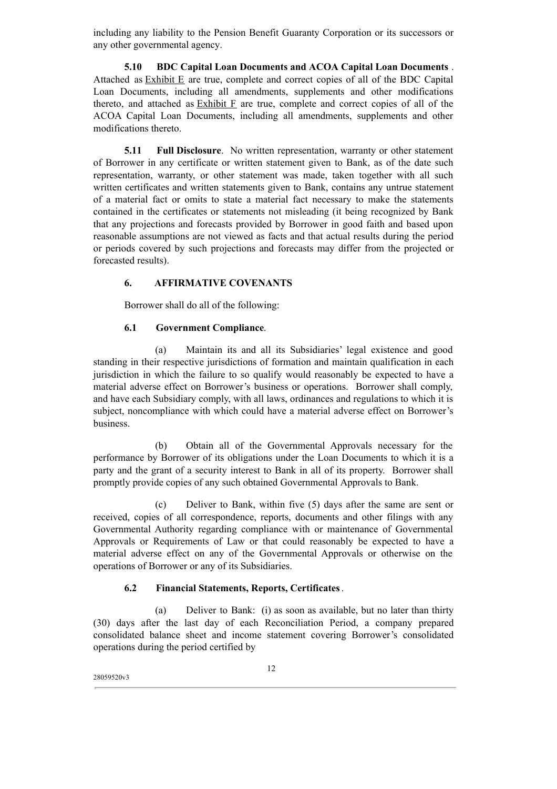including any liability to the Pension Benefit Guaranty Corporation or its successors or any other governmental agency.

**5.10 BDC Capital Loan Documents and ACOA Capital Loan Documents** . Attached as Exhibit E are true, complete and correct copies of all of the BDC Capital Loan Documents, including all amendments, supplements and other modifications thereto, and attached as Exhibit F are true, complete and correct copies of all of the ACOA Capital Loan Documents, including all amendments, supplements and other modifications thereto.

**5.11 Full Disclosure**. No written representation, warranty or other statement of Borrower in any certificate or written statement given to Bank, as of the date such representation, warranty, or other statement was made, taken together with all such written certificates and written statements given to Bank, contains any untrue statement of a material fact or omits to state a material fact necessary to make the statements contained in the certificates or statements not misleading (it being recognized by Bank that any projections and forecasts provided by Borrower in good faith and based upon reasonable assumptions are not viewed as facts and that actual results during the period or periods covered by such projections and forecasts may differ from the projected or forecasted results).

### **6. AFFIRMATIVE COVENANTS**

Borrower shall do all of the following:

#### **6.1 Government Compliance**.

(a) Maintain its and all its Subsidiaries' legal existence and good standing in their respective jurisdictions of formation and maintain qualification in each jurisdiction in which the failure to so qualify would reasonably be expected to have a material adverse effect on Borrower's business or operations. Borrower shall comply, and have each Subsidiary comply, with all laws, ordinances and regulations to which it is subject, noncompliance with which could have a material adverse effect on Borrower's business.

(b) Obtain all of the Governmental Approvals necessary for the performance by Borrower of its obligations under the Loan Documents to which it is a party and the grant of a security interest to Bank in all of its property. Borrower shall promptly provide copies of any such obtained Governmental Approvals to Bank.

(c) Deliver to Bank, within five (5) days after the same are sent or received, copies of all correspondence, reports, documents and other filings with any Governmental Authority regarding compliance with or maintenance of Governmental Approvals or Requirements of Law or that could reasonably be expected to have a material adverse effect on any of the Governmental Approvals or otherwise on the operations of Borrower or any of its Subsidiaries.

### **6.2 Financial Statements, Reports, Certificates**.

(a) Deliver to Bank: (i) as soon as available, but no later than thirty (30) days after the last day of each Reconciliation Period, a company prepared consolidated balance sheet and income statement covering Borrower's consolidated operations during the period certified by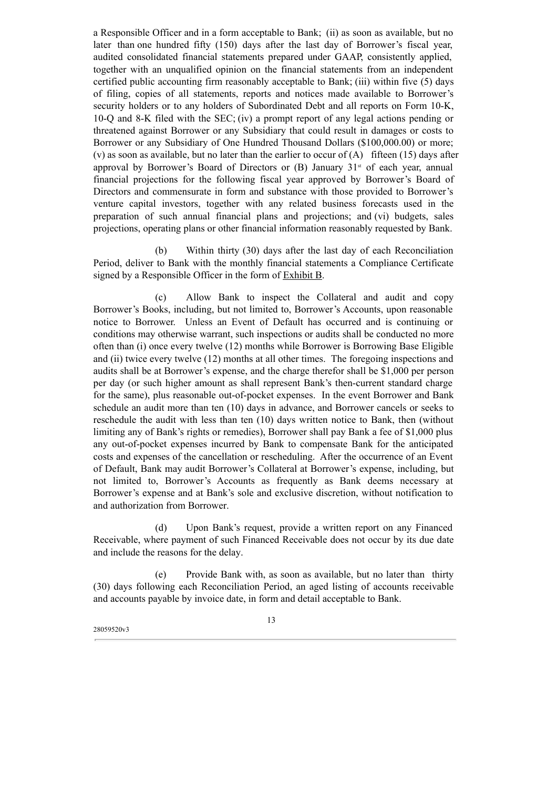a Responsible Officer and in a form acceptable to Bank; (ii) as soon as available, but no later than one hundred fifty (150) days after the last day of Borrower's fiscal year, audited consolidated financial statements prepared under GAAP, consistently applied, together with an unqualified opinion on the financial statements from an independent certified public accounting firm reasonably acceptable to Bank; (iii) within five (5) days of filing, copies of all statements, reports and notices made available to Borrower's security holders or to any holders of Subordinated Debt and all reports on Form 10-K, 10-Q and 8-K filed with the SEC; (iv) a prompt report of any legal actions pending or threatened against Borrower or any Subsidiary that could result in damages or costs to Borrower or any Subsidiary of One Hundred Thousand Dollars (\$100,000.00) or more; (v) as soon as available, but no later than the earlier to occur of  $(A)$  fifteen (15) days after approval by Borrower's Board of Directors or  $(B)$  January  $31<sup>st</sup>$  of each year, annual financial projections for the following fiscal year approved by Borrower's Board of Directors and commensurate in form and substance with those provided to Borrower's venture capital investors, together with any related business forecasts used in the preparation of such annual financial plans and projections; and (vi) budgets, sales projections, operating plans or other financial information reasonably requested by Bank.

(b) Within thirty (30) days after the last day of each Reconciliation Period, deliver to Bank with the monthly financial statements a Compliance Certificate signed by a Responsible Officer in the form of Exhibit B.

(c) Allow Bank to inspect the Collateral and audit and copy Borrower's Books, including, but not limited to, Borrower's Accounts, upon reasonable notice to Borrower. Unless an Event of Default has occurred and is continuing or conditions may otherwise warrant, such inspections or audits shall be conducted no more often than (i) once every twelve (12) months while Borrower is Borrowing Base Eligible and (ii) twice every twelve (12) months at all other times. The foregoing inspections and audits shall be at Borrower's expense, and the charge therefor shall be \$1,000 per person per day (or such higher amount as shall represent Bank's then-current standard charge for the same), plus reasonable out-of-pocket expenses. In the event Borrower and Bank schedule an audit more than ten (10) days in advance, and Borrower cancels or seeks to reschedule the audit with less than ten (10) days written notice to Bank, then (without limiting any of Bank's rights or remedies), Borrower shall pay Bank a fee of \$1,000 plus any out-of-pocket expenses incurred by Bank to compensate Bank for the anticipated costs and expenses of the cancellation or rescheduling. After the occurrence of an Event of Default, Bank may audit Borrower's Collateral at Borrower's expense, including, but not limited to, Borrower's Accounts as frequently as Bank deems necessary at Borrower's expense and at Bank's sole and exclusive discretion, without notification to and authorization from Borrower.

(d) Upon Bank's request, provide a written report on any Financed Receivable, where payment of such Financed Receivable does not occur by its due date and include the reasons for the delay.

(e) Provide Bank with, as soon as available, but no later than thirty (30) days following each Reconciliation Period, an aged listing of accounts receivable and accounts payable by invoice date, in form and detail acceptable to Bank.

28059520v3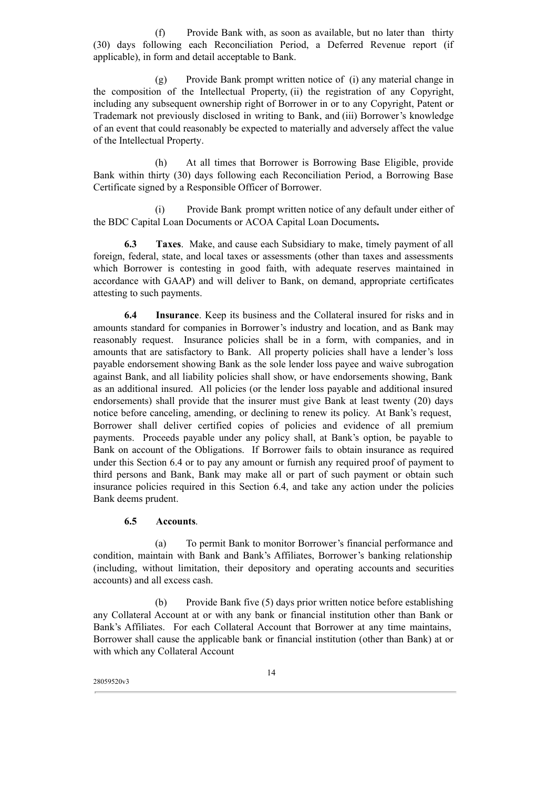(f) Provide Bank with, as soon as available, but no later than thirty (30) days following each Reconciliation Period, a Deferred Revenue report (if applicable), in form and detail acceptable to Bank.

(g) Provide Bank prompt written notice of (i) any material change in the composition of the Intellectual Property, (ii) the registration of any Copyright, including any subsequent ownership right of Borrower in or to any Copyright, Patent or Trademark not previously disclosed in writing to Bank, and (iii) Borrower's knowledge of an event that could reasonably be expected to materially and adversely affect the value of the Intellectual Property.

(h) At all times that Borrower is Borrowing Base Eligible, provide Bank within thirty (30) days following each Reconciliation Period, a Borrowing Base Certificate signed by a Responsible Officer of Borrower.

(i) Provide Bank prompt written notice of any default under either of the BDC Capital Loan Documents or ACOA Capital Loan Documents**.**

**6.3 Taxes**. Make, and cause each Subsidiary to make, timely payment of all foreign, federal, state, and local taxes or assessments (other than taxes and assessments which Borrower is contesting in good faith, with adequate reserves maintained in accordance with GAAP) and will deliver to Bank, on demand, appropriate certificates attesting to such payments.

**6.4 Insurance**. Keep its business and the Collateral insured for risks and in amounts standard for companies in Borrower's industry and location, and as Bank may reasonably request. Insurance policies shall be in a form, with companies, and in amounts that are satisfactory to Bank. All property policies shall have a lender's loss payable endorsement showing Bank as the sole lender loss payee and waive subrogation against Bank, and all liability policies shall show, or have endorsements showing, Bank as an additional insured. All policies (or the lender loss payable and additional insured endorsements) shall provide that the insurer must give Bank at least twenty (20) days notice before canceling, amending, or declining to renew its policy. At Bank's request, Borrower shall deliver certified copies of policies and evidence of all premium payments. Proceeds payable under any policy shall, at Bank's option, be payable to Bank on account of the Obligations. If Borrower fails to obtain insurance as required under this Section 6.4 or to pay any amount or furnish any required proof of payment to third persons and Bank, Bank may make all or part of such payment or obtain such insurance policies required in this Section 6.4, and take any action under the policies Bank deems prudent.

### **6.5 Accounts**.

(a) To permit Bank to monitor Borrower's financial performance and condition, maintain with Bank and Bank's Affiliates, Borrower's banking relationship (including, without limitation, their depository and operating accounts and securities accounts) and all excess cash.

(b) Provide Bank five (5) days prior written notice before establishing any Collateral Account at or with any bank or financial institution other than Bank or Bank's Affiliates. For each Collateral Account that Borrower at any time maintains, Borrower shall cause the applicable bank or financial institution (other than Bank) at or with which any Collateral Account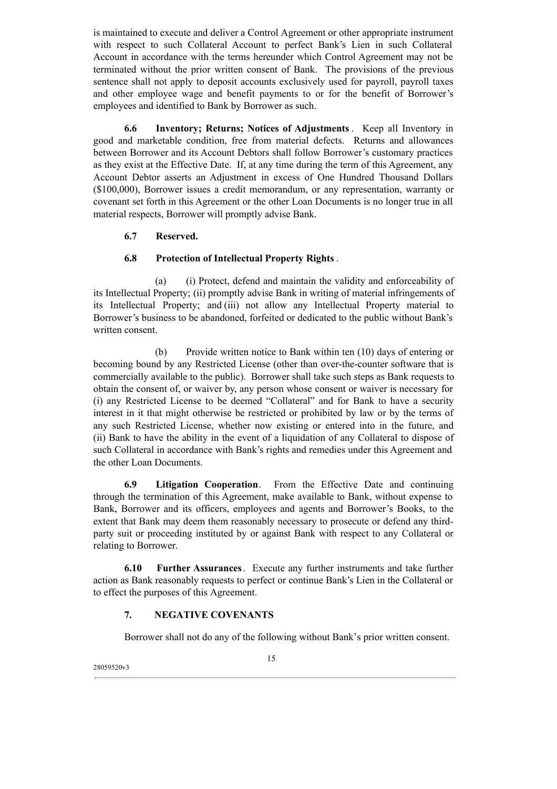is maintained to execute and deliver a Control Agreement or other appropriate instrument with respect to such Collateral Account to perfect Bank's Lien in such Collateral Account in accordance with the terms hereunder which Control Agreement may not be terminated without the prior written consent of Bank. The provisions of the previous sentence shall not apply to deposit accounts exclusively used for payroll, payroll taxes and other employee wage and benefit payments to or for the benefit of Borrower's employees and identified to Bank by Borrower as such.

**6.6 Inventory; Returns; Notices of Adjustments** . Keep all Inventory in good and marketable condition, free from material defects. Returns and allowances between Borrower and its Account Debtors shall follow Borrower's customary practices as they exist at the Effective Date. If, at any time during the term of this Agreement, any Account Debtor asserts an Adjustment in excess of One Hundred Thousand Dollars (\$100,000), Borrower issues a credit memorandum, or any representation, warranty or covenant set forth in this Agreement or the other Loan Documents is no longer true in all material respects, Borrower will promptly advise Bank.

#### **6.7 Reserved.**

### **6.8 Protection of Intellectual Property Rights** .

(a) (i) Protect, defend and maintain the validity and enforceability of its Intellectual Property; (ii) promptly advise Bank in writing of material infringements of its Intellectual Property; and (iii) not allow any Intellectual Property material to Borrower's business to be abandoned, forfeited or dedicated to the public without Bank's written consent.

(b) Provide written notice to Bank within ten (10) days of entering or becoming bound by any Restricted License (other than over-the-counter software that is commercially available to the public). Borrower shall take such steps as Bank requests to obtain the consent of, or waiver by, any person whose consent or waiver is necessary for (i) any Restricted License to be deemed "Collateral" and for Bank to have a security interest in it that might otherwise be restricted or prohibited by law or by the terms of any such Restricted License, whether now existing or entered into in the future, and (ii) Bank to have the ability in the event of a liquidation of any Collateral to dispose of such Collateral in accordance with Bank's rights and remedies under this Agreement and the other Loan Documents.

**6.9 Litigation Cooperation**. From the Effective Date and continuing through the termination of this Agreement, make available to Bank, without expense to Bank, Borrower and its officers, employees and agents and Borrower's Books, to the extent that Bank may deem them reasonably necessary to prosecute or defend any thirdparty suit or proceeding instituted by or against Bank with respect to any Collateral or relating to Borrower.

**6.10 Further Assurances**. Execute any further instruments and take further action as Bank reasonably requests to perfect or continue Bank's Lien in the Collateral or to effect the purposes of this Agreement.

# **7. NEGATIVE COVENANTS**

Borrower shall not do any of the following without Bank's prior written consent.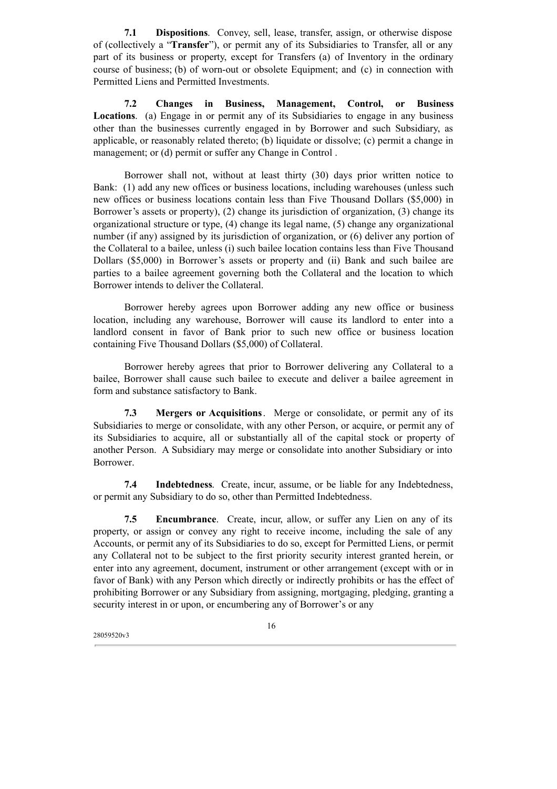**7.1 Dispositions**. Convey, sell, lease, transfer, assign, or otherwise dispose of (collectively a "**Transfer**"), or permit any of its Subsidiaries to Transfer, all or any part of its business or property, except for Transfers (a) of Inventory in the ordinary course of business; (b) of worn-out or obsolete Equipment; and (c) in connection with Permitted Liens and Permitted Investments.

**7.2 Changes in Business, Management, Control, or Business Locations**. (a) Engage in or permit any of its Subsidiaries to engage in any business other than the businesses currently engaged in by Borrower and such Subsidiary, as applicable, or reasonably related thereto; (b) liquidate or dissolve; (c) permit a change in management; or (d) permit or suffer any Change in Control .

Borrower shall not, without at least thirty (30) days prior written notice to Bank: (1) add any new offices or business locations, including warehouses (unless such new offices or business locations contain less than Five Thousand Dollars (\$5,000) in Borrower's assets or property), (2) change its jurisdiction of organization, (3) change its organizational structure or type, (4) change its legal name, (5) change any organizational number (if any) assigned by its jurisdiction of organization, or (6) deliver any portion of the Collateral to a bailee, unless (i) such bailee location contains less than Five Thousand Dollars (\$5,000) in Borrower's assets or property and (ii) Bank and such bailee are parties to a bailee agreement governing both the Collateral and the location to which Borrower intends to deliver the Collateral.

Borrower hereby agrees upon Borrower adding any new office or business location, including any warehouse, Borrower will cause its landlord to enter into a landlord consent in favor of Bank prior to such new office or business location containing Five Thousand Dollars (\$5,000) of Collateral.

Borrower hereby agrees that prior to Borrower delivering any Collateral to a bailee, Borrower shall cause such bailee to execute and deliver a bailee agreement in form and substance satisfactory to Bank.

**7.3 Mergers or Acquisitions**. Merge or consolidate, or permit any of its Subsidiaries to merge or consolidate, with any other Person, or acquire, or permit any of its Subsidiaries to acquire, all or substantially all of the capital stock or property of another Person. A Subsidiary may merge or consolidate into another Subsidiary or into Borrower.

**7.4 Indebtedness**. Create, incur, assume, or be liable for any Indebtedness, or permit any Subsidiary to do so, other than Permitted Indebtedness.

**7.5 Encumbrance**. Create, incur, allow, or suffer any Lien on any of its property, or assign or convey any right to receive income, including the sale of any Accounts, or permit any of its Subsidiaries to do so, except for Permitted Liens, or permit any Collateral not to be subject to the first priority security interest granted herein, or enter into any agreement, document, instrument or other arrangement (except with or in favor of Bank) with any Person which directly or indirectly prohibits or has the effect of prohibiting Borrower or any Subsidiary from assigning, mortgaging, pledging, granting a security interest in or upon, or encumbering any of Borrower's or any

28059520v3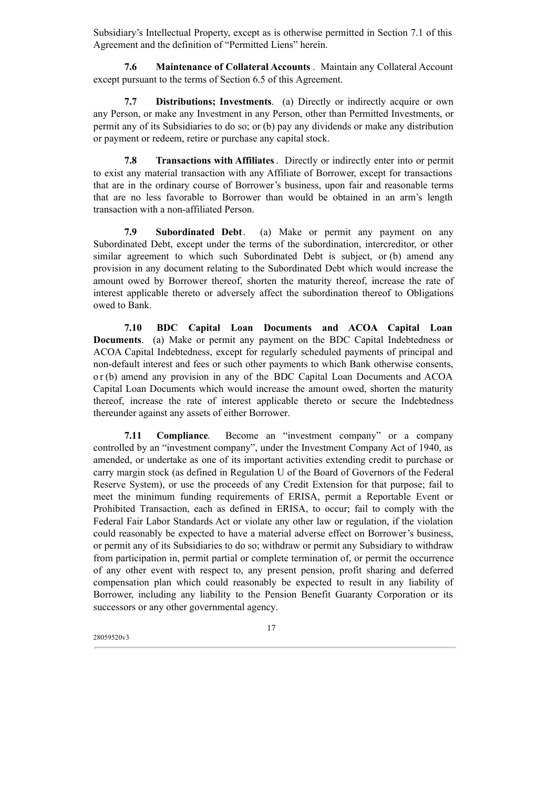Subsidiary's Intellectual Property, except as is otherwise permitted in Section 7.1 of this Agreement and the definition of "Permitted Liens" herein.

**7.6 Maintenance of Collateral Accounts** . Maintain any Collateral Account except pursuant to the terms of Section 6.5 of this Agreement.

**7.7 Distributions; Investments**. (a) Directly or indirectly acquire or own any Person, or make any Investment in any Person, other than Permitted Investments, or permit any of its Subsidiaries to do so; or (b) pay any dividends or make any distribution or payment or redeem, retire or purchase any capital stock.

**7.8 Transactions with Affiliates**. Directly or indirectly enter into or permit to exist any material transaction with any Affiliate of Borrower, except for transactions that are in the ordinary course of Borrower's business, upon fair and reasonable terms that are no less favorable to Borrower than would be obtained in an arm's length transaction with a non-affiliated Person.

**7.9 Subordinated Debt**. (a) Make or permit any payment on any Subordinated Debt, except under the terms of the subordination, intercreditor, or other similar agreement to which such Subordinated Debt is subject, or (b) amend any provision in any document relating to the Subordinated Debt which would increase the amount owed by Borrower thereof, shorten the maturity thereof, increase the rate of interest applicable thereto or adversely affect the subordination thereof to Obligations owed to Bank.

**7.10 BDC Capital Loan Documents and ACOA Capital Loan Documents**. (a) Make or permit any payment on the BDC Capital Indebtedness or ACOA Capital Indebtedness, except for regularly scheduled payments of principal and non-default interest and fees or such other payments to which Bank otherwise consents, o r (b) amend any provision in any of the BDC Capital Loan Documents and ACOA Capital Loan Documents which would increase the amount owed, shorten the maturity thereof, increase the rate of interest applicable thereto or secure the Indebtedness thereunder against any assets of either Borrower.

**7.11 Compliance**. Become an "investment company" or a company controlled by an "investment company", under the Investment Company Act of 1940, as amended, or undertake as one of its important activities extending credit to purchase or carry margin stock (as defined in Regulation U of the Board of Governors of the Federal Reserve System), or use the proceeds of any Credit Extension for that purpose; fail to meet the minimum funding requirements of ERISA, permit a Reportable Event or Prohibited Transaction, each as defined in ERISA, to occur; fail to comply with the Federal Fair Labor Standards Act or violate any other law or regulation, if the violation could reasonably be expected to have a material adverse effect on Borrower's business, or permit any of its Subsidiaries to do so; withdraw or permit any Subsidiary to withdraw from participation in, permit partial or complete termination of, or permit the occurrence of any other event with respect to, any present pension, profit sharing and deferred compensation plan which could reasonably be expected to result in any liability of Borrower, including any liability to the Pension Benefit Guaranty Corporation or its successors or any other governmental agency.

28059520v3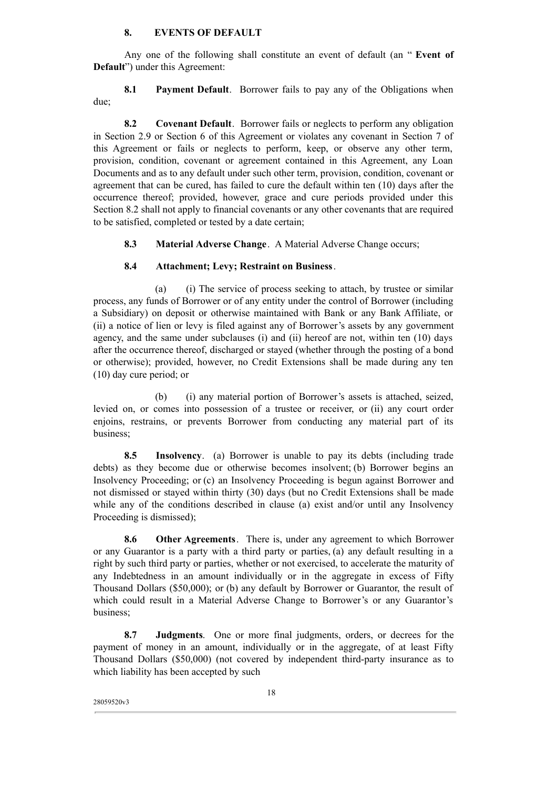#### **8. EVENTS OF DEFAULT**

Any one of the following shall constitute an event of default (an " **Event of Default**") under this Agreement:

**8.1 Payment Default**. Borrower fails to pay any of the Obligations when due;

**8.2 Covenant Default**. Borrower fails or neglects to perform any obligation in Section 2.9 or Section 6 of this Agreement or violates any covenant in Section 7 of this Agreement or fails or neglects to perform, keep, or observe any other term, provision, condition, covenant or agreement contained in this Agreement, any Loan Documents and as to any default under such other term, provision, condition, covenant or agreement that can be cured, has failed to cure the default within ten (10) days after the occurrence thereof; provided, however, grace and cure periods provided under this Section 8.2 shall not apply to financial covenants or any other covenants that are required to be satisfied, completed or tested by a date certain;

**8.3 Material Adverse Change**. A Material Adverse Change occurs;

### **8.4 Attachment; Levy; Restraint on Business**.

(a) (i) The service of process seeking to attach, by trustee or similar process, any funds of Borrower or of any entity under the control of Borrower (including a Subsidiary) on deposit or otherwise maintained with Bank or any Bank Affiliate, or (ii) a notice of lien or levy is filed against any of Borrower's assets by any government agency, and the same under subclauses (i) and (ii) hereof are not, within ten (10) days after the occurrence thereof, discharged or stayed (whether through the posting of a bond or otherwise); provided, however, no Credit Extensions shall be made during any ten (10) day cure period; or

(b) (i) any material portion of Borrower's assets is attached, seized, levied on, or comes into possession of a trustee or receiver, or (ii) any court order enjoins, restrains, or prevents Borrower from conducting any material part of its business;

**8.5 Insolvency**. (a) Borrower is unable to pay its debts (including trade debts) as they become due or otherwise becomes insolvent; (b) Borrower begins an Insolvency Proceeding; or (c) an Insolvency Proceeding is begun against Borrower and not dismissed or stayed within thirty (30) days (but no Credit Extensions shall be made while any of the conditions described in clause (a) exist and/or until any Insolvency Proceeding is dismissed);

**8.6 Other Agreements**. There is, under any agreement to which Borrower or any Guarantor is a party with a third party or parties, (a) any default resulting in a right by such third party or parties, whether or not exercised, to accelerate the maturity of any Indebtedness in an amount individually or in the aggregate in excess of Fifty Thousand Dollars (\$50,000); or (b) any default by Borrower or Guarantor, the result of which could result in a Material Adverse Change to Borrower's or any Guarantor's business;

**8.7 Judgments**. One or more final judgments, orders, or decrees for the payment of money in an amount, individually or in the aggregate, of at least Fifty Thousand Dollars (\$50,000) (not covered by independent third-party insurance as to which liability has been accepted by such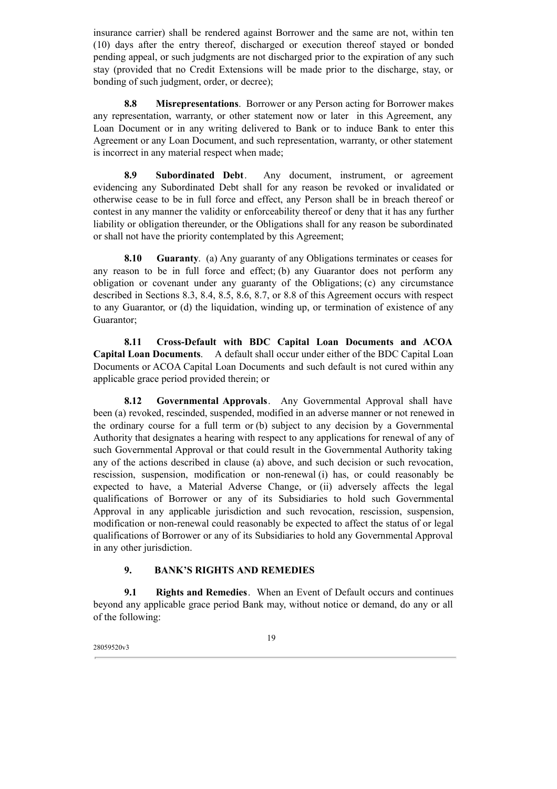insurance carrier) shall be rendered against Borrower and the same are not, within ten (10) days after the entry thereof, discharged or execution thereof stayed or bonded pending appeal, or such judgments are not discharged prior to the expiration of any such stay (provided that no Credit Extensions will be made prior to the discharge, stay, or bonding of such judgment, order, or decree);

**8.8 Misrepresentations**. Borrower or any Person acting for Borrower makes any representation, warranty, or other statement now or later in this Agreement, any Loan Document or in any writing delivered to Bank or to induce Bank to enter this Agreement or any Loan Document, and such representation, warranty, or other statement is incorrect in any material respect when made;

**8.9 Subordinated Debt**. Any document, instrument, or agreement evidencing any Subordinated Debt shall for any reason be revoked or invalidated or otherwise cease to be in full force and effect, any Person shall be in breach thereof or contest in any manner the validity or enforceability thereof or deny that it has any further liability or obligation thereunder, or the Obligations shall for any reason be subordinated or shall not have the priority contemplated by this Agreement;

**8.10 Guaranty**. (a) Any guaranty of any Obligations terminates or ceases for any reason to be in full force and effect; (b) any Guarantor does not perform any obligation or covenant under any guaranty of the Obligations; (c) any circumstance described in Sections 8.3, 8.4, 8.5, 8.6, 8.7, or 8.8 of this Agreement occurs with respect to any Guarantor, or (d) the liquidation, winding up, or termination of existence of any Guarantor;

**8.11 Cross-Default with BDC Capital Loan Documents and ACOA Capital Loan Documents**. A default shall occur under either of the BDC Capital Loan Documents or ACOA Capital Loan Documents and such default is not cured within any applicable grace period provided therein; or

**8.12 Governmental Approvals**. Any Governmental Approval shall have been (a) revoked, rescinded, suspended, modified in an adverse manner or not renewed in the ordinary course for a full term or (b) subject to any decision by a Governmental Authority that designates a hearing with respect to any applications for renewal of any of such Governmental Approval or that could result in the Governmental Authority taking any of the actions described in clause (a) above, and such decision or such revocation, rescission, suspension, modification or non-renewal (i) has, or could reasonably be expected to have, a Material Adverse Change, or (ii) adversely affects the legal qualifications of Borrower or any of its Subsidiaries to hold such Governmental Approval in any applicable jurisdiction and such revocation, rescission, suspension, modification or non-renewal could reasonably be expected to affect the status of or legal qualifications of Borrower or any of its Subsidiaries to hold any Governmental Approval in any other jurisdiction.

# **9. BANK'S RIGHTS AND REMEDIES**

**9.1 Rights and Remedies**. When an Event of Default occurs and continues beyond any applicable grace period Bank may, without notice or demand, do any or all of the following: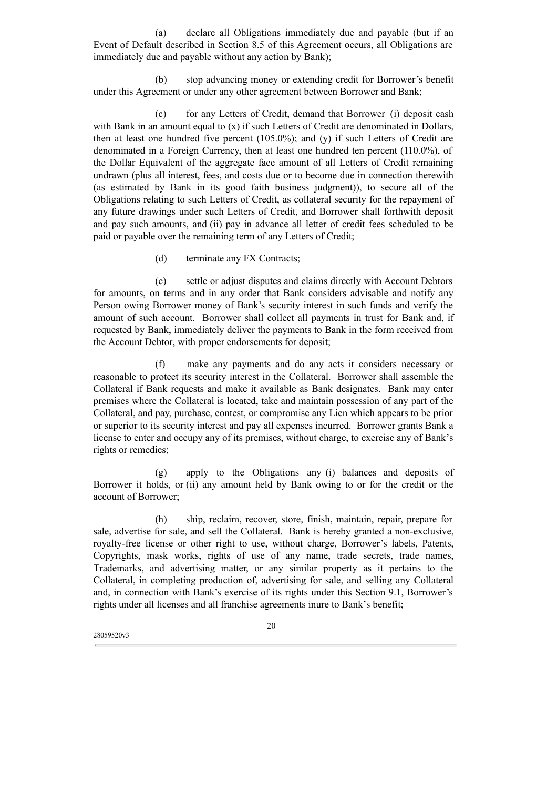(a) declare all Obligations immediately due and payable (but if an Event of Default described in Section 8.5 of this Agreement occurs, all Obligations are immediately due and payable without any action by Bank);

(b) stop advancing money or extending credit for Borrower's benefit under this Agreement or under any other agreement between Borrower and Bank;

(c) for any Letters of Credit, demand that Borrower (i) deposit cash with Bank in an amount equal to (x) if such Letters of Credit are denominated in Dollars, then at least one hundred five percent (105.0%); and (y) if such Letters of Credit are denominated in a Foreign Currency, then at least one hundred ten percent (110.0%), of the Dollar Equivalent of the aggregate face amount of all Letters of Credit remaining undrawn (plus all interest, fees, and costs due or to become due in connection therewith (as estimated by Bank in its good faith business judgment)), to secure all of the Obligations relating to such Letters of Credit, as collateral security for the repayment of any future drawings under such Letters of Credit, and Borrower shall forthwith deposit and pay such amounts, and (ii) pay in advance all letter of credit fees scheduled to be paid or payable over the remaining term of any Letters of Credit;

(d) terminate any FX Contracts;

(e) settle or adjust disputes and claims directly with Account Debtors for amounts, on terms and in any order that Bank considers advisable and notify any Person owing Borrower money of Bank's security interest in such funds and verify the amount of such account. Borrower shall collect all payments in trust for Bank and, if requested by Bank, immediately deliver the payments to Bank in the form received from the Account Debtor, with proper endorsements for deposit;

(f) make any payments and do any acts it considers necessary or reasonable to protect its security interest in the Collateral. Borrower shall assemble the Collateral if Bank requests and make it available as Bank designates. Bank may enter premises where the Collateral is located, take and maintain possession of any part of the Collateral, and pay, purchase, contest, or compromise any Lien which appears to be prior or superior to its security interest and pay all expenses incurred. Borrower grants Bank a license to enter and occupy any of its premises, without charge, to exercise any of Bank's rights or remedies;

(g) apply to the Obligations any (i) balances and deposits of Borrower it holds, or (ii) any amount held by Bank owing to or for the credit or the account of Borrower;

(h) ship, reclaim, recover, store, finish, maintain, repair, prepare for sale, advertise for sale, and sell the Collateral. Bank is hereby granted a non-exclusive, royalty-free license or other right to use, without charge, Borrower's labels, Patents, Copyrights, mask works, rights of use of any name, trade secrets, trade names, Trademarks, and advertising matter, or any similar property as it pertains to the Collateral, in completing production of, advertising for sale, and selling any Collateral and, in connection with Bank's exercise of its rights under this Section 9.1, Borrower's rights under all licenses and all franchise agreements inure to Bank's benefit;

28059520v3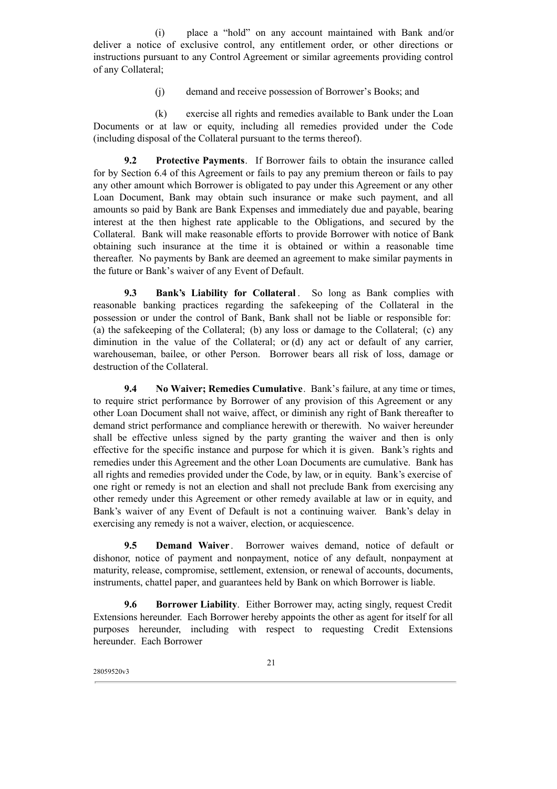(i) place a "hold" on any account maintained with Bank and/or deliver a notice of exclusive control, any entitlement order, or other directions or instructions pursuant to any Control Agreement or similar agreements providing control of any Collateral;

(j) demand and receive possession of Borrower's Books; and

(k) exercise all rights and remedies available to Bank under the Loan Documents or at law or equity, including all remedies provided under the Code (including disposal of the Collateral pursuant to the terms thereof).

**9.2 Protective Payments**. If Borrower fails to obtain the insurance called for by Section 6.4 of this Agreement or fails to pay any premium thereon or fails to pay any other amount which Borrower is obligated to pay under this Agreement or any other Loan Document, Bank may obtain such insurance or make such payment, and all amounts so paid by Bank are Bank Expenses and immediately due and payable, bearing interest at the then highest rate applicable to the Obligations, and secured by the Collateral. Bank will make reasonable efforts to provide Borrower with notice of Bank obtaining such insurance at the time it is obtained or within a reasonable time thereafter. No payments by Bank are deemed an agreement to make similar payments in the future or Bank's waiver of any Event of Default.

**9.3 Bank's Liability for Collateral** . So long as Bank complies with reasonable banking practices regarding the safekeeping of the Collateral in the possession or under the control of Bank, Bank shall not be liable or responsible for: (a) the safekeeping of the Collateral; (b) any loss or damage to the Collateral; (c) any diminution in the value of the Collateral; or (d) any act or default of any carrier, warehouseman, bailee, or other Person. Borrower bears all risk of loss, damage or destruction of the Collateral.

**9.4 No Waiver; Remedies Cumulative**. Bank's failure, at any time or times, to require strict performance by Borrower of any provision of this Agreement or any other Loan Document shall not waive, affect, or diminish any right of Bank thereafter to demand strict performance and compliance herewith or therewith. No waiver hereunder shall be effective unless signed by the party granting the waiver and then is only effective for the specific instance and purpose for which it is given. Bank's rights and remedies under this Agreement and the other Loan Documents are cumulative. Bank has all rights and remedies provided under the Code, by law, or in equity. Bank's exercise of one right or remedy is not an election and shall not preclude Bank from exercising any other remedy under this Agreement or other remedy available at law or in equity, and Bank's waiver of any Event of Default is not a continuing waiver. Bank's delay in exercising any remedy is not a waiver, election, or acquiescence.

9.5 **Demand Waiver**. Borrower waives demand, notice of default or dishonor, notice of payment and nonpayment, notice of any default, nonpayment at maturity, release, compromise, settlement, extension, or renewal of accounts, documents, instruments, chattel paper, and guarantees held by Bank on which Borrower is liable.

**9.6 Borrower Liability**. Either Borrower may, acting singly, request Credit Extensions hereunder. Each Borrower hereby appoints the other as agent for itself for all purposes hereunder, including with respect to requesting Credit Extensions hereunder. Each Borrower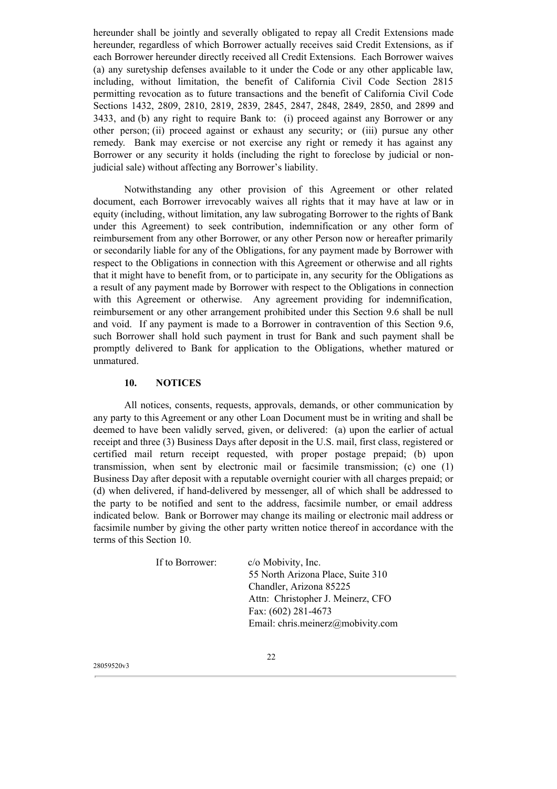hereunder shall be jointly and severally obligated to repay all Credit Extensions made hereunder, regardless of which Borrower actually receives said Credit Extensions, as if each Borrower hereunder directly received all Credit Extensions. Each Borrower waives (a) any suretyship defenses available to it under the Code or any other applicable law, including, without limitation, the benefit of California Civil Code Section 2815 permitting revocation as to future transactions and the benefit of California Civil Code Sections 1432, 2809, 2810, 2819, 2839, 2845, 2847, 2848, 2849, 2850, and 2899 and 3433, and (b) any right to require Bank to: (i) proceed against any Borrower or any other person; (ii) proceed against or exhaust any security; or (iii) pursue any other remedy. Bank may exercise or not exercise any right or remedy it has against any Borrower or any security it holds (including the right to foreclose by judicial or nonjudicial sale) without affecting any Borrower's liability.

Notwithstanding any other provision of this Agreement or other related document, each Borrower irrevocably waives all rights that it may have at law or in equity (including, without limitation, any law subrogating Borrower to the rights of Bank under this Agreement) to seek contribution, indemnification or any other form of reimbursement from any other Borrower, or any other Person now or hereafter primarily or secondarily liable for any of the Obligations, for any payment made by Borrower with respect to the Obligations in connection with this Agreement or otherwise and all rights that it might have to benefit from, or to participate in, any security for the Obligations as a result of any payment made by Borrower with respect to the Obligations in connection with this Agreement or otherwise. Any agreement providing for indemnification, reimbursement or any other arrangement prohibited under this Section 9.6 shall be null and void. If any payment is made to a Borrower in contravention of this Section 9.6, such Borrower shall hold such payment in trust for Bank and such payment shall be promptly delivered to Bank for application to the Obligations, whether matured or unmatured.

#### **10. NOTICES**

All notices, consents, requests, approvals, demands, or other communication by any party to this Agreement or any other Loan Document must be in writing and shall be deemed to have been validly served, given, or delivered: (a) upon the earlier of actual receipt and three (3) Business Days after deposit in the U.S. mail, first class, registered or certified mail return receipt requested, with proper postage prepaid; (b) upon transmission, when sent by electronic mail or facsimile transmission; (c) one (1) Business Day after deposit with a reputable overnight courier with all charges prepaid; or (d) when delivered, if hand-delivered by messenger, all of which shall be addressed to the party to be notified and sent to the address, facsimile number, or email address indicated below. Bank or Borrower may change its mailing or electronic mail address or facsimile number by giving the other party written notice thereof in accordance with the terms of this Section 10.

| If to Borrower: | c/o Mobivity, Inc.                |
|-----------------|-----------------------------------|
|                 | 55 North Arizona Place, Suite 310 |
|                 | Chandler, Arizona 85225           |
|                 | Attn: Christopher J. Meinerz, CFO |
|                 | Fax: (602) 281-4673               |
|                 | Email: chris.meinerz@mobivity.com |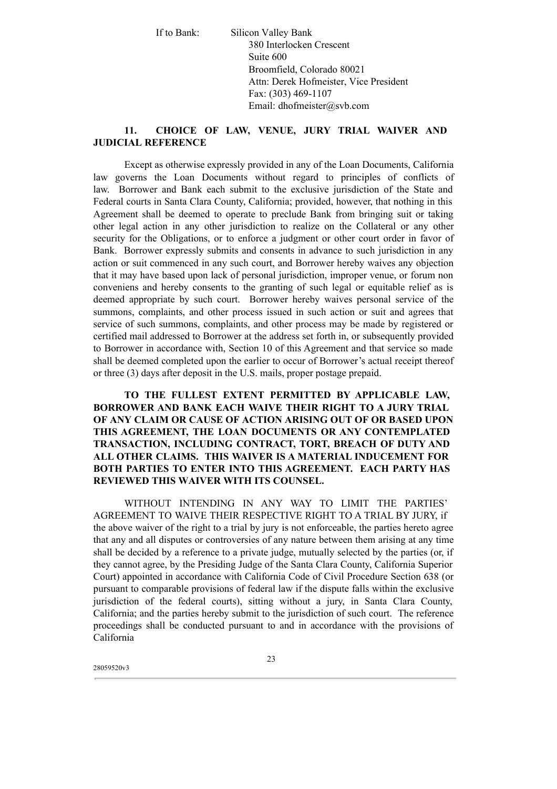If to Bank: Silicon Valley Bank 380 Interlocken Crescent Suite 600 Broomfield, Colorado 80021 Attn: Derek Hofmeister, Vice President Fax: (303) 469-1107 Email: dhofmeister@svb.com

# **11. CHOICE OF LAW, VENUE, JURY TRIAL WAIVER AND JUDICIAL REFERENCE**

Except as otherwise expressly provided in any of the Loan Documents, California law governs the Loan Documents without regard to principles of conflicts of law. Borrower and Bank each submit to the exclusive jurisdiction of the State and Federal courts in Santa Clara County, California; provided, however, that nothing in this Agreement shall be deemed to operate to preclude Bank from bringing suit or taking other legal action in any other jurisdiction to realize on the Collateral or any other security for the Obligations, or to enforce a judgment or other court order in favor of Bank. Borrower expressly submits and consents in advance to such jurisdiction in any action or suit commenced in any such court, and Borrower hereby waives any objection that it may have based upon lack of personal jurisdiction, improper venue, or forum non conveniens and hereby consents to the granting of such legal or equitable relief as is deemed appropriate by such court. Borrower hereby waives personal service of the summons, complaints, and other process issued in such action or suit and agrees that service of such summons, complaints, and other process may be made by registered or certified mail addressed to Borrower at the address set forth in, or subsequently provided to Borrower in accordance with, Section 10 of this Agreement and that service so made shall be deemed completed upon the earlier to occur of Borrower's actual receipt thereof or three (3) days after deposit in the U.S. mails, proper postage prepaid.

**TO THE FULLEST EXTENT PERMITTED BY APPLICABLE LAW, BORROWER AND BANK EACH WAIVE THEIR RIGHT TO A JURY TRIAL OF ANY CLAIM OR CAUSE OF ACTION ARISING OUT OF OR BASED UPON THIS AGREEMENT, THE LOAN DOCUMENTS OR ANY CONTEMPLATED TRANSACTION, INCLUDING CONTRACT, TORT, BREACH OF DUTY AND ALL OTHER CLAIMS. THIS WAIVER IS A MATERIAL INDUCEMENT FOR BOTH PARTIES TO ENTER INTO THIS AGREEMENT. EACH PARTY HAS REVIEWED THIS WAIVER WITH ITS COUNSEL.**

WITHOUT INTENDING IN ANY WAY TO LIMIT THE PARTIES' AGREEMENT TO WAIVE THEIR RESPECTIVE RIGHT TO A TRIAL BY JURY, if the above waiver of the right to a trial by jury is not enforceable, the parties hereto agree that any and all disputes or controversies of any nature between them arising at any time shall be decided by a reference to a private judge, mutually selected by the parties (or, if they cannot agree, by the Presiding Judge of the Santa Clara County, California Superior Court) appointed in accordance with California Code of Civil Procedure Section 638 (or pursuant to comparable provisions of federal law if the dispute falls within the exclusive jurisdiction of the federal courts), sitting without a jury, in Santa Clara County, California; and the parties hereby submit to the jurisdiction of such court. The reference proceedings shall be conducted pursuant to and in accordance with the provisions of California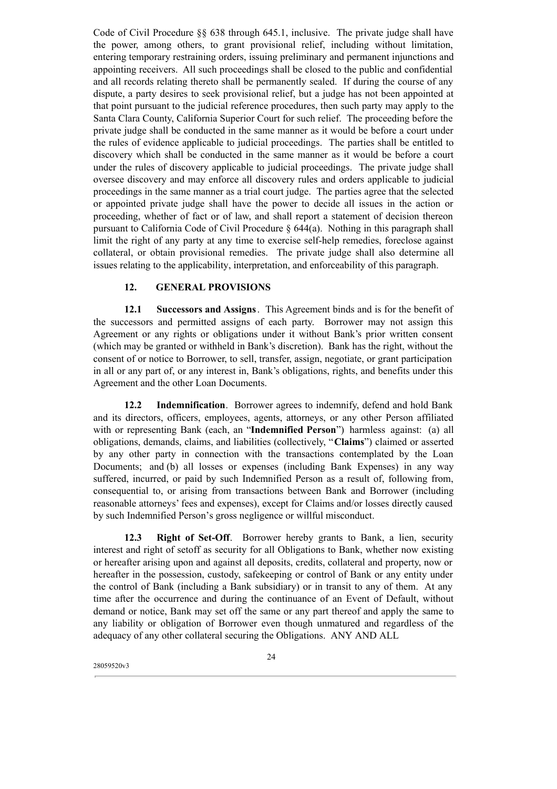Code of Civil Procedure  $\S$ § 638 through 645.1, inclusive. The private judge shall have the power, among others, to grant provisional relief, including without limitation, entering temporary restraining orders, issuing preliminary and permanent injunctions and appointing receivers. All such proceedings shall be closed to the public and confidential and all records relating thereto shall be permanently sealed. If during the course of any dispute, a party desires to seek provisional relief, but a judge has not been appointed at that point pursuant to the judicial reference procedures, then such party may apply to the Santa Clara County, California Superior Court for such relief. The proceeding before the private judge shall be conducted in the same manner as it would be before a court under the rules of evidence applicable to judicial proceedings. The parties shall be entitled to discovery which shall be conducted in the same manner as it would be before a court under the rules of discovery applicable to judicial proceedings. The private judge shall oversee discovery and may enforce all discovery rules and orders applicable to judicial proceedings in the same manner as a trial court judge. The parties agree that the selected or appointed private judge shall have the power to decide all issues in the action or proceeding, whether of fact or of law, and shall report a statement of decision thereon pursuant to California Code of Civil Procedure § 644(a). Nothing in this paragraph shall limit the right of any party at any time to exercise self-help remedies, foreclose against collateral, or obtain provisional remedies. The private judge shall also determine all issues relating to the applicability, interpretation, and enforceability of this paragraph.

### **12. GENERAL PROVISIONS**

**12.1 Successors and Assigns**. This Agreement binds and is for the benefit of the successors and permitted assigns of each party. Borrower may not assign this Agreement or any rights or obligations under it without Bank's prior written consent (which may be granted or withheld in Bank's discretion). Bank has the right, without the consent of or notice to Borrower, to sell, transfer, assign, negotiate, or grant participation in all or any part of, or any interest in, Bank's obligations, rights, and benefits under this Agreement and the other Loan Documents.

**12.2 Indemnification**. Borrower agrees to indemnify, defend and hold Bank and its directors, officers, employees, agents, attorneys, or any other Person affiliated with or representing Bank (each, an "**Indemnified Person**") harmless against: (a) all obligations, demands, claims, and liabilities (collectively, "**Claims**") claimed or asserted by any other party in connection with the transactions contemplated by the Loan Documents; and (b) all losses or expenses (including Bank Expenses) in any way suffered, incurred, or paid by such Indemnified Person as a result of, following from, consequential to, or arising from transactions between Bank and Borrower (including reasonable attorneys' fees and expenses), except for Claims and/or losses directly caused by such Indemnified Person's gross negligence or willful misconduct.

**12.3 Right of Set-Off**. Borrower hereby grants to Bank, a lien, security interest and right of setoff as security for all Obligations to Bank, whether now existing or hereafter arising upon and against all deposits, credits, collateral and property, now or hereafter in the possession, custody, safekeeping or control of Bank or any entity under the control of Bank (including a Bank subsidiary) or in transit to any of them. At any time after the occurrence and during the continuance of an Event of Default, without demand or notice, Bank may set off the same or any part thereof and apply the same to any liability or obligation of Borrower even though unmatured and regardless of the adequacy of any other collateral securing the Obligations. ANY AND ALL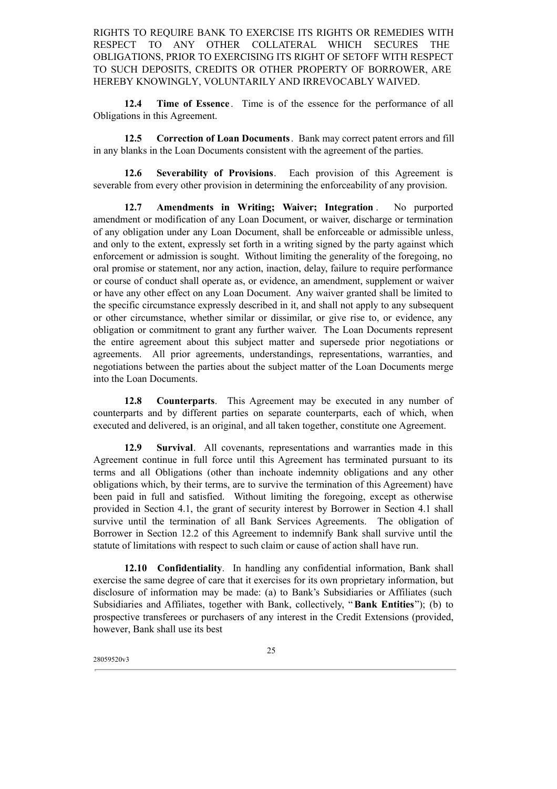RIGHTS TO REQUIRE BANK TO EXERCISE ITS RIGHTS OR REMEDIES WITH RESPECT TO ANY OTHER COLLATERAL WHICH SECURES THE OBLIGATIONS, PRIOR TO EXERCISING ITS RIGHT OF SETOFF WITH RESPECT TO SUCH DEPOSITS, CREDITS OR OTHER PROPERTY OF BORROWER, ARE HEREBY KNOWINGLY, VOLUNTARILY AND IRREVOCABLY WAIVED.

**12.4 Time of Essence** . Time is of the essence for the performance of all Obligations in this Agreement.

**12.5 Correction of Loan Documents**. Bank may correct patent errors and fill in any blanks in the Loan Documents consistent with the agreement of the parties.

**12.6 Severability of Provisions**. Each provision of this Agreement is severable from every other provision in determining the enforceability of any provision.

**12.7 Amendments in Writing; Waiver; Integration** . No purported amendment or modification of any Loan Document, or waiver, discharge or termination of any obligation under any Loan Document, shall be enforceable or admissible unless, and only to the extent, expressly set forth in a writing signed by the party against which enforcement or admission is sought. Without limiting the generality of the foregoing, no oral promise or statement, nor any action, inaction, delay, failure to require performance or course of conduct shall operate as, or evidence, an amendment, supplement or waiver or have any other effect on any Loan Document. Any waiver granted shall be limited to the specific circumstance expressly described in it, and shall not apply to any subsequent or other circumstance, whether similar or dissimilar, or give rise to, or evidence, any obligation or commitment to grant any further waiver. The Loan Documents represent the entire agreement about this subject matter and supersede prior negotiations or agreements. All prior agreements, understandings, representations, warranties, and negotiations between the parties about the subject matter of the Loan Documents merge into the Loan Documents.

**12.8 Counterparts**. This Agreement may be executed in any number of counterparts and by different parties on separate counterparts, each of which, when executed and delivered, is an original, and all taken together, constitute one Agreement.

**12.9 Survival**. All covenants, representations and warranties made in this Agreement continue in full force until this Agreement has terminated pursuant to its terms and all Obligations (other than inchoate indemnity obligations and any other obligations which, by their terms, are to survive the termination of this Agreement) have been paid in full and satisfied. Without limiting the foregoing, except as otherwise provided in Section 4.1, the grant of security interest by Borrower in Section 4.1 shall survive until the termination of all Bank Services Agreements. The obligation of Borrower in Section 12.2 of this Agreement to indemnify Bank shall survive until the statute of limitations with respect to such claim or cause of action shall have run.

**12.10 Confidentiality**. In handling any confidential information, Bank shall exercise the same degree of care that it exercises for its own proprietary information, but disclosure of information may be made: (a) to Bank's Subsidiaries or Affiliates (such Subsidiaries and Affiliates, together with Bank, collectively, "**Bank Entities**"); (b) to prospective transferees or purchasers of any interest in the Credit Extensions (provided, however, Bank shall use its best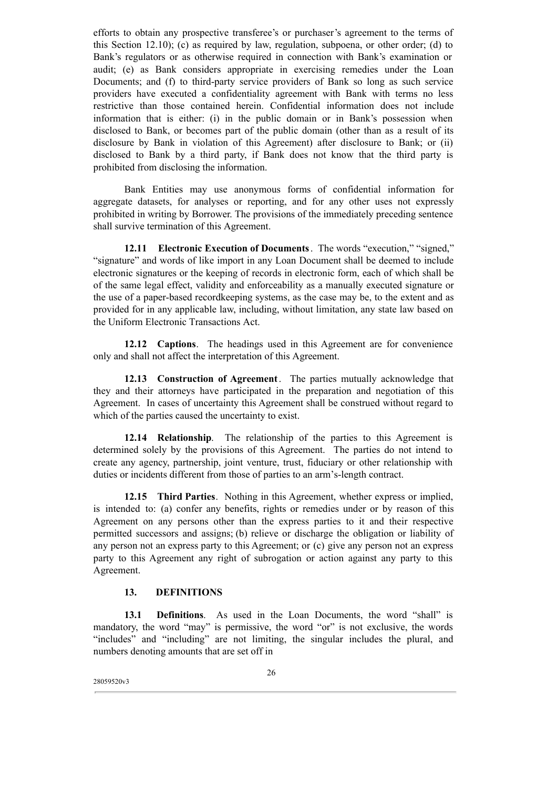efforts to obtain any prospective transferee's or purchaser's agreement to the terms of this Section 12.10); (c) as required by law, regulation, subpoena, or other order; (d) to Bank's regulators or as otherwise required in connection with Bank's examination or audit; (e) as Bank considers appropriate in exercising remedies under the Loan Documents; and (f) to third-party service providers of Bank so long as such service providers have executed a confidentiality agreement with Bank with terms no less restrictive than those contained herein. Confidential information does not include information that is either: (i) in the public domain or in Bank's possession when disclosed to Bank, or becomes part of the public domain (other than as a result of its disclosure by Bank in violation of this Agreement) after disclosure to Bank; or (ii) disclosed to Bank by a third party, if Bank does not know that the third party is prohibited from disclosing the information.

Bank Entities may use anonymous forms of confidential information for aggregate datasets, for analyses or reporting, and for any other uses not expressly prohibited in writing by Borrower. The provisions of the immediately preceding sentence shall survive termination of this Agreement.

**12.11 Electronic Execution of Documents**. The words "execution," "signed," "signature" and words of like import in any Loan Document shall be deemed to include electronic signatures or the keeping of records in electronic form, each of which shall be of the same legal effect, validity and enforceability as a manually executed signature or the use of a paper-based recordkeeping systems, as the case may be, to the extent and as provided for in any applicable law, including, without limitation, any state law based on the Uniform Electronic Transactions Act.

**12.12 Captions**. The headings used in this Agreement are for convenience only and shall not affect the interpretation of this Agreement.

**12.13 Construction of Agreement**. The parties mutually acknowledge that they and their attorneys have participated in the preparation and negotiation of this Agreement. In cases of uncertainty this Agreement shall be construed without regard to which of the parties caused the uncertainty to exist.

**12.14 Relationship**. The relationship of the parties to this Agreement is determined solely by the provisions of this Agreement. The parties do not intend to create any agency, partnership, joint venture, trust, fiduciary or other relationship with duties or incidents different from those of parties to an arm's-length contract.

**12.15 Third Parties**. Nothing in this Agreement, whether express or implied, is intended to: (a) confer any benefits, rights or remedies under or by reason of this Agreement on any persons other than the express parties to it and their respective permitted successors and assigns; (b) relieve or discharge the obligation or liability of any person not an express party to this Agreement; or (c) give any person not an express party to this Agreement any right of subrogation or action against any party to this Agreement.

### **13. DEFINITIONS**

**13.1 Definitions**. As used in the Loan Documents, the word "shall" is mandatory, the word "may" is permissive, the word "or" is not exclusive, the words "includes" and "including" are not limiting, the singular includes the plural, and numbers denoting amounts that are set off in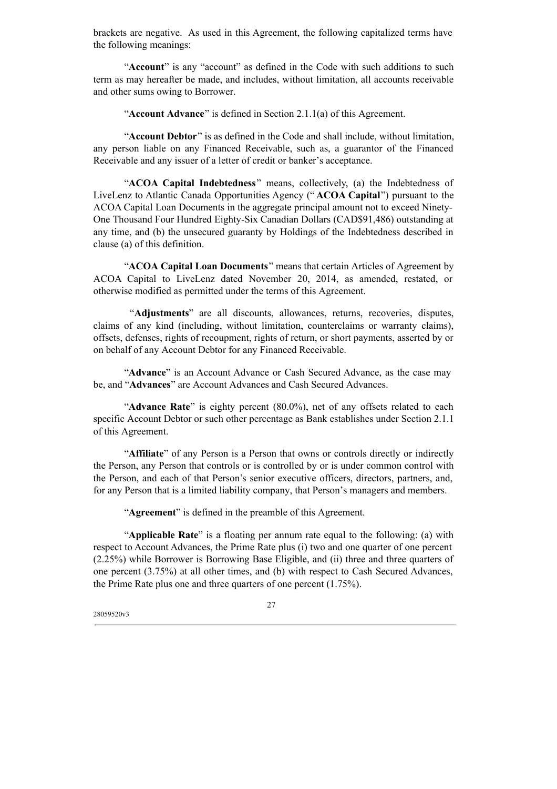brackets are negative. As used in this Agreement, the following capitalized terms have the following meanings:

"**Account**" is any "account" as defined in the Code with such additions to such term as may hereafter be made, and includes, without limitation, all accounts receivable and other sums owing to Borrower.

"**Account Advance**" is defined in Section 2.1.1(a) of this Agreement.

"**Account Debtor**" is as defined in the Code and shall include, without limitation, any person liable on any Financed Receivable, such as, a guarantor of the Financed Receivable and any issuer of a letter of credit or banker's acceptance.

"**ACOA Capital Indebtedness**" means, collectively, (a) the Indebtedness of LiveLenz to Atlantic Canada Opportunities Agency (" **ACOA Capital**") pursuant to the ACOA Capital Loan Documents in the aggregate principal amount not to exceed Ninety-One Thousand Four Hundred Eighty-Six Canadian Dollars (CAD\$91,486) outstanding at any time, and (b) the unsecured guaranty by Holdings of the Indebtedness described in clause (a) of this definition.

"**ACOA Capital Loan Documents**" means that certain Articles of Agreement by ACOA Capital to LiveLenz dated November 20, 2014, as amended, restated, or otherwise modified as permitted under the terms of this Agreement.

"**Adjustments**" are all discounts, allowances, returns, recoveries, disputes, claims of any kind (including, without limitation, counterclaims or warranty claims), offsets, defenses, rights of recoupment, rights of return, or short payments, asserted by or on behalf of any Account Debtor for any Financed Receivable.

"**Advance**" is an Account Advance or Cash Secured Advance, as the case may be, and "**Advances**" are Account Advances and Cash Secured Advances.

"**Advance Rate**" is eighty percent (80.0%), net of any offsets related to each specific Account Debtor or such other percentage as Bank establishes under Section 2.1.1 of this Agreement.

"**Affiliate**" of any Person is a Person that owns or controls directly or indirectly the Person, any Person that controls or is controlled by or is under common control with the Person, and each of that Person's senior executive officers, directors, partners, and, for any Person that is a limited liability company, that Person's managers and members.

"**Agreement**" is defined in the preamble of this Agreement.

"**Applicable Rate**" is a floating per annum rate equal to the following: (a) with respect to Account Advances, the Prime Rate plus (i) two and one quarter of one percent (2.25%) while Borrower is Borrowing Base Eligible, and (ii) three and three quarters of one percent (3.75%) at all other times, and (b) with respect to Cash Secured Advances, the Prime Rate plus one and three quarters of one percent (1.75%).

28059520v3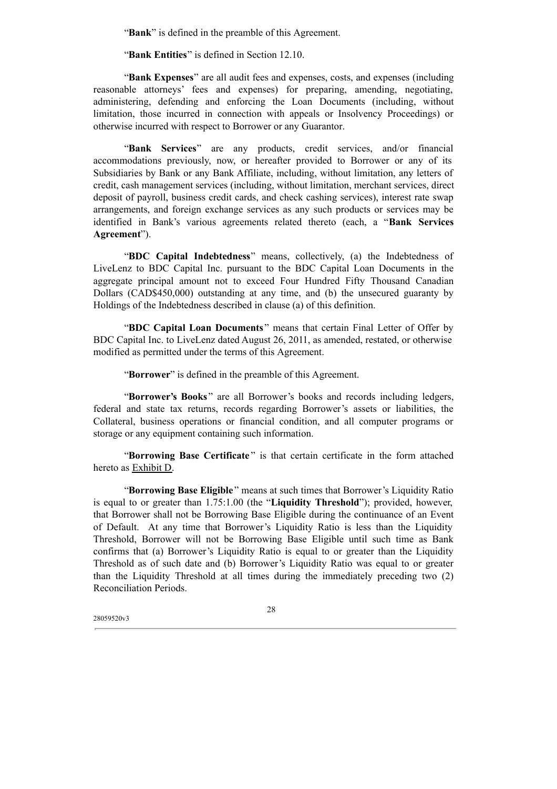"**Bank**" is defined in the preamble of this Agreement.

"**Bank Entities**" is defined in Section 12.10.

"**Bank Expenses**" are all audit fees and expenses, costs, and expenses (including reasonable attorneys' fees and expenses) for preparing, amending, negotiating, administering, defending and enforcing the Loan Documents (including, without limitation, those incurred in connection with appeals or Insolvency Proceedings) or otherwise incurred with respect to Borrower or any Guarantor.

"**Bank Services**" are any products, credit services, and/or financial accommodations previously, now, or hereafter provided to Borrower or any of its Subsidiaries by Bank or any Bank Affiliate, including, without limitation, any letters of credit, cash management services (including, without limitation, merchant services, direct deposit of payroll, business credit cards, and check cashing services), interest rate swap arrangements, and foreign exchange services as any such products or services may be identified in Bank's various agreements related thereto (each, a "**Bank Services Agreement**").

"**BDC Capital Indebtedness**" means, collectively, (a) the Indebtedness of LiveLenz to BDC Capital Inc. pursuant to the BDC Capital Loan Documents in the aggregate principal amount not to exceed Four Hundred Fifty Thousand Canadian Dollars (CAD\$450,000) outstanding at any time, and (b) the unsecured guaranty by Holdings of the Indebtedness described in clause (a) of this definition.

"**BDC Capital Loan Documents** " means that certain Final Letter of Offer by BDC Capital Inc. to LiveLenz dated August 26, 2011, as amended, restated, or otherwise modified as permitted under the terms of this Agreement.

"**Borrower**" is defined in the preamble of this Agreement.

"**Borrower's Books** " are all Borrower's books and records including ledgers, federal and state tax returns, records regarding Borrower's assets or liabilities, the Collateral, business operations or financial condition, and all computer programs or storage or any equipment containing such information.

"**Borrowing Base Certificate** " is that certain certificate in the form attached hereto as Exhibit D.

"**Borrowing Base Eligible** " means at such times that Borrower's Liquidity Ratio is equal to or greater than 1.75:1.00 (the "**Liquidity Threshold**"); provided, however, that Borrower shall not be Borrowing Base Eligible during the continuance of an Event of Default. At any time that Borrower's Liquidity Ratio is less than the Liquidity Threshold, Borrower will not be Borrowing Base Eligible until such time as Bank confirms that (a) Borrower's Liquidity Ratio is equal to or greater than the Liquidity Threshold as of such date and (b) Borrower's Liquidity Ratio was equal to or greater than the Liquidity Threshold at all times during the immediately preceding two (2) Reconciliation Periods.

28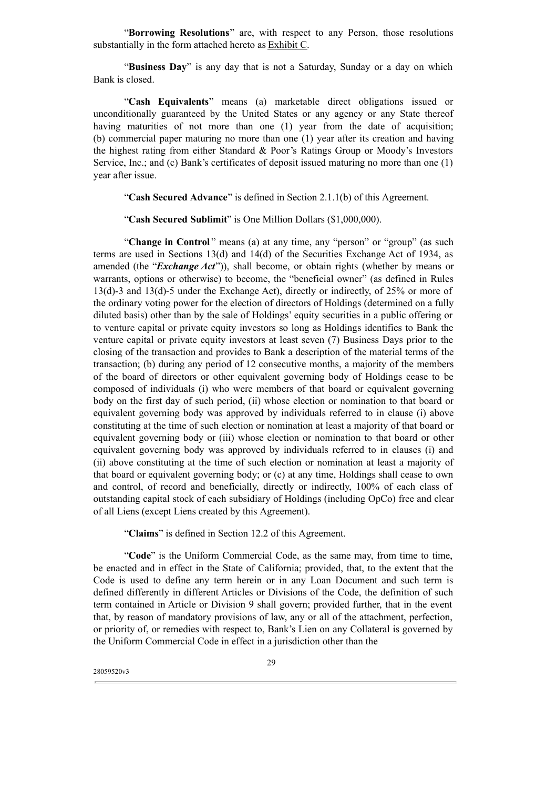"**Borrowing Resolutions**" are, with respect to any Person, those resolutions substantially in the form attached hereto as **Exhibit C**.

"**Business Day**" is any day that is not a Saturday, Sunday or a day on which Bank is closed.

"**Cash Equivalents**" means (a) marketable direct obligations issued or unconditionally guaranteed by the United States or any agency or any State thereof having maturities of not more than one (1) year from the date of acquisition; (b) commercial paper maturing no more than one (1) year after its creation and having the highest rating from either Standard & Poor's Ratings Group or Moody's Investors Service, Inc.; and (c) Bank's certificates of deposit issued maturing no more than one (1) year after issue.

"**Cash Secured Advance**" is defined in Section 2.1.1(b) of this Agreement.

"**Cash Secured Sublimit**" is One Million Dollars (\$1,000,000).

"**Change in Control**" means (a) at any time, any "person" or "group" (as such terms are used in Sections 13(d) and 14(d) of the Securities Exchange Act of 1934, as amended (the "*Exchange Act*")), shall become, or obtain rights (whether by means or warrants, options or otherwise) to become, the "beneficial owner" (as defined in Rules 13(d)-3 and 13(d)-5 under the Exchange Act), directly or indirectly, of  $25\%$  or more of the ordinary voting power for the election of directors of Holdings (determined on a fully diluted basis) other than by the sale of Holdings' equity securities in a public offering or to venture capital or private equity investors so long as Holdings identifies to Bank the venture capital or private equity investors at least seven (7) Business Days prior to the closing of the transaction and provides to Bank a description of the material terms of the transaction; (b) during any period of 12 consecutive months, a majority of the members of the board of directors or other equivalent governing body of Holdings cease to be composed of individuals (i) who were members of that board or equivalent governing body on the first day of such period, (ii) whose election or nomination to that board or equivalent governing body was approved by individuals referred to in clause (i) above constituting at the time of such election or nomination at least a majority of that board or equivalent governing body or (iii) whose election or nomination to that board or other equivalent governing body was approved by individuals referred to in clauses (i) and (ii) above constituting at the time of such election or nomination at least a majority of that board or equivalent governing body; or (c) at any time, Holdings shall cease to own and control, of record and beneficially, directly or indirectly, 100% of each class of outstanding capital stock of each subsidiary of Holdings (including OpCo) free and clear of all Liens (except Liens created by this Agreement).

"**Claims**" is defined in Section 12.2 of this Agreement.

"**Code**" is the Uniform Commercial Code, as the same may, from time to time, be enacted and in effect in the State of California; provided, that, to the extent that the Code is used to define any term herein or in any Loan Document and such term is defined differently in different Articles or Divisions of the Code, the definition of such term contained in Article or Division 9 shall govern; provided further, that in the event that, by reason of mandatory provisions of law, any or all of the attachment, perfection, or priority of, or remedies with respect to, Bank's Lien on any Collateral is governed by the Uniform Commercial Code in effect in a jurisdiction other than the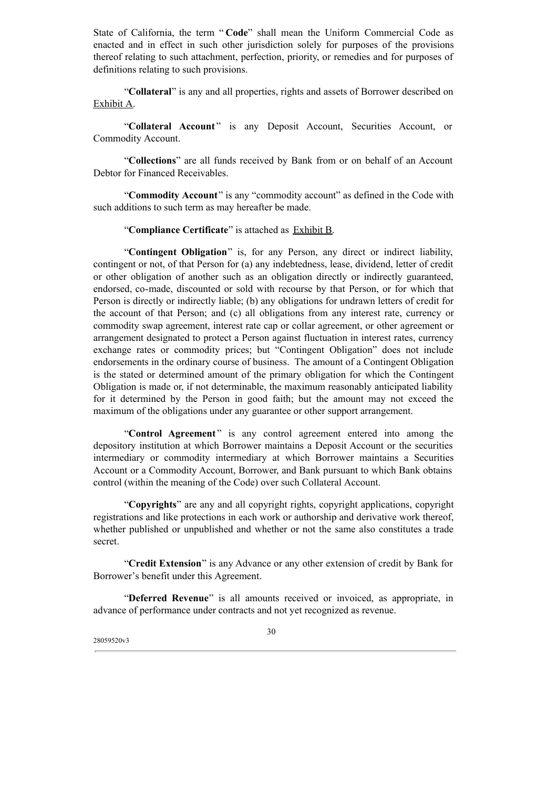State of California, the term " **Code**" shall mean the Uniform Commercial Code as enacted and in effect in such other jurisdiction solely for purposes of the provisions thereof relating to such attachment, perfection, priority, or remedies and for purposes of definitions relating to such provisions.

"**Collateral**" is any and all properties, rights and assets of Borrower described on Exhibit A.

"Collateral Account" is any Deposit Account, Securities Account, or Commodity Account.

"**Collections**" are all funds received by Bank from or on behalf of an Account Debtor for Financed Receivables.

"**Commodity Account**" is any "commodity account" as defined in the Code with such additions to such term as may hereafter be made.

"**Compliance Certificate**" is attached as Exhibit B.

"**Contingent Obligation**" is, for any Person, any direct or indirect liability, contingent or not, of that Person for (a) any indebtedness, lease, dividend, letter of credit or other obligation of another such as an obligation directly or indirectly guaranteed, endorsed, co-made, discounted or sold with recourse by that Person, or for which that Person is directly or indirectly liable; (b) any obligations for undrawn letters of credit for the account of that Person; and (c) all obligations from any interest rate, currency or commodity swap agreement, interest rate cap or collar agreement, or other agreement or arrangement designated to protect a Person against fluctuation in interest rates, currency exchange rates or commodity prices; but "Contingent Obligation" does not include endorsements in the ordinary course of business. The amount of a Contingent Obligation is the stated or determined amount of the primary obligation for which the Contingent Obligation is made or, if not determinable, the maximum reasonably anticipated liability for it determined by the Person in good faith; but the amount may not exceed the maximum of the obligations under any guarantee or other support arrangement.

"**Control Agreement** " is any control agreement entered into among the depository institution at which Borrower maintains a Deposit Account or the securities intermediary or commodity intermediary at which Borrower maintains a Securities Account or a Commodity Account, Borrower, and Bank pursuant to which Bank obtains control (within the meaning of the Code) over such Collateral Account.

"**Copyrights**" are any and all copyright rights, copyright applications, copyright registrations and like protections in each work or authorship and derivative work thereof, whether published or unpublished and whether or not the same also constitutes a trade secret.

"**Credit Extension**" is any Advance or any other extension of credit by Bank for Borrower's benefit under this Agreement.

"**Deferred Revenue**" is all amounts received or invoiced, as appropriate, in advance of performance under contracts and not yet recognized as revenue.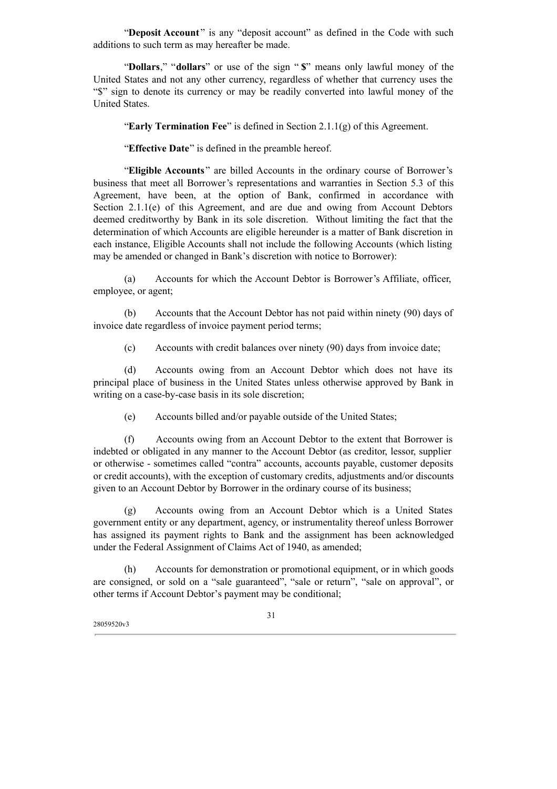"Deposit Account" is any "deposit account" as defined in the Code with such additions to such term as may hereafter be made.

"**Dollars**," "**dollars**" or use of the sign " **\$**" means only lawful money of the United States and not any other currency, regardless of whether that currency uses the "\$" sign to denote its currency or may be readily converted into lawful money of the United States.

"**Early Termination Fee**" is defined in Section 2.1.1(g) of this Agreement.

"**Effective Date**" is defined in the preamble hereof.

"**Eligible Accounts** " are billed Accounts in the ordinary course of Borrower's business that meet all Borrower's representations and warranties in Section 5.3 of this Agreement, have been, at the option of Bank, confirmed in accordance with Section 2.1.1(e) of this Agreement, and are due and owing from Account Debtors deemed creditworthy by Bank in its sole discretion. Without limiting the fact that the determination of which Accounts are eligible hereunder is a matter of Bank discretion in each instance, Eligible Accounts shall not include the following Accounts (which listing may be amended or changed in Bank's discretion with notice to Borrower):

(a) Accounts for which the Account Debtor is Borrower's Affiliate, officer, employee, or agent;

(b) Accounts that the Account Debtor has not paid within ninety (90) days of invoice date regardless of invoice payment period terms;

(c) Accounts with credit balances over ninety (90) days from invoice date;

(d) Accounts owing from an Account Debtor which does not have its principal place of business in the United States unless otherwise approved by Bank in writing on a case-by-case basis in its sole discretion;

(e) Accounts billed and/or payable outside of the United States;

(f) Accounts owing from an Account Debtor to the extent that Borrower is indebted or obligated in any manner to the Account Debtor (as creditor, lessor, supplier or otherwise - sometimes called "contra" accounts, accounts payable, customer deposits or credit accounts), with the exception of customary credits, adjustments and/or discounts given to an Account Debtor by Borrower in the ordinary course of its business;

(g) Accounts owing from an Account Debtor which is a United States government entity or any department, agency, or instrumentality thereof unless Borrower has assigned its payment rights to Bank and the assignment has been acknowledged under the Federal Assignment of Claims Act of 1940, as amended;

(h) Accounts for demonstration or promotional equipment, or in which goods are consigned, or sold on a "sale guaranteed", "sale or return", "sale on approval", or other terms if Account Debtor's payment may be conditional;

28059520v3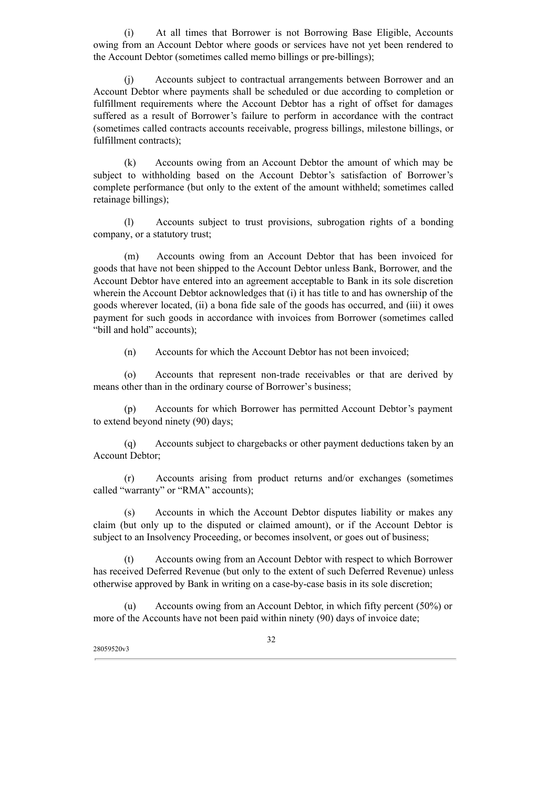(i) At all times that Borrower is not Borrowing Base Eligible, Accounts owing from an Account Debtor where goods or services have not yet been rendered to the Account Debtor (sometimes called memo billings or pre-billings);

(j) Accounts subject to contractual arrangements between Borrower and an Account Debtor where payments shall be scheduled or due according to completion or fulfillment requirements where the Account Debtor has a right of offset for damages suffered as a result of Borrower's failure to perform in accordance with the contract (sometimes called contracts accounts receivable, progress billings, milestone billings, or fulfillment contracts);

(k) Accounts owing from an Account Debtor the amount of which may be subject to withholding based on the Account Debtor's satisfaction of Borrower's complete performance (but only to the extent of the amount withheld; sometimes called retainage billings);

(l) Accounts subject to trust provisions, subrogation rights of a bonding company, or a statutory trust;

(m) Accounts owing from an Account Debtor that has been invoiced for goods that have not been shipped to the Account Debtor unless Bank, Borrower, and the Account Debtor have entered into an agreement acceptable to Bank in its sole discretion wherein the Account Debtor acknowledges that (i) it has title to and has ownership of the goods wherever located, (ii) a bona fide sale of the goods has occurred, and (iii) it owes payment for such goods in accordance with invoices from Borrower (sometimes called "bill and hold" accounts);

(n) Accounts for which the Account Debtor has not been invoiced;

(o) Accounts that represent non-trade receivables or that are derived by means other than in the ordinary course of Borrower's business;

(p) Accounts for which Borrower has permitted Account Debtor's payment to extend beyond ninety (90) days;

(q) Accounts subject to chargebacks or other payment deductions taken by an Account Debtor;

(r) Accounts arising from product returns and/or exchanges (sometimes called "warranty" or "RMA" accounts);

(s) Accounts in which the Account Debtor disputes liability or makes any claim (but only up to the disputed or claimed amount), or if the Account Debtor is subject to an Insolvency Proceeding, or becomes insolvent, or goes out of business;

(t) Accounts owing from an Account Debtor with respect to which Borrower has received Deferred Revenue (but only to the extent of such Deferred Revenue) unless otherwise approved by Bank in writing on a case-by-case basis in its sole discretion;

(u) Accounts owing from an Account Debtor, in which fifty percent (50%) or more of the Accounts have not been paid within ninety (90) days of invoice date;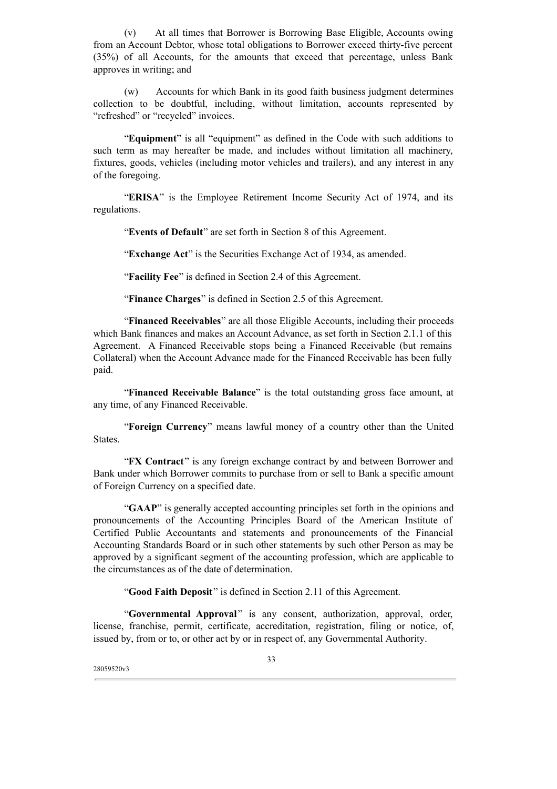(v) At all times that Borrower is Borrowing Base Eligible, Accounts owing from an Account Debtor, whose total obligations to Borrower exceed thirty-five percent (35%) of all Accounts, for the amounts that exceed that percentage, unless Bank approves in writing; and

(w) Accounts for which Bank in its good faith business judgment determines collection to be doubtful, including, without limitation, accounts represented by "refreshed" or "recycled" invoices.

"**Equipment**" is all "equipment" as defined in the Code with such additions to such term as may hereafter be made, and includes without limitation all machinery, fixtures, goods, vehicles (including motor vehicles and trailers), and any interest in any of the foregoing.

"**ERISA**" is the Employee Retirement Income Security Act of 1974, and its regulations.

"**Events of Default**" are set forth in Section 8 of this Agreement.

"**Exchange Act**" is the Securities Exchange Act of 1934, as amended.

"**Facility Fee**" is defined in Section 2.4 of this Agreement.

"**Finance Charges**" is defined in Section 2.5 of this Agreement.

"**Financed Receivables**" are all those Eligible Accounts, including their proceeds which Bank finances and makes an Account Advance, as set forth in Section 2.1.1 of this Agreement. A Financed Receivable stops being a Financed Receivable (but remains Collateral) when the Account Advance made for the Financed Receivable has been fully paid.

"**Financed Receivable Balance**" is the total outstanding gross face amount, at any time, of any Financed Receivable.

"**Foreign Currency**" means lawful money of a country other than the United States.

"**FX Contract**" is any foreign exchange contract by and between Borrower and Bank under which Borrower commits to purchase from or sell to Bank a specific amount of Foreign Currency on a specified date.

"**GAAP**" is generally accepted accounting principles set forth in the opinions and pronouncements of the Accounting Principles Board of the American Institute of Certified Public Accountants and statements and pronouncements of the Financial Accounting Standards Board or in such other statements by such other Person as may be approved by a significant segment of the accounting profession, which are applicable to the circumstances as of the date of determination.

"**Good Faith Deposit**" is defined in Section 2.11 of this Agreement.

"**Governmental Approval**" is any consent, authorization, approval, order, license, franchise, permit, certificate, accreditation, registration, filing or notice, of, issued by, from or to, or other act by or in respect of, any Governmental Authority.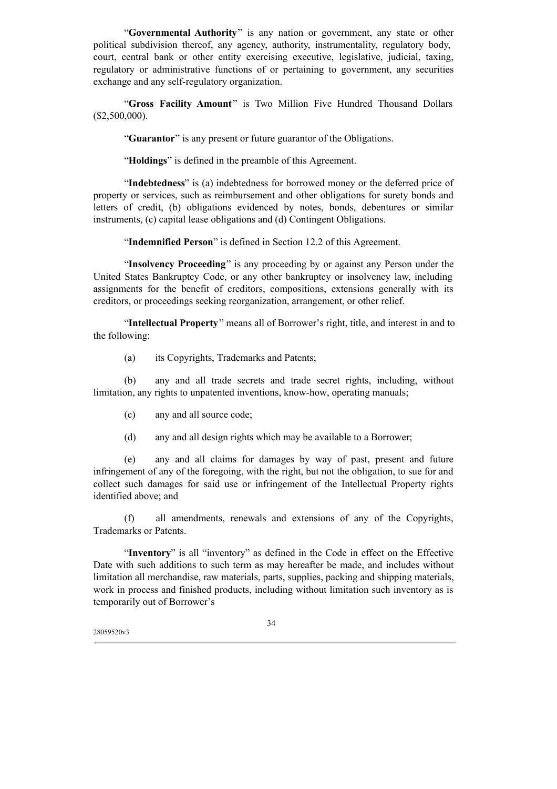"**Governmental Authority**" is any nation or government, any state or other political subdivision thereof, any agency, authority, instrumentality, regulatory body, court, central bank or other entity exercising executive, legislative, judicial, taxing, regulatory or administrative functions of or pertaining to government, any securities exchange and any self-regulatory organization.

"**Gross Facility Amount**" is Two Million Five Hundred Thousand Dollars (\$2,500,000).

"**Guarantor**" is any present or future guarantor of the Obligations.

"**Holdings**" is defined in the preamble of this Agreement.

"**Indebtedness**" is (a) indebtedness for borrowed money or the deferred price of property or services, such as reimbursement and other obligations for surety bonds and letters of credit, (b) obligations evidenced by notes, bonds, debentures or similar instruments, (c) capital lease obligations and (d) Contingent Obligations.

"**Indemnified Person**" is defined in Section 12.2 of this Agreement.

"**Insolvency Proceeding**" is any proceeding by or against any Person under the United States Bankruptcy Code, or any other bankruptcy or insolvency law, including assignments for the benefit of creditors, compositions, extensions generally with its creditors, or proceedings seeking reorganization, arrangement, or other relief.

"**Intellectual Property**" means all of Borrower's right, title, and interest in and to the following:

(a) its Copyrights, Trademarks and Patents;

(b) any and all trade secrets and trade secret rights, including, without limitation, any rights to unpatented inventions, know-how, operating manuals;

- (c) any and all source code;
- (d) any and all design rights which may be available to a Borrower;

(e) any and all claims for damages by way of past, present and future infringement of any of the foregoing, with the right, but not the obligation, to sue for and collect such damages for said use or infringement of the Intellectual Property rights identified above; and

(f) all amendments, renewals and extensions of any of the Copyrights, Trademarks or Patents.

"**Inventory**" is all "inventory" as defined in the Code in effect on the Effective Date with such additions to such term as may hereafter be made, and includes without limitation all merchandise, raw materials, parts, supplies, packing and shipping materials, work in process and finished products, including without limitation such inventory as is temporarily out of Borrower's

28059520v3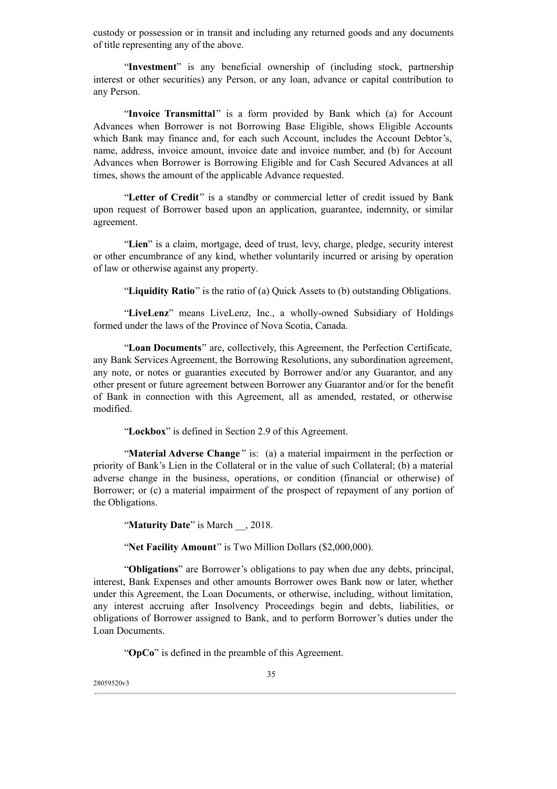custody or possession or in transit and including any returned goods and any documents of title representing any of the above.

"**Investment**" is any beneficial ownership of (including stock, partnership interest or other securities) any Person, or any loan, advance or capital contribution to any Person.

"Invoice Transmittal" is a form provided by Bank which (a) for Account Advances when Borrower is not Borrowing Base Eligible, shows Eligible Accounts which Bank may finance and, for each such Account, includes the Account Debtor's, name, address, invoice amount, invoice date and invoice number, and (b) for Account Advances when Borrower is Borrowing Eligible and for Cash Secured Advances at all times, shows the amount of the applicable Advance requested.

"**Letter of Credit**" is a standby or commercial letter of credit issued by Bank upon request of Borrower based upon an application, guarantee, indemnity, or similar agreement.

"**Lien**" is a claim, mortgage, deed of trust, levy, charge, pledge, security interest or other encumbrance of any kind, whether voluntarily incurred or arising by operation of law or otherwise against any property.

"**Liquidity Ratio**" is the ratio of (a) Quick Assets to (b) outstanding Obligations.

"**LiveLenz**" means LiveLenz, Inc., a wholly-owned Subsidiary of Holdings formed under the laws of the Province of Nova Scotia, Canada.

"**Loan Documents**" are, collectively, this Agreement, the Perfection Certificate, any Bank Services Agreement, the Borrowing Resolutions, any subordination agreement, any note, or notes or guaranties executed by Borrower and/or any Guarantor, and any other present or future agreement between Borrower any Guarantor and/or for the benefit of Bank in connection with this Agreement, all as amended, restated, or otherwise modified.

"**Lockbox**" is defined in Section 2.9 of this Agreement.

"**Material Adverse Change** " is: (a) a material impairment in the perfection or priority of Bank's Lien in the Collateral or in the value of such Collateral; (b) a material adverse change in the business, operations, or condition (financial or otherwise) of Borrower; or (c) a material impairment of the prospect of repayment of any portion of the Obligations.

"**Maturity Date**" is March \_\_, 2018.

"**Net Facility Amount**" is Two Million Dollars (\$2,000,000).

"**Obligations**" are Borrower's obligations to pay when due any debts, principal, interest, Bank Expenses and other amounts Borrower owes Bank now or later, whether under this Agreement, the Loan Documents, or otherwise, including, without limitation, any interest accruing after Insolvency Proceedings begin and debts, liabilities, or obligations of Borrower assigned to Bank, and to perform Borrower's duties under the Loan Documents.

"**OpCo**" is defined in the preamble of this Agreement.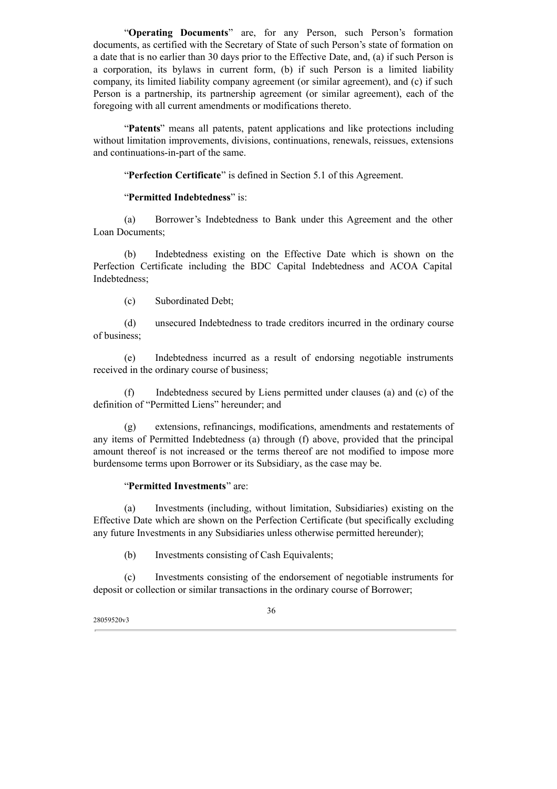"**Operating Documents**" are, for any Person, such Person's formation documents, as certified with the Secretary of State of such Person's state of formation on a date that is no earlier than 30 days prior to the Effective Date, and, (a) if such Person is a corporation, its bylaws in current form, (b) if such Person is a limited liability company, its limited liability company agreement (or similar agreement), and (c) if such Person is a partnership, its partnership agreement (or similar agreement), each of the foregoing with all current amendments or modifications thereto.

"**Patents**" means all patents, patent applications and like protections including without limitation improvements, divisions, continuations, renewals, reissues, extensions and continuations-in-part of the same.

"**Perfection Certificate**" is defined in Section 5.1 of this Agreement.

"**Permitted Indebtedness**" is:

(a) Borrower's Indebtedness to Bank under this Agreement and the other Loan Documents;

(b) Indebtedness existing on the Effective Date which is shown on the Perfection Certificate including the BDC Capital Indebtedness and ACOA Capital Indebtedness;

(c) Subordinated Debt;

(d) unsecured Indebtedness to trade creditors incurred in the ordinary course of business;

(e) Indebtedness incurred as a result of endorsing negotiable instruments received in the ordinary course of business;

(f) Indebtedness secured by Liens permitted under clauses (a) and (c) of the definition of "Permitted Liens" hereunder; and

(g) extensions, refinancings, modifications, amendments and restatements of any items of Permitted Indebtedness (a) through (f) above, provided that the principal amount thereof is not increased or the terms thereof are not modified to impose more burdensome terms upon Borrower or its Subsidiary, as the case may be.

## "**Permitted Investments**" are:

(a) Investments (including, without limitation, Subsidiaries) existing on the Effective Date which are shown on the Perfection Certificate (but specifically excluding any future Investments in any Subsidiaries unless otherwise permitted hereunder);

(b) Investments consisting of Cash Equivalents;

(c) Investments consisting of the endorsement of negotiable instruments for deposit or collection or similar transactions in the ordinary course of Borrower;

28059520v3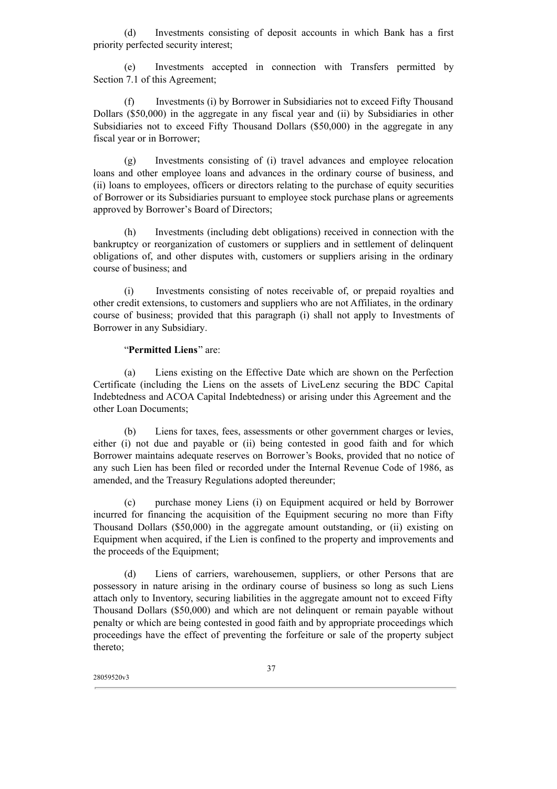(d) Investments consisting of deposit accounts in which Bank has a first priority perfected security interest;

(e) Investments accepted in connection with Transfers permitted by Section 7.1 of this Agreement;

(f) Investments (i) by Borrower in Subsidiaries not to exceed Fifty Thousand Dollars (\$50,000) in the aggregate in any fiscal year and (ii) by Subsidiaries in other Subsidiaries not to exceed Fifty Thousand Dollars (\$50,000) in the aggregate in any fiscal year or in Borrower;

(g) Investments consisting of (i) travel advances and employee relocation loans and other employee loans and advances in the ordinary course of business, and (ii) loans to employees, officers or directors relating to the purchase of equity securities of Borrower or its Subsidiaries pursuant to employee stock purchase plans or agreements approved by Borrower's Board of Directors;

(h) Investments (including debt obligations) received in connection with the bankruptcy or reorganization of customers or suppliers and in settlement of delinquent obligations of, and other disputes with, customers or suppliers arising in the ordinary course of business; and

(i) Investments consisting of notes receivable of, or prepaid royalties and other credit extensions, to customers and suppliers who are not Affiliates, in the ordinary course of business; provided that this paragraph (i) shall not apply to Investments of Borrower in any Subsidiary.

### "**Permitted Liens**" are:

(a) Liens existing on the Effective Date which are shown on the Perfection Certificate (including the Liens on the assets of LiveLenz securing the BDC Capital Indebtedness and ACOA Capital Indebtedness) or arising under this Agreement and the other Loan Documents;

(b) Liens for taxes, fees, assessments or other government charges or levies, either (i) not due and payable or (ii) being contested in good faith and for which Borrower maintains adequate reserves on Borrower's Books, provided that no notice of any such Lien has been filed or recorded under the Internal Revenue Code of 1986, as amended, and the Treasury Regulations adopted thereunder;

(c) purchase money Liens (i) on Equipment acquired or held by Borrower incurred for financing the acquisition of the Equipment securing no more than Fifty Thousand Dollars (\$50,000) in the aggregate amount outstanding, or (ii) existing on Equipment when acquired, if the Lien is confined to the property and improvements and the proceeds of the Equipment;

(d) Liens of carriers, warehousemen, suppliers, or other Persons that are possessory in nature arising in the ordinary course of business so long as such Liens attach only to Inventory, securing liabilities in the aggregate amount not to exceed Fifty Thousand Dollars (\$50,000) and which are not delinquent or remain payable without penalty or which are being contested in good faith and by appropriate proceedings which proceedings have the effect of preventing the forfeiture or sale of the property subject thereto;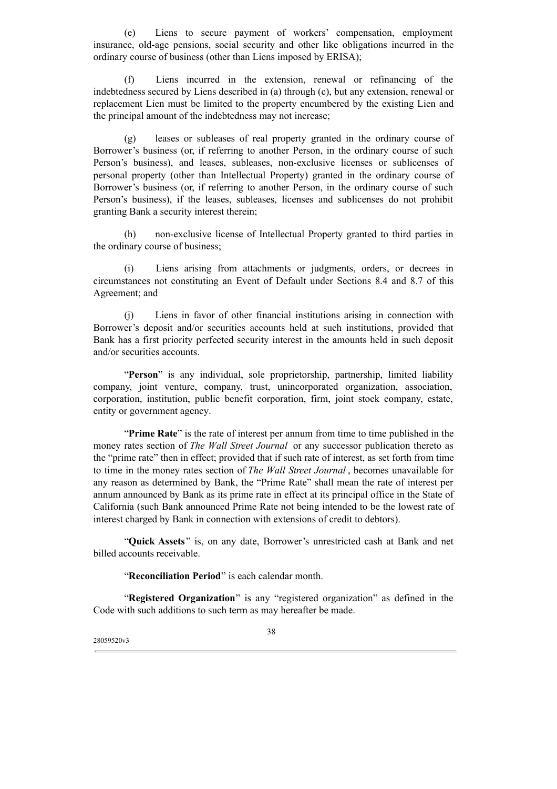(e) Liens to secure payment of workers' compensation, employment insurance, old-age pensions, social security and other like obligations incurred in the ordinary course of business (other than Liens imposed by ERISA);

(f) Liens incurred in the extension, renewal or refinancing of the indebtedness secured by Liens described in (a) through (c), but any extension, renewal or replacement Lien must be limited to the property encumbered by the existing Lien and the principal amount of the indebtedness may not increase;

(g) leases or subleases of real property granted in the ordinary course of Borrower's business (or, if referring to another Person, in the ordinary course of such Person's business), and leases, subleases, non-exclusive licenses or sublicenses of personal property (other than Intellectual Property) granted in the ordinary course of Borrower's business (or, if referring to another Person, in the ordinary course of such Person's business), if the leases, subleases, licenses and sublicenses do not prohibit granting Bank a security interest therein;

(h) non-exclusive license of Intellectual Property granted to third parties in the ordinary course of business;

(i) Liens arising from attachments or judgments, orders, or decrees in circumstances not constituting an Event of Default under Sections 8.4 and 8.7 of this Agreement; and

(j) Liens in favor of other financial institutions arising in connection with Borrower's deposit and/or securities accounts held at such institutions, provided that Bank has a first priority perfected security interest in the amounts held in such deposit and/or securities accounts.

"Person" is any individual, sole proprietorship, partnership, limited liability company, joint venture, company, trust, unincorporated organization, association, corporation, institution, public benefit corporation, firm, joint stock company, estate, entity or government agency.

"**Prime Rate**" is the rate of interest per annum from time to time published in the money rates section of *The Wall Street Journal* or any successor publication thereto as the "prime rate" then in effect; provided that if such rate of interest, as set forth from time to time in the money rates section of *The Wall Street Journal* , becomes unavailable for any reason as determined by Bank, the "Prime Rate" shall mean the rate of interest per annum announced by Bank as its prime rate in effect at its principal office in the State of California (such Bank announced Prime Rate not being intended to be the lowest rate of interest charged by Bank in connection with extensions of credit to debtors).

"**Quick Assets** " is, on any date, Borrower's unrestricted cash at Bank and net billed accounts receivable.

"**Reconciliation Period**" is each calendar month.

"**Registered Organization**" is any "registered organization" as defined in the Code with such additions to such term as may hereafter be made.

28059520v3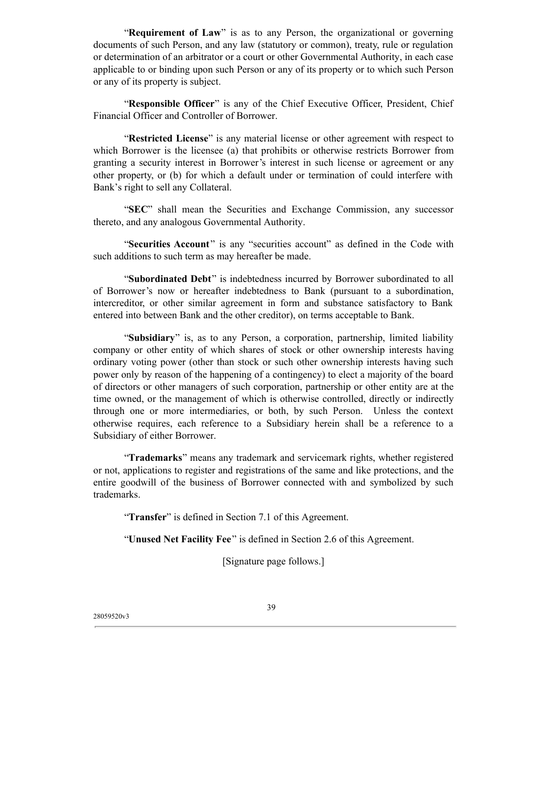"**Requirement of Law**" is as to any Person, the organizational or governing documents of such Person, and any law (statutory or common), treaty, rule or regulation or determination of an arbitrator or a court or other Governmental Authority, in each case applicable to or binding upon such Person or any of its property or to which such Person or any of its property is subject.

"**Responsible Officer**" is any of the Chief Executive Officer, President, Chief Financial Officer and Controller of Borrower.

"**Restricted License**" is any material license or other agreement with respect to which Borrower is the licensee (a) that prohibits or otherwise restricts Borrower from granting a security interest in Borrower's interest in such license or agreement or any other property, or (b) for which a default under or termination of could interfere with Bank's right to sell any Collateral.

"**SEC**" shall mean the Securities and Exchange Commission, any successor thereto, and any analogous Governmental Authority.

"**Securities Account**" is any "securities account" as defined in the Code with such additions to such term as may hereafter be made.

"**Subordinated Debt**" is indebtedness incurred by Borrower subordinated to all of Borrower's now or hereafter indebtedness to Bank (pursuant to a subordination, intercreditor, or other similar agreement in form and substance satisfactory to Bank entered into between Bank and the other creditor), on terms acceptable to Bank.

"**Subsidiary**" is, as to any Person, a corporation, partnership, limited liability company or other entity of which shares of stock or other ownership interests having ordinary voting power (other than stock or such other ownership interests having such power only by reason of the happening of a contingency) to elect a majority of the board of directors or other managers of such corporation, partnership or other entity are at the time owned, or the management of which is otherwise controlled, directly or indirectly through one or more intermediaries, or both, by such Person. Unless the context otherwise requires, each reference to a Subsidiary herein shall be a reference to a Subsidiary of either Borrower.

"**Trademarks**" means any trademark and servicemark rights, whether registered or not, applications to register and registrations of the same and like protections, and the entire goodwill of the business of Borrower connected with and symbolized by such trademarks.

"**Transfer**" is defined in Section 7.1 of this Agreement.

"**Unused Net Facility Fee**" is defined in Section 2.6 of this Agreement.

[Signature page follows.]

28059520v3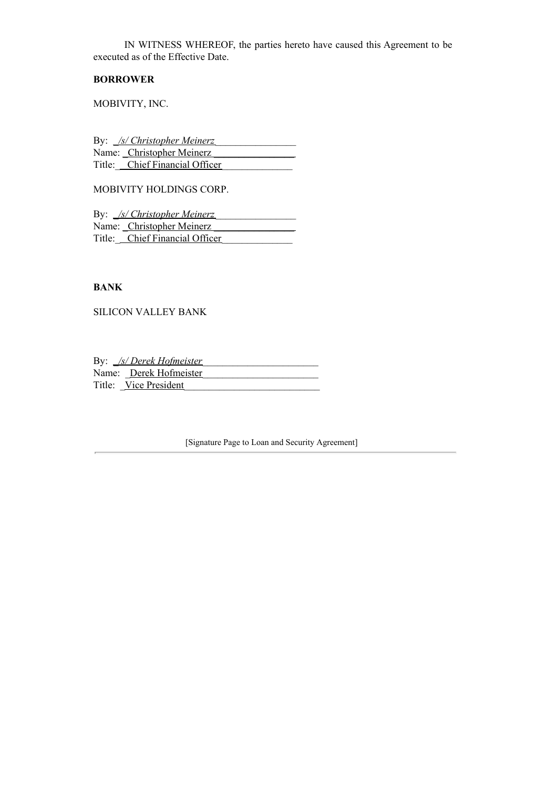IN WITNESS WHEREOF, the parties hereto have caused this Agreement to be executed as of the Effective Date.

## **BORROWER**

MOBIVITY, INC.

By: *\_/s/ Christopher Meinerz\_\_\_\_\_\_\_\_\_\_\_\_\_\_\_\_* Name: Christopher Meinerz Title: Chief Financial Officer

MOBIVITY HOLDINGS CORP.

By: *\_/s/ Christopher Meinerz\_\_\_\_\_\_\_\_\_\_\_\_\_\_\_\_* Name: Christopher Meinerz Title: Chief Financial Officer

## **BANK**

SILICON VALLEY BANK

By: \_*/s/ Derek Hofmeister\_\_\_\_\_\_\_\_\_\_\_\_\_\_\_\_\_\_\_\_\_\_\_* Name: <u>Derek Hofmeister</u> Title: Vice President

[Signature Page to Loan and Security Agreement]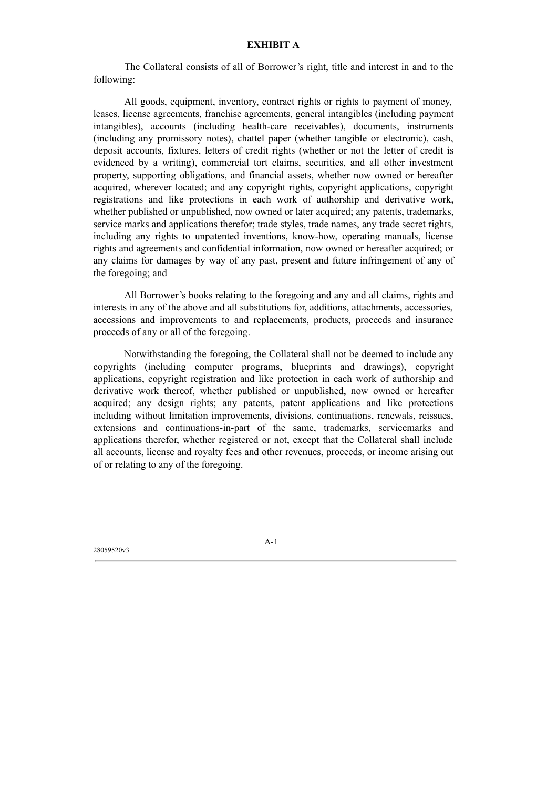## **EXHIBIT A**

The Collateral consists of all of Borrower's right, title and interest in and to the following:

All goods, equipment, inventory, contract rights or rights to payment of money, leases, license agreements, franchise agreements, general intangibles (including payment intangibles), accounts (including health-care receivables), documents, instruments (including any promissory notes), chattel paper (whether tangible or electronic), cash, deposit accounts, fixtures, letters of credit rights (whether or not the letter of credit is evidenced by a writing), commercial tort claims, securities, and all other investment property, supporting obligations, and financial assets, whether now owned or hereafter acquired, wherever located; and any copyright rights, copyright applications, copyright registrations and like protections in each work of authorship and derivative work, whether published or unpublished, now owned or later acquired; any patents, trademarks, service marks and applications therefor; trade styles, trade names, any trade secret rights, including any rights to unpatented inventions, know-how, operating manuals, license rights and agreements and confidential information, now owned or hereafter acquired; or any claims for damages by way of any past, present and future infringement of any of the foregoing; and

All Borrower's books relating to the foregoing and any and all claims, rights and interests in any of the above and all substitutions for, additions, attachments, accessories, accessions and improvements to and replacements, products, proceeds and insurance proceeds of any or all of the foregoing.

Notwithstanding the foregoing, the Collateral shall not be deemed to include any copyrights (including computer programs, blueprints and drawings), copyright applications, copyright registration and like protection in each work of authorship and derivative work thereof, whether published or unpublished, now owned or hereafter acquired; any design rights; any patents, patent applications and like protections including without limitation improvements, divisions, continuations, renewals, reissues, extensions and continuations-in-part of the same, trademarks, servicemarks and applications therefor, whether registered or not, except that the Collateral shall include all accounts, license and royalty fees and other revenues, proceeds, or income arising out of or relating to any of the foregoing.

28059520v3

A-1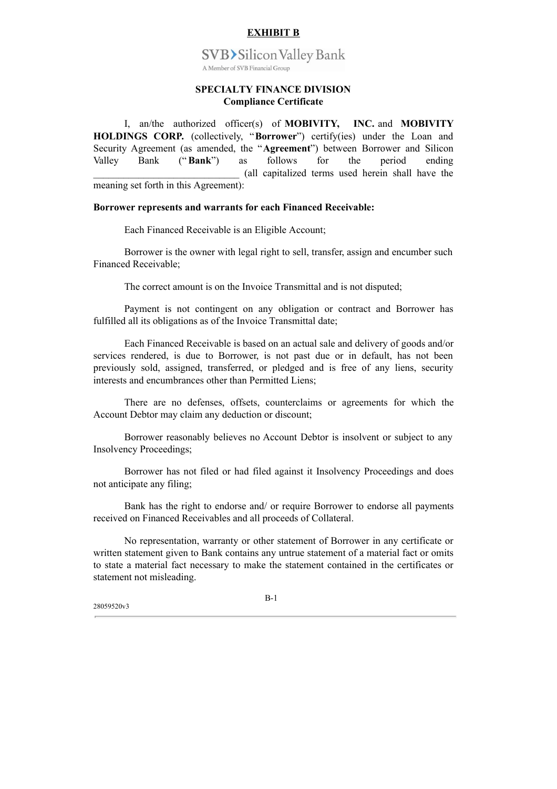## **EXHIBIT B**

## **SPECIALTY FINANCE DIVISION Compliance Certificate**

I, an/the authorized officer(s) of **MOBIVITY, INC.** and **MOBIVITY HOLDINGS CORP.** (collectively, "**Borrower**") certify(ies) under the Loan and Security Agreement (as amended, the "**Agreement**") between Borrower and Silicon Valley Bank (" **Bank**") as follows for the period ending \_\_\_\_\_\_\_\_\_\_\_\_\_\_\_\_\_\_\_\_\_\_\_\_\_\_\_\_\_ (all capitalized terms used herein shall have the meaning set forth in this Agreement):

### **Borrower represents and warrants for each Financed Receivable:**

Each Financed Receivable is an Eligible Account;

Borrower is the owner with legal right to sell, transfer, assign and encumber such Financed Receivable;

The correct amount is on the Invoice Transmittal and is not disputed;

Payment is not contingent on any obligation or contract and Borrower has fulfilled all its obligations as of the Invoice Transmittal date;

Each Financed Receivable is based on an actual sale and delivery of goods and/or services rendered, is due to Borrower, is not past due or in default, has not been previously sold, assigned, transferred, or pledged and is free of any liens, security interests and encumbrances other than Permitted Liens;

There are no defenses, offsets, counterclaims or agreements for which the Account Debtor may claim any deduction or discount;

Borrower reasonably believes no Account Debtor is insolvent or subject to any Insolvency Proceedings;

Borrower has not filed or had filed against it Insolvency Proceedings and does not anticipate any filing;

Bank has the right to endorse and/ or require Borrower to endorse all payments received on Financed Receivables and all proceeds of Collateral.

No representation, warranty or other statement of Borrower in any certificate or written statement given to Bank contains any untrue statement of a material fact or omits to state a material fact necessary to make the statement contained in the certificates or statement not misleading.

28059520v3

B-1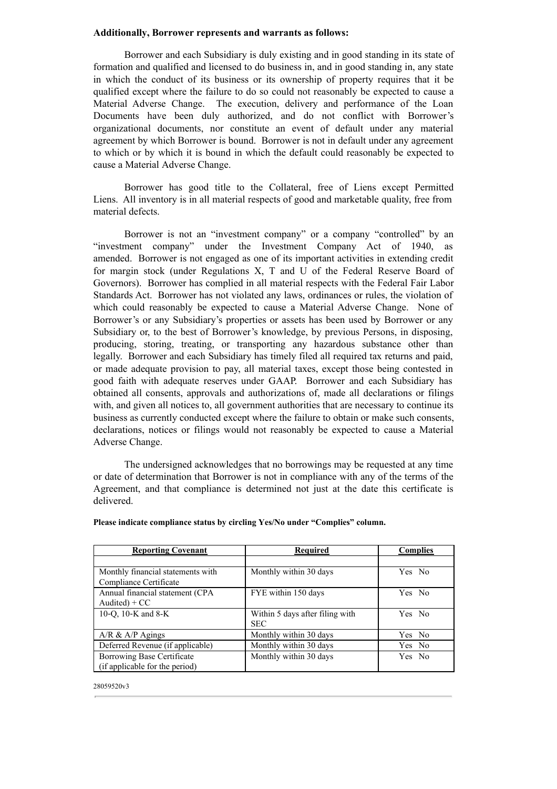### **Additionally, Borrower represents and warrants as follows:**

Borrower and each Subsidiary is duly existing and in good standing in its state of formation and qualified and licensed to do business in, and in good standing in, any state in which the conduct of its business or its ownership of property requires that it be qualified except where the failure to do so could not reasonably be expected to cause a Material Adverse Change. The execution, delivery and performance of the Loan Documents have been duly authorized, and do not conflict with Borrower's organizational documents, nor constitute an event of default under any material agreement by which Borrower is bound. Borrower is not in default under any agreement to which or by which it is bound in which the default could reasonably be expected to cause a Material Adverse Change.

Borrower has good title to the Collateral, free of Liens except Permitted Liens. All inventory is in all material respects of good and marketable quality, free from material defects.

Borrower is not an "investment company" or a company "controlled" by an "investment company" under the Investment Company Act of 1940, as amended. Borrower is not engaged as one of its important activities in extending credit for margin stock (under Regulations X, T and U of the Federal Reserve Board of Governors). Borrower has complied in all material respects with the Federal Fair Labor Standards Act. Borrower has not violated any laws, ordinances or rules, the violation of which could reasonably be expected to cause a Material Adverse Change. None of Borrower's or any Subsidiary's properties or assets has been used by Borrower or any Subsidiary or, to the best of Borrower's knowledge, by previous Persons, in disposing, producing, storing, treating, or transporting any hazardous substance other than legally. Borrower and each Subsidiary has timely filed all required tax returns and paid, or made adequate provision to pay, all material taxes, except those being contested in good faith with adequate reserves under GAAP. Borrower and each Subsidiary has obtained all consents, approvals and authorizations of, made all declarations or filings with, and given all notices to, all government authorities that are necessary to continue its business as currently conducted except where the failure to obtain or make such consents, declarations, notices or filings would not reasonably be expected to cause a Material Adverse Change.

The undersigned acknowledges that no borrowings may be requested at any time or date of determination that Borrower is not in compliance with any of the terms of the Agreement, and that compliance is determined not just at the date this certificate is delivered.

| <b>Reporting Covenant</b>                                    | <b>Required</b>                               | <b>Complies</b> |
|--------------------------------------------------------------|-----------------------------------------------|-----------------|
|                                                              |                                               |                 |
| Monthly financial statements with<br>Compliance Certificate  | Monthly within 30 days                        | Yes No          |
| Annual financial statement (CPA<br>$\text{Audited}$ ) + CC   | FYE within 150 days                           | Yes No          |
| 10-O, 10-K and 8-K                                           | Within 5 days after filing with<br><b>SEC</b> | Yes No          |
| $A/R \& A/P$ Agings                                          | Monthly within 30 days                        | Yes No          |
| Deferred Revenue (if applicable)                             | Monthly within 30 days                        | Yes No          |
| Borrowing Base Certificate<br>(if applicable for the period) | Monthly within 30 days                        | Yes No          |

#### **Please indicate compliance status by circling Yes/No under "Complies" column.**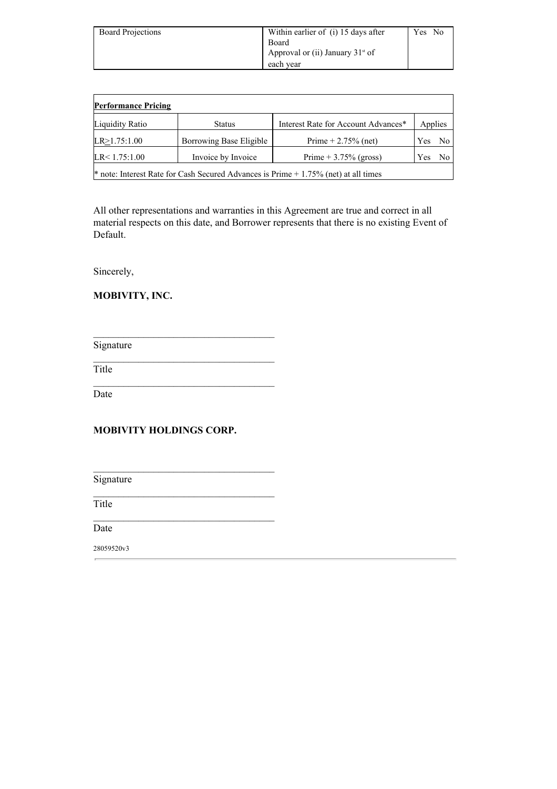| <b>Board Projections</b> | Within earlier of (i) 15 days after | Yes No |  |
|--------------------------|-------------------------------------|--------|--|
|                          | Board                               |        |  |
|                          | Approval or (ii) January $31st$ of  |        |  |
|                          | each vear                           |        |  |

| <b>Performance Pricing</b> |                         |                                     |         |     |
|----------------------------|-------------------------|-------------------------------------|---------|-----|
| Liquidity Ratio            | <b>Status</b>           | Interest Rate for Account Advances* | Applies |     |
| LR > 1.75:1.00             | Borrowing Base Eligible | Prime $+ 2.75\%$ (net)              | Yes     | No. |
| LR < 1.75:1.00             | Invoice by Invoice      | Prime $+3.75\%$ (gross)             | Yes     | No. |

All other representations and warranties in this Agreement are true and correct in all material respects on this date, and Borrower represents that there is no existing Event of Default.

Sincerely,

**MOBIVITY, INC.**

Signature

Title

Date

# **MOBIVITY HOLDINGS CORP.**

 $\mathcal{L}_\text{max}$  , where  $\mathcal{L}_\text{max}$  and  $\mathcal{L}_\text{max}$ 

 $\mathcal{L}_\text{max}$ 

 $\mathcal{L}_\text{max}$ 

 $\mathcal{L}_\text{max}$ 

 $\mathcal{L}_\text{max}$ 

**Signature** 

Title

Date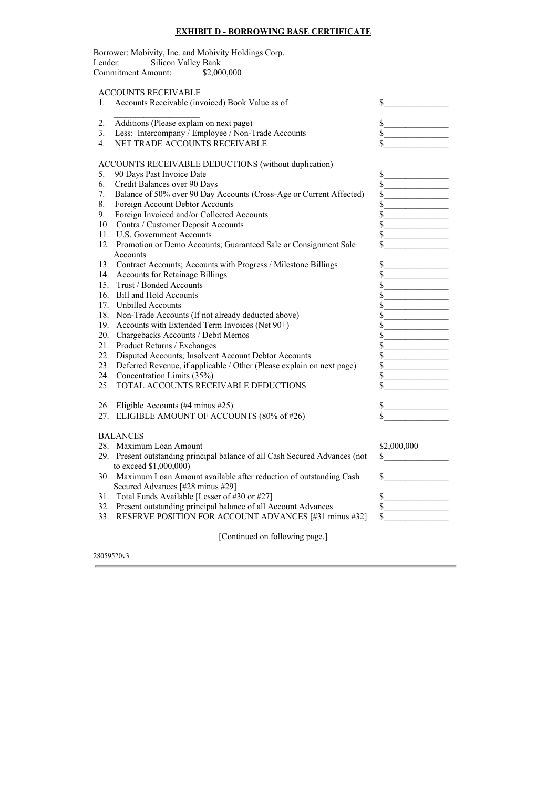# **EXHIBIT D - BORROWING BASE CERTIFICATE**

|         | Borrower: Mobivity, Inc. and Mobivity Holdings Corp.                        |             |
|---------|-----------------------------------------------------------------------------|-------------|
| Lender: | Silicon Valley Bank                                                         |             |
|         | <b>Commitment Amount:</b><br>\$2,000,000                                    |             |
|         |                                                                             |             |
|         | <b>ACCOUNTS RECEIVABLE</b>                                                  |             |
| 1.      | Accounts Receivable (invoiced) Book Value as of                             | \$          |
|         |                                                                             |             |
| 2.      | Additions (Please explain on next page)                                     | \$          |
| 3.      | Less: Intercompany / Employee / Non-Trade Accounts                          | \$          |
| 4.      | NET TRADE ACCOUNTS RECEIVABLE                                               | \$          |
|         |                                                                             |             |
|         | ACCOUNTS RECEIVABLE DEDUCTIONS (without duplication)                        |             |
| 5.      | 90 Days Past Invoice Date                                                   | \$          |
| 6.      | Credit Balances over 90 Days                                                | \$          |
| 7.      | Balance of 50% over 90 Day Accounts (Cross-Age or Current Affected)         | \$          |
| 8.      | Foreign Account Debtor Accounts                                             | \$          |
| 9.      | Foreign Invoiced and/or Collected Accounts                                  | \$          |
|         | 10. Contra / Customer Deposit Accounts                                      | \$          |
|         | 11. U.S. Government Accounts                                                | \$          |
|         | 12. Promotion or Demo Accounts; Guaranteed Sale or Consignment Sale         | \$          |
|         | Accounts                                                                    |             |
|         | 13. Contract Accounts; Accounts with Progress / Milestone Billings          | \$          |
|         | 14. Accounts for Retainage Billings                                         | \$          |
|         | 15. Trust / Bonded Accounts                                                 | \$          |
|         | 16. Bill and Hold Accounts                                                  | \$          |
|         | 17. Unbilled Accounts                                                       | \$          |
|         | 18. Non-Trade Accounts (If not already deducted above)                      | \$          |
| 19.     | Accounts with Extended Term Invoices (Net 90+)                              | \$          |
|         | 20. Chargebacks Accounts / Debit Memos                                      | \$          |
|         | 21. Product Returns / Exchanges                                             | \$          |
|         | 22. Disputed Accounts; Insolvent Account Debtor Accounts                    | \$          |
|         | 23. Deferred Revenue, if applicable / Other (Please explain on next page)   | \$          |
|         | 24. Concentration Limits (35%)                                              | \$          |
| 25.     | TOTAL ACCOUNTS RECEIVABLE DEDUCTIONS                                        |             |
|         |                                                                             |             |
|         | 26. Eligible Accounts (#4 minus #25)                                        | \$          |
|         | 27. ELIGIBLE AMOUNT OF ACCOUNTS (80% of #26)                                | \$          |
|         | <b>BALANCES</b>                                                             |             |
|         | 28. Maximum Loan Amount                                                     | \$2,000,000 |
|         | 29. Present outstanding principal balance of all Cash Secured Advances (not |             |
|         | to exceed \$1,000,000)                                                      | \$          |
|         |                                                                             |             |
|         | 30. Maximum Loan Amount available after reduction of outstanding Cash       |             |
|         | Secured Advances [#28 minus #29]                                            |             |
| 31.     | Total Funds Available [Lesser of #30 or #27]                                | \$          |
| 32.     | Present outstanding principal balance of all Account Advances               |             |
| 33.     | RESERVE POSITION FOR ACCOUNT ADVANCES [#31 minus #32]                       | \$          |
|         | [Continued on following page.]                                              |             |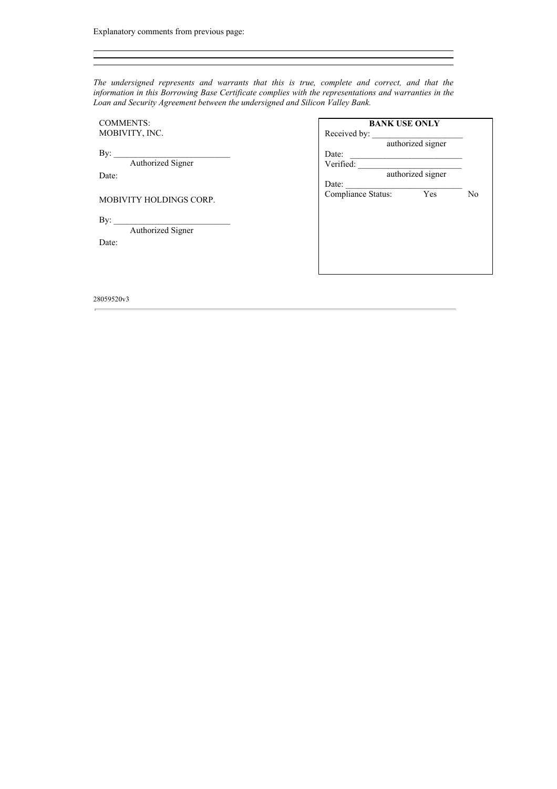*The undersigned represents and warrants that this is true, complete and correct, and that the information in this Borrowing Base Certificate complies with the representations and warranties in the Loan and Security Agreement between the undersigned and Silicon Valley Bank.*

| <b>COMMENTS:</b>               | <b>BANK USE ONLY</b>            |  |
|--------------------------------|---------------------------------|--|
| MOBIVITY, INC.                 | Received by:                    |  |
|                                | authorized signer               |  |
| $\mathbf{By:}$                 | Date:                           |  |
| Authorized Signer              | Verified:                       |  |
| Date:                          | authorized signer               |  |
|                                | Date:                           |  |
| <b>MOBIVITY HOLDINGS CORP.</b> | Compliance Status:<br>Yes<br>No |  |
| $\mathbf{By:}$                 |                                 |  |
| Authorized Signer              |                                 |  |
| Date:                          |                                 |  |
|                                |                                 |  |
|                                |                                 |  |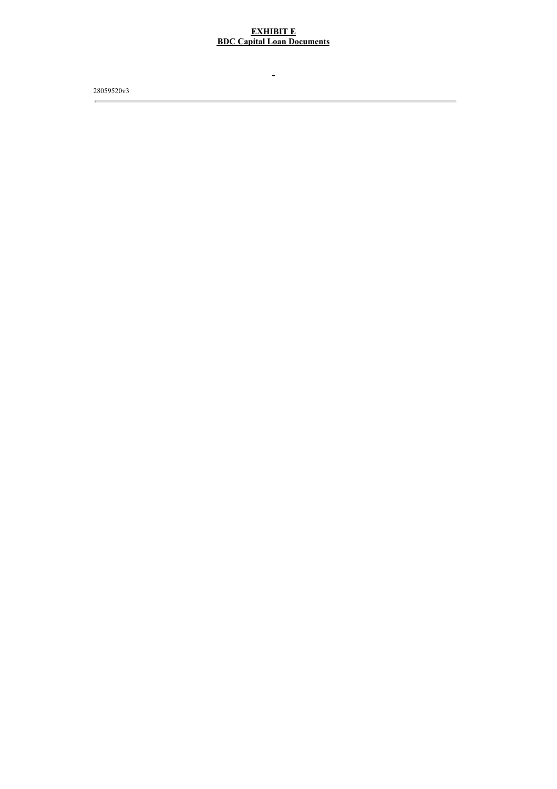#### **EXHIBIT E BDC Capital Loan Documents**

 $\bar{\mathbb{Z}}$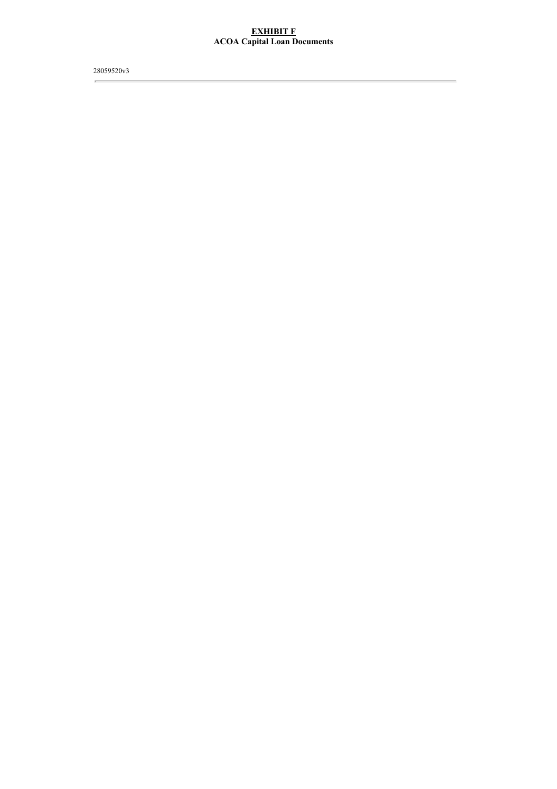#### **EXHIBIT F ACOA Capital Loan Documents**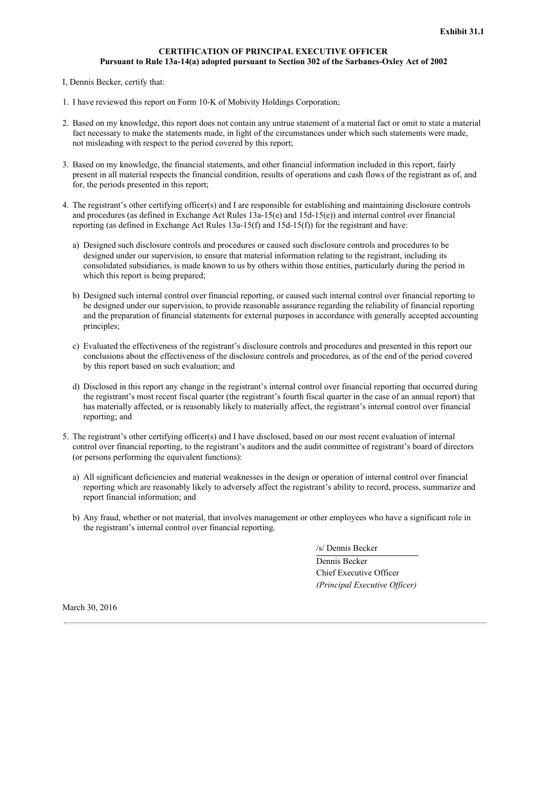#### **CERTIFICATION OF PRINCIPAL EXECUTIVE OFFICER Pursuant to Rule 13a-14(a) adopted pursuant to Section 302 of the Sarbanes-Oxley Act of 2002**

I, Dennis Becker, certify that:

- 1. I have reviewed this report on Form 10-K of Mobivity Holdings Corporation;
- 2. Based on my knowledge, this report does not contain any untrue statement of a material fact or omit to state a material fact necessary to make the statements made, in light of the circumstances under which such statements were made, not misleading with respect to the period covered by this report;
- 3. Based on my knowledge, the financial statements, and other financial information included in this report, fairly present in all material respects the financial condition, results of operations and cash flows of the registrant as of, and for, the periods presented in this report;
- 4. The registrant's other certifying officer(s) and I are responsible for establishing and maintaining disclosure controls and procedures (as defined in Exchange Act Rules 13a-15(e) and 15d-15(e)) and internal control over financial reporting (as defined in Exchange Act Rules 13a-15(f) and 15d-15(f)) for the registrant and have:
	- a) Designed such disclosure controls and procedures or caused such disclosure controls and procedures to be designed under our supervision, to ensure that material information relating to the registrant, including its consolidated subsidiaries, is made known to us by others within those entities, particularly during the period in which this report is being prepared;
	- b) Designed such internal control over financial reporting, or caused such internal control over financial reporting to be designed under our supervision, to provide reasonable assurance regarding the reliability of financial reporting and the preparation of financial statements for external purposes in accordance with generally accepted accounting principles;
	- c) Evaluated the effectiveness of the registrant's disclosure controls and procedures and presented in this report our conclusions about the effectiveness of the disclosure controls and procedures, as of the end of the period covered by this report based on such evaluation; and
	- d) Disclosed in this report any change in the registrant's internal control over financial reporting that occurred during the registrant's most recent fiscal quarter (the registrant's fourth fiscal quarter in the case of an annual report) that has materially affected, or is reasonably likely to materially affect, the registrant's internal control over financial reporting; and
- 5. The registrant's other certifying officer(s) and I have disclosed, based on our most recent evaluation of internal control over financial reporting, to the registrant's auditors and the audit committee of registrant's board of directors (or persons performing the equivalent functions):
	- a) All significant deficiencies and material weaknesses in the design or operation of internal control over financial reporting which are reasonably likely to adversely affect the registrant's ability to record, process, summarize and report financial information; and
	- b) Any fraud, whether or not material, that involves management or other employees who have a significant role in the registrant's internal control over financial reporting.

/s/ Dennis Becker Dennis Becker Chief Executive Officer *(Principal Executive Of icer)*

March 30, 2016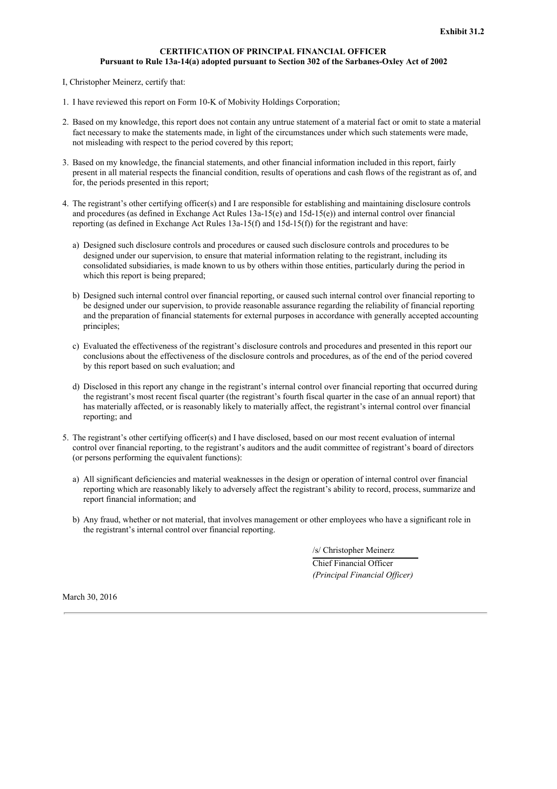#### **CERTIFICATION OF PRINCIPAL FINANCIAL OFFICER Pursuant to Rule 13a-14(a) adopted pursuant to Section 302 of the Sarbanes-Oxley Act of 2002**

I, Christopher Meinerz, certify that:

- 1. I have reviewed this report on Form 10-K of Mobivity Holdings Corporation;
- 2. Based on my knowledge, this report does not contain any untrue statement of a material fact or omit to state a material fact necessary to make the statements made, in light of the circumstances under which such statements were made, not misleading with respect to the period covered by this report;
- 3. Based on my knowledge, the financial statements, and other financial information included in this report, fairly present in all material respects the financial condition, results of operations and cash flows of the registrant as of, and for, the periods presented in this report;
- 4. The registrant's other certifying officer(s) and I are responsible for establishing and maintaining disclosure controls and procedures (as defined in Exchange Act Rules 13a-15(e) and 15d-15(e)) and internal control over financial reporting (as defined in Exchange Act Rules 13a-15(f) and 15d-15(f)) for the registrant and have:
	- a) Designed such disclosure controls and procedures or caused such disclosure controls and procedures to be designed under our supervision, to ensure that material information relating to the registrant, including its consolidated subsidiaries, is made known to us by others within those entities, particularly during the period in which this report is being prepared;
	- b) Designed such internal control over financial reporting, or caused such internal control over financial reporting to be designed under our supervision, to provide reasonable assurance regarding the reliability of financial reporting and the preparation of financial statements for external purposes in accordance with generally accepted accounting principles;
	- c) Evaluated the effectiveness of the registrant's disclosure controls and procedures and presented in this report our conclusions about the effectiveness of the disclosure controls and procedures, as of the end of the period covered by this report based on such evaluation; and
	- d) Disclosed in this report any change in the registrant's internal control over financial reporting that occurred during the registrant's most recent fiscal quarter (the registrant's fourth fiscal quarter in the case of an annual report) that has materially affected, or is reasonably likely to materially affect, the registrant's internal control over financial reporting; and
- 5. The registrant's other certifying officer(s) and I have disclosed, based on our most recent evaluation of internal control over financial reporting, to the registrant's auditors and the audit committee of registrant's board of directors (or persons performing the equivalent functions):
	- a) All significant deficiencies and material weaknesses in the design or operation of internal control over financial reporting which are reasonably likely to adversely affect the registrant's ability to record, process, summarize and report financial information; and
	- b) Any fraud, whether or not material, that involves management or other employees who have a significant role in the registrant's internal control over financial reporting.

/s/ Christopher Meinerz Chief Financial Officer *(Principal Financial Of icer)*

March 30, 2016